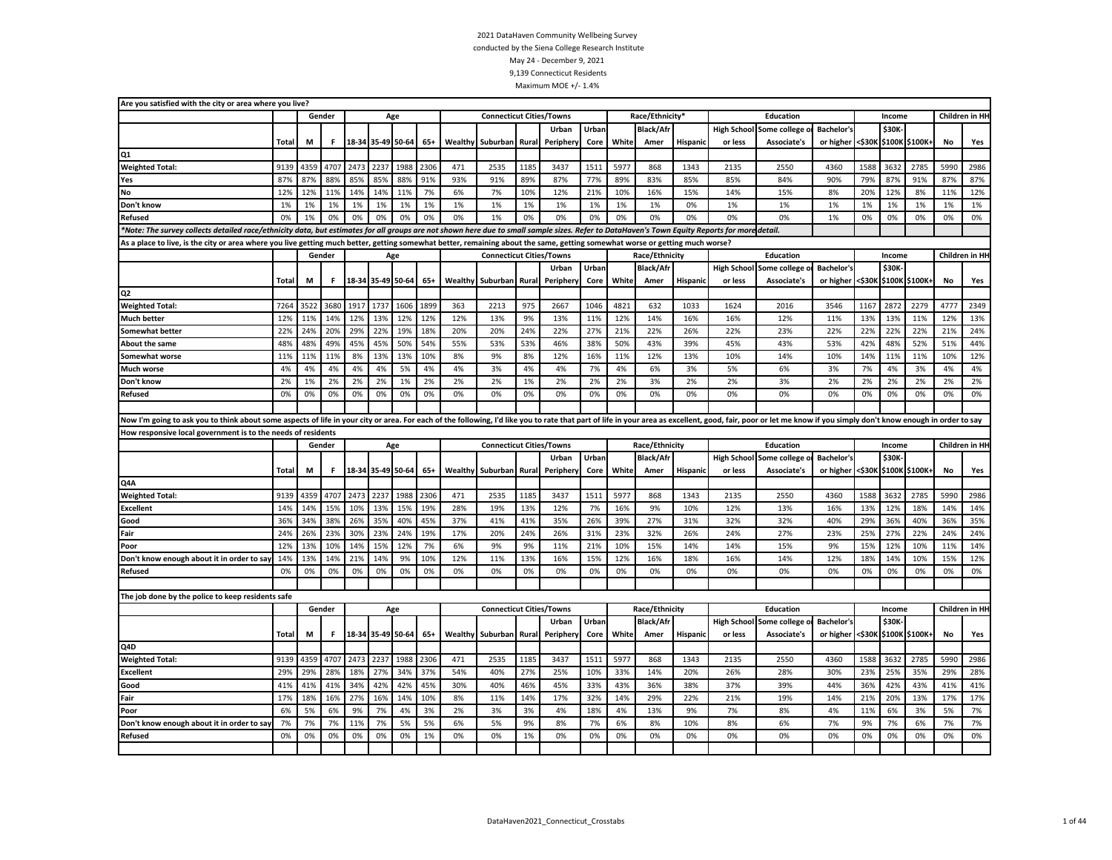| Are you satisfied with the city or area where you live?                                                                                                                                                                       |              |      |        |      |                   |      |       |                |                                 |       |           |       |       |                  |          |         |                                 |                   |        |        |                       |           |                 |
|-------------------------------------------------------------------------------------------------------------------------------------------------------------------------------------------------------------------------------|--------------|------|--------|------|-------------------|------|-------|----------------|---------------------------------|-------|-----------|-------|-------|------------------|----------|---------|---------------------------------|-------------------|--------|--------|-----------------------|-----------|-----------------|
|                                                                                                                                                                                                                               |              |      | Gender |      |                   | Age  |       |                | <b>Connecticut Cities/Towns</b> |       |           |       |       | Race/Ethnicity*  |          |         | Education                       |                   |        | Income |                       |           | Children in HI- |
|                                                                                                                                                                                                                               |              |      |        |      |                   |      |       |                |                                 |       | Urban     | Urban |       | <b>Black/Afr</b> |          |         | <b>High School Some college</b> | Bachelor's        |        | \$30K  |                       |           |                 |
|                                                                                                                                                                                                                               | Total        | M    | F.     |      | 18-34 35-49 50-64 |      | $65+$ | <b>Wealthy</b> | Suburban Rural                  |       | Periphery | Core  | White | Amer             | Hispanio | or less | <b>Associate's</b>              | or higher         |        |        | <\$30K \$100K \$100K+ | No        | Yes             |
| Q1                                                                                                                                                                                                                            |              |      |        |      |                   |      |       |                |                                 |       |           |       |       |                  |          |         |                                 |                   |        |        |                       |           |                 |
| <b>Weighted Total:</b>                                                                                                                                                                                                        | 9139         | 4359 | 4707   | 2473 | 2237              | 1988 | 2306  | 471            | 2535                            | 1185  | 3437      | 1511  | 5977  | 868              | 1343     | 2135    | 2550                            | 4360              | 1588   | 3632   | 2785                  | 5990      | 2986            |
| Yes                                                                                                                                                                                                                           | 87%          | 87%  | 88%    | 85%  | 85%               | 88%  | 91%   | 93%            | 91%                             | 89%   | 87%       | 77%   | 89%   | 83%              | 85%      | 85%     | 84%                             | 90%               | 79%    | 87%    | 91%                   | 87%       | 87%             |
| No                                                                                                                                                                                                                            | 12%          | 12%  | 11%    | 14%  | 14%               | 11%  | 7%    | 6%             | 7%                              | 10%   | 12%       | 21%   | 10%   | 16%              | 15%      | 14%     | 15%                             | 8%                | 20%    | 12%    | 8%                    | 11%       | 12%             |
| Don't know                                                                                                                                                                                                                    | 1%           | 1%   | 1%     | 1%   | 1%                | 1%   | 1%    | 1%             | 1%                              | 1%    | 1%        | 1%    | 1%    | 1%               | 0%       | 1%      | 1%                              | 1%                | 1%     | 1%     | 1%                    | 1%        | 1%              |
| Refused                                                                                                                                                                                                                       | 0%           | 1%   | 0%     | 0%   | 0%                | 0%   | 0%    | 0%             | 1%                              | 0%    | 0%        | 0%    | 0%    | 0%               | 0%       | 0%      | 0%                              | 1%                | 0%     | 0%     | 0%                    | 0%        | 0%              |
| *Note: The survey collects detailed race/ethnicity data, but estimates for all groups are not shown here due to small sample sizes. Refer to DataHaven's Town Equity Reports for more detail.                                 |              |      |        |      |                   |      |       |                |                                 |       |           |       |       |                  |          |         |                                 |                   |        |        |                       |           |                 |
| As a place to live, is the city or area where you live getting much better, getting somewhat better, remaining about the same, getting somewhat worse or getting much worse?                                                  |              |      |        |      |                   |      |       |                |                                 |       |           |       |       |                  |          |         |                                 |                   |        |        |                       |           |                 |
|                                                                                                                                                                                                                               |              |      | Gender |      |                   | Age  |       |                | <b>Connecticut Cities/Towns</b> |       |           |       |       | Race/Ethnicity   |          |         | Education                       |                   |        | Income |                       |           | Children in HI- |
|                                                                                                                                                                                                                               |              |      |        |      |                   |      |       |                |                                 |       | Urban     | Urban |       | <b>Black/Afr</b> |          |         | High School Some college        | Bachelor's        |        | \$30K  |                       |           |                 |
|                                                                                                                                                                                                                               | Total        | M    | F.     |      | 18-34 35-49 50-64 |      | $65+$ |                | Wealthy Suburban Rural          |       | Periphery | Core  | White | Amer             | Hispanic | or less | Associate's                     | or higher         |        |        | <\$30K \$100K \$100K+ | <b>No</b> | Yes             |
| Q <sub>2</sub>                                                                                                                                                                                                                |              |      |        |      |                   |      |       |                |                                 |       |           |       |       |                  |          |         |                                 |                   |        |        |                       |           |                 |
| <b>Weighted Total:</b>                                                                                                                                                                                                        | 7264         | 3522 | 3680   | 1917 | 1737              | 1606 | 1899  | 363            | 2213                            | 975   | 2667      | 1046  | 4821  | 632              | 1033     | 1624    | 2016                            | 3546              | 1167   | 2872   | 2279                  | 4777      | 2349            |
| <b>Much better</b>                                                                                                                                                                                                            | 12%          | 11%  | 14%    | 12%  | 13%               | 12%  | 12%   | 12%            | 13%                             | 9%    | 13%       | 11%   | 12%   | 14%              | 16%      | 16%     | 12%                             | 11%               | 13%    | 13%    | 11%                   | 12%       | 13%             |
| <b>Somewhat better</b>                                                                                                                                                                                                        | 22%          | 24%  | 20%    | 29%  | 22%               | 19%  | 18%   | 20%            | 20%                             | 24%   | 22%       | 27%   | 21%   | 22%              | 26%      | 22%     | 23%                             | 22%               | 22%    | 22%    | 22%                   | 21%       | 24%             |
| <b>About the same</b>                                                                                                                                                                                                         | 48%          | 48%  | 49%    | 45%  | 45%               | 50%  | 54%   | 55%            | 53%                             | 53%   | 46%       | 38%   | 50%   | 43%              | 39%      | 45%     | 43%                             | 53%               | 42%    | 48%    | 52%                   | 51%       | 44%             |
| Somewhat worse                                                                                                                                                                                                                | 11%          | 11%  | 11%    | 8%   | 13%               | 13%  | 10%   | 8%             | 9%                              | 8%    | 12%       | 16%   | 11%   | 12%              | 13%      | 10%     | 14%                             | 10%               | 14%    | 11%    | 11%                   | 10%       | 12%             |
| Much worse                                                                                                                                                                                                                    | 4%           | 4%   | 4%     | 4%   | 4%                | 5%   | 4%    | 4%             | 3%                              | 4%    | 4%        | 7%    | 4%    | 6%               | 3%       | 5%      | 6%                              | 3%                | 7%     | 4%     | 3%                    | 4%        | 4%              |
| Don't know                                                                                                                                                                                                                    | 2%           | 1%   | 2%     | 2%   | 2%                | 1%   | 2%    | 2%             | 2%                              | 1%    | 2%        | 2%    | 2%    | 3%               | 2%       | 2%      | 3%                              | 2%                | 2%     | 2%     | 2%                    | 2%        | 2%              |
| <b>Refused</b>                                                                                                                                                                                                                | 0%           | 0%   | 0%     | 0%   | 0%                | 0%   | 0%    | 0%             | 0%                              | 0%    | 0%        | 0%    | 0%    | 0%               | 0%       | 0%      | 0%                              | 0%                | 0%     | 0%     | 0%                    | 0%        | 0%              |
|                                                                                                                                                                                                                               |              |      |        |      |                   |      |       |                |                                 |       |           |       |       |                  |          |         |                                 |                   |        |        |                       |           |                 |
| Now I'm going to ask you to think about some aspects of life in your city or area. For each of the following, I'd like you to rate that part of life in your area as excellent, good, fair, poor or let me know if you simply |              |      |        |      |                   |      |       |                |                                 |       |           |       |       |                  |          |         |                                 |                   |        |        |                       |           |                 |
|                                                                                                                                                                                                                               |              |      |        |      |                   |      |       |                |                                 |       |           |       |       |                  |          |         |                                 |                   |        |        |                       |           |                 |
| How responsive local government is to the needs of residents                                                                                                                                                                  |              |      |        |      |                   |      |       |                |                                 |       |           |       |       |                  |          |         |                                 |                   |        |        |                       |           |                 |
|                                                                                                                                                                                                                               |              |      | Gender |      |                   | Age  |       |                | <b>Connecticut Cities/Towns</b> |       |           |       |       | Race/Ethnicity   |          |         | Education                       |                   |        | Income |                       |           | Children in HI  |
|                                                                                                                                                                                                                               |              |      |        |      |                   |      |       |                |                                 |       | Urban     | Urban |       | <b>Black/Afr</b> |          |         | High School Some college o      | <b>Bachelor's</b> |        | \$30K- |                       |           |                 |
|                                                                                                                                                                                                                               | <b>Total</b> | M    | F.     |      | 18-34 35-49 50-64 |      | $65+$ | Wealthy        | Suburban                        | Rural | Periphery | Core  | White | Amer             | Hispanio | or less | Associate's                     | or higher         | <\$30K |        | \$100K \$100K+        | No        | Yes             |
| Q4A                                                                                                                                                                                                                           |              |      |        |      |                   |      |       |                |                                 |       |           |       |       |                  |          |         |                                 |                   |        |        |                       |           |                 |
| <b>Weighted Total:</b>                                                                                                                                                                                                        | 9139         | 4359 | 4707   | 2473 | 2237              | 1988 | 2306  | 471            | 2535                            | 1185  | 3437      | 1511  | 5977  | 868              | 1343     | 2135    | 2550                            | 4360              | 1588   | 3632   | 2785                  | 5990      | 2986            |
| <b>Excellent</b>                                                                                                                                                                                                              | 14%          | 14%  | 15%    | 10%  | 13%               | 15%  | 19%   | 28%            | 19%                             | 13%   | 12%       | 7%    | 16%   | 9%               | 10%      | 12%     | 13%                             | 16%               | 13%    | 12%    | 18%                   | 14%       | 14%             |
| Good                                                                                                                                                                                                                          | 36%          | 34%  | 38%    | 26%  | 35%               | 40%  | 45%   | 37%            | 41%                             | 41%   | 35%       | 26%   | 39%   | 27%              | 31%      | 32%     | 32%                             | 40%               | 29%    | 36%    | 40%                   | 36%       | 35%             |
| Fair                                                                                                                                                                                                                          | 24%          | 26%  | 23%    | 30%  | 23%               | 24%  | 19%   | 17%            | 20%                             | 24%   | 26%       | 31%   | 23%   | 32%              | 26%      | 24%     | 27%                             | 23%               | 25%    | 27%    | 22%                   | 24%       | 24%             |
| Poor                                                                                                                                                                                                                          | 12%          | 13%  | 10%    | 14%  | 15%               | 12%  | 7%    | 6%             | 9%                              | 9%    | 11%       | 21%   | 10%   | 15%              | 14%      | 14%     | 15%                             | 9%                | 15%    | 12%    | 10%                   | 11%       | 14%             |
| Don't know enough about it in order to say                                                                                                                                                                                    | 14%          | 13%  | 14%    | 21%  | 14%               | 9%   | 10%   | 12%            | 11%                             | 13%   | 16%       | 15%   | 12%   | 16%              | 18%      | 16%     | 14%                             | 12%               | 18%    | 14%    | 10%                   | 15%       | 12%             |
| Refused                                                                                                                                                                                                                       | 0%           | 0%   | 0%     | 0%   | 0%                | 0%   | 0%    | 0%             | 0%                              | 0%    | 0%        | 0%    | 0%    | 0%               | 0%       | 0%      | 0%                              | 0%                | 0%     | 0%     | 0%                    | 0%        | 0%              |
|                                                                                                                                                                                                                               |              |      |        |      |                   |      |       |                |                                 |       |           |       |       |                  |          |         |                                 |                   |        |        |                       |           |                 |
| The job done by the police to keep residents safe                                                                                                                                                                             |              |      |        |      |                   |      |       |                |                                 |       |           |       |       |                  |          |         |                                 |                   |        |        |                       |           |                 |
|                                                                                                                                                                                                                               |              |      | Gender |      |                   | Age  |       |                | <b>Connecticut Cities/Towns</b> |       |           |       |       | Race/Ethnicity   |          |         | Education                       |                   |        | Income |                       |           | Children in HI  |
|                                                                                                                                                                                                                               |              |      |        |      |                   |      |       |                |                                 |       | Urban     | Urban |       | <b>Black/Afr</b> |          |         | High School Some college o      | <b>Bachelor's</b> |        | \$30K- |                       |           |                 |
|                                                                                                                                                                                                                               | Total        | M    | F.     |      | 18-34 35-49 50-64 |      | $65+$ |                | <b>Wealthy</b> Suburban         | Rural | Periphery | Core  | White | Amer             | Hispanic | or less | Associate's                     | or higher         |        |        | <\$30K \$100K \$100K+ | No        | Yes             |
| Q4D                                                                                                                                                                                                                           |              |      |        |      |                   |      |       |                |                                 |       |           |       |       |                  |          |         |                                 |                   |        |        |                       |           |                 |
| <b>Weighted Total:</b>                                                                                                                                                                                                        | 9139         | 4359 | 4707   | 2473 | 2237              | 1988 | 2306  | 471            | 2535                            | 1185  | 3437      | 1511  | 5977  | 868              | 1343     | 2135    | 2550                            | 4360              | 1588   | 3632   | 2785                  | 5990      | 2986            |
| <b>Excellent</b>                                                                                                                                                                                                              | 29%          | 29%  | 28%    | 18%  | 27%               | 34%  | 37%   | 54%            | 40%                             | 27%   | 25%       | 10%   | 33%   | 14%              | 20%      | 26%     | 28%                             | 30%               | 23%    | 25%    | 35%                   | 29%       | 28%             |
| Good                                                                                                                                                                                                                          | 41%          | 41%  | 41%    | 34%  | 42%               | 42%  | 45%   | 30%            | 40%                             | 46%   | 45%       | 33%   | 43%   | 36%              | 38%      | 37%     | 39%                             | 44%               | 36%    | 42%    | 43%                   | 41%       | 41%             |
| Fair                                                                                                                                                                                                                          | 17%          | 18%  | 16%    | 27%  | 16%               | 14%  | 10%   | 8%             | 11%                             | 14%   | 17%       | 32%   | 14%   | 29%              | 22%      | 21%     | 19%                             | 14%               | 21%    | 20%    | 13%                   | 17%       | 17%             |
| Poor                                                                                                                                                                                                                          | 6%           | 5%   | 6%     | 9%   | 7%                | 4%   | 3%    | 2%             | 3%                              | 3%    | 4%        | 18%   | 4%    | 13%              | 9%       | 7%      | 8%                              | 4%                | 11%    | 6%     | 3%                    | 5%        | 7%              |
| Don't know enough about it in order to say                                                                                                                                                                                    | 7%           | 7%   | 7%     | 11%  | 7%                | 5%   | 5%    | 6%             | 5%                              | 9%    | 8%        | 7%    | 6%    | 8%               | 10%      | 8%      | 6%                              | 7%                | 9%     | 7%     | 6%                    | 7%        | 7%              |
| <b>Refused</b>                                                                                                                                                                                                                | 0%           | 0%   | 0%     | 0%   | 0%                | 0%   | 1%    | 0%             | 0%                              | 1%    | 0%        | 0%    | 0%    | 0%               | 0%       | 0%      | 0%                              | 0%                | 0%     | 0%     | 0%                    | 0%        | 0%              |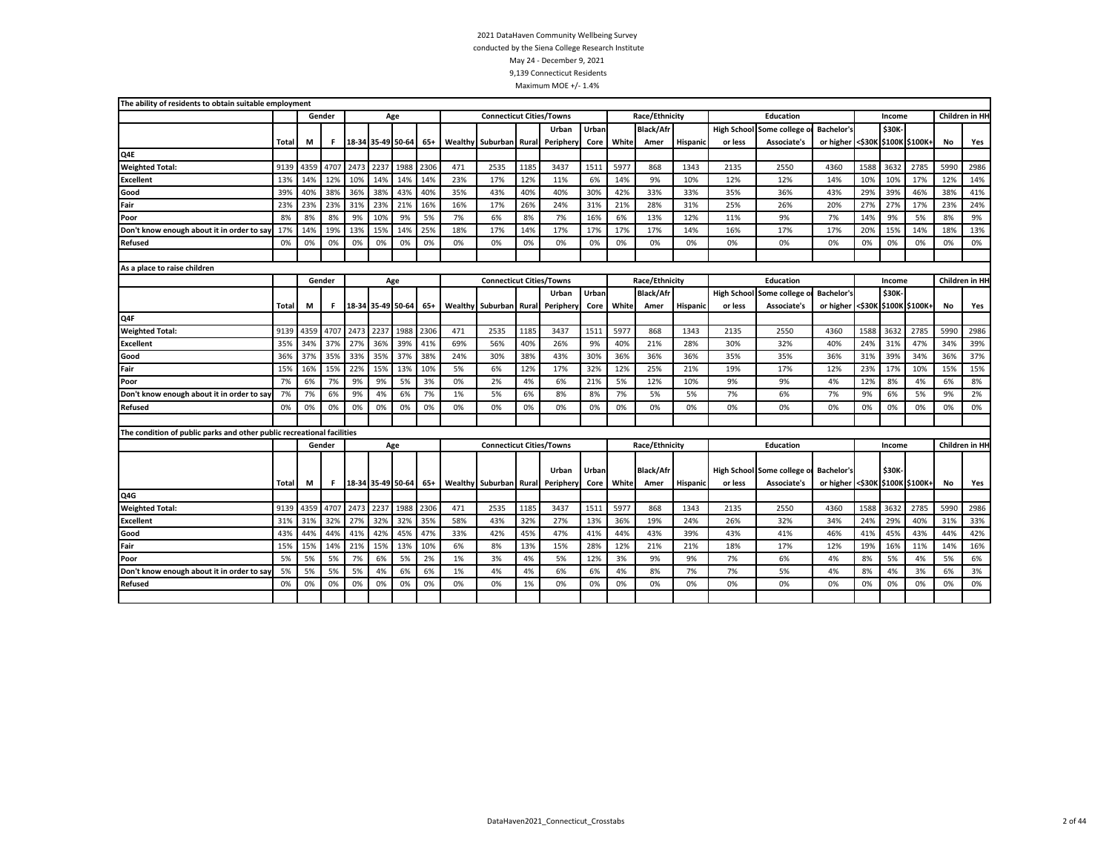| The ability of residents to obtain suitable employment                 |       |      |        |      |                       |      |      |         |                                 |       |                        |       |       |                  |          |                    |                            |                                 |      |              |                |      |                |
|------------------------------------------------------------------------|-------|------|--------|------|-----------------------|------|------|---------|---------------------------------|-------|------------------------|-------|-------|------------------|----------|--------------------|----------------------------|---------------------------------|------|--------------|----------------|------|----------------|
|                                                                        |       |      | Gender |      |                       | Age  |      |         | <b>Connecticut Cities/Towns</b> |       |                        |       |       | Race/Ethnicity   |          |                    | Education                  |                                 |      | Income       |                |      | Children in HH |
|                                                                        |       |      |        |      |                       |      |      |         |                                 |       | Urban                  | Urban |       | <b>Black/Afr</b> |          | <b>High School</b> | Some college               | <b>Bachelor's</b>               |      | \$30K        |                |      |                |
|                                                                        | Total | М    | F      |      | 18-34 35-49 50-64     |      | 65+  |         | <b>Wealthy Suburban</b>         | Rural | Periphery              | Core  | White | Amer             | Hispanio | or less            | Associate's                | or higher <\$30K                |      |              | \$100K \$100K+ | No   | Yes            |
| Q4E                                                                    |       |      |        |      |                       |      |      |         |                                 |       |                        |       |       |                  |          |                    |                            |                                 |      |              |                |      |                |
| <b>Weighted Total:</b>                                                 | 9139  | 4359 | 4707   | 2473 | 2237                  | 1988 | 2306 | 471     | 2535                            | 1185  | 3437                   | 1511  | 5977  | 868              | 1343     | 2135               | 2550                       | 4360                            | 1588 | 3632         | 2785           | 5990 | 2986           |
| <b>Excellent</b>                                                       | 13%   | 14%  | 12%    | 10%  | 14%                   | 14%  | 14%  | 23%     | 17%                             | 12%   | 11%                    | 6%    | 14%   | 9%               | 10%      | 12%                | 12%                        | 14%                             | 10%  | 10%          | 17%            | 12%  | 14%            |
| Good                                                                   | 39%   | 40%  | 38%    | 36%  | 38%                   | 43%  | 40%  | 35%     | 43%                             | 40%   | 40%                    | 30%   | 42%   | 33%              | 33%      | 35%                | 36%                        | 43%                             | 29%  | 39%          | 46%            | 38%  | 41%            |
| Fair                                                                   | 23%   | 23%  | 23%    | 31%  | 23%                   | 21%  | 16%  | 16%     | 17%                             | 26%   | 24%                    | 31%   | 21%   | 28%              | 31%      | 25%                | 26%                        | 20%                             | 27%  | 27%          | 17%            | 23%  | 24%            |
| Poor                                                                   | 8%    | 8%   | 8%     | 9%   | 10%                   | 9%   | 5%   | 7%      | 6%                              | 8%    | 7%                     | 16%   | 6%    | 13%              | 12%      | 11%                | 9%                         | 7%                              | 14%  | 9%           | 5%             | 8%   | 9%             |
| Don't know enough about it in order to say                             | 17%   | 14%  | 19%    | 13%  | 15%                   | 14%  | 25%  | 18%     | 17%                             | 14%   | 17%                    | 17%   | 17%   | 17%              | 14%      | 16%                | 17%                        | 17%                             | 20%  | 15%          | 14%            | 18%  | 13%            |
| Refused                                                                | 0%    | 0%   | 0%     | 0%   | 0%                    | 0%   | 0%   | 0%      | 0%                              | 0%    | 0%                     | 0%    | 0%    | 0%               | 0%       | 0%                 | 0%                         | 0%                              | 0%   | 0%           | 0%             | 0%   | 0%             |
|                                                                        |       |      |        |      |                       |      |      |         |                                 |       |                        |       |       |                  |          |                    |                            |                                 |      |              |                |      |                |
| As a place to raise children                                           |       |      |        |      |                       |      |      |         |                                 |       |                        |       |       |                  |          |                    |                            |                                 |      |              |                |      |                |
|                                                                        |       |      | Gender |      |                       | Age  |      |         | <b>Connecticut Cities/Towns</b> |       |                        |       |       | Race/Ethnicity   |          |                    | <b>Education</b>           |                                 |      | Income       |                |      | Children in HH |
|                                                                        |       |      |        |      |                       |      |      |         |                                 |       | Urban                  | Urban |       | <b>Black/Afr</b> |          | <b>High School</b> | Some college o             | <b>Bachelor's</b>               |      | <b>\$30K</b> |                |      |                |
|                                                                        | Total | М    | F      |      | 18-34 35-49 50-64     |      | 65+  | Wealthy | Suburban                        | Rural | Periphery              | Core  | White | Amer             | Hispanic | or less            | Associate's                | or higher <\$30K \$100K \$100K+ |      |              |                | No   | Yes            |
| Q4F                                                                    |       |      |        |      |                       |      |      |         |                                 |       |                        |       |       |                  |          |                    |                            |                                 |      |              |                |      |                |
| <b>Weighted Total:</b>                                                 | 9139  | 4359 | 4707   | 2473 | 2237                  | 1988 | 2306 | 471     | 2535                            | 1185  | 3437                   | 1511  | 5977  | 868              | 1343     | 2135               | 2550                       | 4360                            | 1588 | 3632         | 2785           | 5990 | 2986           |
| <b>Excellent</b>                                                       | 35%   | 34%  | 37%    | 27%  | 36%                   | 39%  | 41%  | 69%     | 56%                             | 40%   | 26%                    | 9%    | 40%   | 21%              | 28%      | 30%                | 32%                        | 40%                             | 24%  | 31%          | 47%            | 34%  | 39%            |
| Good                                                                   | 36%   | 37%  | 35%    | 33%  | 35%                   | 37%  | 38%  | 24%     | 30%                             | 38%   | 43%                    | 30%   | 36%   | 36%              | 36%      | 35%                | 35%                        | 36%                             | 31%  | 39%          | 34%            | 36%  | 37%            |
| Fair                                                                   | 15%   | 16%  | 15%    | 22%  | 15%                   | 13%  | 10%  | 5%      | 6%                              | 12%   | 17%                    | 32%   | 12%   | 25%              | 21%      | 19%                | 17%                        | 12%                             | 23%  | 17%          | 10%            | 15%  | 15%            |
| Poor                                                                   | 7%    | 6%   | 7%     | 9%   | 9%                    | 5%   | 3%   | 0%      | 2%                              | 4%    | 6%                     | 21%   | 5%    | 12%              | 10%      | 9%                 | 9%                         | 4%                              | 12%  | 8%           | 4%             | 6%   | 8%             |
| Don't know enough about it in order to say                             | 7%    | 7%   | 6%     | 9%   | 4%                    | 6%   | 7%   | 1%      | 5%                              | 6%    | 8%                     | 8%    | 7%    | 5%               | 5%       | 7%                 | 6%                         | 7%                              | 9%   | 6%           | 5%             | 9%   | 2%             |
| <b>Refused</b>                                                         | 0%    | 0%   | 0%     | 0%   | 0%                    | 0%   | 0%   | 0%      | 0%                              | 0%    | 0%                     | 0%    | 0%    | 0%               | 0%       | 0%                 | 0%                         | 0%                              | 0%   | 0%           | 0%             | 0%   | 0%             |
|                                                                        |       |      |        |      |                       |      |      |         |                                 |       |                        |       |       |                  |          |                    |                            |                                 |      |              |                |      |                |
| The condition of public parks and other public recreational facilities |       |      |        |      |                       |      |      |         |                                 |       |                        |       |       |                  |          |                    |                            |                                 |      |              |                |      |                |
|                                                                        |       |      | Gender |      |                       | Age  |      |         | <b>Connecticut Cities/Towns</b> |       |                        |       |       | Race/Ethnicity   |          |                    | <b>Education</b>           |                                 |      | Income       |                |      | Children in HH |
|                                                                        |       |      |        |      |                       |      |      |         |                                 |       |                        |       |       |                  |          |                    |                            |                                 |      |              |                |      |                |
|                                                                        |       |      |        |      |                       |      |      |         |                                 |       | Urban                  | Urban |       | <b>Black/Afr</b> |          |                    | High School Some college o | <b>Bachelor's</b>               |      | <b>\$30K</b> |                |      |                |
|                                                                        | Total | M    | F.     |      | 18-34 35-49 50-64 65+ |      |      |         | Wealthy Suburban                |       | <b>Rural Periphery</b> | Core  | White | Amer             | Hispanic | or less            | <b>Associate's</b>         | or higher <\$30K \$100K \$100K+ |      |              |                | No   | Yes            |
| Q4G                                                                    |       |      |        |      |                       |      |      |         |                                 |       |                        |       |       |                  |          |                    |                            |                                 |      |              |                |      |                |
| <b>Weighted Total:</b>                                                 | 9139  | 4359 | 4707   | 2473 | 2237                  | 1988 | 2306 | 471     | 2535                            | 1185  | 3437                   | 1511  | 5977  | 868              | 1343     | 2135               | 2550                       | 4360                            | 1588 | 3632         | 2785           | 5990 | 2986           |
| <b>Excellent</b>                                                       | 31%   | 31%  | 32%    | 27%  | 32%                   | 32%  | 35%  | 58%     | 43%                             | 32%   | 27%                    | 13%   | 36%   | 19%              | 24%      | 26%                | 32%                        | 34%                             | 24%  | 29%          | 40%            | 31%  | 33%            |
| Good                                                                   | 43%   | 44%  | 44%    | 41%  | 42%                   | 45%  | 47%  | 33%     | 42%                             | 45%   | 47%                    | 41%   | 44%   | 43%              | 39%      | 43%                | 41%                        | 46%                             | 41%  | 45%          | 43%            | 44%  | 42%            |
| Fair                                                                   | 15%   | 15%  | 14%    | 21%  | 15%                   | 13%  | 10%  | 6%      | 8%                              | 13%   | 15%                    | 28%   | 12%   | 21%              | 21%      | 18%                | 17%                        | 12%                             | 19%  | 16%          | 11%            | 14%  | 16%            |
| Poor                                                                   | 5%    | 5%   | 5%     | 7%   | 6%                    | 5%   | 2%   | 1%      | 3%                              | 4%    | 5%                     | 12%   | 3%    | 9%               | 9%       | 7%                 | 6%                         | 4%                              | 8%   | 5%           | 4%             | 5%   | 6%             |
| Don't know enough about it in order to say                             | 5%    | 5%   | 5%     | 5%   | 4%                    | 6%   | 6%   | 1%      | 4%                              | 4%    | 6%                     | 6%    | 4%    | 8%               | 7%       | 7%                 | 5%                         | 4%                              | 8%   | 4%           | 3%             | 6%   | 3%             |
| <b>Refused</b>                                                         | 0%    | 0%   | 0%     | 0%   | 0%                    | 0%   | 0%   | 0%      | 0%                              | 1%    | 0%                     | 0%    | 0%    | 0%               | 0%       | 0%                 | 0%                         | 0%                              | 0%   | 0%           | 0%             | 0%   | 0%             |
|                                                                        |       |      |        |      |                       |      |      |         |                                 |       |                        |       |       |                  |          |                    |                            |                                 |      |              |                |      |                |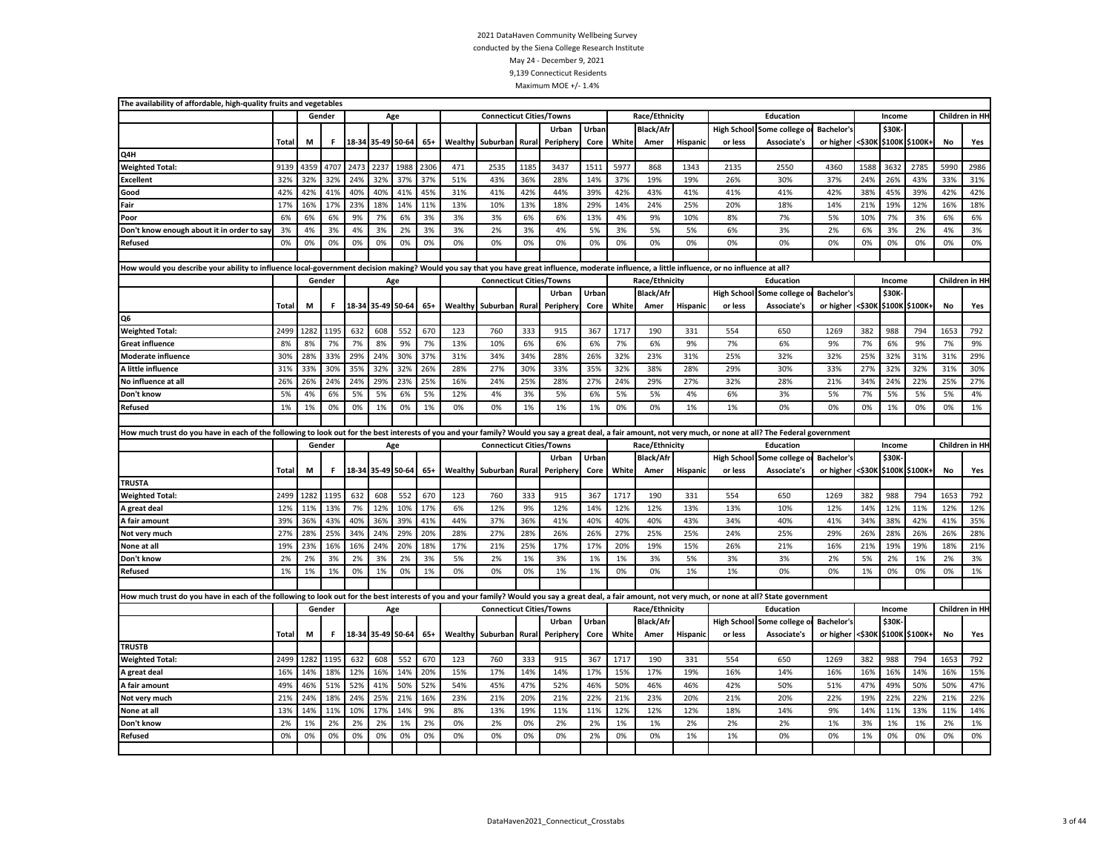| The availability of affordable, high-quality fruits and vegetables                                                                                                                                              |              |            |            |                   |                   |            |            |     |                                 |       |            |            |            |                  |          |            |                            |                   |                       |            |                       |                |                 |
|-----------------------------------------------------------------------------------------------------------------------------------------------------------------------------------------------------------------|--------------|------------|------------|-------------------|-------------------|------------|------------|-----|---------------------------------|-------|------------|------------|------------|------------------|----------|------------|----------------------------|-------------------|-----------------------|------------|-----------------------|----------------|-----------------|
|                                                                                                                                                                                                                 |              |            | Gender     |                   |                   | Age        |            |     | <b>Connecticut Cities/Towns</b> |       |            |            |            | Race/Ethnicity   |          |            | Education                  |                   |                       | Income     |                       | Children in HI |                 |
|                                                                                                                                                                                                                 |              |            |            |                   |                   |            |            |     |                                 |       | Urban      | Urban      |            | <b>Black/Afr</b> |          |            | High School Some college o | <b>Bachelor's</b> |                       | \$30K-     |                       |                |                 |
|                                                                                                                                                                                                                 | Total        | M          | F          |                   | 18-34 35-49 50-64 |            | $65+$      |     | Wealthy Suburban                | Rural | Periphery  | Core       | White      | Amer             | Hispanic | or less    | Associate's                | or higher         | <\$30K                |            | \$100K \$100K+        | No             | Yes             |
| Q4H                                                                                                                                                                                                             |              |            |            |                   |                   |            |            |     |                                 |       |            |            |            |                  |          |            |                            |                   |                       |            |                       |                |                 |
| <b>Weighted Total:</b>                                                                                                                                                                                          | 9139         | 4359       | 4707       | 2473              | 2237              | 1988       | 2306       | 471 | 2535                            | 1185  | 3437       | 1511       | 5977       | 868              | 1343     | 2135       | 2550                       | 4360              | 1588                  | 3632       | 2785                  | 5990           | 2986            |
| <b>Excellent</b>                                                                                                                                                                                                | 32%          | 32%        | 32%        | 24%               | 32%               | 37%        | 37%        | 51% | 43%                             | 36%   | 28%        | 14%        | 37%        | 19%              | 19%      | 26%        | 30%                        | 37%               | 24%                   | 26%        | 43%                   | 33%            | 31%             |
| Good                                                                                                                                                                                                            | 42%          | 42%        | 41%        | 40%               | 40%               | 41%        | 45%        | 31% | 41%                             | 42%   | 44%        | 39%        | 42%        | 43%              | 41%      | 41%        | 41%                        | 42%               | 38%                   | 45%        | 39%                   | 42%            | 42%             |
| Fair                                                                                                                                                                                                            | 17%          | 16%        | 17%        | 23%               | 18%               | 14%        | 11%        | 13% | 10%                             | 13%   | 18%        | 29%        | 14%        | 24%              | 25%      | 20%        | 18%                        | 14%               | 21%                   | 19%        | 12%                   | 16%            | 18%             |
| Poor                                                                                                                                                                                                            | 6%           | 6%         | 6%         | 9%                | 7%                | 6%         | 3%         | 3%  | 3%                              | 6%    | 6%         | 13%        | 4%         | 9%               | 10%      | 8%         | 7%                         | 5%                | 10%                   | 7%         | 3%                    | 6%             | 6%              |
| Don't know enough about it in order to say                                                                                                                                                                      | 3%           | 4%         | 3%         | 4%                | 3%                | 2%         | 3%         | 3%  | 2%                              | 3%    | 4%         | 5%         | 3%         | 5%               | 5%       | 6%         | 3%                         | 2%                | 6%                    | 3%         | 2%                    | 4%             | 3%              |
| Refused                                                                                                                                                                                                         | 0%           | 0%         | 0%         | 0%                | 0%                | 0%         | 0%         | 0%  | 0%                              | 0%    | 0%         | 0%         | 0%         | 0%               | 0%       | 0%         | 0%                         | 0%                | 0%                    | 0%         | 0%                    | 0%             | 0%              |
|                                                                                                                                                                                                                 |              |            |            |                   |                   |            |            |     |                                 |       |            |            |            |                  |          |            |                            |                   |                       |            |                       |                |                 |
| How would you describe your ability to influence local-government decision making? Would you say that you have great influence, moderate influence, a little influence, or no influence at all?                 |              |            |            |                   |                   |            |            |     |                                 |       |            |            |            |                  |          |            |                            |                   |                       |            |                       |                |                 |
|                                                                                                                                                                                                                 |              |            | Gender     |                   |                   | Age        |            |     | <b>Connecticut Cities/Towns</b> |       |            |            |            | Race/Ethnicity   |          |            | Education                  |                   |                       | Income     |                       |                | Children in HI- |
|                                                                                                                                                                                                                 |              |            |            |                   |                   |            |            |     |                                 |       | Urban      | Urban      |            | <b>Black/Afr</b> |          |            | High School Some college o | <b>Bachelor's</b> |                       | \$30K-     |                       |                |                 |
|                                                                                                                                                                                                                 | Total        | M          | F.         |                   | 18-34 35-49 50-64 |            | $65+$      |     | Wealthy Suburban                | Rural | Periphery  | Core       | White      | Amer             | Hispanic | or less    | Associate's                | or higher         | <\$30K                |            | \$100K \$100K+        | No             | Yes             |
| Q6                                                                                                                                                                                                              |              |            |            |                   |                   |            |            |     |                                 |       |            |            |            |                  |          |            |                            |                   |                       |            |                       |                |                 |
| <b>Weighted Total:</b>                                                                                                                                                                                          | 2499         | 1282       | 1195       | 632               | 608               | 552        | 670        | 123 | 760                             | 333   | 915        | 367        | 1717       | 190              | 331      | 554        | 650                        | 1269              | 382                   | 988        | 794                   | 1653           | 792             |
| <b>Great influence</b>                                                                                                                                                                                          | 8%           | 8%         | 7%         | 7%                | 8%                | 9%         | 7%         | 13% | 10%                             | 6%    | 6%         | 6%         | 7%         | 6%               | 9%       | 7%         | 6%                         | 9%                | 7%                    | 6%         | 9%                    | 7%             | 9%              |
| <b>Moderate influence</b>                                                                                                                                                                                       | 30%          | 28%        | 33%        | 29%               | 24%               | 30%        | 37%        | 31% | 34%                             | 34%   | 28%        | 26%        | 32%        | 23%              | 31%      | 25%        | 32%                        | 32%               | 25%                   | 32%        | 31%                   | 31%            | 29%             |
| A little influence                                                                                                                                                                                              | 31%          | 33%        | 30%        | 35%               | 32%               | 32%        | 26%        | 28% | 27%                             | 30%   | 33%        | 35%        | 32%        | 38%              | 28%      | 29%        | 30%                        | 33%               | 27%                   | 32%        | 32%                   | 31%            | 30%             |
| No influence at all                                                                                                                                                                                             | 26%          | 26%        | 24%        | 24%               | 29%               | 23%        | 25%        | 16% | 24%                             | 25%   | 28%        | 27%        | 24%        | 29%              | 27%      | 32%        | 28%                        | 21%               | 34%                   | 24%        | 22%                   | 25%            | 27%             |
| Don't know                                                                                                                                                                                                      | 5%           | 4%         | 6%         | 5%                | 5%                | 6%         | 5%         | 12% | 4%                              | 3%    | 5%         | 6%         | 5%         | 5%               | 4%       | 6%         | 3%                         | 5%                | 7%                    | 5%         | 5%                    | 5%             | 4%              |
| Refused                                                                                                                                                                                                         | 1%           | 1%         | 0%         | 0%                | 1%                | 0%         | 1%         | 0%  | 0%                              | 1%    | 1%         | 1%         | 0%         | 0%               | 1%       | 1%         | 0%                         | 0%                | 0%                    | 1%         | 0%                    | 0%             | 1%              |
|                                                                                                                                                                                                                 |              |            |            |                   |                   |            |            |     |                                 |       |            |            |            |                  |          |            |                            |                   |                       |            |                       |                |                 |
| How much trust do you have in each of the following to look out for the best interests of you and your family? Would you say a great deal, a fair amount, not very much, or none at all? The Federal government |              |            |            |                   |                   |            |            |     |                                 |       |            |            |            |                  |          |            |                            |                   |                       |            |                       |                |                 |
|                                                                                                                                                                                                                 |              |            | Gender     |                   |                   | Age        |            |     | <b>Connecticut Cities/Towns</b> |       |            |            |            | Race/Ethnicity   |          |            | Education                  |                   |                       | Income     |                       |                | Children in HI- |
|                                                                                                                                                                                                                 |              |            |            |                   |                   |            |            |     |                                 |       | Urban      | Urban      |            | <b>Black/Afr</b> |          |            | High School Some college o | <b>Bachelor's</b> |                       | \$30K      |                       |                |                 |
|                                                                                                                                                                                                                 | <b>Total</b> | M          | F.         | 18-34 35-49 50-64 |                   |            | $65+$      |     | <b>Wealthy Suburban</b>         |       |            |            |            | Amer             | Hispanio | or less    |                            |                   |                       |            |                       |                |                 |
| <b>TRUSTA</b>                                                                                                                                                                                                   |              |            |            |                   |                   |            |            |     |                                 | Rural | Peripher   | Core       | White      |                  |          |            | Associate's                | or higher         | <\$30K \$100K \$100K+ |            |                       | No             | Yes             |
|                                                                                                                                                                                                                 |              |            |            |                   |                   |            |            |     |                                 |       |            |            |            |                  |          |            |                            |                   |                       |            |                       |                |                 |
|                                                                                                                                                                                                                 | 2499         | 1282       | 1195       | 632               | 608               | 552        | 670        | 123 | 760                             | 333   | 915        | 367        | 1717       | 190              | 331      | 554        | 650                        | 1269              | 382                   | 988        | 794                   | 1653           | 792             |
| <b>Weighted Total:</b><br>A great deal                                                                                                                                                                          | 12%          | 11%        | 13%        | 7%                | 12%               | 10%        | 17%        | 6%  | 12%                             | 9%    | 12%        | 14%        | 12%        | 12%              | 13%      | 13%        | 10%                        | 12%               | 14%                   | 12%        | 11%                   | 12%            | 12%             |
| A fair amount                                                                                                                                                                                                   | 39%          | 36%        | 43%        | 40%               | 36%               | 39%        | 41%        | 44% | 37%                             | 36%   | 41%        | 40%        | 40%        | 40%              | 43%      | 34%        | 40%                        | 41%               | 34%                   | 38%        | 42%                   | 41%            | 35%             |
|                                                                                                                                                                                                                 | 27%          | 28%        | 25%        | 34%               | 24%               | 29%        | 20%        | 28% | 27%                             | 28%   | 26%        | 26%        | 27%        | 25%              | 25%      | 24%        | 25%                        | 29%               | 26%                   | 28%        | 26%                   | 26%            | 28%             |
| Not very much<br>None at all                                                                                                                                                                                    | 19%          | 23%        | 16%        | 16%               | 24%               | 20%        | 18%        | 17% | 21%                             | 25%   | 17%        | 17%        | 20%        | 19%              | 15%      | 26%        | 21%                        | 16%               | 21%                   | 19%        | 19%                   | 18%            | 21%             |
| Don't know                                                                                                                                                                                                      | 2%           | 2%         | 3%         | 2%                | 3%                | 2%         | 3%         | 5%  | 2%                              | 1%    | 3%         | 1%         | 1%         | 3%               | 5%       | 3%         | 3%                         | 2%                | 5%                    | 2%         | 1%                    | 2%             | 3%              |
| <b>Refused</b>                                                                                                                                                                                                  | 1%           | 1%         | 1%         | 0%                | 1%                | 0%         | 1%         | 0%  | 0%                              | 0%    | 1%         | 1%         | 0%         | 0%               | 1%       | 1%         | 0%                         | 0%                | 1%                    | 0%         | 0%                    | 0%             | 1%              |
|                                                                                                                                                                                                                 |              |            |            |                   |                   |            |            |     |                                 |       |            |            |            |                  |          |            |                            |                   |                       |            |                       |                |                 |
|                                                                                                                                                                                                                 |              |            |            |                   |                   |            |            |     |                                 |       |            |            |            |                  |          |            |                            |                   |                       |            |                       |                |                 |
| How much trust do you have in each of the following to look out for the best interests of you and your family? Would you say a great deal, a fair amount, not very much, or none at all? State government       |              |            | Gender     |                   |                   |            |            |     |                                 |       |            |            |            |                  |          |            | Education                  |                   |                       | Income     |                       |                | Children in HI  |
|                                                                                                                                                                                                                 |              |            |            |                   | Age               |            |            |     | <b>Connecticut Cities/Towns</b> |       |            |            |            | Race/Ethnicity   |          |            |                            |                   |                       |            |                       |                |                 |
|                                                                                                                                                                                                                 |              |            |            |                   |                   |            |            |     |                                 |       | Urban      | Urban      |            | <b>Black/Afr</b> |          |            | High School Some college o | <b>Bachelor's</b> |                       | \$30K-     |                       |                |                 |
| <b>TRUSTB</b>                                                                                                                                                                                                   | Total        | М          | F.         |                   | 18-34 35-49 50-64 |            | $65+$      |     | Wealthy Suburban                | Rural | Periphery  | Core       | White      | Amer             | Hispanic | or less    | <b>Associate's</b>         | or higher         |                       |            | <\$30K \$100K \$100K+ | No             | Yes             |
| <b>Weighted Total:</b>                                                                                                                                                                                          | 2499         | 1282       | 1195       | 632               | 608               | 552        | 670        | 123 | 760                             | 333   | 915        | 367        | 1717       | 190              | 331      | 554        | 650                        | 1269              | 382                   | 988        | 794                   | 1653           | 792             |
|                                                                                                                                                                                                                 |              |            |            | 12%               |                   |            |            | 15% |                                 | 14%   |            |            |            |                  | 19%      |            |                            | 16%               |                       |            |                       |                |                 |
| A great deal                                                                                                                                                                                                    | 16%<br>49%   | 14%<br>46% | 18%<br>51% | 52%               | 16%<br>41%        | 14%<br>50% | 20%<br>52% | 54% | 17%<br>45%                      | 47%   | 14%<br>52% | 17%<br>46% | 15%<br>50% | 17%<br>46%       | 46%      | 16%<br>42% | 14%<br>50%                 | 51%               | 16%<br>47%            | 16%<br>49% | 14%<br>50%            | 16%<br>50%     | 15%<br>47%      |
| A fair amount                                                                                                                                                                                                   |              |            |            |                   |                   |            |            |     |                                 |       |            |            |            |                  |          |            |                            |                   |                       |            |                       |                |                 |
| Not very much                                                                                                                                                                                                   | 21%          | 24%        | 18%        | 24%               | 25%               | 21%        | 16%        | 23% | 21%                             | 20%   | 21%        | 22%        | 21%        | 23%              | 20%      | 21%        | 20%                        | 22%               | 19%                   | 22%        | 22%                   | 21%            | 22%             |
| None at all                                                                                                                                                                                                     | 13%          | 14%        | 11%        | 10%               | 17%               | 14%        | 9%         | 8%  | 13%                             | 19%   | 11%        | 11%        | 12%        | 12%              | 12%      | 18%        | 14%                        | 9%                | 14%                   | 11%        | 13%                   | 11%            | 14%             |
| Don't know                                                                                                                                                                                                      | 2%           | 1%         | 2%         | 2%                | 2%                | 1%         | 2%         | 0%  | 2%                              | 0%    | 2%         | 2%         | 1%         | 1%               | 2%       | 2%         | 2%                         | 1%                | 3%                    | 1%         | 1%                    | 2%             | 1%              |
| Refused                                                                                                                                                                                                         | 0%           | 0%         | 0%         | 0%                | 0%                | 0%         | 0%         | 0%  | 0%                              | 0%    | 0%         | 2%         | 0%         | 0%               | 1%       | 1%         | 0%                         | 0%                | 1%                    | 0%         | 0%                    | 0%             | 0%              |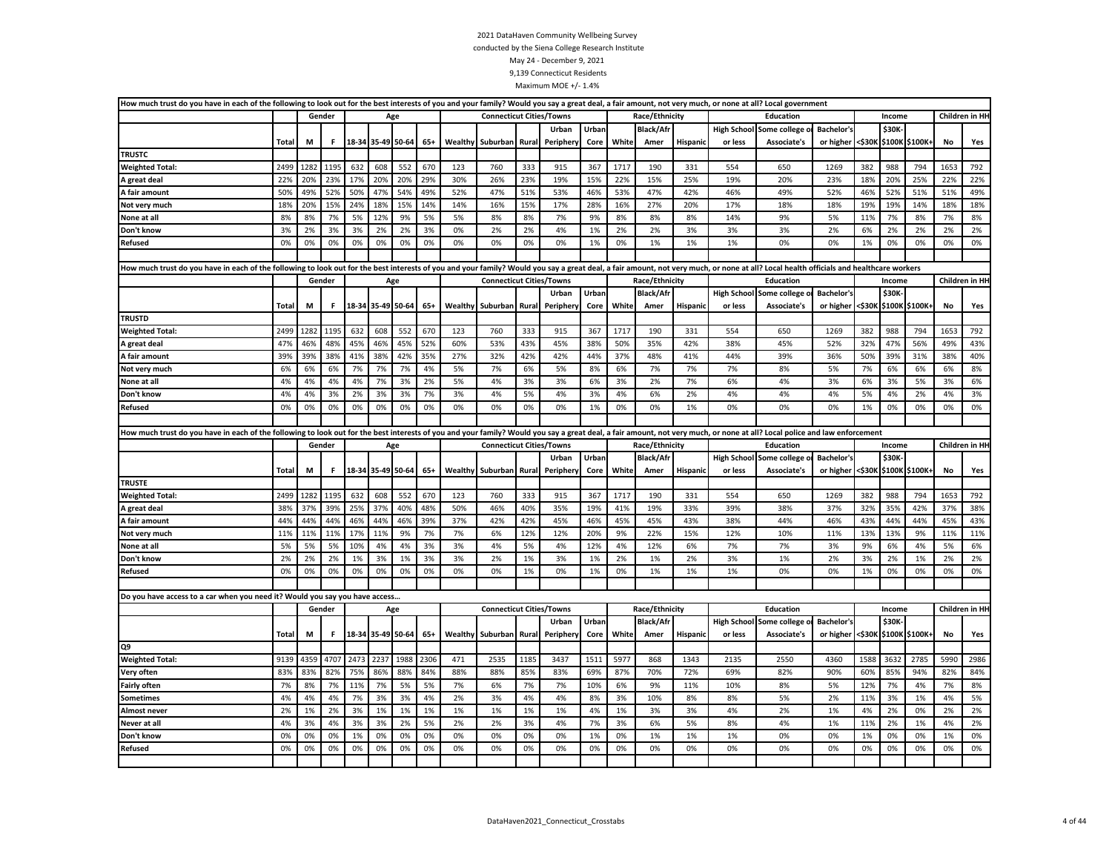| How much trust do you have in each of the following to look out for the best interests of you and your family? Would you say a great deal, a fair amount, not very much, or none at all? Local government                      |       |      |        |      |                   |      |       |         |                                 |       |           |       |       |                  |                 |                    |                                 |                   |        |              |                |      |                |
|--------------------------------------------------------------------------------------------------------------------------------------------------------------------------------------------------------------------------------|-------|------|--------|------|-------------------|------|-------|---------|---------------------------------|-------|-----------|-------|-------|------------------|-----------------|--------------------|---------------------------------|-------------------|--------|--------------|----------------|------|----------------|
|                                                                                                                                                                                                                                |       |      | Gender |      | Age               |      |       |         | <b>Connecticut Cities/Towns</b> |       |           |       |       | Race/Ethnicity   |                 |                    | Education                       |                   |        | Income       |                |      | Children in HH |
|                                                                                                                                                                                                                                |       |      |        |      |                   |      |       |         |                                 |       | Urban     | Urban |       | <b>Black/Afr</b> |                 |                    | <b>High School Some college</b> | <b>Bachelor's</b> |        | \$30K        |                |      |                |
|                                                                                                                                                                                                                                | Total | M    | F.     |      | 18-34 35-49 50-64 |      | $65+$ |         | <b>Wealthy Suburban Rural</b>   |       | Peripher  | Core  | White | Amer             | Hispanic        | or less            | Associate's                     | or higher         | <\$30К |              | \$100K \$100K+ | No   | Yes            |
| <b>TRUSTC</b>                                                                                                                                                                                                                  |       |      |        |      |                   |      |       |         |                                 |       |           |       |       |                  |                 |                    |                                 |                   |        |              |                |      |                |
| <b>Weighted Total:</b>                                                                                                                                                                                                         | 2499  | 1282 | 1195   | 632  | 608               | 552  | 670   | 123     | 760                             | 333   | 915       | 367   | 1717  | 190              | 331             | 554                | 650                             | 1269              | 382    | 988          | 794            | 1653 | 792            |
| A great deal                                                                                                                                                                                                                   | 22%   | 20%  | 23%    | 17%  | 20%               | 20%  | 29%   | 30%     | 26%                             | 23%   | 19%       | 15%   | 22%   | 15%              | 25%             | 19%                | 20%                             | 23%               | 18%    | 20%          | 25%            | 22%  | 22%            |
| A fair amount                                                                                                                                                                                                                  | 50%   | 49%  | 52%    | 50%  | 47%               | 54%  | 49%   | 52%     | 47%                             | 51%   | 53%       | 46%   | 53%   | 47%              | 42%             | 46%                | 49%                             | 52%               | 46%    | 52%          | 51%            | 51%  | 49%            |
| Not very much                                                                                                                                                                                                                  | 18%   | 20%  | 15%    | 24%  | 18%               | 15%  | 14%   | 14%     | 16%                             | 15%   | 17%       | 28%   | 16%   | 27%              | 20%             | 17%                | 18%                             | 18%               | 19%    | 19%          | 14%            | 18%  | 18%            |
| None at all                                                                                                                                                                                                                    | 8%    | 8%   | 7%     | 5%   | 12%               | 9%   | 5%    | 5%      | 8%                              | 8%    | 7%        | 9%    | 8%    | 8%               | 8%              | 14%                | 9%                              | 5%                | 11%    | 7%           | 8%             | 7%   | 8%             |
| Don't know                                                                                                                                                                                                                     | 3%    | 2%   | 3%     | 3%   | 2%                | 2%   | 3%    | 0%      | 2%                              | 2%    | 4%        | 1%    | 2%    | 2%               | 3%              | 3%                 | 3%                              | 2%                | 6%     | 2%           | 2%             | 2%   | 2%             |
| Refused                                                                                                                                                                                                                        | 0%    | 0%   | 0%     | 0%   | 0%                | 0%   | 0%    | 0%      | 0%                              | 0%    | 0%        | 1%    | 0%    | 1%               | 1%              | 1%                 | 0%                              | 0%                | 1%     | 0%           | 0%             | 0%   | 0%             |
|                                                                                                                                                                                                                                |       |      |        |      |                   |      |       |         |                                 |       |           |       |       |                  |                 |                    |                                 |                   |        |              |                |      |                |
| How much trust do you have in each of the following to look out for the best interests of you and your family? Would you say a great deal, a fair amount, not very much, or none at all? Local health officials and healthcare |       |      |        |      |                   |      |       |         |                                 |       |           |       |       |                  |                 |                    |                                 |                   |        |              |                |      |                |
|                                                                                                                                                                                                                                |       |      | Gender |      | Age               |      |       |         | <b>Connecticut Cities/Towns</b> |       |           |       |       | Race/Ethnicity   |                 |                    | Education                       |                   |        | Income       |                |      | Children in HH |
|                                                                                                                                                                                                                                |       |      |        |      |                   |      |       |         |                                 |       | Urban     | Urban |       | <b>Black/Afr</b> |                 |                    | High School Some college o      | <b>Bachelor's</b> |        | \$30K-       |                |      |                |
|                                                                                                                                                                                                                                | Total | M    | F.     |      | 18-34 35-49 50-64 |      | $65+$ | Wealthy | Suburban                        | Rural | Peripher  | Core  | White | Amer             | <b>Hispanic</b> | or less            | Associate's                     | or higher <\$30K  |        |              | \$100K \$100K+ | No   | Yes            |
| <b>TRUSTD</b>                                                                                                                                                                                                                  |       |      |        |      |                   |      |       |         |                                 |       |           |       |       |                  |                 |                    |                                 |                   |        |              |                |      |                |
| <b>Weighted Total:</b>                                                                                                                                                                                                         | 2499  | 1282 | 1195   | 632  | 608               | 552  | 670   | 123     | 760                             | 333   | 915       | 367   | 1717  | 190              | 331             | 554                | 650                             | 1269              | 382    | 988          | 794            | 1653 | 792            |
| A great deal                                                                                                                                                                                                                   | 47%   | 46%  | 48%    | 45%  | 46%               | 45%  | 52%   | 60%     | 53%                             | 43%   | 45%       | 38%   | 50%   | 35%              | 42%             | 38%                | 45%                             | 52%               | 32%    | 47%          | 56%            | 49%  | 43%            |
| A fair amount                                                                                                                                                                                                                  | 39%   | 39%  | 38%    | 41%  | 38%               | 42%  | 35%   | 27%     | 32%                             | 42%   | 42%       | 44%   | 37%   | 48%              | 41%             | 44%                | 39%                             | 36%               | 50%    | 39%          | 31%            | 38%  | 40%            |
| Not very much                                                                                                                                                                                                                  | 6%    | 6%   | 6%     | 7%   | 7%                | 7%   | 4%    | 5%      | 7%                              | 6%    | 5%        | 8%    | 6%    | 7%               | 7%              | 7%                 | 8%                              | 5%                | 7%     | 6%           | 6%             | 6%   | 8%             |
| None at all                                                                                                                                                                                                                    | 4%    | 4%   | 4%     | 4%   | 7%                | 3%   | 2%    | 5%      | 4%                              | 3%    | 3%        | 6%    | 3%    | 2%               | 7%              | 6%                 | 4%                              | 3%                | 6%     | 3%           | 5%             | 3%   | 6%             |
| Don't know                                                                                                                                                                                                                     | 4%    | 4%   | 3%     | 2%   | 3%                | 3%   | 7%    | 3%      | 4%                              | 5%    | 4%        | 3%    | 4%    | 6%               | 2%              | 4%                 | 4%                              | 4%                | 5%     | 4%           | 2%             | 4%   | 3%             |
| Refused                                                                                                                                                                                                                        | 0%    | 0%   | 0%     | 0%   | 0%                | 0%   | 0%    | 0%      | 0%                              | 0%    | 0%        | 1%    | 0%    | 0%               | 1%              | 0%                 | 0%                              | 0%                | 1%     | 0%           | 0%             | 0%   | 0%             |
|                                                                                                                                                                                                                                |       |      |        |      |                   |      |       |         |                                 |       |           |       |       |                  |                 |                    |                                 |                   |        |              |                |      |                |
| How much trust do you have in each of the following to look out for the best interests of you and your family? Would you say a great deal, a fair amount, not very much, or none at all? Local police and law enforcement      |       |      |        |      |                   |      |       |         |                                 |       |           |       |       |                  |                 |                    |                                 |                   |        |              |                |      |                |
|                                                                                                                                                                                                                                |       |      | Gender |      | Age               |      |       |         | <b>Connecticut Cities/Towns</b> |       |           |       |       | Race/Ethnicity   |                 |                    | <b>Education</b>                |                   |        | Income       |                |      | Children in HH |
|                                                                                                                                                                                                                                |       |      |        |      |                   |      |       |         |                                 |       | Urban     | Urban |       | <b>Black/Afr</b> |                 |                    | High School Some college o      | <b>Bachelor's</b> |        | \$30K-       |                |      |                |
|                                                                                                                                                                                                                                | Total | M    | F.     |      | 18-34 35-49 50-64 |      | $65+$ |         | Wealthy Suburban                | Rural | Peripher  | Core  | White | Amer             | <b>Hispanic</b> | or less            | Associate's                     | or higher         | <\$30K |              | \$100K \$100K+ | No   | Yes            |
| <b>TRUSTE</b>                                                                                                                                                                                                                  |       |      |        |      |                   |      |       |         |                                 |       |           |       |       |                  |                 |                    |                                 |                   |        |              |                |      |                |
| <b>Weighted Total:</b>                                                                                                                                                                                                         | 2499  | 1282 | 1195   | 632  | 608               | 552  | 670   | 123     | 760                             | 333   | 915       | 367   | 1717  | 190              | 331             | 554                | 650                             | 1269              | 382    | 988          | 794            | 1653 | 792            |
| A great deal                                                                                                                                                                                                                   | 38%   | 37%  | 39%    | 25%  | 37%               | 40%  | 48%   | 50%     | 46%                             | 40%   | 35%       | 19%   | 41%   | 19%              | 33%             | 39%                | 38%                             | 37%               | 32%    | 35%          | 42%            | 37%  | 38%            |
| A fair amount                                                                                                                                                                                                                  | 44%   | 44%  | 44%    | 46%  | 44%               | 46%  | 39%   | 37%     | 42%                             | 42%   | 45%       | 46%   | 45%   | 45%              | 43%             | 38%                | 44%                             | 46%               | 43%    | 44%          | 44%            | 45%  | 43%            |
| Not very much                                                                                                                                                                                                                  | 11%   | 11%  | 11%    | 17%  | 11%               | 9%   | 7%    | 7%      | 6%                              | 12%   | 12%       | 20%   | 9%    | 22%              | 15%             | 12%                | 10%                             | 11%               | 13%    | 13%          | 9%             | 11%  | 11%            |
| None at all                                                                                                                                                                                                                    | 5%    | 5%   | 5%     | 10%  | 4%                | 4%   | 3%    | 3%      | 4%                              | 5%    | 4%        | 12%   | 4%    | 12%              | 6%              | 7%                 | 7%                              | 3%                | 9%     | 6%           | 4%             | 5%   | 6%             |
| Don't know                                                                                                                                                                                                                     | 2%    | 2%   | 2%     | 1%   | 3%                | 1%   | 3%    | 3%      | 2%                              | 1%    | 3%        | 1%    | 2%    | 1%               | 2%              | 3%                 | 1%                              | 2%                | 3%     | 2%           | 1%             | 2%   | 2%             |
| Refused                                                                                                                                                                                                                        | 0%    | 0%   | 0%     | 0%   | 0%                | 0%   | 0%    | 0%      | 0%                              | 1%    | 0%        | 1%    | 0%    | 1%               | 1%              | 1%                 | 0%                              | 0%                | 1%     | 0%           | 0%             | 0%   | 0%             |
|                                                                                                                                                                                                                                |       |      |        |      |                   |      |       |         |                                 |       |           |       |       |                  |                 |                    |                                 |                   |        |              |                |      |                |
| Do you have access to a car when you need it? Would you say you have access                                                                                                                                                    |       |      |        |      |                   |      |       |         |                                 |       |           |       |       |                  |                 |                    |                                 |                   |        |              |                |      |                |
|                                                                                                                                                                                                                                |       |      | Gender |      | Age               |      |       |         | <b>Connecticut Cities/Towns</b> |       |           |       |       | Race/Ethnicity   |                 |                    | Education                       |                   |        | Income       |                |      | Children in HH |
|                                                                                                                                                                                                                                |       |      |        |      |                   |      |       |         |                                 |       | Urban     | Urban |       | <b>Black/Afr</b> |                 | <b>High School</b> | Some college                    | <b>Bachelor's</b> |        | <b>\$30K</b> |                |      |                |
|                                                                                                                                                                                                                                | Total | M    | F.     |      | 18-34 35-49 50-64 |      | $65+$ |         | Wealthy Suburban                | Rural | Periphery | Core  | White | Amer             | Hispanic        | or less            | Associate's                     | or higher         | <\$30K |              | \$100K \$100K+ | No   | Yes            |
| Q9                                                                                                                                                                                                                             |       |      |        |      |                   |      |       |         |                                 |       |           |       |       |                  |                 |                    |                                 |                   |        |              |                |      |                |
| <b>Weighted Total:</b>                                                                                                                                                                                                         | 9139  | 4359 | 4707   | 2473 | 2237              | 1988 | 2306  | 471     | 2535                            | 1185  | 3437      | 1511  | 5977  | 868              | 1343            | 2135               | 2550                            | 4360              | 1588   | 3632         | 2785           | 5990 | 2986           |
| Very often                                                                                                                                                                                                                     | 83%   | 83%  | 82%    | 75%  | 86%               | 88%  | 84%   | 88%     | 88%                             | 85%   | 83%       | 69%   | 87%   | 70%              | 72%             | 69%                | 82%                             | 90%               | 60%    | 85%          | 94%            | 82%  | 84%            |
| <b>Fairly often</b>                                                                                                                                                                                                            | 7%    | 8%   | 7%     | 11%  | 7%                | 5%   | 5%    | 7%      | 6%                              | 7%    | 7%        | 10%   | 6%    | 9%               | 11%             | 10%                | 8%                              | 5%                | 12%    | 7%           | 4%             | 7%   | 8%             |
| Sometimes                                                                                                                                                                                                                      | 4%    | 4%   | 4%     | 7%   | 3%                | 3%   | 4%    | 2%      | 3%                              | 4%    | 4%        | 8%    | 3%    | 10%              | 8%              | 8%                 | 5%                              | 2%                | 11%    | 3%           | 1%             | 4%   | 5%             |
| <b>Almost never</b>                                                                                                                                                                                                            | 2%    | 1%   | 2%     | 3%   | 1%                | 1%   | 1%    | 1%      | 1%                              | 1%    | 1%        | 4%    | 1%    | 3%               | 3%              | 4%                 | 2%                              | 1%                | 4%     | 2%           | 0%             | 2%   | 2%             |
| Never at all                                                                                                                                                                                                                   | 4%    | 3%   | 4%     | 3%   | 3%                | 2%   | 5%    | 2%      | 2%                              | 3%    | 4%        | 7%    | 3%    | 6%               | 5%              | 8%                 | 4%                              | 1%                | 11%    | 2%           | 1%             | 4%   | 2%             |
| Don't know                                                                                                                                                                                                                     | 0%    | 0%   | 0%     | 1%   | 0%                | 0%   | 0%    | 0%      | 0%                              | 0%    | 0%        | 1%    | 0%    | 1%               | 1%              | 1%                 | 0%                              | 0%                | 1%     | 0%           | 0%             | 1%   | 0%             |
| <b>Refused</b>                                                                                                                                                                                                                 | 0%    | 0%   | 0%     | 0%   | 0%                | 0%   | 0%    | 0%      | 0%                              | 0%    | 0%        | 0%    | 0%    | 0%               | 0%              | 0%                 | 0%                              | 0%                | 0%     | 0%           | 0%             | 0%   | 0%             |
|                                                                                                                                                                                                                                |       |      |        |      |                   |      |       |         |                                 |       |           |       |       |                  |                 |                    |                                 |                   |        |              |                |      |                |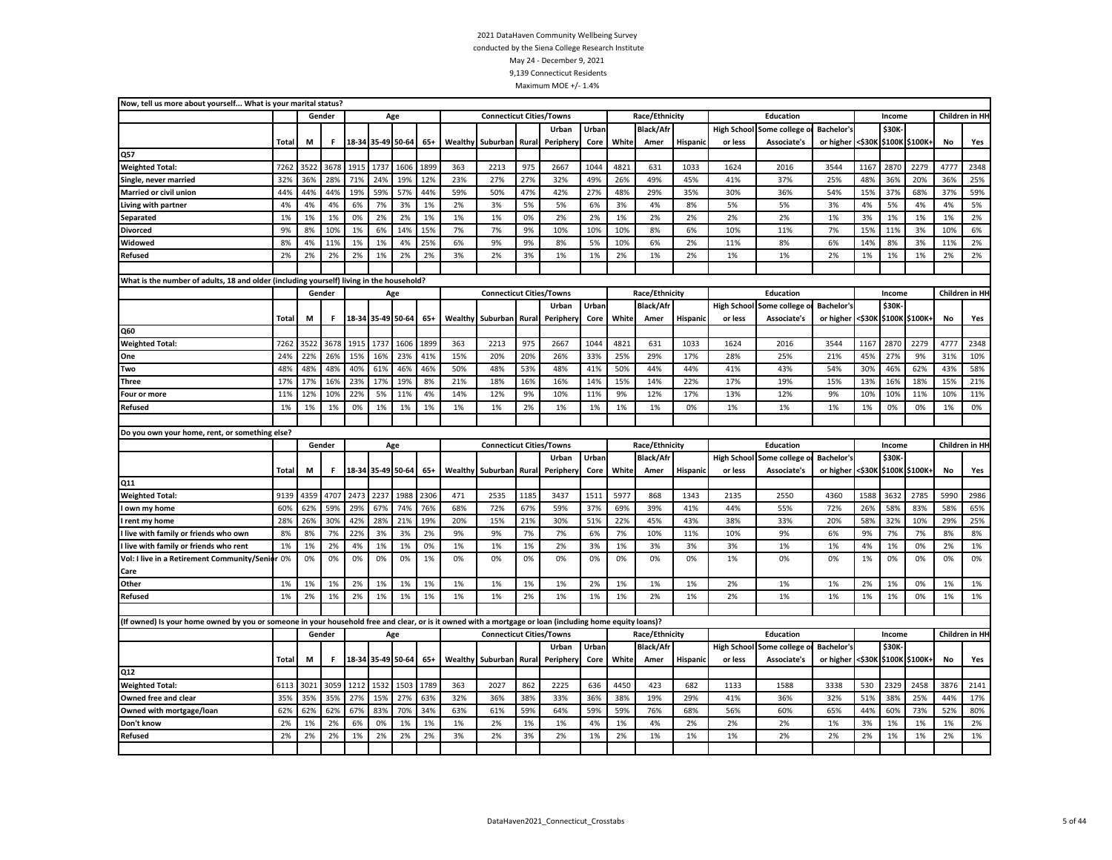| Now, tell us more about yourself What is your marital status?                                                                                           |       |      |              |       |                   |      |       |         |                                 |       |          |       |       |                  |          |                    |                |                   |        |              |                       |      |                 |
|---------------------------------------------------------------------------------------------------------------------------------------------------------|-------|------|--------------|-------|-------------------|------|-------|---------|---------------------------------|-------|----------|-------|-------|------------------|----------|--------------------|----------------|-------------------|--------|--------------|-----------------------|------|-----------------|
|                                                                                                                                                         |       |      | Gender       |       | Age               |      |       |         | <b>Connecticut Cities/Towns</b> |       |          |       |       | Race/Ethnicity   |          |                    | Education      |                   |        | Income       |                       |      | Children in HI- |
|                                                                                                                                                         |       |      |              |       |                   |      |       |         |                                 |       | Urban    | Urbar |       | <b>Black/Afr</b> |          | <b>High School</b> | Some college   | <b>Bachelor's</b> |        | \$30K        |                       |      |                 |
|                                                                                                                                                         | Total | M    | $\mathbf{F}$ | 18-34 | 35-49 50-64       |      | $65+$ | Wealthy | Suburban Rural                  |       | Peripher | Core  | White | Amer             | Hispanic | or less            | Associate's    | or higher         | <\$30К |              | \$100K \$100K+        | No   | Yes             |
| Q57                                                                                                                                                     |       |      |              |       |                   |      |       |         |                                 |       |          |       |       |                  |          |                    |                |                   |        |              |                       |      |                 |
| <b>Weighted Total:</b>                                                                                                                                  | 7262  | 3522 | 3678         | 1915  | 1737              | 1606 | 1899  | 363     | 2213                            | 975   | 2667     | 1044  | 4821  | 631              | 1033     | 1624               | 2016           | 3544              | 1167   | 2870         | 2279                  | 4777 | 2348            |
| Single, never married                                                                                                                                   | 32%   | 36%  | 28%          | 71%   | 24%               | 19%  | 12%   | 23%     | 27%                             | 27%   | 32%      | 49%   | 26%   | 49%              | 45%      | 41%                | 37%            | 25%               | 48%    | 36%          | 20%                   | 36%  | 25%             |
| Married or civil union                                                                                                                                  | 44%   | 44%  | 44%          | 19%   | 59%               | 57%  | 44%   | 59%     | 50%                             | 47%   | 42%      | 27%   | 48%   | 29%              | 35%      | 30%                | 36%            | 54%               | 15%    | 37%          | 68%                   | 37%  | 59%             |
| Living with partner                                                                                                                                     | 4%    | 4%   | 4%           | 6%    | 7%                | 3%   | 1%    | 2%      | 3%                              | 5%    | 5%       | 6%    | 3%    | 4%               | 8%       | 5%                 | 5%             | 3%                | 4%     | 5%           | 4%                    | 4%   | 5%              |
| Separated                                                                                                                                               | 1%    | 1%   | 1%           | 0%    | 2%                | 2%   | 1%    | 1%      | 1%                              | 0%    | 2%       | 2%    | 1%    | 2%               | 2%       | 2%                 | 2%             | 1%                | 3%     | 1%           | 1%                    | 1%   | 2%              |
| <b>Divorced</b>                                                                                                                                         | 9%    | 8%   | 10%          | 1%    | 6%                | 14%  | 15%   | 7%      | 7%                              | 9%    | 10%      | 10%   | 10%   | 8%               | 6%       | 10%                | 11%            | 7%                | 15%    | 11%          | 3%                    | 10%  | 6%              |
| Widowed                                                                                                                                                 | 8%    | 4%   | 11%          | 1%    | 1%                | 4%   | 25%   | 6%      | 9%                              | 9%    | 8%       | 5%    | 10%   | 6%               | 2%       | 11%                | 8%             | 6%                | 14%    | 8%           | 3%                    | 11%  | 2%              |
| Refused                                                                                                                                                 | 2%    | 2%   | 2%           | 2%    | 1%                | 2%   | 2%    | 3%      | 2%                              | 3%    | 1%       | 1%    | 2%    | 1%               | 2%       | 1%                 | 1%             | 2%                | 1%     | 1%           | 1%                    | 2%   | 2%              |
|                                                                                                                                                         |       |      |              |       |                   |      |       |         |                                 |       |          |       |       |                  |          |                    |                |                   |        |              |                       |      |                 |
| What is the number of adults, 18 and older (including yourself) living in the household?                                                                |       |      |              |       |                   |      |       |         |                                 |       |          |       |       |                  |          |                    |                |                   |        |              |                       |      |                 |
|                                                                                                                                                         |       |      | Gender       |       | Age               |      |       |         | <b>Connecticut Cities/Towns</b> |       |          |       |       | Race/Ethnicity   |          |                    | Education      |                   |        | Income       |                       |      | Children in HI  |
|                                                                                                                                                         |       |      |              |       |                   |      |       |         |                                 |       | Urban    | Urban |       | <b>Black/Afr</b> |          | <b>High School</b> | Some college   | <b>Bachelor's</b> |        | <b>\$30K</b> |                       |      |                 |
|                                                                                                                                                         | Total | М    | F.           |       | 18-34 35-49 50-64 |      | $65+$ | Wealthy | Suburban Rural                  |       | Peripher | Core  | White | Amer             | Hispanic | or less            | Associate's    | or higher         |        |              | <\$30K \$100K \$100K+ | No   | Yes             |
| Q60                                                                                                                                                     |       |      |              |       |                   |      |       |         |                                 |       |          |       |       |                  |          |                    |                |                   |        |              |                       |      |                 |
| <b>Weighted Total:</b>                                                                                                                                  | 7262  | 3522 | 3678         | 1915  | 1737              | 1606 | 1899  | 363     | 2213                            | 975   | 2667     | 1044  | 4821  | 631              | 1033     | 1624               | 2016           | 3544              | 1167   | 2870         | 2279                  | 4777 | 2348            |
| One                                                                                                                                                     | 24%   | 22%  | 26%          | 15%   | 16%               | 23%  | 41%   | 15%     | 20%                             | 20%   | 26%      | 33%   | 25%   | 29%              | 17%      | 28%                | 25%            | 21%               | 45%    | 27%          | 9%                    | 31%  | 10%             |
| Two                                                                                                                                                     | 48%   | 48%  | 48%          | 40%   | 61%               | 46%  | 46%   | 50%     | 48%                             | 53%   | 48%      | 41%   | 50%   | 44%              | 44%      | 41%                | 43%            | 54%               | 30%    | 46%          | 62%                   | 43%  | 58%             |
| <b>Three</b>                                                                                                                                            | 17%   | 17%  | 16%          | 23%   | 17%               | 19%  | 8%    | 21%     | 18%                             | 16%   | 16%      | 14%   | 15%   | 14%              | 22%      | 17%                | 19%            | 15%               | 13%    | 16%          | 18%                   | 15%  | 21%             |
| Four or more                                                                                                                                            | 11%   | 12%  | 10%          | 22%   | 5%                | 11%  | 4%    | 14%     | 12%                             | 9%    | 10%      | 11%   | 9%    | 12%              | 17%      | 13%                | 12%            | 9%                | 10%    | 10%          | 11%                   | 10%  | 11%             |
| <b>Refused</b>                                                                                                                                          | 1%    | 1%   | 1%           | 0%    | 1%                | 1%   | 1%    | 1%      | 1%                              | 2%    | 1%       | 1%    | 1%    | 1%               | 0%       | 1%                 | 1%             | 1%                | 1%     | 0%           | 0%                    | 1%   | 0%              |
|                                                                                                                                                         |       |      |              |       |                   |      |       |         |                                 |       |          |       |       |                  |          |                    |                |                   |        |              |                       |      |                 |
|                                                                                                                                                         |       |      |              |       |                   |      |       |         |                                 |       |          |       |       |                  |          |                    |                |                   |        |              |                       |      |                 |
| Do you own your home, rent, or something else?                                                                                                          |       |      |              |       |                   |      |       |         |                                 |       |          |       |       |                  |          |                    |                |                   |        |              |                       |      |                 |
|                                                                                                                                                         |       |      | Gender       |       | Age               |      |       |         | <b>Connecticut Cities/Towns</b> |       |          |       |       | Race/Ethnicity   |          |                    | Education      |                   |        | Income       |                       |      | Children in HI  |
|                                                                                                                                                         |       |      |              |       |                   |      |       |         |                                 |       | Urban    | Urban |       | <b>Black/Afr</b> |          | <b>High School</b> | Some college o | Bachelor's        |        | \$30K-       |                       |      |                 |
|                                                                                                                                                         | Total | M    | F.           |       | 18-34 35-49 50-64 |      | $65+$ | Wealthy | Suburban                        | Rural | Peripher | Core  | White | Amer             | Hispanic | or less            | Associate's    | or higher         |        |              | <\$30K \$100K \$100K+ | No   | Yes             |
| Q11                                                                                                                                                     |       |      |              |       |                   |      |       |         |                                 |       |          |       |       |                  |          |                    |                |                   |        |              |                       |      |                 |
| <b>Weighted Total:</b>                                                                                                                                  | 9139  | 4359 | 4707         | 2473  | 2237              | 1988 | 2306  | 471     | 2535                            | 1185  | 3437     | 1511  | 5977  | 868              | 1343     | 2135               | 2550           | 4360              | 1588   | 3632         | 2785                  | 5990 | 2986            |
| own my home                                                                                                                                             | 60%   | 62%  | 59%          | 29%   | 67%               | 74%  | 76%   | 68%     | 72%                             | 67%   | 59%      | 37%   | 69%   | 39%              | 41%      | 44%                | 55%            | 72%               | 26%    | 58%          | 83%                   | 58%  | 65%             |
| rent my home                                                                                                                                            | 28%   | 26%  | 30%          | 42%   | 28%               | 21%  | 19%   | 20%     | 15%                             | 21%   | 30%      | 51%   | 22%   | 45%              | 43%      | 38%                | 33%            | 20%               | 58%    | 32%          | 10%                   | 29%  | 25%             |
| live with family or friends who own                                                                                                                     | 8%    | 8%   | 7%           | 22%   | 3%                | 3%   | 2%    | 9%      | 9%                              | 7%    | 7%       | 6%    | 7%    | 10%              | 11%      | 10%                | 9%             | 6%                | 9%     | 7%           | 7%                    | 8%   | 8%              |
| I live with family or friends who rent                                                                                                                  | 1%    | 1%   | 2%           | 4%    | 1%                | 1%   | 0%    | 1%      | 1%                              | 1%    | 2%       | 3%    | 1%    | 3%               | 3%       | 3%                 | 1%             | 1%                | 4%     | 1%           | 0%                    | 2%   | 1%              |
| Vol: I live in a Retirement Community/Senior 0%                                                                                                         |       | 0%   | 0%           | 0%    | 0%                | 0%   | 1%    | 0%      | 0%                              | 0%    | 0%       | 0%    | 0%    | 0%               | 0%       | 1%                 | 0%             | 0%                | 1%     | 0%           | 0%                    | 0%   | 0%              |
| Care                                                                                                                                                    |       |      |              |       |                   |      |       |         |                                 |       |          |       |       |                  |          |                    |                |                   |        |              |                       |      |                 |
| Other                                                                                                                                                   | 1%    | 1%   | 1%           | 2%    | 1%                | 1%   | 1%    | 1%      | 1%                              | 1%    | 1%       | 2%    | 1%    | 1%               | 1%       | 2%                 | 1%             | 1%                | 2%     | 1%           | 0%                    | 1%   | 1%              |
| <b>Refused</b>                                                                                                                                          | 1%    | 2%   | 1%           | 2%    | 1%                | 1%   | 1%    | 1%      | 1%                              | 2%    | 1%       | 1%    | 1%    | 2%               | 1%       | 2%                 | 1%             | 1%                | 1%     | 1%           | 0%                    | 1%   | 1%              |
|                                                                                                                                                         |       |      |              |       |                   |      |       |         |                                 |       |          |       |       |                  |          |                    |                |                   |        |              |                       |      |                 |
| (If owned) Is your home owned by you or someone in your household free and clear, or is it owned with a mortgage or loan (including home equity loans)? |       |      |              |       |                   |      |       |         |                                 |       |          |       |       |                  |          |                    |                |                   |        |              |                       |      |                 |
|                                                                                                                                                         |       |      | Gender       |       | Age               |      |       |         | <b>Connecticut Cities/Towns</b> |       |          |       |       | Race/Ethnicity   |          |                    | Education      |                   |        | Income       |                       |      | Children in HI  |
|                                                                                                                                                         |       |      |              |       |                   |      |       |         |                                 |       | Urban    | Urban |       | <b>Black/Afr</b> |          | <b>High School</b> | Some college   | <b>Bachelor's</b> |        | \$30K-       |                       |      |                 |
|                                                                                                                                                         | Total | М    | F.           |       | 18-34 35-49 50-64 |      | $65+$ | Wealthy | Suburban                        | Rural | Peripher | Core  | White | Amer             | Hispanio | or less            | Associate's    | or higher         |        |              | <\$30K \$100K \$100K+ | No   | Yes             |
| Q12                                                                                                                                                     |       |      |              |       |                   |      |       |         |                                 |       |          |       |       |                  |          |                    |                |                   |        |              |                       |      |                 |
| <b>Weighted Total:</b>                                                                                                                                  | 6113  | 3021 | 3059         | 1212  | 1532              | 1503 | 1789  | 363     | 2027                            | 862   | 2225     | 636   | 4450  | 423              | 682      | 1133               | 1588           | 3338              | 530    | 2329         | 2458                  | 3876 | 2141            |
| Owned free and clear                                                                                                                                    | 35%   | 35%  | 35%          | 27%   | 15%               | 27%  | 63%   | 32%     | 36%                             | 38%   | 33%      | 36%   | 38%   | 19%              | 29%      | 41%                | 36%            | 32%               | 51%    | 38%          | 25%                   | 44%  | 17%             |
| Owned with mortgage/loan                                                                                                                                | 62%   | 62%  | 62%          | 67%   | 83%               | 70%  | 34%   | 63%     | 61%                             | 59%   | 64%      | 59%   | 59%   | 76%              | 68%      | 56%                | 60%            | 65%               | 44%    | 60%          | 73%                   | 52%  | 80%             |
| Don't know                                                                                                                                              | 2%    | 1%   | 2%           | 6%    | 0%                | 1%   | 1%    | 1%      | 2%                              | 1%    | 1%       | 4%    | 1%    | 4%               | 2%       | 2%                 | 2%             | 1%                | 3%     | 1%           | 1%                    | 1%   | 2%              |
| Refused                                                                                                                                                 | 2%    | 2%   | 2%           | 1%    | 2%                | 2%   | 2%    | 3%      | 2%                              | 3%    | 2%       | 1%    | 2%    | 1%               | 1%       | 1%                 | 2%             | 2%                | 2%     | 1%           | 1%                    | 2%   | 1%              |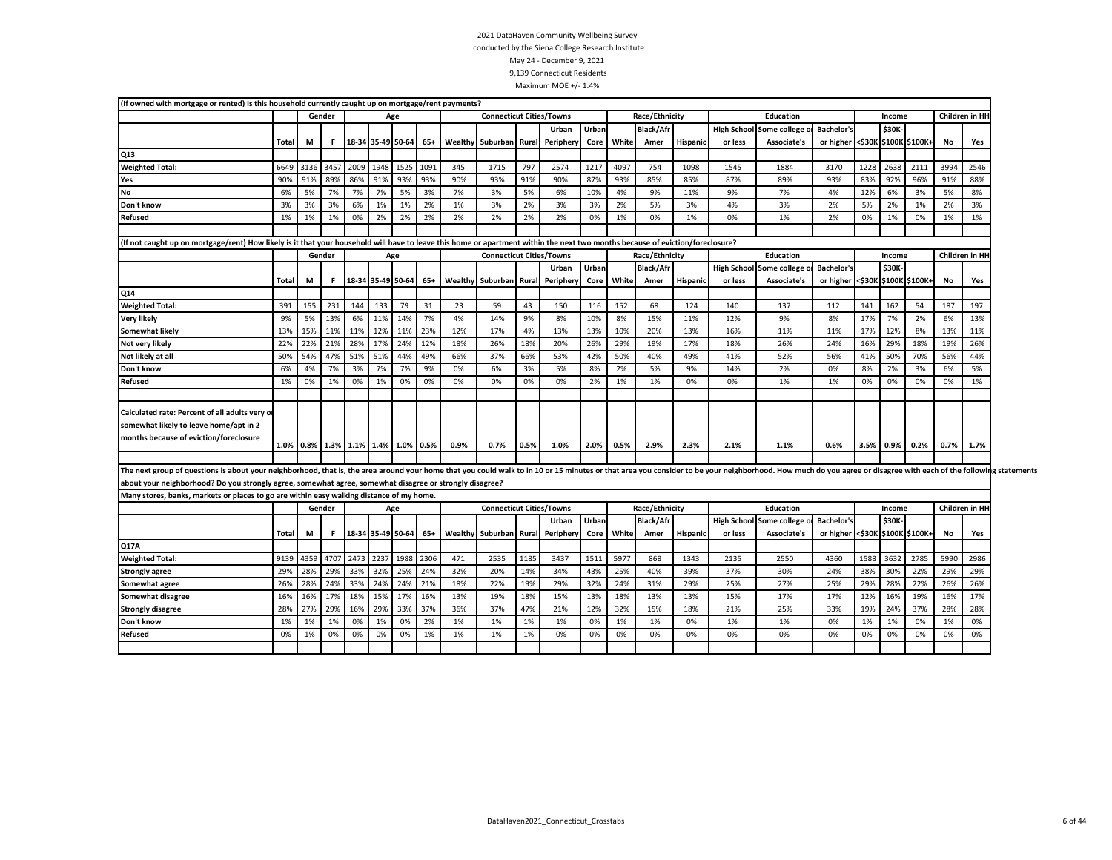| Gender<br><b>Connecticut Cities/Towns</b><br>Race/Ethnicity<br>Children in HI<br>Education<br>Income<br>Age<br>\$30K<br>Urban<br><b>Black/Afr</b><br>High School Some college of<br><b>Bachelor's</b><br>Urban<br>18-34 35-49 50-64<br>$65+$<br>Wealthy Suburban Rural<br>Periphery<br>Core White<br><b>Hispanic</b><br>Associate's<br>or higher <\$30K \$100K \$100K+<br>No<br>Total<br>М<br>F<br>Amer<br>or less<br>Yes<br>Q <sub>13</sub><br>1948 1525 1091<br>3457<br>2009<br>345<br>797<br>1217<br>4097<br>754<br>1228<br>2638<br>6649<br>3136<br>1715<br>2574<br>1098<br>1884<br>3170<br>2111<br>3994<br>2546<br><b>Weighted Total:</b><br>1545<br>86%<br>91%<br>93%<br>93%<br>90%<br>93%<br>85%<br>92%<br>90%<br>91%<br>89%<br>93%<br>91%<br>90%<br>87%<br>85%<br>87%<br>89%<br>93%<br>83%<br>96%<br>91%<br>88%<br>Yes<br>No<br>7%<br>5%<br>3%<br>4%<br>6%<br>5%<br>7%<br>7%<br>7%<br>3%<br>5%<br>6%<br>10%<br>9%<br>11%<br>9%<br>7%<br>4%<br>12%<br>6%<br>3%<br>5%<br>8%<br>3%<br>3%<br>3%<br>6%<br>1%<br>1%<br>2%<br>1%<br>3%<br>2%<br>3%<br>3%<br>2%<br>5%<br>3%<br>4%<br>3%<br>2%<br>5%<br>2%<br>1%<br>2%<br>3%<br>Don't know<br>2%<br>2%<br>2%<br>2%<br>2%<br>1%<br>1%<br>0%<br>2%<br>2%<br>1%<br>0%<br>1%<br>0%<br>1%<br>2%<br>1%<br>0%<br>1%<br>1%<br><b>Refused</b><br>1%<br>0%<br>0%<br>(If not caught up on mortgage/rent) How likely is it that your household will have to leave this home or apartment within the next two months because of eviction/foreclosure?<br>Children in HI<br><b>Connecticut Cities/Towns</b><br>Race/Ethnicity<br>Education<br>Gender<br>Income<br>Age<br>Urban<br><b>Black/Afr</b><br>High School Some college o<br>\$30K-<br>Urban<br><b>Bachelor's</b><br>18-34 35-49 50-64<br>Wealthy Suburban Rural<br>White<br>Associate's<br>or higher <\$30K \$100K \$100K+<br>No<br>Total<br>M<br>F<br>$65+$<br>Periphery<br>Core<br>Amer<br>Hispanic<br>or less<br>Yes<br>Q14<br>231<br>144<br>133<br>79<br>31<br>23<br>152<br>162<br><b>Weighted Total:</b><br>391<br>155<br>59<br>43<br>150<br>116<br>68<br>124<br>140<br>137<br>112<br>141<br>54<br>187<br>197<br>9%<br>14%<br>7%<br>4%<br>9%<br>8%<br>8%<br>15%<br>9%<br>17%<br>7%<br>6%<br><b>Very likely</b><br>5%<br>13%<br>6%<br>11%<br>14%<br>10%<br>11%<br>12%<br>8%<br>2%<br>13%<br>11%<br>11%<br>12%<br>11%<br>23%<br>12%<br>8%<br><b>Somewhat likely</b><br>13%<br>15%<br>17%<br>4%<br>13%<br>13%<br>10%<br>20%<br>13%<br>16%<br>11%<br>11%<br>17%<br>12%<br>13%<br>11%<br>22%<br>21%<br>28%<br>17%<br>24%<br>12%<br>29%<br>29%<br>22%<br>18%<br>26%<br>18%<br>20%<br>26%<br>19%<br>17%<br>18%<br>26%<br>24%<br>16%<br>18%<br>19%<br>26%<br>Not very likely<br>51%<br>51%<br>44%<br>49%<br>66%<br>Not likely at all<br>50%<br>54%<br>47%<br>37%<br>66%<br>53%<br>42%<br>50%<br>40%<br>49%<br>41%<br>52%<br>56%<br>41%<br>50%<br>70%<br>56%<br>44%<br>3%<br>7%<br>7%<br>9%<br>2%<br>9%<br>2%<br>Don't know<br>6%<br>4%<br>7%<br>0%<br>6%<br>3%<br>5%<br>8%<br>5%<br>14%<br>2%<br>0%<br>8%<br>3%<br>6%<br>5%<br>0%<br>0%<br>0%<br>1%<br>0%<br>0%<br><b>Refused</b><br>1%<br>0%<br>1%<br>0%<br>1%<br>0%<br>0%<br>0%<br>2%<br>1%<br>0%<br>1%<br>1%<br>0%<br>0%<br>0%<br>1%<br>Calculated rate: Percent of all adults very or<br>somewhat likely to leave home/apt in 2<br>months because of eviction/foreclosure<br>1.1%<br>1.0% 0.8% 1.3% 1.1% 1.4% 1.0% 0.5%<br>0.9%<br>0.7%<br>0.5%<br>1.0%<br>2.0%<br>0.5%<br>2.9%<br>2.3%<br>2.1%<br>0.6%<br>3.5% 0.9%<br>0.2%<br>0.7%<br>1.7%<br>about your neighborhood? Do you strongly agree, somewhat agree, somewhat disagree or strongly disagree?<br>Many stores, banks, markets or places to go are within easy walking distance of my home.<br>Children in HI<br><b>Connecticut Cities/Towns</b><br>Race/Ethnicity<br>Education<br>Gender<br>Income<br>Age<br>Urban<br>\$30K<br>Urban<br><b>Black/Afr</b><br>High School Some college o<br><b>Bachelor's</b><br>18-34 35-49 50-64<br>$65+$<br>Wealthy Suburban Rural Periphery<br>White<br><b>Hispanic</b><br>or higher <\$30K \$100K \$100K+<br>No<br>Total<br>М<br>F.<br><b>Core</b><br>Amer<br>or less<br>Associate's<br>Yes<br>Q17A<br>2473<br>2237<br>1988<br>2306<br>4359<br>4707<br>471<br>2535<br>1185<br>3437<br>1511<br>5977<br>868<br>1343<br>2135<br>2550<br>4360<br>1588<br>3632<br>2785<br>5990<br>2986<br><b>Weighted Total:</b><br>9139<br>29%<br>33%<br>32%<br>25%<br>24%<br>32%<br>25%<br>40%<br>38%<br>29%<br>29%<br>28%<br>20%<br>14%<br>34%<br>43%<br>39%<br>37%<br>30%<br>24%<br>30%<br>22%<br>29%<br><b>Strongly agree</b><br>24%<br>24%<br>26%<br>28%<br>24%<br>33%<br>21%<br>18%<br>22%<br>32%<br>24%<br>29%<br>29%<br>28%<br>22%<br>26%<br>19%<br>29%<br>31%<br>25%<br>27%<br>25%<br>26%<br>Somewhat agree<br>18%<br>15%<br>16%<br>16%<br>17%<br>17%<br>16%<br>13%<br>19%<br>18%<br>13%<br>18%<br>13%<br>19%<br>17%<br>Somewhat disagree<br>15%<br>13%<br>15%<br>17%<br>17%<br>12%<br>16%<br>16%<br>29%<br>33%<br>28%<br>29%<br>16%<br>37%<br>36%<br>37%<br>47%<br>12%<br>32%<br>15%<br>18%<br>25%<br>19%<br>24%<br>37%<br>28%<br>28%<br>27%<br>21%<br>21%<br>33%<br><b>Strongly disagree</b><br>Don't know<br>1%<br>2%<br>1%<br>1%<br>1%<br>1%<br>0%<br>1%<br>1%<br>1%<br>1%<br>0%<br>1%<br>0%<br>1%<br>1%<br>0%<br>1%<br>0%<br>1%<br>1%<br>0%<br>0%<br>0%<br>0%<br>0%<br>1%<br>1%<br>0%<br>0%<br>0%<br>0%<br>0%<br>0%<br>0%<br>0%<br><b>Refused</b><br>0%<br>1%<br>0%<br>1%<br>1%<br>0%<br>0%<br>0%<br>0%<br>0% | (If owned with mortgage or rented) Is this household currently caught up on mortgage/rent payments? |  |  |  |  |  |  |  |  |  |  |  |  |
|----------------------------------------------------------------------------------------------------------------------------------------------------------------------------------------------------------------------------------------------------------------------------------------------------------------------------------------------------------------------------------------------------------------------------------------------------------------------------------------------------------------------------------------------------------------------------------------------------------------------------------------------------------------------------------------------------------------------------------------------------------------------------------------------------------------------------------------------------------------------------------------------------------------------------------------------------------------------------------------------------------------------------------------------------------------------------------------------------------------------------------------------------------------------------------------------------------------------------------------------------------------------------------------------------------------------------------------------------------------------------------------------------------------------------------------------------------------------------------------------------------------------------------------------------------------------------------------------------------------------------------------------------------------------------------------------------------------------------------------------------------------------------------------------------------------------------------------------------------------------------------------------------------------------------------------------------------------------------------------------------------------------------------------------------------------------------------------------------------------------------------------------------------------------------------------------------------------------------------------------------------------------------------------------------------------------------------------------------------------------------------------------------------------------------------------------------------------------------------------------------------------------------------------------------------------------------------------------------------------------------------------------------------------------------------------------------------------------------------------------------------------------------------------------------------------------------------------------------------------------------------------------------------------------------------------------------------------------------------------------------------------------------------------------------------------------------------------------------------------------------------------------------------------------------------------------------------------------------------------------------------------------------------------------------------------------------------------------------------------------------------------------------------------------------------------------------------------------------------------------------------------------------------------------------------------------------------------------------------------------------------------------------------------------------------------------------------------------------------------------------------------------------------------------------------------------------------------------------------------------------------------------------------------------------------------------------------------------------------------------------------------------------------------------------------------------------------------------------------------------------------------------------------------------------------------------------------------------------------------------------------------------------------------------------------------------------------------------------------------------------------------------------------------------------------------------------------------------------------------------------------------------------------------------------------------------------------------------------------------------------------------------------------------------------------------------------------------------------------------------------------------------------------------------------------------------------------------------------------------------------------------------------------------------------------------------------------------------------------------------------------------------------------------------------------------------------------------------------------------------------------------------------------------------------------------------------------------------------------------------------------------------------------------------------------------------------------------------------------------------------------------------------------------------------------------------|-----------------------------------------------------------------------------------------------------|--|--|--|--|--|--|--|--|--|--|--|--|
|                                                                                                                                                                                                                                                                                                                                                                                                                                                                                                                                                                                                                                                                                                                                                                                                                                                                                                                                                                                                                                                                                                                                                                                                                                                                                                                                                                                                                                                                                                                                                                                                                                                                                                                                                                                                                                                                                                                                                                                                                                                                                                                                                                                                                                                                                                                                                                                                                                                                                                                                                                                                                                                                                                                                                                                                                                                                                                                                                                                                                                                                                                                                                                                                                                                                                                                                                                                                                                                                                                                                                                                                                                                                                                                                                                                                                                                                                                                                                                                                                                                                                                                                                                                                                                                                                                                                                                                                                                                                                                                                                                                                                                                                                                                                                                                                                                                                                                                                                                                                                                                                                                                                                                                                                                                                                                                                                                                                                                              |                                                                                                     |  |  |  |  |  |  |  |  |  |  |  |  |
|                                                                                                                                                                                                                                                                                                                                                                                                                                                                                                                                                                                                                                                                                                                                                                                                                                                                                                                                                                                                                                                                                                                                                                                                                                                                                                                                                                                                                                                                                                                                                                                                                                                                                                                                                                                                                                                                                                                                                                                                                                                                                                                                                                                                                                                                                                                                                                                                                                                                                                                                                                                                                                                                                                                                                                                                                                                                                                                                                                                                                                                                                                                                                                                                                                                                                                                                                                                                                                                                                                                                                                                                                                                                                                                                                                                                                                                                                                                                                                                                                                                                                                                                                                                                                                                                                                                                                                                                                                                                                                                                                                                                                                                                                                                                                                                                                                                                                                                                                                                                                                                                                                                                                                                                                                                                                                                                                                                                                                              |                                                                                                     |  |  |  |  |  |  |  |  |  |  |  |  |
|                                                                                                                                                                                                                                                                                                                                                                                                                                                                                                                                                                                                                                                                                                                                                                                                                                                                                                                                                                                                                                                                                                                                                                                                                                                                                                                                                                                                                                                                                                                                                                                                                                                                                                                                                                                                                                                                                                                                                                                                                                                                                                                                                                                                                                                                                                                                                                                                                                                                                                                                                                                                                                                                                                                                                                                                                                                                                                                                                                                                                                                                                                                                                                                                                                                                                                                                                                                                                                                                                                                                                                                                                                                                                                                                                                                                                                                                                                                                                                                                                                                                                                                                                                                                                                                                                                                                                                                                                                                                                                                                                                                                                                                                                                                                                                                                                                                                                                                                                                                                                                                                                                                                                                                                                                                                                                                                                                                                                                              |                                                                                                     |  |  |  |  |  |  |  |  |  |  |  |  |
|                                                                                                                                                                                                                                                                                                                                                                                                                                                                                                                                                                                                                                                                                                                                                                                                                                                                                                                                                                                                                                                                                                                                                                                                                                                                                                                                                                                                                                                                                                                                                                                                                                                                                                                                                                                                                                                                                                                                                                                                                                                                                                                                                                                                                                                                                                                                                                                                                                                                                                                                                                                                                                                                                                                                                                                                                                                                                                                                                                                                                                                                                                                                                                                                                                                                                                                                                                                                                                                                                                                                                                                                                                                                                                                                                                                                                                                                                                                                                                                                                                                                                                                                                                                                                                                                                                                                                                                                                                                                                                                                                                                                                                                                                                                                                                                                                                                                                                                                                                                                                                                                                                                                                                                                                                                                                                                                                                                                                                              |                                                                                                     |  |  |  |  |  |  |  |  |  |  |  |  |
|                                                                                                                                                                                                                                                                                                                                                                                                                                                                                                                                                                                                                                                                                                                                                                                                                                                                                                                                                                                                                                                                                                                                                                                                                                                                                                                                                                                                                                                                                                                                                                                                                                                                                                                                                                                                                                                                                                                                                                                                                                                                                                                                                                                                                                                                                                                                                                                                                                                                                                                                                                                                                                                                                                                                                                                                                                                                                                                                                                                                                                                                                                                                                                                                                                                                                                                                                                                                                                                                                                                                                                                                                                                                                                                                                                                                                                                                                                                                                                                                                                                                                                                                                                                                                                                                                                                                                                                                                                                                                                                                                                                                                                                                                                                                                                                                                                                                                                                                                                                                                                                                                                                                                                                                                                                                                                                                                                                                                                              |                                                                                                     |  |  |  |  |  |  |  |  |  |  |  |  |
|                                                                                                                                                                                                                                                                                                                                                                                                                                                                                                                                                                                                                                                                                                                                                                                                                                                                                                                                                                                                                                                                                                                                                                                                                                                                                                                                                                                                                                                                                                                                                                                                                                                                                                                                                                                                                                                                                                                                                                                                                                                                                                                                                                                                                                                                                                                                                                                                                                                                                                                                                                                                                                                                                                                                                                                                                                                                                                                                                                                                                                                                                                                                                                                                                                                                                                                                                                                                                                                                                                                                                                                                                                                                                                                                                                                                                                                                                                                                                                                                                                                                                                                                                                                                                                                                                                                                                                                                                                                                                                                                                                                                                                                                                                                                                                                                                                                                                                                                                                                                                                                                                                                                                                                                                                                                                                                                                                                                                                              |                                                                                                     |  |  |  |  |  |  |  |  |  |  |  |  |
|                                                                                                                                                                                                                                                                                                                                                                                                                                                                                                                                                                                                                                                                                                                                                                                                                                                                                                                                                                                                                                                                                                                                                                                                                                                                                                                                                                                                                                                                                                                                                                                                                                                                                                                                                                                                                                                                                                                                                                                                                                                                                                                                                                                                                                                                                                                                                                                                                                                                                                                                                                                                                                                                                                                                                                                                                                                                                                                                                                                                                                                                                                                                                                                                                                                                                                                                                                                                                                                                                                                                                                                                                                                                                                                                                                                                                                                                                                                                                                                                                                                                                                                                                                                                                                                                                                                                                                                                                                                                                                                                                                                                                                                                                                                                                                                                                                                                                                                                                                                                                                                                                                                                                                                                                                                                                                                                                                                                                                              |                                                                                                     |  |  |  |  |  |  |  |  |  |  |  |  |
|                                                                                                                                                                                                                                                                                                                                                                                                                                                                                                                                                                                                                                                                                                                                                                                                                                                                                                                                                                                                                                                                                                                                                                                                                                                                                                                                                                                                                                                                                                                                                                                                                                                                                                                                                                                                                                                                                                                                                                                                                                                                                                                                                                                                                                                                                                                                                                                                                                                                                                                                                                                                                                                                                                                                                                                                                                                                                                                                                                                                                                                                                                                                                                                                                                                                                                                                                                                                                                                                                                                                                                                                                                                                                                                                                                                                                                                                                                                                                                                                                                                                                                                                                                                                                                                                                                                                                                                                                                                                                                                                                                                                                                                                                                                                                                                                                                                                                                                                                                                                                                                                                                                                                                                                                                                                                                                                                                                                                                              |                                                                                                     |  |  |  |  |  |  |  |  |  |  |  |  |
|                                                                                                                                                                                                                                                                                                                                                                                                                                                                                                                                                                                                                                                                                                                                                                                                                                                                                                                                                                                                                                                                                                                                                                                                                                                                                                                                                                                                                                                                                                                                                                                                                                                                                                                                                                                                                                                                                                                                                                                                                                                                                                                                                                                                                                                                                                                                                                                                                                                                                                                                                                                                                                                                                                                                                                                                                                                                                                                                                                                                                                                                                                                                                                                                                                                                                                                                                                                                                                                                                                                                                                                                                                                                                                                                                                                                                                                                                                                                                                                                                                                                                                                                                                                                                                                                                                                                                                                                                                                                                                                                                                                                                                                                                                                                                                                                                                                                                                                                                                                                                                                                                                                                                                                                                                                                                                                                                                                                                                              |                                                                                                     |  |  |  |  |  |  |  |  |  |  |  |  |
|                                                                                                                                                                                                                                                                                                                                                                                                                                                                                                                                                                                                                                                                                                                                                                                                                                                                                                                                                                                                                                                                                                                                                                                                                                                                                                                                                                                                                                                                                                                                                                                                                                                                                                                                                                                                                                                                                                                                                                                                                                                                                                                                                                                                                                                                                                                                                                                                                                                                                                                                                                                                                                                                                                                                                                                                                                                                                                                                                                                                                                                                                                                                                                                                                                                                                                                                                                                                                                                                                                                                                                                                                                                                                                                                                                                                                                                                                                                                                                                                                                                                                                                                                                                                                                                                                                                                                                                                                                                                                                                                                                                                                                                                                                                                                                                                                                                                                                                                                                                                                                                                                                                                                                                                                                                                                                                                                                                                                                              |                                                                                                     |  |  |  |  |  |  |  |  |  |  |  |  |
|                                                                                                                                                                                                                                                                                                                                                                                                                                                                                                                                                                                                                                                                                                                                                                                                                                                                                                                                                                                                                                                                                                                                                                                                                                                                                                                                                                                                                                                                                                                                                                                                                                                                                                                                                                                                                                                                                                                                                                                                                                                                                                                                                                                                                                                                                                                                                                                                                                                                                                                                                                                                                                                                                                                                                                                                                                                                                                                                                                                                                                                                                                                                                                                                                                                                                                                                                                                                                                                                                                                                                                                                                                                                                                                                                                                                                                                                                                                                                                                                                                                                                                                                                                                                                                                                                                                                                                                                                                                                                                                                                                                                                                                                                                                                                                                                                                                                                                                                                                                                                                                                                                                                                                                                                                                                                                                                                                                                                                              |                                                                                                     |  |  |  |  |  |  |  |  |  |  |  |  |
|                                                                                                                                                                                                                                                                                                                                                                                                                                                                                                                                                                                                                                                                                                                                                                                                                                                                                                                                                                                                                                                                                                                                                                                                                                                                                                                                                                                                                                                                                                                                                                                                                                                                                                                                                                                                                                                                                                                                                                                                                                                                                                                                                                                                                                                                                                                                                                                                                                                                                                                                                                                                                                                                                                                                                                                                                                                                                                                                                                                                                                                                                                                                                                                                                                                                                                                                                                                                                                                                                                                                                                                                                                                                                                                                                                                                                                                                                                                                                                                                                                                                                                                                                                                                                                                                                                                                                                                                                                                                                                                                                                                                                                                                                                                                                                                                                                                                                                                                                                                                                                                                                                                                                                                                                                                                                                                                                                                                                                              |                                                                                                     |  |  |  |  |  |  |  |  |  |  |  |  |
|                                                                                                                                                                                                                                                                                                                                                                                                                                                                                                                                                                                                                                                                                                                                                                                                                                                                                                                                                                                                                                                                                                                                                                                                                                                                                                                                                                                                                                                                                                                                                                                                                                                                                                                                                                                                                                                                                                                                                                                                                                                                                                                                                                                                                                                                                                                                                                                                                                                                                                                                                                                                                                                                                                                                                                                                                                                                                                                                                                                                                                                                                                                                                                                                                                                                                                                                                                                                                                                                                                                                                                                                                                                                                                                                                                                                                                                                                                                                                                                                                                                                                                                                                                                                                                                                                                                                                                                                                                                                                                                                                                                                                                                                                                                                                                                                                                                                                                                                                                                                                                                                                                                                                                                                                                                                                                                                                                                                                                              |                                                                                                     |  |  |  |  |  |  |  |  |  |  |  |  |
|                                                                                                                                                                                                                                                                                                                                                                                                                                                                                                                                                                                                                                                                                                                                                                                                                                                                                                                                                                                                                                                                                                                                                                                                                                                                                                                                                                                                                                                                                                                                                                                                                                                                                                                                                                                                                                                                                                                                                                                                                                                                                                                                                                                                                                                                                                                                                                                                                                                                                                                                                                                                                                                                                                                                                                                                                                                                                                                                                                                                                                                                                                                                                                                                                                                                                                                                                                                                                                                                                                                                                                                                                                                                                                                                                                                                                                                                                                                                                                                                                                                                                                                                                                                                                                                                                                                                                                                                                                                                                                                                                                                                                                                                                                                                                                                                                                                                                                                                                                                                                                                                                                                                                                                                                                                                                                                                                                                                                                              |                                                                                                     |  |  |  |  |  |  |  |  |  |  |  |  |
|                                                                                                                                                                                                                                                                                                                                                                                                                                                                                                                                                                                                                                                                                                                                                                                                                                                                                                                                                                                                                                                                                                                                                                                                                                                                                                                                                                                                                                                                                                                                                                                                                                                                                                                                                                                                                                                                                                                                                                                                                                                                                                                                                                                                                                                                                                                                                                                                                                                                                                                                                                                                                                                                                                                                                                                                                                                                                                                                                                                                                                                                                                                                                                                                                                                                                                                                                                                                                                                                                                                                                                                                                                                                                                                                                                                                                                                                                                                                                                                                                                                                                                                                                                                                                                                                                                                                                                                                                                                                                                                                                                                                                                                                                                                                                                                                                                                                                                                                                                                                                                                                                                                                                                                                                                                                                                                                                                                                                                              |                                                                                                     |  |  |  |  |  |  |  |  |  |  |  |  |
|                                                                                                                                                                                                                                                                                                                                                                                                                                                                                                                                                                                                                                                                                                                                                                                                                                                                                                                                                                                                                                                                                                                                                                                                                                                                                                                                                                                                                                                                                                                                                                                                                                                                                                                                                                                                                                                                                                                                                                                                                                                                                                                                                                                                                                                                                                                                                                                                                                                                                                                                                                                                                                                                                                                                                                                                                                                                                                                                                                                                                                                                                                                                                                                                                                                                                                                                                                                                                                                                                                                                                                                                                                                                                                                                                                                                                                                                                                                                                                                                                                                                                                                                                                                                                                                                                                                                                                                                                                                                                                                                                                                                                                                                                                                                                                                                                                                                                                                                                                                                                                                                                                                                                                                                                                                                                                                                                                                                                                              |                                                                                                     |  |  |  |  |  |  |  |  |  |  |  |  |
|                                                                                                                                                                                                                                                                                                                                                                                                                                                                                                                                                                                                                                                                                                                                                                                                                                                                                                                                                                                                                                                                                                                                                                                                                                                                                                                                                                                                                                                                                                                                                                                                                                                                                                                                                                                                                                                                                                                                                                                                                                                                                                                                                                                                                                                                                                                                                                                                                                                                                                                                                                                                                                                                                                                                                                                                                                                                                                                                                                                                                                                                                                                                                                                                                                                                                                                                                                                                                                                                                                                                                                                                                                                                                                                                                                                                                                                                                                                                                                                                                                                                                                                                                                                                                                                                                                                                                                                                                                                                                                                                                                                                                                                                                                                                                                                                                                                                                                                                                                                                                                                                                                                                                                                                                                                                                                                                                                                                                                              |                                                                                                     |  |  |  |  |  |  |  |  |  |  |  |  |
|                                                                                                                                                                                                                                                                                                                                                                                                                                                                                                                                                                                                                                                                                                                                                                                                                                                                                                                                                                                                                                                                                                                                                                                                                                                                                                                                                                                                                                                                                                                                                                                                                                                                                                                                                                                                                                                                                                                                                                                                                                                                                                                                                                                                                                                                                                                                                                                                                                                                                                                                                                                                                                                                                                                                                                                                                                                                                                                                                                                                                                                                                                                                                                                                                                                                                                                                                                                                                                                                                                                                                                                                                                                                                                                                                                                                                                                                                                                                                                                                                                                                                                                                                                                                                                                                                                                                                                                                                                                                                                                                                                                                                                                                                                                                                                                                                                                                                                                                                                                                                                                                                                                                                                                                                                                                                                                                                                                                                                              |                                                                                                     |  |  |  |  |  |  |  |  |  |  |  |  |
|                                                                                                                                                                                                                                                                                                                                                                                                                                                                                                                                                                                                                                                                                                                                                                                                                                                                                                                                                                                                                                                                                                                                                                                                                                                                                                                                                                                                                                                                                                                                                                                                                                                                                                                                                                                                                                                                                                                                                                                                                                                                                                                                                                                                                                                                                                                                                                                                                                                                                                                                                                                                                                                                                                                                                                                                                                                                                                                                                                                                                                                                                                                                                                                                                                                                                                                                                                                                                                                                                                                                                                                                                                                                                                                                                                                                                                                                                                                                                                                                                                                                                                                                                                                                                                                                                                                                                                                                                                                                                                                                                                                                                                                                                                                                                                                                                                                                                                                                                                                                                                                                                                                                                                                                                                                                                                                                                                                                                                              |                                                                                                     |  |  |  |  |  |  |  |  |  |  |  |  |
|                                                                                                                                                                                                                                                                                                                                                                                                                                                                                                                                                                                                                                                                                                                                                                                                                                                                                                                                                                                                                                                                                                                                                                                                                                                                                                                                                                                                                                                                                                                                                                                                                                                                                                                                                                                                                                                                                                                                                                                                                                                                                                                                                                                                                                                                                                                                                                                                                                                                                                                                                                                                                                                                                                                                                                                                                                                                                                                                                                                                                                                                                                                                                                                                                                                                                                                                                                                                                                                                                                                                                                                                                                                                                                                                                                                                                                                                                                                                                                                                                                                                                                                                                                                                                                                                                                                                                                                                                                                                                                                                                                                                                                                                                                                                                                                                                                                                                                                                                                                                                                                                                                                                                                                                                                                                                                                                                                                                                                              |                                                                                                     |  |  |  |  |  |  |  |  |  |  |  |  |
|                                                                                                                                                                                                                                                                                                                                                                                                                                                                                                                                                                                                                                                                                                                                                                                                                                                                                                                                                                                                                                                                                                                                                                                                                                                                                                                                                                                                                                                                                                                                                                                                                                                                                                                                                                                                                                                                                                                                                                                                                                                                                                                                                                                                                                                                                                                                                                                                                                                                                                                                                                                                                                                                                                                                                                                                                                                                                                                                                                                                                                                                                                                                                                                                                                                                                                                                                                                                                                                                                                                                                                                                                                                                                                                                                                                                                                                                                                                                                                                                                                                                                                                                                                                                                                                                                                                                                                                                                                                                                                                                                                                                                                                                                                                                                                                                                                                                                                                                                                                                                                                                                                                                                                                                                                                                                                                                                                                                                                              |                                                                                                     |  |  |  |  |  |  |  |  |  |  |  |  |
|                                                                                                                                                                                                                                                                                                                                                                                                                                                                                                                                                                                                                                                                                                                                                                                                                                                                                                                                                                                                                                                                                                                                                                                                                                                                                                                                                                                                                                                                                                                                                                                                                                                                                                                                                                                                                                                                                                                                                                                                                                                                                                                                                                                                                                                                                                                                                                                                                                                                                                                                                                                                                                                                                                                                                                                                                                                                                                                                                                                                                                                                                                                                                                                                                                                                                                                                                                                                                                                                                                                                                                                                                                                                                                                                                                                                                                                                                                                                                                                                                                                                                                                                                                                                                                                                                                                                                                                                                                                                                                                                                                                                                                                                                                                                                                                                                                                                                                                                                                                                                                                                                                                                                                                                                                                                                                                                                                                                                                              |                                                                                                     |  |  |  |  |  |  |  |  |  |  |  |  |
|                                                                                                                                                                                                                                                                                                                                                                                                                                                                                                                                                                                                                                                                                                                                                                                                                                                                                                                                                                                                                                                                                                                                                                                                                                                                                                                                                                                                                                                                                                                                                                                                                                                                                                                                                                                                                                                                                                                                                                                                                                                                                                                                                                                                                                                                                                                                                                                                                                                                                                                                                                                                                                                                                                                                                                                                                                                                                                                                                                                                                                                                                                                                                                                                                                                                                                                                                                                                                                                                                                                                                                                                                                                                                                                                                                                                                                                                                                                                                                                                                                                                                                                                                                                                                                                                                                                                                                                                                                                                                                                                                                                                                                                                                                                                                                                                                                                                                                                                                                                                                                                                                                                                                                                                                                                                                                                                                                                                                                              |                                                                                                     |  |  |  |  |  |  |  |  |  |  |  |  |
|                                                                                                                                                                                                                                                                                                                                                                                                                                                                                                                                                                                                                                                                                                                                                                                                                                                                                                                                                                                                                                                                                                                                                                                                                                                                                                                                                                                                                                                                                                                                                                                                                                                                                                                                                                                                                                                                                                                                                                                                                                                                                                                                                                                                                                                                                                                                                                                                                                                                                                                                                                                                                                                                                                                                                                                                                                                                                                                                                                                                                                                                                                                                                                                                                                                                                                                                                                                                                                                                                                                                                                                                                                                                                                                                                                                                                                                                                                                                                                                                                                                                                                                                                                                                                                                                                                                                                                                                                                                                                                                                                                                                                                                                                                                                                                                                                                                                                                                                                                                                                                                                                                                                                                                                                                                                                                                                                                                                                                              |                                                                                                     |  |  |  |  |  |  |  |  |  |  |  |  |
|                                                                                                                                                                                                                                                                                                                                                                                                                                                                                                                                                                                                                                                                                                                                                                                                                                                                                                                                                                                                                                                                                                                                                                                                                                                                                                                                                                                                                                                                                                                                                                                                                                                                                                                                                                                                                                                                                                                                                                                                                                                                                                                                                                                                                                                                                                                                                                                                                                                                                                                                                                                                                                                                                                                                                                                                                                                                                                                                                                                                                                                                                                                                                                                                                                                                                                                                                                                                                                                                                                                                                                                                                                                                                                                                                                                                                                                                                                                                                                                                                                                                                                                                                                                                                                                                                                                                                                                                                                                                                                                                                                                                                                                                                                                                                                                                                                                                                                                                                                                                                                                                                                                                                                                                                                                                                                                                                                                                                                              |                                                                                                     |  |  |  |  |  |  |  |  |  |  |  |  |
| The next group of questions is about your neighborhood, that is, the area around your home that you could walk to in 10 or 15 minutes or that area you consider to be your neighborhood. How much do you agree or disagree wit                                                                                                                                                                                                                                                                                                                                                                                                                                                                                                                                                                                                                                                                                                                                                                                                                                                                                                                                                                                                                                                                                                                                                                                                                                                                                                                                                                                                                                                                                                                                                                                                                                                                                                                                                                                                                                                                                                                                                                                                                                                                                                                                                                                                                                                                                                                                                                                                                                                                                                                                                                                                                                                                                                                                                                                                                                                                                                                                                                                                                                                                                                                                                                                                                                                                                                                                                                                                                                                                                                                                                                                                                                                                                                                                                                                                                                                                                                                                                                                                                                                                                                                                                                                                                                                                                                                                                                                                                                                                                                                                                                                                                                                                                                                                                                                                                                                                                                                                                                                                                                                                                                                                                                                                               |                                                                                                     |  |  |  |  |  |  |  |  |  |  |  |  |
|                                                                                                                                                                                                                                                                                                                                                                                                                                                                                                                                                                                                                                                                                                                                                                                                                                                                                                                                                                                                                                                                                                                                                                                                                                                                                                                                                                                                                                                                                                                                                                                                                                                                                                                                                                                                                                                                                                                                                                                                                                                                                                                                                                                                                                                                                                                                                                                                                                                                                                                                                                                                                                                                                                                                                                                                                                                                                                                                                                                                                                                                                                                                                                                                                                                                                                                                                                                                                                                                                                                                                                                                                                                                                                                                                                                                                                                                                                                                                                                                                                                                                                                                                                                                                                                                                                                                                                                                                                                                                                                                                                                                                                                                                                                                                                                                                                                                                                                                                                                                                                                                                                                                                                                                                                                                                                                                                                                                                                              |                                                                                                     |  |  |  |  |  |  |  |  |  |  |  |  |
|                                                                                                                                                                                                                                                                                                                                                                                                                                                                                                                                                                                                                                                                                                                                                                                                                                                                                                                                                                                                                                                                                                                                                                                                                                                                                                                                                                                                                                                                                                                                                                                                                                                                                                                                                                                                                                                                                                                                                                                                                                                                                                                                                                                                                                                                                                                                                                                                                                                                                                                                                                                                                                                                                                                                                                                                                                                                                                                                                                                                                                                                                                                                                                                                                                                                                                                                                                                                                                                                                                                                                                                                                                                                                                                                                                                                                                                                                                                                                                                                                                                                                                                                                                                                                                                                                                                                                                                                                                                                                                                                                                                                                                                                                                                                                                                                                                                                                                                                                                                                                                                                                                                                                                                                                                                                                                                                                                                                                                              |                                                                                                     |  |  |  |  |  |  |  |  |  |  |  |  |
|                                                                                                                                                                                                                                                                                                                                                                                                                                                                                                                                                                                                                                                                                                                                                                                                                                                                                                                                                                                                                                                                                                                                                                                                                                                                                                                                                                                                                                                                                                                                                                                                                                                                                                                                                                                                                                                                                                                                                                                                                                                                                                                                                                                                                                                                                                                                                                                                                                                                                                                                                                                                                                                                                                                                                                                                                                                                                                                                                                                                                                                                                                                                                                                                                                                                                                                                                                                                                                                                                                                                                                                                                                                                                                                                                                                                                                                                                                                                                                                                                                                                                                                                                                                                                                                                                                                                                                                                                                                                                                                                                                                                                                                                                                                                                                                                                                                                                                                                                                                                                                                                                                                                                                                                                                                                                                                                                                                                                                              |                                                                                                     |  |  |  |  |  |  |  |  |  |  |  |  |
|                                                                                                                                                                                                                                                                                                                                                                                                                                                                                                                                                                                                                                                                                                                                                                                                                                                                                                                                                                                                                                                                                                                                                                                                                                                                                                                                                                                                                                                                                                                                                                                                                                                                                                                                                                                                                                                                                                                                                                                                                                                                                                                                                                                                                                                                                                                                                                                                                                                                                                                                                                                                                                                                                                                                                                                                                                                                                                                                                                                                                                                                                                                                                                                                                                                                                                                                                                                                                                                                                                                                                                                                                                                                                                                                                                                                                                                                                                                                                                                                                                                                                                                                                                                                                                                                                                                                                                                                                                                                                                                                                                                                                                                                                                                                                                                                                                                                                                                                                                                                                                                                                                                                                                                                                                                                                                                                                                                                                                              |                                                                                                     |  |  |  |  |  |  |  |  |  |  |  |  |
|                                                                                                                                                                                                                                                                                                                                                                                                                                                                                                                                                                                                                                                                                                                                                                                                                                                                                                                                                                                                                                                                                                                                                                                                                                                                                                                                                                                                                                                                                                                                                                                                                                                                                                                                                                                                                                                                                                                                                                                                                                                                                                                                                                                                                                                                                                                                                                                                                                                                                                                                                                                                                                                                                                                                                                                                                                                                                                                                                                                                                                                                                                                                                                                                                                                                                                                                                                                                                                                                                                                                                                                                                                                                                                                                                                                                                                                                                                                                                                                                                                                                                                                                                                                                                                                                                                                                                                                                                                                                                                                                                                                                                                                                                                                                                                                                                                                                                                                                                                                                                                                                                                                                                                                                                                                                                                                                                                                                                                              |                                                                                                     |  |  |  |  |  |  |  |  |  |  |  |  |
|                                                                                                                                                                                                                                                                                                                                                                                                                                                                                                                                                                                                                                                                                                                                                                                                                                                                                                                                                                                                                                                                                                                                                                                                                                                                                                                                                                                                                                                                                                                                                                                                                                                                                                                                                                                                                                                                                                                                                                                                                                                                                                                                                                                                                                                                                                                                                                                                                                                                                                                                                                                                                                                                                                                                                                                                                                                                                                                                                                                                                                                                                                                                                                                                                                                                                                                                                                                                                                                                                                                                                                                                                                                                                                                                                                                                                                                                                                                                                                                                                                                                                                                                                                                                                                                                                                                                                                                                                                                                                                                                                                                                                                                                                                                                                                                                                                                                                                                                                                                                                                                                                                                                                                                                                                                                                                                                                                                                                                              |                                                                                                     |  |  |  |  |  |  |  |  |  |  |  |  |
|                                                                                                                                                                                                                                                                                                                                                                                                                                                                                                                                                                                                                                                                                                                                                                                                                                                                                                                                                                                                                                                                                                                                                                                                                                                                                                                                                                                                                                                                                                                                                                                                                                                                                                                                                                                                                                                                                                                                                                                                                                                                                                                                                                                                                                                                                                                                                                                                                                                                                                                                                                                                                                                                                                                                                                                                                                                                                                                                                                                                                                                                                                                                                                                                                                                                                                                                                                                                                                                                                                                                                                                                                                                                                                                                                                                                                                                                                                                                                                                                                                                                                                                                                                                                                                                                                                                                                                                                                                                                                                                                                                                                                                                                                                                                                                                                                                                                                                                                                                                                                                                                                                                                                                                                                                                                                                                                                                                                                                              |                                                                                                     |  |  |  |  |  |  |  |  |  |  |  |  |
|                                                                                                                                                                                                                                                                                                                                                                                                                                                                                                                                                                                                                                                                                                                                                                                                                                                                                                                                                                                                                                                                                                                                                                                                                                                                                                                                                                                                                                                                                                                                                                                                                                                                                                                                                                                                                                                                                                                                                                                                                                                                                                                                                                                                                                                                                                                                                                                                                                                                                                                                                                                                                                                                                                                                                                                                                                                                                                                                                                                                                                                                                                                                                                                                                                                                                                                                                                                                                                                                                                                                                                                                                                                                                                                                                                                                                                                                                                                                                                                                                                                                                                                                                                                                                                                                                                                                                                                                                                                                                                                                                                                                                                                                                                                                                                                                                                                                                                                                                                                                                                                                                                                                                                                                                                                                                                                                                                                                                                              |                                                                                                     |  |  |  |  |  |  |  |  |  |  |  |  |
|                                                                                                                                                                                                                                                                                                                                                                                                                                                                                                                                                                                                                                                                                                                                                                                                                                                                                                                                                                                                                                                                                                                                                                                                                                                                                                                                                                                                                                                                                                                                                                                                                                                                                                                                                                                                                                                                                                                                                                                                                                                                                                                                                                                                                                                                                                                                                                                                                                                                                                                                                                                                                                                                                                                                                                                                                                                                                                                                                                                                                                                                                                                                                                                                                                                                                                                                                                                                                                                                                                                                                                                                                                                                                                                                                                                                                                                                                                                                                                                                                                                                                                                                                                                                                                                                                                                                                                                                                                                                                                                                                                                                                                                                                                                                                                                                                                                                                                                                                                                                                                                                                                                                                                                                                                                                                                                                                                                                                                              |                                                                                                     |  |  |  |  |  |  |  |  |  |  |  |  |
|                                                                                                                                                                                                                                                                                                                                                                                                                                                                                                                                                                                                                                                                                                                                                                                                                                                                                                                                                                                                                                                                                                                                                                                                                                                                                                                                                                                                                                                                                                                                                                                                                                                                                                                                                                                                                                                                                                                                                                                                                                                                                                                                                                                                                                                                                                                                                                                                                                                                                                                                                                                                                                                                                                                                                                                                                                                                                                                                                                                                                                                                                                                                                                                                                                                                                                                                                                                                                                                                                                                                                                                                                                                                                                                                                                                                                                                                                                                                                                                                                                                                                                                                                                                                                                                                                                                                                                                                                                                                                                                                                                                                                                                                                                                                                                                                                                                                                                                                                                                                                                                                                                                                                                                                                                                                                                                                                                                                                                              |                                                                                                     |  |  |  |  |  |  |  |  |  |  |  |  |
|                                                                                                                                                                                                                                                                                                                                                                                                                                                                                                                                                                                                                                                                                                                                                                                                                                                                                                                                                                                                                                                                                                                                                                                                                                                                                                                                                                                                                                                                                                                                                                                                                                                                                                                                                                                                                                                                                                                                                                                                                                                                                                                                                                                                                                                                                                                                                                                                                                                                                                                                                                                                                                                                                                                                                                                                                                                                                                                                                                                                                                                                                                                                                                                                                                                                                                                                                                                                                                                                                                                                                                                                                                                                                                                                                                                                                                                                                                                                                                                                                                                                                                                                                                                                                                                                                                                                                                                                                                                                                                                                                                                                                                                                                                                                                                                                                                                                                                                                                                                                                                                                                                                                                                                                                                                                                                                                                                                                                                              |                                                                                                     |  |  |  |  |  |  |  |  |  |  |  |  |
|                                                                                                                                                                                                                                                                                                                                                                                                                                                                                                                                                                                                                                                                                                                                                                                                                                                                                                                                                                                                                                                                                                                                                                                                                                                                                                                                                                                                                                                                                                                                                                                                                                                                                                                                                                                                                                                                                                                                                                                                                                                                                                                                                                                                                                                                                                                                                                                                                                                                                                                                                                                                                                                                                                                                                                                                                                                                                                                                                                                                                                                                                                                                                                                                                                                                                                                                                                                                                                                                                                                                                                                                                                                                                                                                                                                                                                                                                                                                                                                                                                                                                                                                                                                                                                                                                                                                                                                                                                                                                                                                                                                                                                                                                                                                                                                                                                                                                                                                                                                                                                                                                                                                                                                                                                                                                                                                                                                                                                              |                                                                                                     |  |  |  |  |  |  |  |  |  |  |  |  |
|                                                                                                                                                                                                                                                                                                                                                                                                                                                                                                                                                                                                                                                                                                                                                                                                                                                                                                                                                                                                                                                                                                                                                                                                                                                                                                                                                                                                                                                                                                                                                                                                                                                                                                                                                                                                                                                                                                                                                                                                                                                                                                                                                                                                                                                                                                                                                                                                                                                                                                                                                                                                                                                                                                                                                                                                                                                                                                                                                                                                                                                                                                                                                                                                                                                                                                                                                                                                                                                                                                                                                                                                                                                                                                                                                                                                                                                                                                                                                                                                                                                                                                                                                                                                                                                                                                                                                                                                                                                                                                                                                                                                                                                                                                                                                                                                                                                                                                                                                                                                                                                                                                                                                                                                                                                                                                                                                                                                                                              |                                                                                                     |  |  |  |  |  |  |  |  |  |  |  |  |
|                                                                                                                                                                                                                                                                                                                                                                                                                                                                                                                                                                                                                                                                                                                                                                                                                                                                                                                                                                                                                                                                                                                                                                                                                                                                                                                                                                                                                                                                                                                                                                                                                                                                                                                                                                                                                                                                                                                                                                                                                                                                                                                                                                                                                                                                                                                                                                                                                                                                                                                                                                                                                                                                                                                                                                                                                                                                                                                                                                                                                                                                                                                                                                                                                                                                                                                                                                                                                                                                                                                                                                                                                                                                                                                                                                                                                                                                                                                                                                                                                                                                                                                                                                                                                                                                                                                                                                                                                                                                                                                                                                                                                                                                                                                                                                                                                                                                                                                                                                                                                                                                                                                                                                                                                                                                                                                                                                                                                                              |                                                                                                     |  |  |  |  |  |  |  |  |  |  |  |  |
|                                                                                                                                                                                                                                                                                                                                                                                                                                                                                                                                                                                                                                                                                                                                                                                                                                                                                                                                                                                                                                                                                                                                                                                                                                                                                                                                                                                                                                                                                                                                                                                                                                                                                                                                                                                                                                                                                                                                                                                                                                                                                                                                                                                                                                                                                                                                                                                                                                                                                                                                                                                                                                                                                                                                                                                                                                                                                                                                                                                                                                                                                                                                                                                                                                                                                                                                                                                                                                                                                                                                                                                                                                                                                                                                                                                                                                                                                                                                                                                                                                                                                                                                                                                                                                                                                                                                                                                                                                                                                                                                                                                                                                                                                                                                                                                                                                                                                                                                                                                                                                                                                                                                                                                                                                                                                                                                                                                                                                              |                                                                                                     |  |  |  |  |  |  |  |  |  |  |  |  |
|                                                                                                                                                                                                                                                                                                                                                                                                                                                                                                                                                                                                                                                                                                                                                                                                                                                                                                                                                                                                                                                                                                                                                                                                                                                                                                                                                                                                                                                                                                                                                                                                                                                                                                                                                                                                                                                                                                                                                                                                                                                                                                                                                                                                                                                                                                                                                                                                                                                                                                                                                                                                                                                                                                                                                                                                                                                                                                                                                                                                                                                                                                                                                                                                                                                                                                                                                                                                                                                                                                                                                                                                                                                                                                                                                                                                                                                                                                                                                                                                                                                                                                                                                                                                                                                                                                                                                                                                                                                                                                                                                                                                                                                                                                                                                                                                                                                                                                                                                                                                                                                                                                                                                                                                                                                                                                                                                                                                                                              |                                                                                                     |  |  |  |  |  |  |  |  |  |  |  |  |
|                                                                                                                                                                                                                                                                                                                                                                                                                                                                                                                                                                                                                                                                                                                                                                                                                                                                                                                                                                                                                                                                                                                                                                                                                                                                                                                                                                                                                                                                                                                                                                                                                                                                                                                                                                                                                                                                                                                                                                                                                                                                                                                                                                                                                                                                                                                                                                                                                                                                                                                                                                                                                                                                                                                                                                                                                                                                                                                                                                                                                                                                                                                                                                                                                                                                                                                                                                                                                                                                                                                                                                                                                                                                                                                                                                                                                                                                                                                                                                                                                                                                                                                                                                                                                                                                                                                                                                                                                                                                                                                                                                                                                                                                                                                                                                                                                                                                                                                                                                                                                                                                                                                                                                                                                                                                                                                                                                                                                                              |                                                                                                     |  |  |  |  |  |  |  |  |  |  |  |  |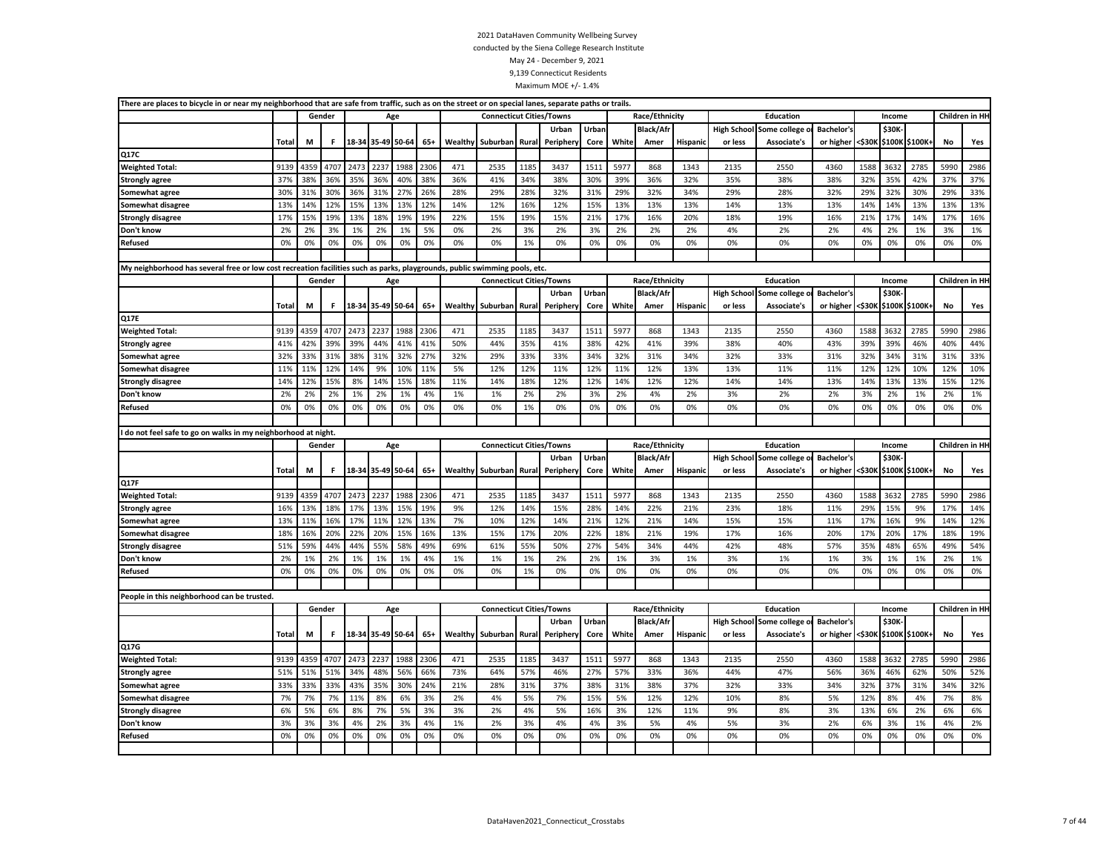| There are places to bicycle in or near my neighborhood that are safe from traffic, such as on the street or on special lanes, separate paths or trails. |              |          |          |          |                   |          |          |          |                                 |          |           |          |          |                          |                 |                               |                               |                   |          |              |                       |           |                 |
|---------------------------------------------------------------------------------------------------------------------------------------------------------|--------------|----------|----------|----------|-------------------|----------|----------|----------|---------------------------------|----------|-----------|----------|----------|--------------------------|-----------------|-------------------------------|-------------------------------|-------------------|----------|--------------|-----------------------|-----------|-----------------|
|                                                                                                                                                         |              |          | Gender   |          | Age               |          |          |          | <b>Connecticut Cities/Towns</b> |          |           |          |          | Race/Ethnicity           |                 |                               | Education                     |                   |          | Income       |                       |           | Children in HI  |
|                                                                                                                                                         |              |          |          |          |                   |          |          |          |                                 |          | Urban     | Urban    |          | <b>Black/Afr</b>         |                 | <b>High School</b>            | Some college                  | <b>Bachelor's</b> |          | <b>\$30K</b> |                       |           |                 |
|                                                                                                                                                         | Total        | M        | F.       |          | 18-34 35-49 50-64 |          | $65+$    | Wealthy  | Suburban                        | Rural    | Periphery | Core     | White    | Amer                     | Hispanic        | or less                       | Associate's                   | or higher         | <\$30K   |              | \$100K \$100K+        | No        | Yes             |
| Q17C                                                                                                                                                    |              |          |          |          |                   |          |          |          |                                 |          |           |          |          |                          |                 |                               |                               |                   |          |              |                       |           |                 |
| <b>Weighted Total:</b>                                                                                                                                  | 9139         | 4359     | 4707     | 2473     | 223               | 1988     | 2306     | 471      | 2535                            | 1185     | 3437      | 1511     | 5977     | 868                      | 1343            | 2135                          | 2550                          | 4360              | 1588     | 3632         | 2785                  | 5990      | 2986            |
| <b>Strongly agree</b>                                                                                                                                   | 37%          | 38%      | 36%      | 35%      | 36%               | 40%      | 38%      | 36%      | 41%                             | 34%      | 38%       | 30%      | 39%      | 36%                      | 32%             | 35%                           | 38%                           | 38%               | 32%      | 35%          | 42%                   | 37%       | 37%             |
| Somewhat agree                                                                                                                                          | 30%          | 31%      | 30%      | 36%      | 31%               | 27%      | 26%      | 28%      | 29%                             | 28%      | 32%       | 31%      | 29%      | 32%                      | 34%             | 29%                           | 28%                           | 32%               | 29%      | 32%          | 30%                   | 29%       | 33%             |
| Somewhat disagree                                                                                                                                       | 13%          | 14%      | 12%      | 15%      | 13%               | 13%      | 12%      | 14%      | 12%                             | 16%      | 12%       | 15%      | 13%      | 13%                      | 13%             | 14%                           | 13%                           | 13%               | 14%      | 14%          | 13%                   | 13%       | 13%             |
| <b>Strongly disagree</b>                                                                                                                                | 17%          | 15%      | 19%      | 13%      | 18%               | 19%      | 19%      | 22%      | 15%                             | 19%      | 15%       | 21%      | 17%      | 16%                      | 20%             | 18%                           | 19%                           | 16%               | 21%      | 17%          | 14%                   | 17%       | 16%             |
| Don't know                                                                                                                                              | 2%           | 2%       | 3%       | 1%       | 2%                | 1%       | 5%       | 0%       | 2%                              | 3%       | 2%        | 3%       | 2%       | 2%                       | 2%              | 4%                            | 2%                            | 2%                | 4%       | 2%           | 1%                    | 3%        | 1%              |
| Refused                                                                                                                                                 | 0%           | 0%       | 0%       | 0%       | 0%                | 0%       | 0%       | 0%       | 0%                              | 1%       | 0%        | 0%       | 0%       | 0%                       | 0%              | 0%                            | 0%                            | 0%                | 0%       | 0%           | 0%                    | 0%        | 0%              |
|                                                                                                                                                         |              |          |          |          |                   |          |          |          |                                 |          |           |          |          |                          |                 |                               |                               |                   |          |              |                       |           |                 |
| My neighborhood has several free or low cost recreation facilities such as parks, playgrounds, public swimming pools, etc.                              |              |          |          |          |                   |          |          |          |                                 |          |           |          |          |                          |                 |                               |                               |                   |          |              |                       |           |                 |
|                                                                                                                                                         |              |          | Gender   |          | Age               |          |          |          | <b>Connecticut Cities/Towns</b> |          |           |          |          | Race/Ethnicity           |                 |                               | Education                     |                   |          | Income       |                       |           | Children in HI  |
|                                                                                                                                                         |              |          |          |          |                   |          |          |          |                                 |          | Urban     | Urban    |          | <b>Black/Afr</b>         |                 | <b>High School</b>            | Some college                  | <b>Bachelor's</b> |          | \$30K        |                       |           |                 |
|                                                                                                                                                         | <b>Total</b> | M        | F.       |          | 18-34 35-49 50-64 |          | $65+$    | Wealthy  | Suburban                        | Rural    | Peripher  | Core     | White    | Amer                     | Hispanic        | or less                       | Associate's                   | or higher         |          |              | <\$30K \$100K \$100K+ | No        | Yes             |
| <b>Q17E</b>                                                                                                                                             |              |          |          |          |                   |          |          |          |                                 |          |           |          |          |                          |                 |                               |                               |                   |          |              |                       |           |                 |
| <b>Weighted Total:</b>                                                                                                                                  | 9139         | 4359     | 4707     | 2473     | 2237              | 1988     | 2306     | 471      | 2535                            | 1185     | 3437      | 1511     | 5977     | 868                      | 1343            | 2135                          | 2550                          | 4360              | 1588     | 3632         | 2785                  | 5990      | 2986            |
| <b>Strongly agree</b>                                                                                                                                   | 41%          | 42%      | 39%      | 39%      | 44%               | 41%      | 41%      | 50%      | 44%                             | 35%      | 41%       | 38%      | 42%      | 41%                      | 39%             | 38%                           | 40%                           | 43%               | 39%      | 39%          | 46%                   | 40%       | 44%             |
| Somewhat agree                                                                                                                                          | 32%          | 33%      | 31%      | 38%      | 31%               | 32%      | 27%      | 32%      | 29%                             | 33%      | 33%       | 34%      | 32%      | 31%                      | 34%             | 32%                           | 33%                           | 31%               | 32%      | 34%          | 31%                   | 31%       | 33%             |
| Somewhat disagree                                                                                                                                       | 11%          | 11%      | 12%      | 14%      | 9%                | 10%      | 11%      | 5%       | 12%                             | 12%      | 11%       | 12%      | 11%      | 12%                      | 13%             | 13%                           | 11%                           | 11%               | 12%      | 12%          | 10%                   | 12%       | 10%             |
| <b>Strongly disagree</b>                                                                                                                                | 14%          | 12%      | 15%      | 8%       | 14%               | 15%      | 18%      | 11%      | 14%                             | 18%      | 12%       | 12%      | 14%      | 12%                      | 12%             | 14%                           | 14%                           | 13%               | 14%      | 13%          | 13%                   | 15%       | 12%             |
| Don't know                                                                                                                                              | 2%           | 2%       | 2%       | 1%       | 2%                | 1%       | 4%       | 1%       | 1%                              | 2%       | 2%        | 3%       | 2%       | 4%                       | 2%              | 3%                            | 2%                            | 2%                | 3%       | 2%           | 1%                    | 2%        | 1%              |
| <b>Refused</b>                                                                                                                                          | 0%           | 0%       | 0%       | 0%       | 0%                | 0%       | 0%       | 0%       | 0%                              | 1%       | 0%        | 0%       | 0%       | 0%                       | 0%              | 0%                            | 0%                            | 0%                | 0%       | 0%           | 0%                    | 0%        | 0%              |
|                                                                                                                                                         |              |          |          |          |                   |          |          |          |                                 |          |           |          |          |                          |                 |                               |                               |                   |          |              |                       |           |                 |
|                                                                                                                                                         |              |          |          |          |                   |          |          |          |                                 |          |           |          |          |                          |                 |                               |                               |                   |          |              |                       |           |                 |
|                                                                                                                                                         |              |          |          |          |                   |          |          |          |                                 |          |           |          |          |                          |                 |                               |                               |                   |          |              |                       |           |                 |
| I do not feel safe to go on walks in my neighborhood at night.                                                                                          |              |          |          |          |                   |          |          |          |                                 |          |           |          |          |                          |                 |                               |                               |                   |          |              |                       |           |                 |
|                                                                                                                                                         |              |          | Gender   |          | Age               |          |          |          | <b>Connecticut Cities/Towns</b> |          |           |          |          | Race/Ethnicity           |                 |                               | Education                     |                   |          | Income       |                       |           | Children in HI- |
|                                                                                                                                                         | <b>Total</b> | М        | F.       |          | 18-34 35-49 50-64 |          |          |          |                                 | Rural    | Urban     | Urban    | White    | <b>Black/Afr</b><br>Amer |                 | <b>High School</b><br>or less | Some college o<br>Associate's | <b>Bachelor's</b> |          | \$30K-       |                       | <b>No</b> |                 |
|                                                                                                                                                         |              |          |          |          |                   |          | $65+$    | Wealthy  | Suburban                        |          | Peripher  | Core     |          |                          | Hispanic        |                               |                               | or higher         | <\$30K   |              | \$100K \$100K+        |           | Yes             |
| Q17F                                                                                                                                                    |              |          |          |          |                   |          |          |          |                                 |          |           |          |          |                          |                 |                               |                               |                   |          |              |                       |           |                 |
| <b>Weighted Total:</b>                                                                                                                                  | 9139         | 4359     | 4707     | 2473     | 2237              | 1988     | 2306     | 471      | 2535                            | 1185     | 3437      | 1511     | 5977     | 868                      | 1343            | 2135                          | 2550                          | 4360              | 1588     | 3632         | 2785                  | 5990      | 2986            |
| <b>Strongly agree</b>                                                                                                                                   | 16%          | 13%      | 18%      | 17%      | 13%               | 15%      | 19%      | 9%       | 12%                             | 14%      | 15%       | 28%      | 14%      | 22%                      | 21%             | 23%                           | 18%                           | 11%               | 29%      | 15%          | 9%                    | 17%       | 14%             |
| Somewhat agree                                                                                                                                          | 13%          | 11%      | 16%      | 17%      | 11%               | 12%      | 13%      | 7%       | 10%                             | 12%      | 14%       | 21%      | 12%      | 21%                      | 14%             | 15%                           | 15%                           | 11%               | 17%      | 16%          | 9%                    | 14%       | 12%             |
| Somewhat disagree                                                                                                                                       | 18%          | 16%      | 20%      | 22%      | 20%               | 15%      | 16%      | 13%      | 15%                             | 17%      | 20%       | 22%      | 18%      | 21%                      | 19%             | 17%                           | 16%                           | 20%               | 17%      | 20%          | 17%                   | 18%       | 19%             |
| <b>Strongly disagree</b>                                                                                                                                | 51%          | 59%      | 44%      | 44%      | 55%               | 58%      | 49%      | 69%      | 61%                             | 55%      | 50%       | 27%      | 54%      | 34%                      | 44%             | 42%                           | 48%                           | 57%               | 35%      | 48%          | 65%                   | 49%       | 54%             |
| Don't know                                                                                                                                              | 2%           | 1%       | 2%       | 1%       | 1%                | 1%       | 4%       | 1%       | 1%                              | 1%       | 2%        | 2%       | 1%       | 3%                       | 1%              | 3%                            | 1%                            | 1%                | 3%       | 1%           | 1%                    | 2%        | 1%              |
| <b>Refused</b>                                                                                                                                          | 0%           | 0%       | 0%       | 0%       | 0%                | 0%       | 0%       | 0%       | 0%                              | 1%       | 0%        | 0%       | 0%       | 0%                       | 0%              | 0%                            | 0%                            | 0%                | 0%       | 0%           | 0%                    | 0%        | 0%              |
|                                                                                                                                                         |              |          |          |          |                   |          |          |          |                                 |          |           |          |          |                          |                 |                               |                               |                   |          |              |                       |           |                 |
| People in this neighborhood can be trusted.                                                                                                             |              |          |          |          |                   |          |          |          |                                 |          |           |          |          |                          |                 |                               |                               |                   |          |              |                       |           |                 |
|                                                                                                                                                         |              |          | Gender   |          | Age               |          |          |          | <b>Connecticut Cities/Towns</b> |          |           |          |          | Race/Ethnicity           |                 |                               | Education                     |                   |          | Income       |                       |           | Children in HI  |
|                                                                                                                                                         |              |          |          |          |                   |          |          |          |                                 |          | Urban     | Urban    |          | <b>Black/Afr</b>         |                 | <b>High School</b>            | Some college o                | Bachelor's        |          | \$30K-       |                       |           |                 |
|                                                                                                                                                         | Total        | М        | F.       |          | 18-34 35-49 50-64 |          | $65+$    | Wealthy  | Suburban                        | Rural    | Peripher  | Core     | White    | Amer                     | <b>Hispanic</b> | or less                       | Associate's                   | or higher         |          |              | <\$30K \$100K \$100K+ | No        | Yes             |
| Q17G                                                                                                                                                    |              |          |          |          |                   |          |          |          |                                 |          |           |          |          |                          |                 |                               |                               |                   |          |              |                       |           |                 |
| <b>Weighted Total:</b>                                                                                                                                  | 9139         | 4359     | 4707     | 2473     | 2237              | 1988     | 2306     | 471      | 2535                            | 1185     | 3437      | 1511     | 5977     | 868                      | 1343            | 2135                          | 2550                          | 4360              | 1588     | 3632         | 2785                  | 5990      | 2986            |
| <b>Strongly agree</b>                                                                                                                                   | 51%          | 51%      | 51%      | 34%      | 48%               | 56%      | 66%      | 73%      | 64%                             | 57%      | 46%       | 27%      | 57%      | 33%                      | 36%             | 44%                           | 47%                           | 56%               | 36%      | 46%          | 62%                   | 50%       | 52%             |
| Somewhat agree                                                                                                                                          | 33%          | 33%      | 33%      | 43%      | 35%               | 30%      | 24%      | 21%      | 28%                             | 31%      | 37%       | 38%      | 31%      | 38%                      | 37%             | 32%                           | 33%                           | 34%               | 32%      | 37%          | 31%                   | 34%       | 32%             |
| <b>Somewhat disagree</b>                                                                                                                                | 7%           | 7%       | 7%       | 11%      | 8%                | 6%       | 3%       | 2%       | 4%                              | 5%       | 7%        | 15%      | 5%       | 12%                      | 12%             | 10%                           | 8%                            | 5%                | 12%      | 8%           | 4%                    | 7%        | 8%              |
| <b>Strongly disagree</b>                                                                                                                                | 6%           | 5%       | 6%       | 8%       | 7%                | 5%       | 3%       | 3%       | 2%                              | 4%       | 5%        | 16%      | 3%       | 12%                      | 11%             | 9%                            | 8%                            | 3%                | 13%      | 6%           | 2%                    | 6%        | 6%              |
| Don't know<br><b>Refused</b>                                                                                                                            | 3%<br>0%     | 3%<br>0% | 3%<br>0% | 4%<br>0% | 2%<br>0%          | 3%<br>0% | 4%<br>0% | 1%<br>0% | 2%<br>0%                        | 3%<br>0% | 4%<br>0%  | 4%<br>0% | 3%<br>0% | 5%<br>0%                 | 4%<br>0%        | 5%<br>0%                      | 3%<br>0%                      | 2%<br>0%          | 6%<br>0% | 3%<br>0%     | 1%<br>0%              | 4%<br>0%  | 2%<br>0%        |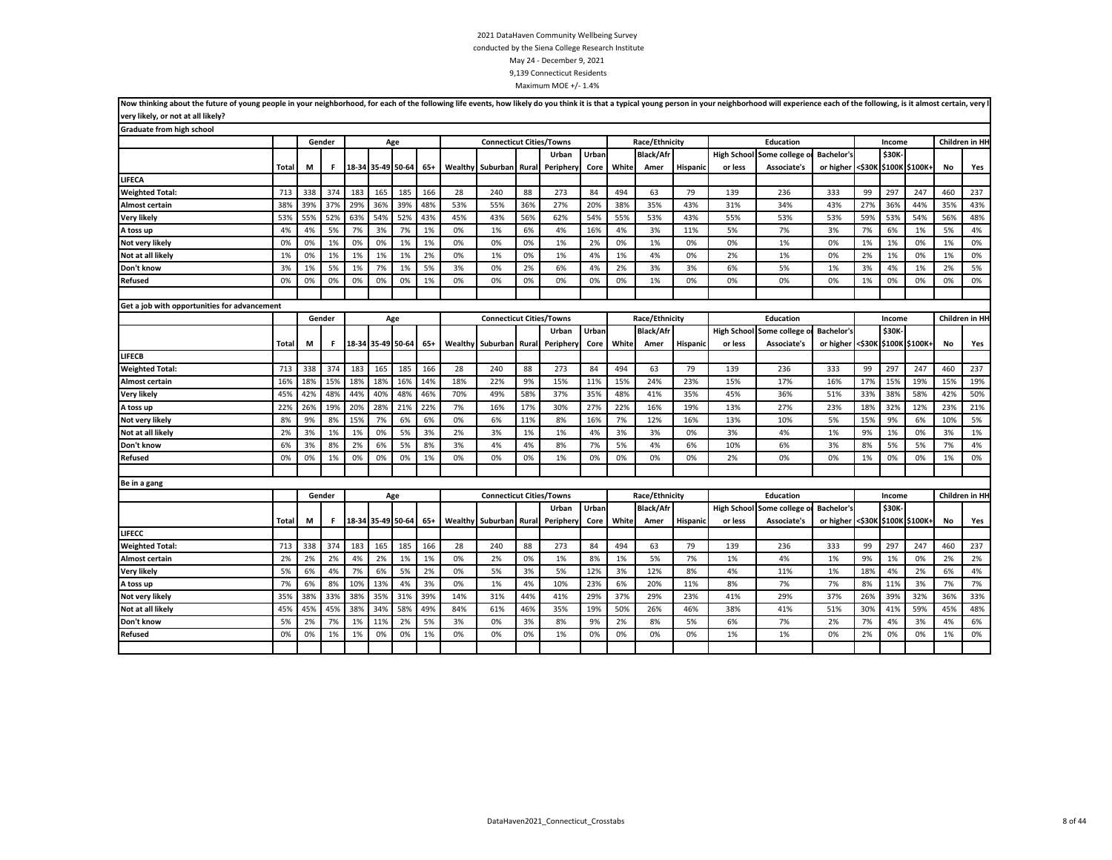| Now thinking about the future of young people in your neighborhood, for each of the following life events, how likely do you think it is that a typical young person in your neighborhood will experience each of the followin |              |     |        |                   |                   |     |       |         |                                 |       |           |       |       |                  |          |         |                                 |                   |        |        |                |           |                |
|--------------------------------------------------------------------------------------------------------------------------------------------------------------------------------------------------------------------------------|--------------|-----|--------|-------------------|-------------------|-----|-------|---------|---------------------------------|-------|-----------|-------|-------|------------------|----------|---------|---------------------------------|-------------------|--------|--------|----------------|-----------|----------------|
| very likely, or not at all likely?                                                                                                                                                                                             |              |     |        |                   |                   |     |       |         |                                 |       |           |       |       |                  |          |         |                                 |                   |        |        |                |           |                |
| Graduate from high school                                                                                                                                                                                                      |              |     |        |                   |                   |     |       |         |                                 |       |           |       |       |                  |          |         |                                 |                   |        |        |                |           |                |
|                                                                                                                                                                                                                                |              |     | Gender |                   |                   | Age |       |         | <b>Connecticut Cities/Towns</b> |       |           |       |       | Race/Ethnicity   |          |         | Education                       |                   |        | Income |                |           | Children in HH |
|                                                                                                                                                                                                                                |              |     |        |                   |                   |     |       |         |                                 |       | Urban     | Urban |       | <b>Black/Afr</b> |          |         | High School Some college o      | <b>Bachelor's</b> |        | \$30K- |                |           |                |
|                                                                                                                                                                                                                                | Total        | M   | F.     | 18-34 35-49 50-64 |                   |     | $65+$ | Wealthy | Suburban                        | Rural | Periphery | Core  | White | Amer             | Hispanic | or less | Associate's                     | or higher <\$30K  |        |        | \$100K \$100K+ | <b>No</b> | Yes            |
| LIFECA                                                                                                                                                                                                                         |              |     |        |                   |                   |     |       |         |                                 |       |           |       |       |                  |          |         |                                 |                   |        |        |                |           |                |
| <b>Weighted Total:</b>                                                                                                                                                                                                         | 713          | 338 | 374    | 183               | 165               | 185 | 166   | 28      | 240                             | 88    | 273       | 84    | 494   | 63               | 79       | 139     | 236                             | 333               | 99     | 297    | 247            | 460       | 237            |
| Almost certain                                                                                                                                                                                                                 | 38%          | 39% | 37%    | 29%               | 36%               | 39% | 48%   | 53%     | 55%                             | 36%   | 27%       | 20%   | 38%   | 35%              | 43%      | 31%     | 34%                             | 43%               | 27%    | 36%    | 44%            | 35%       | 43%            |
| Very likely                                                                                                                                                                                                                    | 53%          | 55% | 52%    | 63%               | 54%               | 52% | 43%   | 45%     | 43%                             | 56%   | 62%       | 54%   | 55%   | 53%              | 43%      | 55%     | 53%                             | 53%               | 59%    | 53%    | 54%            | 56%       | 48%            |
| A toss up                                                                                                                                                                                                                      | 4%           | 4%  | 5%     | 7%                | 3%                | 7%  | 1%    | 0%      | 1%                              | 6%    | 4%        | 16%   | 4%    | 3%               | 11%      | 5%      | 7%                              | 3%                | 7%     | 6%     | 1%             | 5%        | 4%             |
| Not very likely                                                                                                                                                                                                                | 0%           | 0%  | 1%     | 0%                | 0%                | 1%  | 1%    | 0%      | 0%                              | 0%    | 1%        | 2%    | 0%    | 1%               | 0%       | 0%      | 1%                              | 0%                | 1%     | 1%     | 0%             | 1%        | 0%             |
| Not at all likely                                                                                                                                                                                                              | 1%           | 0%  | 1%     | 1%                | 1%                | 1%  | 2%    | 0%      | 1%                              | 0%    | 1%        | 4%    | 1%    | 4%               | 0%       | 2%      | 1%                              | 0%                | 2%     | 1%     | 0%             | 1%        | 0%             |
| Don't know                                                                                                                                                                                                                     | 3%           | 1%  | 5%     | 1%                | 7%                | 1%  | 5%    | 3%      | 0%                              | 2%    | 6%        | 4%    | 2%    | 3%               | 3%       | 6%      | 5%                              | 1%                | 3%     | 4%     | 1%             | 2%        | 5%             |
| Refused                                                                                                                                                                                                                        | 0%           | 0%  | 0%     | 0%                | 0%                | 0%  | 1%    | 0%      | 0%                              | 0%    | 0%        | 0%    | 0%    | 1%               | 0%       | 0%      | 0%                              | 0%                | 1%     | 0%     | 0%             | 0%        | 0%             |
|                                                                                                                                                                                                                                |              |     |        |                   |                   |     |       |         |                                 |       |           |       |       |                  |          |         |                                 |                   |        |        |                |           |                |
| Get a job with opportunities for advancement                                                                                                                                                                                   |              |     |        |                   |                   |     |       |         |                                 |       |           |       |       |                  |          |         |                                 |                   |        |        |                |           |                |
|                                                                                                                                                                                                                                |              |     | Gender |                   |                   | Age |       |         | <b>Connecticut Cities/Towns</b> |       |           |       |       | Race/Ethnicity   |          |         | <b>Education</b>                |                   |        | Income |                |           | Children in HH |
|                                                                                                                                                                                                                                |              |     |        |                   |                   |     |       |         |                                 |       | Urban     | Urban |       | <b>Black/Afr</b> |          |         | <b>High School Some college</b> | Bachelor's        |        | \$30K  |                |           |                |
|                                                                                                                                                                                                                                | <b>Total</b> | M   | F      |                   | 18-34 35-49 50-64 |     | $65+$ | Wealthy | Suburban                        | Rural | Periphery | Core  | White | Amer             | Hispanio | or less | Associate's                     | or higher         | <\$30K |        | \$100K \$100K+ | No        | Yes            |
| LIFECB                                                                                                                                                                                                                         |              |     |        |                   |                   |     |       |         |                                 |       |           |       |       |                  |          |         |                                 |                   |        |        |                |           |                |
| <b>Weighted Total:</b>                                                                                                                                                                                                         | 713          | 338 | 374    | 183               | 165               | 185 | 166   | 28      | 240                             | 88    | 273       | 84    | 494   | 63               | 79       | 139     | 236                             | 333               | 99     | 297    | 247            | 460       | 237            |
| Almost certain                                                                                                                                                                                                                 | 16%          | 18% | 15%    | 18%               | 18%               | 16% | 14%   | 18%     | 22%                             | 9%    | 15%       | 11%   | 15%   | 24%              | 23%      | 15%     | 17%                             | 16%               | 17%    | 15%    | 19%            | 15%       | 19%            |
| Very likely                                                                                                                                                                                                                    | 45%          | 42% | 48%    | 44%               | 40%               | 48% | 46%   | 70%     | 49%                             | 58%   | 37%       | 35%   | 48%   | 41%              | 35%      | 45%     | 36%                             | 51%               | 33%    | 38%    | 58%            | 42%       | 50%            |
| A toss up                                                                                                                                                                                                                      | 22%          | 26% | 19%    | 20%               | 28%               | 21% | 22%   | 7%      | 16%                             | 17%   | 30%       | 27%   | 22%   | 16%              | 19%      | 13%     | 27%                             | 23%               | 18%    | 32%    | 12%            | 23%       | 21%            |
| Not very likely                                                                                                                                                                                                                | 8%           | 9%  | 8%     | 15%               | 7%                | 6%  | 6%    | 0%      | 6%                              | 11%   | 8%        | 16%   | 7%    | 12%              | 16%      | 13%     | 10%                             | 5%                | 15%    | 9%     | 6%             | 10%       | 5%             |
| Not at all likely                                                                                                                                                                                                              | 2%           | 3%  | 1%     | 1%                | 0%                | 5%  | 3%    | 2%      | 3%                              | 1%    | 1%        | 4%    | 3%    | 3%               | 0%       | 3%      | 4%                              | 1%                | 9%     | 1%     | 0%             | 3%        | 1%             |
| Don't know                                                                                                                                                                                                                     | 6%           | 3%  | 8%     | 2%                | 6%                | 5%  | 8%    | 3%      | 4%                              | 4%    | 8%        | 7%    | 5%    | 4%               | 6%       | 10%     | 6%                              | 3%                | 8%     | 5%     | 5%             | 7%        | 4%             |
| Refused                                                                                                                                                                                                                        | 0%           | 0%  | 1%     | 0%                | 0%                | 0%  | 1%    | 0%      | 0%                              | 0%    | 1%        | 0%    | 0%    | 0%               | 0%       | 2%      | 0%                              | 0%                | 1%     | 0%     | 0%             | 1%        | 0%             |
|                                                                                                                                                                                                                                |              |     |        |                   |                   |     |       |         |                                 |       |           |       |       |                  |          |         |                                 |                   |        |        |                |           |                |
| Be in a gang                                                                                                                                                                                                                   |              |     |        |                   |                   |     |       |         |                                 |       |           |       |       |                  |          |         |                                 |                   |        |        |                |           |                |
|                                                                                                                                                                                                                                |              |     | Gender |                   |                   | Age |       |         | <b>Connecticut Cities/Towns</b> |       |           |       |       | Race/Ethnicity   |          |         | <b>Education</b>                |                   |        | Income |                |           | Children in HH |
|                                                                                                                                                                                                                                |              |     |        |                   |                   |     |       |         |                                 |       | Urban     | Urban |       | <b>Black/Afr</b> |          |         | High School Some college        | <b>Bachelor's</b> |        | \$30K  |                |           |                |
|                                                                                                                                                                                                                                | <b>Total</b> | M   | F.     |                   | 18-34 35-49 50-64 |     | $65+$ | Wealthy | Suburban                        | Rural | Periphery | Core  | White | Amer             | Hispanic | or less | Associate's                     | or higher         | <\$30K |        | \$100K \$100K+ | No        | Yes            |
| LIFECC                                                                                                                                                                                                                         |              |     |        |                   |                   |     |       |         |                                 |       |           |       |       |                  |          |         |                                 |                   |        |        |                |           |                |
| <b>Weighted Total:</b>                                                                                                                                                                                                         | 713          | 338 | 374    | 183               | 165               | 185 | 166   | 28      | 240                             | 88    | 273       | 84    | 494   | 63               | 79       | 139     | 236                             | 333               | 99     | 297    | 247            | 460       | 237            |
| Almost certain                                                                                                                                                                                                                 | 2%           | 2%  | 2%     | 4%                | 2%                | 1%  | 1%    | 0%      | 2%                              | 0%    | 1%        | 8%    | 1%    | 5%               | 7%       | 1%      | 4%                              | 1%                | 9%     | 1%     | 0%             | 2%        | 2%             |
| Very likely                                                                                                                                                                                                                    | 5%           | 6%  | 4%     | 7%                | 6%                | 5%  | 2%    | 0%      | 5%                              | 3%    | 5%        | 12%   | 3%    | 12%              | 8%       | 4%      | 11%                             | 1%                | 18%    | 4%     | 2%             | 6%        | 4%             |
| A toss up                                                                                                                                                                                                                      | 7%           | 6%  | 8%     | 10%               | 13%               | 4%  | 3%    | 0%      | 1%                              | 4%    | 10%       | 23%   | 6%    | 20%              | 11%      | 8%      | 7%                              | 7%                | 8%     | 11%    | 3%             | 7%        | 7%             |
| Not very likely                                                                                                                                                                                                                | 35%          | 38% | 33%    | 38%               | 35%               | 31% | 39%   | 14%     | 31%                             | 44%   | 41%       | 29%   | 37%   | 29%              | 23%      | 41%     | 29%                             | 37%               | 26%    | 39%    | 32%            | 36%       | 33%            |
| Not at all likely                                                                                                                                                                                                              | 45%          | 45% | 45%    | 38%               | 34%               | 58% | 49%   | 84%     | 61%                             | 46%   | 35%       | 19%   | 50%   | 26%              | 46%      | 38%     | 41%                             | 51%               | 30%    | 41%    | 59%            | 45%       | 48%            |
| Don't know                                                                                                                                                                                                                     | 5%           | 2%  | 7%     | 1%                | 11%               | 2%  | 5%    | 3%      | 0%                              | 3%    | 8%        | 9%    | 2%    | 8%               | 5%       | 6%      | 7%                              | 2%                | 7%     | 4%     | 3%             | 4%        | 6%             |
| Refused                                                                                                                                                                                                                        | 0%           | 0%  | 1%     | 1%                | 0%                | 0%  | 1%    | 0%      | 0%                              | 0%    | 1%        | 0%    | 0%    | 0%               | 0%       | 1%      | 1%                              | 0%                | 2%     | 0%     | 0%             | 1%        | 0%             |
|                                                                                                                                                                                                                                |              |     |        |                   |                   |     |       |         |                                 |       |           |       |       |                  |          |         |                                 |                   |        |        |                |           |                |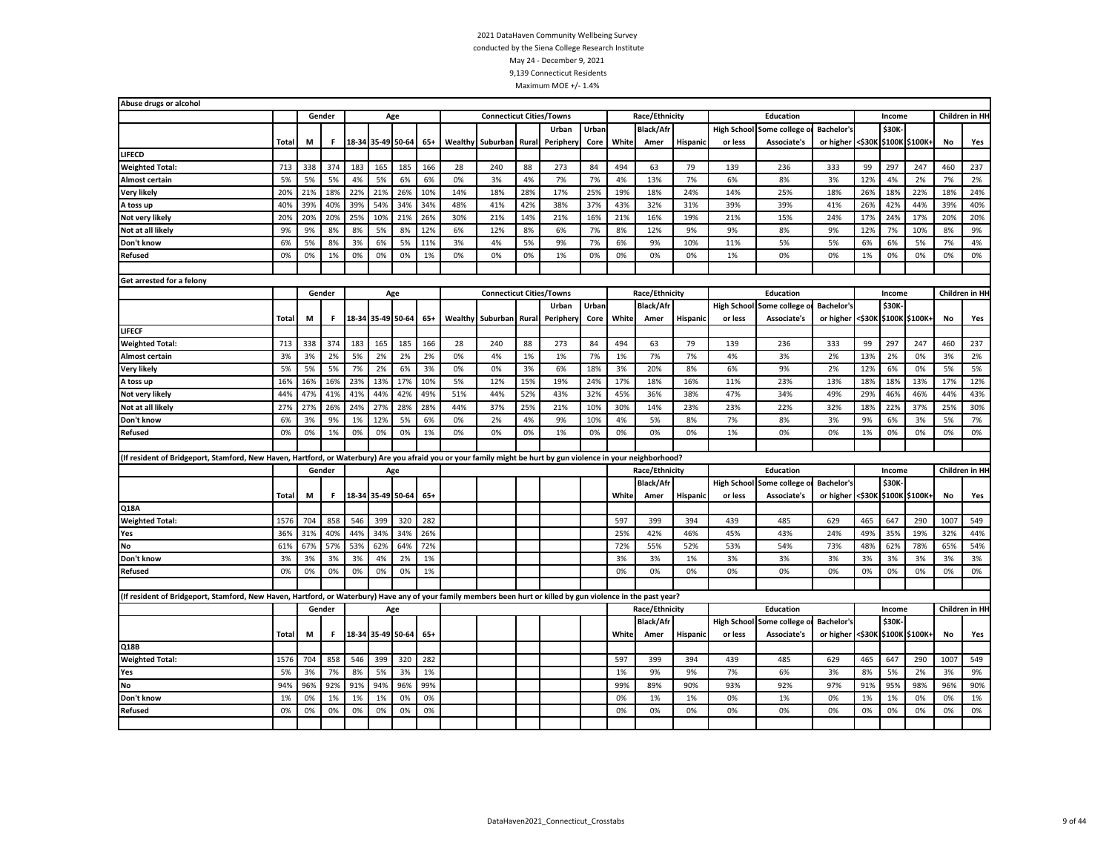| Abuse drugs or alcohol                                                                                                                                         |              |     |        |     |                   |     |       |         |                                 |       |          |       |       |                  |                 |         |                                 |                   |        |        |                |      |                |
|----------------------------------------------------------------------------------------------------------------------------------------------------------------|--------------|-----|--------|-----|-------------------|-----|-------|---------|---------------------------------|-------|----------|-------|-------|------------------|-----------------|---------|---------------------------------|-------------------|--------|--------|----------------|------|----------------|
|                                                                                                                                                                |              |     | Gender |     | Age               |     |       |         | <b>Connecticut Cities/Towns</b> |       |          |       |       | Race/Ethnicity   |                 |         | Education                       |                   |        | Income |                |      | Children in HI |
|                                                                                                                                                                |              |     |        |     |                   |     |       |         |                                 |       | Urban    | Urban |       | <b>Black/Afr</b> |                 |         | High School Some college o      | <b>Bachelor's</b> |        | \$30K  |                |      |                |
|                                                                                                                                                                | Total        | М   | F.     |     | 18-34 35-49 50-64 |     | $65+$ | Wealthy | Suburban                        | Rural | Peripher | Core  | White | Amer             | <b>Hispanic</b> | or less | <b>Associate's</b>              | or higher         | <\$30K |        | \$100K \$100K+ | No   | Yes            |
| LIFECD                                                                                                                                                         |              |     |        |     |                   |     |       |         |                                 |       |          |       |       |                  |                 |         |                                 |                   |        |        |                |      |                |
| <b>Weighted Total:</b>                                                                                                                                         | 713          | 338 | 374    | 183 | 165               | 185 | 166   | 28      | 240                             | 88    | 273      | 84    | 494   | 63               | 79              | 139     | 236                             | 333               | 99     | 297    | 247            | 460  | 237            |
| <b>Almost certain</b>                                                                                                                                          | 5%           | 5%  | 5%     | 4%  | 5%                | 6%  | 6%    | 0%      | 3%                              | 4%    | 7%       | 7%    | 4%    | 13%              | 7%              | 6%      | 8%                              | 3%                | 12%    | 4%     | 2%             | 7%   | 2%             |
| Very likely                                                                                                                                                    | 20%          | 21% | 18%    | 22% | 21%               | 26% | 10%   | 14%     | 18%                             | 28%   | 17%      | 25%   | 19%   | 18%              | 24%             | 14%     | 25%                             | 18%               | 26%    | 18%    | 22%            | 18%  | 24%            |
| A toss up                                                                                                                                                      | 40%          | 39% | 40%    | 39% | 54%               | 34% | 34%   | 48%     | 41%                             | 42%   | 38%      | 37%   | 43%   | 32%              | 31%             | 39%     | 39%                             | 41%               | 26%    | 42%    | 44%            | 39%  | 40%            |
| Not very likely                                                                                                                                                | 20%          | 20% | 20%    | 25% | 10%               | 21% | 26%   | 30%     | 21%                             | 14%   | 21%      | 16%   | 21%   | 16%              | 19%             | 21%     | 15%                             | 24%               | 17%    | 24%    | 17%            | 20%  | 20%            |
| Not at all likely                                                                                                                                              | 9%           | 9%  | 8%     | 8%  | 5%                | 8%  | 12%   | 6%      | 12%                             | 8%    | 6%       | 7%    | 8%    | 12%              | 9%              | 9%      | 8%                              | 9%                | 12%    | 7%     | 10%            | 8%   | 9%             |
| Don't know                                                                                                                                                     | 6%           | 5%  | 8%     | 3%  | 6%                | 5%  | 11%   | 3%      | 4%                              | 5%    | 9%       | 7%    | 6%    | 9%               | 10%             | 11%     | 5%                              | 5%                | 6%     | 6%     | 5%             | 7%   | 4%             |
| <b>Refused</b>                                                                                                                                                 | 0%           | 0%  | 1%     | 0%  | 0%                | 0%  | 1%    | 0%      | 0%                              | 0%    | 1%       | 0%    | 0%    | 0%               | 0%              | 1%      | 0%                              | 0%                | 1%     | 0%     | 0%             | 0%   | 0%             |
|                                                                                                                                                                |              |     |        |     |                   |     |       |         |                                 |       |          |       |       |                  |                 |         |                                 |                   |        |        |                |      |                |
| Get arrested for a felony                                                                                                                                      |              |     |        |     |                   |     |       |         |                                 |       |          |       |       |                  |                 |         |                                 |                   |        |        |                |      |                |
|                                                                                                                                                                |              |     | Gender |     | Age               |     |       |         | <b>Connecticut Cities/Towns</b> |       |          |       |       | Race/Ethnicity   |                 |         | Education                       |                   |        | Income |                |      | Children in HH |
|                                                                                                                                                                |              |     |        |     |                   |     |       |         |                                 |       | Urban    | Urban |       | <b>Black/Afr</b> |                 |         | <b>High School Some college</b> | <b>Bachelor's</b> |        | \$30K  |                |      |                |
|                                                                                                                                                                | Total        | М   | F.     |     | 18-34 35-49 50-64 |     | $65+$ | Wealthy | Suburban                        | Rural | Peripher | Core  | White | Amer             | Hispanic        | or less | <b>Associate's</b>              | or higher         | <\$30К |        | \$100K \$100K+ | No   | Yes            |
| LIFECF                                                                                                                                                         |              |     |        |     |                   |     |       |         |                                 |       |          |       |       |                  |                 |         |                                 |                   |        |        |                |      |                |
| <b>Weighted Total:</b>                                                                                                                                         | 713          | 338 | 374    | 183 | 165               | 185 | 166   | 28      | 240                             | 88    | 273      | 84    | 494   | 63               | 79              | 139     | 236                             | 333               | 99     | 297    | 247            | 460  | 237            |
| <b>Almost certain</b>                                                                                                                                          | 3%           | 3%  | 2%     | 5%  | 2%                | 2%  | 2%    | 0%      | 4%                              | 1%    | 1%       | 7%    | 1%    | 7%               | 7%              | 4%      | 3%                              | 2%                | 13%    | 2%     | 0%             | 3%   | 2%             |
| <b>Very likely</b>                                                                                                                                             | 5%           | 5%  | 5%     | 7%  | 2%                | 6%  | 3%    | 0%      | 0%                              | 3%    | 6%       | 18%   | 3%    | 20%              | 8%              | 6%      | 9%                              | 2%                | 12%    | 6%     | 0%             | 5%   | 5%             |
| A toss up                                                                                                                                                      | 16%          | 16% | 16%    | 23% | 13%               | 17% | 10%   | 5%      | 12%                             | 15%   | 19%      | 24%   | 17%   | 18%              | 16%             | 11%     | 23%                             | 13%               | 18%    | 18%    | 13%            | 17%  | 12%            |
| Not very likely                                                                                                                                                | 44%          | 47% | 41%    | 41% | 44%               | 42% | 49%   | 51%     | 44%                             | 52%   | 43%      | 32%   | 45%   | 36%              | 38%             | 47%     | 34%                             | 49%               | 29%    | 46%    | 46%            | 44%  | 43%            |
| Not at all likely                                                                                                                                              | 27%          | 27% | 26%    | 24% | 27%               | 28% | 28%   | 44%     | 37%                             | 25%   | 21%      | 10%   | 30%   | 14%              | 23%             | 23%     | 22%                             | 32%               | 18%    | 22%    | 37%            | 25%  | 30%            |
| Don't know                                                                                                                                                     | 6%           | 3%  | 9%     | 1%  | 12%               | 5%  | 6%    | 0%      | 2%                              | 4%    | 9%       | 10%   | 4%    | 5%               | 8%              | 7%      | 8%                              | 3%                | 9%     | 6%     | 3%             | 5%   | 7%             |
| <b>Refused</b>                                                                                                                                                 | 0%           | 0%  | 1%     | 0%  | 0%                | 0%  | 1%    | 0%      | 0%                              | 0%    | 1%       | 0%    | 0%    | 0%               | 0%              | 1%      | 0%                              | 0%                | 1%     | 0%     | 0%             | 0%   | 0%             |
|                                                                                                                                                                |              |     |        |     |                   |     |       |         |                                 |       |          |       |       |                  |                 |         |                                 |                   |        |        |                |      |                |
| (If resident of Bridgeport, Stamford, New Haven, Hartford, or Waterbury) Are you afraid you or your family might be hurt by gun violence in your neighborhood? |              |     |        |     |                   |     |       |         |                                 |       |          |       |       |                  |                 |         |                                 |                   |        |        |                |      |                |
|                                                                                                                                                                |              |     | Gender |     | Age               |     |       |         |                                 |       |          |       |       | Race/Ethnicity   |                 |         | Education                       |                   |        | Income |                |      | Children in HH |
|                                                                                                                                                                |              |     |        |     |                   |     |       |         |                                 |       |          |       |       | <b>Black/Afr</b> |                 |         | High School Some college        | <b>Bachelor's</b> |        | \$30K  |                |      |                |
|                                                                                                                                                                | Total        | М   | F.     |     | 18-34 35-49 50-64 |     | $65+$ |         |                                 |       |          |       | White | Amer             | Hispanic        | or less | <b>Associate's</b>              | or higher <\$30K  |        |        | \$100K \$100K+ | No   | Yes            |
| Q18A                                                                                                                                                           |              |     |        |     |                   |     |       |         |                                 |       |          |       |       |                  |                 |         |                                 |                   |        |        |                |      |                |
| <b>Weighted Total:</b>                                                                                                                                         | 1576         | 704 | 858    | 546 | 399               | 320 | 282   |         |                                 |       |          |       | 597   | 399              | 394             | 439     | 485                             | 629               | 465    | 647    | 290            | 1007 | 549            |
| Yes                                                                                                                                                            | 36%          | 31% | 40%    | 44% | 34%               | 34% | 26%   |         |                                 |       |          |       | 25%   | 42%              | 46%             | 45%     | 43%                             | 24%               | 49%    | 35%    | 19%            | 32%  | 44%            |
| No                                                                                                                                                             | 61%          | 67% | 57%    | 53% | 62%               | 64% | 72%   |         |                                 |       |          |       | 72%   | 55%              | 52%             | 53%     | 54%                             | 73%               | 48%    | 62%    | 78%            | 65%  | 54%            |
| Don't know                                                                                                                                                     | 3%           | 3%  | 3%     | 3%  | 4%                | 2%  | 1%    |         |                                 |       |          |       | 3%    | 3%               | 1%              | 3%      | 3%                              | 3%                | 3%     | 3%     | 3%             | 3%   | 3%             |
| <b>Refused</b>                                                                                                                                                 | 0%           | 0%  | 0%     | 0%  | 0%                | 0%  | 1%    |         |                                 |       |          |       | 0%    | 0%               | 0%              | 0%      | 0%                              | 0%                | 0%     | 0%     | 0%             | 0%   | 0%             |
|                                                                                                                                                                |              |     |        |     |                   |     |       |         |                                 |       |          |       |       |                  |                 |         |                                 |                   |        |        |                |      |                |
| (If resident of Bridgeport, Stamford, New Haven, Hartford, or Waterbury) Have any of your family members been hurt or killed by gun violence in the past year? |              |     |        |     |                   |     |       |         |                                 |       |          |       |       |                  |                 |         |                                 |                   |        |        |                |      |                |
|                                                                                                                                                                |              |     | Gender |     |                   | Age |       |         |                                 |       |          |       |       | Race/Ethnicity   |                 |         | Education                       |                   |        | Income |                |      | Children in HH |
|                                                                                                                                                                |              |     |        |     |                   |     |       |         |                                 |       |          |       |       | <b>Black/Afr</b> |                 |         | High School Some college        | <b>Bachelor's</b> |        | \$30K- |                |      |                |
|                                                                                                                                                                | <b>Total</b> | M   | F.     |     | 18-34 35-49 50-64 |     | $65+$ |         |                                 |       |          |       | White | Amer             | <b>Hispanic</b> | or less | Associate's                     | or higher         | <\$30K |        | \$100K \$100K+ | No   | Yes            |
| Q18B                                                                                                                                                           |              |     |        |     |                   |     |       |         |                                 |       |          |       |       |                  |                 |         |                                 |                   |        |        |                |      |                |
| <b>Weighted Total:</b>                                                                                                                                         | 1576         | 704 | 858    | 546 | 399               | 320 | 282   |         |                                 |       |          |       | 597   | 399              | 394             | 439     | 485                             | 629               | 465    | 647    | 290            | 1007 | 549            |
| Yes                                                                                                                                                            | 5%           | 3%  | 7%     | 8%  | 5%                | 3%  | 1%    |         |                                 |       |          |       | 1%    | 9%               | 9%              | 7%      | 6%                              | 3%                | 8%     | 5%     | 2%             | 3%   | 9%             |
| <b>No</b>                                                                                                                                                      | 94%          | 96% | 92%    | 91% | 94%               | 96% | 99%   |         |                                 |       |          |       | 99%   | 89%              | 90%             | 93%     | 92%                             | 97%               | 91%    | 95%    | 98%            | 96%  | 90%            |
| Don't know                                                                                                                                                     | 1%           | 0%  | 1%     | 1%  | 1%                | 0%  | 0%    |         |                                 |       |          |       | 0%    | 1%               | 1%              | 0%      | 1%                              | 0%                | 1%     | 1%     | 0%             | 0%   | 1%             |
| <b>Refused</b>                                                                                                                                                 | 0%           | 0%  | 0%     | 0%  | 0%                | 0%  | 0%    |         |                                 |       |          |       | 0%    | 0%               | 0%              | 0%      | 0%                              | 0%                | 0%     | 0%     | 0%             | 0%   | 0%             |
|                                                                                                                                                                |              |     |        |     |                   |     |       |         |                                 |       |          |       |       |                  |                 |         |                                 |                   |        |        |                |      |                |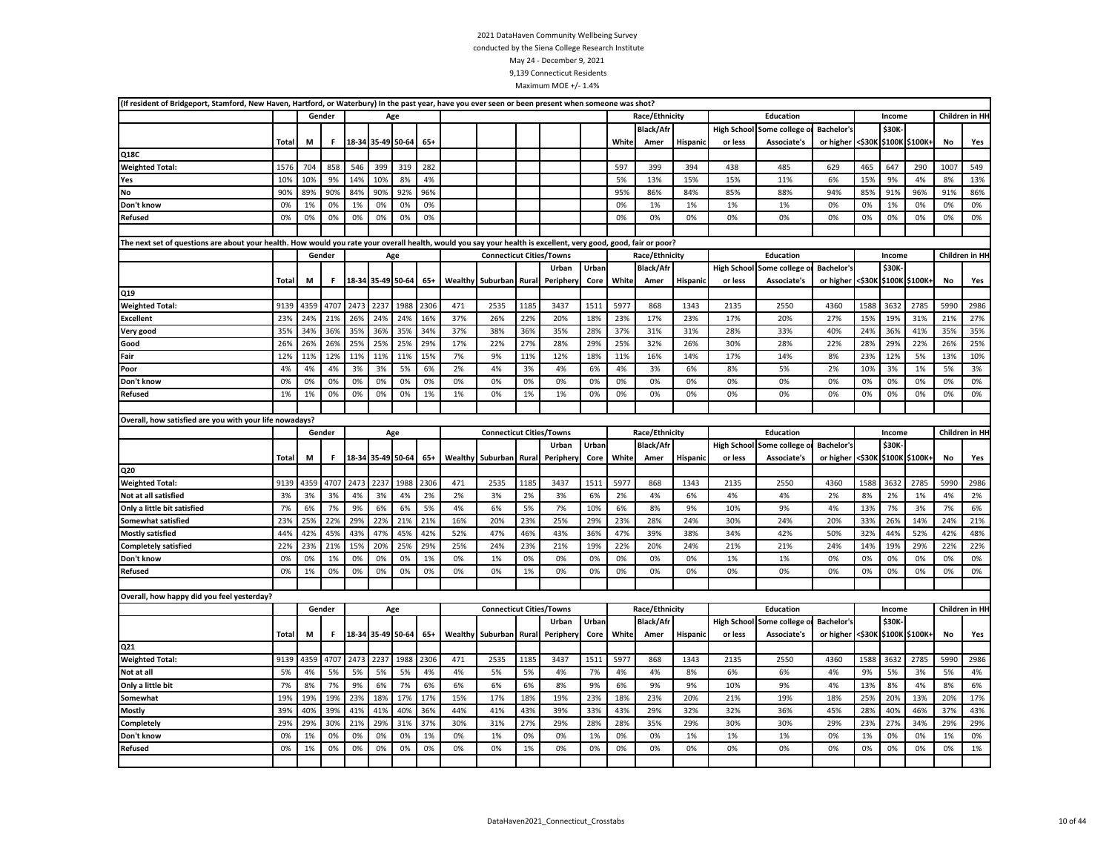| (If resident of Bridgeport, Stamford, New Haven, Hartford, or Waterbury) In the past year, have you ever seen or been present when someone was shot?            |              |      |        |      |                   |      |       |         |                                 |       |          |       |       |                  |                 |         |                                 |                   |        |        |                |           |                |
|-----------------------------------------------------------------------------------------------------------------------------------------------------------------|--------------|------|--------|------|-------------------|------|-------|---------|---------------------------------|-------|----------|-------|-------|------------------|-----------------|---------|---------------------------------|-------------------|--------|--------|----------------|-----------|----------------|
|                                                                                                                                                                 |              |      | Gender |      | Age               |      |       |         |                                 |       |          |       |       | Race/Ethnicity   |                 |         | Education                       |                   |        | Income |                |           | Children in HH |
|                                                                                                                                                                 |              |      |        |      |                   |      |       |         |                                 |       |          |       |       | Black/Af         |                 |         | <b>High School Some college</b> | <b>Bachelor's</b> |        | \$30K  |                |           |                |
|                                                                                                                                                                 | Total        | М    | F.     |      | 18-34 35-49 50-64 |      | $65+$ |         |                                 |       |          |       | White | Amer             | Hispanic        | or less | Associate's                     | or higher         | <\$30К |        | \$100K \$100K  | No        | Yes            |
| Q18C                                                                                                                                                            |              |      |        |      |                   |      |       |         |                                 |       |          |       |       |                  |                 |         |                                 |                   |        |        |                |           |                |
| <b>Weighted Total:</b>                                                                                                                                          | 1576         | 704  | 858    | 546  | 399               | 319  | 282   |         |                                 |       |          |       | 597   | 399              | 394             | 438     | 485                             | 629               | 465    | 647    | 290            | 1007      | 549            |
| Yes                                                                                                                                                             | 10%          | 10%  | 9%     | 14%  | 10%               | 8%   | 4%    |         |                                 |       |          |       | 5%    | 13%              | 15%             | 15%     | 11%                             | 6%                | 15%    | 9%     | 4%             | 8%        | 13%            |
| <b>No</b>                                                                                                                                                       | 90%          | 89%  | 90%    | 84%  | 90%               | 92%  | 96%   |         |                                 |       |          |       | 95%   | 86%              | 84%             | 85%     | 88%                             | 94%               | 85%    | 91%    | 96%            | 91%       | 86%            |
| Don't know                                                                                                                                                      | 0%           | 1%   | 0%     | 1%   | 0%                | 0%   | 0%    |         |                                 |       |          |       | 0%    | 1%               | 1%              | 1%      | 1%                              | 0%                | 0%     | 1%     | 0%             | 0%        | 0%             |
| <b>Refused</b>                                                                                                                                                  | 0%           | 0%   | 0%     | 0%   | 0%                | 0%   | 0%    |         |                                 |       |          |       | 0%    | 0%               | 0%              | 0%      | 0%                              | 0%                | 0%     | 0%     | 0%             | 0%        | 0%             |
|                                                                                                                                                                 |              |      |        |      |                   |      |       |         |                                 |       |          |       |       |                  |                 |         |                                 |                   |        |        |                |           |                |
| The next set of questions are about your health. How would you rate your overall health, would you say your health is excellent, very good, good, fair or poor? |              |      |        |      |                   |      |       |         |                                 |       |          |       |       |                  |                 |         |                                 |                   |        |        |                |           |                |
|                                                                                                                                                                 |              |      | Gender |      | Age               |      |       |         | <b>Connecticut Cities/Towns</b> |       |          |       |       | Race/Ethnicity   |                 |         | Education                       |                   |        | Income |                |           | Children in HH |
|                                                                                                                                                                 |              |      |        |      |                   |      |       |         |                                 |       | Urban    | Urban |       | <b>Black/Afr</b> |                 |         | High School Some college        | <b>Bachelor's</b> |        | \$30K  |                |           |                |
|                                                                                                                                                                 | <b>Total</b> | M    | F.     |      | 18-34 35-49 50-64 |      | $65+$ | Wealthy | Suburban Rural                  |       | Peripher | Core  | White | Amer             | Hispanic        | or less | Associate's                     | or higher <\$30K  |        |        | \$100K \$100K+ | No        | Yes            |
| Q19                                                                                                                                                             |              |      |        |      |                   |      |       |         |                                 |       |          |       |       |                  |                 |         |                                 |                   |        |        |                |           |                |
| <b>Weighted Total:</b>                                                                                                                                          | 9139         | 4359 | 4707   | 2473 | 2237              | 1988 | 2306  | 471     | 2535                            | 1185  | 3437     | 1511  | 5977  | 868              | 1343            | 2135    | 2550                            | 4360              | 1588   | 3632   | 2785           | 5990      | 2986           |
| <b>Excellent</b>                                                                                                                                                | 23%          | 24%  | 21%    | 26%  | 24%               | 24%  | 16%   | 37%     | 26%                             | 22%   | 20%      | 18%   | 23%   | 17%              | 23%             | 17%     | 20%                             | 27%               | 15%    | 19%    | 31%            | 21%       | 27%            |
| Very good                                                                                                                                                       | 35%          | 34%  | 36%    | 35%  | 36%               | 35%  | 34%   | 37%     | 38%                             | 36%   | 35%      | 28%   | 37%   | 31%              | 31%             | 28%     | 33%                             | 40%               | 24%    | 36%    | 41%            | 35%       | 35%            |
| Good                                                                                                                                                            | 26%          | 26%  | 26%    | 25%  | 25%               | 25%  | 29%   | 17%     | 22%                             | 27%   | 28%      | 29%   | 25%   | 32%              | 26%             | 30%     | 28%                             | 22%               | 28%    | 29%    | 22%            | 26%       | 25%            |
| Fair                                                                                                                                                            | 12%          | 11%  | 12%    | 11%  | 11%               | 11%  | 15%   | 7%      | 9%                              | 11%   | 12%      | 18%   | 11%   | 16%              | 14%             | 17%     | 14%                             | 8%                | 23%    | 12%    | 5%             | 13%       | 10%            |
| Poor                                                                                                                                                            | 4%           | 4%   | 4%     | 3%   | 3%                | 5%   | 6%    | 2%      | 4%                              | 3%    | 4%       | 6%    | 4%    | 3%               | 6%              | 8%      | 5%                              | 2%                | 10%    | 3%     | 1%             | 5%        | 3%             |
| Don't know                                                                                                                                                      | 0%           | 0%   | 0%     | 0%   | 0%                | 0%   | 0%    | 0%      | 0%                              | 0%    | 0%       | 0%    | 0%    | 0%               | 0%              | 0%      | 0%                              | 0%                | 0%     | 0%     | 0%             | 0%        | 0%             |
| <b>Refused</b>                                                                                                                                                  | 1%           | 1%   | 0%     | 0%   | 0%                | 0%   | 1%    | 1%      | 0%                              | 1%    | 1%       | 0%    | 0%    | 0%               | 0%              | 0%      | 0%                              | 0%                | 0%     | 0%     | 0%             | 0%        | 0%             |
|                                                                                                                                                                 |              |      |        |      |                   |      |       |         |                                 |       |          |       |       |                  |                 |         |                                 |                   |        |        |                |           |                |
| Overall, how satisfied are you with your life nowadays?                                                                                                         |              |      |        |      |                   |      |       |         |                                 |       |          |       |       |                  |                 |         |                                 |                   |        |        |                |           |                |
|                                                                                                                                                                 |              |      | Gender |      | Age               |      |       |         | <b>Connecticut Cities/Towns</b> |       |          |       |       | Race/Ethnicity   |                 |         | Education                       |                   |        | Income |                |           | Children in HH |
|                                                                                                                                                                 |              |      |        |      |                   |      |       |         |                                 |       | Urban    | Urban |       | <b>Black/Afr</b> |                 |         | High School Some college o      | <b>Bachelor's</b> |        | \$30K  |                |           |                |
|                                                                                                                                                                 | <b>Total</b> | М    | F      |      | 18-34 35-49 50-64 |      | $65+$ | Wealthy | Suburban                        | Rural | Peripher | Core  | White | Amer             | Hispanic        | or less | Associate's                     | or higher         | <\$30K |        | \$100K \$100K+ | <b>No</b> | Yes            |
| Q20                                                                                                                                                             |              |      |        |      |                   |      |       |         |                                 |       |          |       |       |                  |                 |         |                                 |                   |        |        |                |           |                |
| <b>Weighted Total:</b>                                                                                                                                          | 9139         | 4359 | 4707   | 2473 | 2237              | 1988 | 2306  | 471     | 2535                            | 1185  | 3437     | 1511  | 5977  | 868              | 1343            | 2135    | 2550                            | 4360              | 1588   | 3632   | 2785           | 5990      | 2986           |
| Not at all satisfied                                                                                                                                            | 3%           | 3%   | 3%     | 4%   | 3%                | 4%   | 2%    | 2%      | 3%                              | 2%    | 3%       | 6%    | 2%    | 4%               | 6%              | 4%      | 4%                              | 2%                | 8%     | 2%     | 1%             | 4%        | 2%             |
| Only a little bit satisfied                                                                                                                                     | 7%           | 6%   | 7%     | 9%   | 6%                | 6%   | 5%    | 4%      | 6%                              | 5%    | 7%       | 10%   | 6%    | 8%               | 9%              | 10%     | 9%                              | 4%                | 13%    | 7%     | 3%             | 7%        | 6%             |
| Somewhat satisfied                                                                                                                                              | 23%          | 25%  | 22%    | 29%  | 22%               | 21%  | 21%   | 16%     | 20%                             | 23%   | 25%      | 29%   | 23%   | 28%              | 24%             | 30%     | 24%                             | 20%               | 33%    | 26%    | 14%            | 24%       | 21%            |
| <b>Mostly satisfied</b>                                                                                                                                         | 44%          | 42%  | 45%    | 43%  | 47%               | 45%  | 42%   | 52%     | 47%                             | 46%   | 43%      | 36%   | 47%   | 39%              | 38%             | 34%     | 42%                             | 50%               | 32%    | 44%    | 52%            | 42%       | 48%            |
| <b>Completely satisfied</b>                                                                                                                                     | 22%          | 23%  | 21%    | 15%  | 20%               | 25%  | 29%   | 25%     | 24%                             | 23%   | 21%      | 19%   | 22%   | 20%              | 24%             | 21%     | 21%                             | 24%               | 14%    | 19%    | 29%            | 22%       | 22%            |
| Don't know                                                                                                                                                      | 0%           | 0%   | 1%     | 0%   | 0%                | 0%   | 1%    | 0%      | 1%                              | 0%    | 0%       | 0%    | 0%    | 0%               | 0%              | 1%      | 1%                              | 0%                | 0%     | 0%     | 0%             | 0%        | 0%             |
| Refused                                                                                                                                                         | 0%           | 1%   | 0%     | 0%   | 0%                | 0%   | 0%    | 0%      | 0%                              | 1%    | 0%       | 0%    | 0%    | 0%               | 0%              | 0%      | 0%                              | 0%                | 0%     | 0%     | 0%             | 0%        | 0%             |
|                                                                                                                                                                 |              |      |        |      |                   |      |       |         |                                 |       |          |       |       |                  |                 |         |                                 |                   |        |        |                |           |                |
| Overall, how happy did you feel yesterday?                                                                                                                      |              |      |        |      |                   |      |       |         |                                 |       |          |       |       |                  |                 |         |                                 |                   |        |        |                |           |                |
|                                                                                                                                                                 |              |      | Gender |      | Age               |      |       |         | <b>Connecticut Cities/Towns</b> |       |          |       |       | Race/Ethnicity   |                 |         | <b>Education</b>                |                   |        | Income |                |           | Children in HH |
|                                                                                                                                                                 |              |      |        |      |                   |      |       |         |                                 |       | Urban    | Urban |       | Black/Afr        |                 |         | <b>High School Some college</b> | <b>Bachelor's</b> |        | \$30K- |                |           |                |
|                                                                                                                                                                 | Total        | М    | F      |      | 18-34 35-49 50-64 |      | $65+$ |         | Wealthy Suburban                | Rural | Peripher | Core  | White | Amer             | <b>Hispanic</b> | or less | Associate's                     | or higher <\$30K  |        |        | \$100K \$100K+ | No        | Yes            |
| Q21                                                                                                                                                             |              |      |        |      |                   |      |       |         |                                 |       |          |       |       |                  |                 |         |                                 |                   |        |        |                |           |                |
| <b>Weighted Total:</b>                                                                                                                                          | 9139         | 4359 | 4707   | 2473 | 2237              | 1988 | 2306  | 471     | 2535                            | 1185  | 3437     | 1511  | 5977  | 868              | 1343            | 2135    | 2550                            | 4360              | 1588   | 3632   | 2785           | 5990      | 2986           |
| Not at all                                                                                                                                                      | 5%           | 4%   | 5%     | 5%   | 5%                | 5%   | 4%    | 4%      | 5%                              | 5%    | 4%       | 7%    | 4%    | 4%               | 8%              | 6%      | 6%                              | 4%                | 9%     | 5%     | 3%             | 5%        | 4%             |
| Only a little bit                                                                                                                                               | 7%           | 8%   | 7%     | 9%   | 6%                | 7%   | 6%    | 6%      | 6%                              | 6%    | 8%       | 9%    | 6%    | 9%               | 9%              | 10%     | 9%                              | 4%                | 13%    | 8%     | 4%             | 8%        | 6%             |
| Somewhat                                                                                                                                                        | 19%          | 19%  | 19%    | 23%  | 18%               | 17%  | 17%   | 15%     | 17%                             | 18%   | 19%      | 23%   | 18%   | 23%              | 20%             | 21%     | 19%                             | 18%               | 25%    | 20%    | 13%            | 20%       | 17%            |
| <b>Mostly</b>                                                                                                                                                   | 39%          | 40%  | 39%    | 41%  | 41%               | 40%  | 36%   | 44%     | 41%                             | 43%   | 39%      | 33%   | 43%   | 29%              | 32%             | 32%     | 36%                             | 45%               | 28%    | 40%    | 46%            | 37%       | 43%            |
| Completely                                                                                                                                                      | 29%          | 29%  | 30%    | 21%  | 29%               | 31%  | 37%   | 30%     | 31%                             | 27%   | 29%      | 28%   | 28%   | 35%              | 29%             | 30%     | 30%                             | 29%               | 23%    | 27%    | 34%            | 29%       | 29%            |
| Don't know                                                                                                                                                      | 0%           | 1%   | 0%     | 0%   | 0%                | 0%   | 1%    | 0%      | 1%                              | 0%    | 0%       | 1%    | 0%    | 0%               | 1%              | 1%      | 1%                              | 0%                | 1%     | 0%     | 0%             | 1%        | 0%             |
| <b>Refused</b>                                                                                                                                                  | 0%           | 1%   | 0%     | 0%   | 0%                | 0%   | 0%    | 0%      | 0%                              | 1%    | 0%       | 0%    | 0%    | 0%               | 0%              | 0%      | 0%                              | 0%                | 0%     | 0%     | 0%             | 0%        | 1%             |
|                                                                                                                                                                 |              |      |        |      |                   |      |       |         |                                 |       |          |       |       |                  |                 |         |                                 |                   |        |        |                |           |                |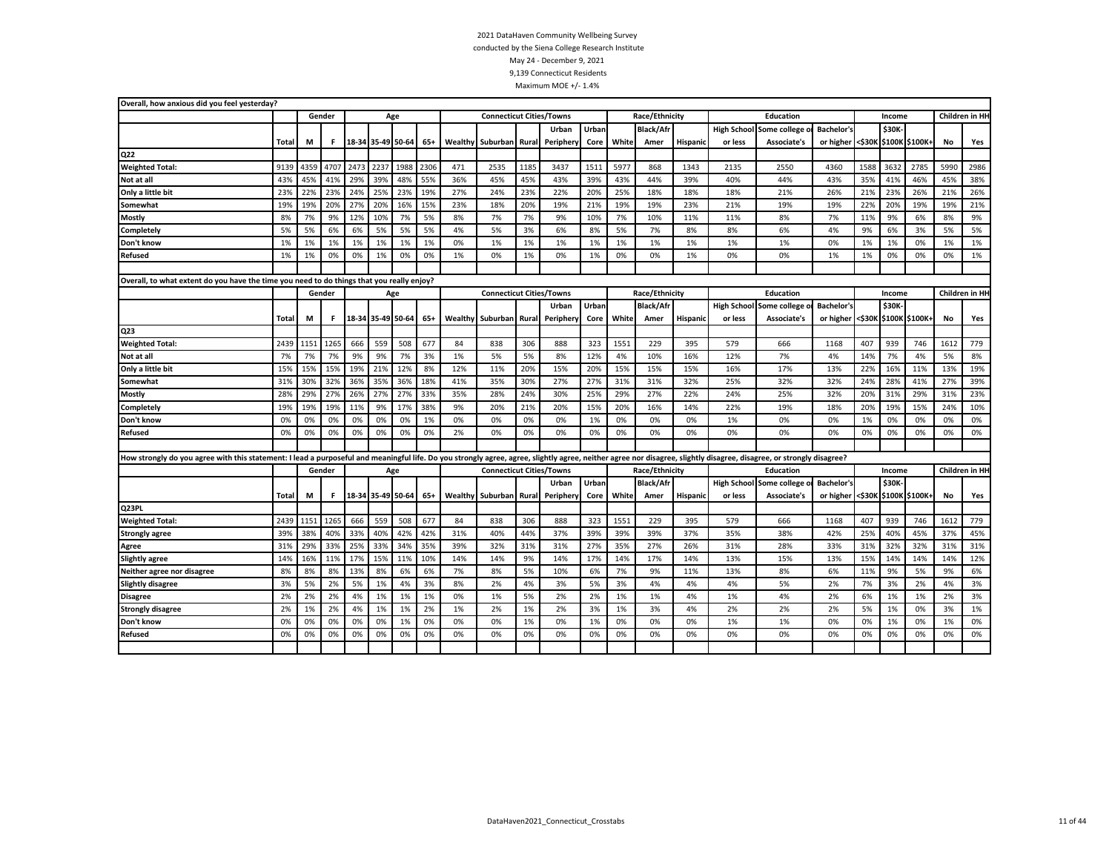| Overall, how anxious did you feel yesterday?                                                                                                                                                                         |              |      |        |      |                   |      |      |     |                                 |              |           |       |       |                  |                 |         |                            |                                 |        |        |                |                |                |
|----------------------------------------------------------------------------------------------------------------------------------------------------------------------------------------------------------------------|--------------|------|--------|------|-------------------|------|------|-----|---------------------------------|--------------|-----------|-------|-------|------------------|-----------------|---------|----------------------------|---------------------------------|--------|--------|----------------|----------------|----------------|
|                                                                                                                                                                                                                      |              |      | Gender |      |                   | Age  |      |     | <b>Connecticut Cities/Towns</b> |              |           |       |       | Race/Ethnicity   |                 |         | <b>Education</b>           |                                 |        | Income |                |                | Children in HH |
|                                                                                                                                                                                                                      |              |      |        |      |                   |      |      |     |                                 |              | Urban     | Urban |       | <b>Black/Afr</b> |                 |         | High School Some college o | <b>Bachelor's</b>               |        | \$30K  |                |                |                |
|                                                                                                                                                                                                                      | Total        | M    | F      |      | 18-34 35-49 50-64 |      | 65+  |     | <b>Wealthy</b> Suburban         | Rural        | Periphery | Core  | White | Amer             | <b>Hispanic</b> | or less | Associate's                | or higher                       | <\$30K |        | \$100K \$100K+ | No             | Yes            |
| Q22                                                                                                                                                                                                                  |              |      |        |      |                   |      |      |     |                                 |              |           |       |       |                  |                 |         |                            |                                 |        |        |                |                |                |
| <b>Weighted Total:</b>                                                                                                                                                                                               | 9139         | 4359 | 4707   | 2473 | 2237              | 1988 | 2306 | 471 | 2535                            | 1185         | 3437      | 1511  | 5977  | 868              | 1343            | 2135    | 2550                       | 4360                            | 1588   | 3632   | 2785           | 5990           | 2986           |
| Not at all                                                                                                                                                                                                           | 43%          | 45%  | 41%    | 29%  | 39%               | 48%  | 55%  | 36% | 45%                             | 45%          | 43%       | 39%   | 43%   | 44%              | 39%             | 40%     | 44%                        | 43%                             | 35%    | 41%    | 46%            | 45%            | 38%            |
| Only a little bit                                                                                                                                                                                                    | 23%          | 22%  | 23%    | 24%  | 25%               | 23%  | 19%  | 27% | 24%                             | 23%          | 22%       | 20%   | 25%   | 18%              | 18%             | 18%     | 21%                        | 26%                             | 21%    | 23%    | 26%            | 21%            | 26%            |
| Somewhat                                                                                                                                                                                                             | 19%          | 19%  | 20%    | 27%  | 20%               | 16%  | 15%  | 23% | 18%                             | 20%          | 19%       | 21%   | 19%   | 19%              | 23%             | 21%     | 19%                        | 19%                             | 22%    | 20%    | 19%            | 19%            | 21%            |
| Mostly                                                                                                                                                                                                               | 8%           | 7%   | 9%     | 12%  | 10%               | 7%   | 5%   | 8%  | 7%                              | 7%           | 9%        | 10%   | 7%    | 10%              | 11%             | 11%     | 8%                         | 7%                              | 11%    | 9%     | 6%             | 8%             | 9%             |
| Completely                                                                                                                                                                                                           | 5%           | 5%   | 6%     | 6%   | 5%                | 5%   | 5%   | 4%  | 5%                              | 3%           | 6%        | 8%    | 5%    | 7%               | 8%              | 8%      | 6%                         | 4%                              | 9%     | 6%     | 3%             | 5%             | 5%             |
| Don't know                                                                                                                                                                                                           | 1%           | 1%   | 1%     | 1%   | 1%                | 1%   | 1%   | 0%  | 1%                              | 1%           | 1%        | 1%    | 1%    | 1%               | 1%              | 1%      | 1%                         | 0%                              | 1%     | 1%     | 0%             | 1%             | 1%             |
| Refused                                                                                                                                                                                                              | 1%           | 1%   | 0%     | 0%   | 1%                | 0%   | 0%   | 1%  | 0%                              | 1%           | 0%        | 1%    | 0%    | 0%               | 1%              | 0%      | 0%                         | 1%                              | 1%     | 0%     | 0%             | 0%             | 1%             |
|                                                                                                                                                                                                                      |              |      |        |      |                   |      |      |     |                                 |              |           |       |       |                  |                 |         |                            |                                 |        |        |                |                |                |
| Overall, to what extent do you have the time you need to do things that you really enjoy?                                                                                                                            |              |      |        |      |                   |      |      |     |                                 |              |           |       |       |                  |                 |         |                            |                                 |        |        |                |                |                |
|                                                                                                                                                                                                                      |              |      | Gender |      |                   | Age  |      |     | <b>Connecticut Cities/Towns</b> |              |           |       |       | Race/Ethnicity   |                 |         | <b>Education</b>           |                                 |        | Income |                |                | Children in HH |
|                                                                                                                                                                                                                      |              |      |        |      |                   |      |      |     |                                 |              | Urban     | Urban |       | <b>Black/Afr</b> |                 |         | High School Some college o | <b>Bachelor's</b>               |        | \$30K  |                |                |                |
|                                                                                                                                                                                                                      | <b>Total</b> | M    | F.     |      | 18-34 35-49 50-64 |      | 65+  |     | <b>Wealthy</b> Suburban         | <b>Rural</b> | Periphery | Core  | White | Amer             | <b>Hispanic</b> | or less | Associate's                | or higher <\$30K \$100K \$100K+ |        |        |                | No             | Yes            |
| Q <sub>23</sub>                                                                                                                                                                                                      |              |      |        |      |                   |      |      |     |                                 |              |           |       |       |                  |                 |         |                            |                                 |        |        |                |                |                |
| <b>Weighted Total:</b>                                                                                                                                                                                               | 2439         | 1151 | 1265   | 666  | 559               | 508  | 677  | 84  | 838                             | 306          | 888       | 323   | 1551  | 229              | 395             | 579     | 666                        | 1168                            | 407    | 939    | 746            | 1612           | 779            |
| Not at all                                                                                                                                                                                                           | 7%           | 7%   | 7%     | 9%   | 9%                | 7%   | 3%   | 1%  | 5%                              | 5%           | 8%        | 12%   | 4%    | 10%              | 16%             | 12%     | 7%                         | 4%                              | 14%    | 7%     | 4%             | 5%             | 8%             |
| Only a little bit                                                                                                                                                                                                    | 15%          | 15%  | 15%    | 19%  | 21%               | 12%  | 8%   | 12% | 11%                             | 20%          | 15%       | 20%   | 15%   | 15%              | 15%             | 16%     | 17%                        | 13%                             | 22%    | 16%    | 11%            | 13%            | 19%            |
| Somewhat                                                                                                                                                                                                             | 31%          | 30%  | 32%    | 36%  | 35%               | 36%  | 18%  | 41% | 35%                             | 30%          | 27%       | 27%   | 31%   | 31%              | 32%             | 25%     | 32%                        | 32%                             | 24%    | 28%    | 41%            | 27%            | 39%            |
| <b>Mostly</b>                                                                                                                                                                                                        | 28%          | 29%  | 27%    | 26%  | 27%               | 27%  | 33%  | 35% | 28%                             | 24%          | 30%       | 25%   | 29%   | 27%              | 22%             | 24%     | 25%                        | 32%                             | 20%    | 31%    | 29%            | 31%            | 23%            |
| Completely                                                                                                                                                                                                           | 19%          | 19%  | 19%    | 11%  | 9%                | 17%  | 38%  | 9%  | 20%                             | 21%          | 20%       | 15%   | 20%   | 16%              | 14%             | 22%     | 19%                        | 18%                             | 20%    | 19%    | 15%            | 24%            | 10%            |
| Don't know                                                                                                                                                                                                           | 0%           | 0%   | 0%     | 0%   | 0%                | 0%   | 1%   | 0%  | 0%                              | 0%           | 0%        | 1%    | 0%    | 0%               | 0%              | 1%      | 0%                         | 0%                              | 1%     | 0%     | 0%             | 0%             | 0%             |
| Refused                                                                                                                                                                                                              | 0%           | 0%   | 0%     | 0%   | 0%                | 0%   | 0%   | 2%  | 0%                              | 0%           | 0%        | 0%    | 0%    | 0%               | 0%              | 0%      | 0%                         | 0%                              | 0%     | 0%     | 0%             | 0%             | 0%             |
|                                                                                                                                                                                                                      |              |      |        |      |                   |      |      |     |                                 |              |           |       |       |                  |                 |         |                            |                                 |        |        |                |                |                |
| How strongly do you agree with this statement: I lead a purposeful and meaningful life. Do you strongly agree, agree, slightly agree, neither agree nor disagree, slightly disagree, disagree, or strongly disagree? |              |      |        |      |                   |      |      |     |                                 |              |           |       |       |                  |                 |         |                            |                                 |        |        |                |                |                |
|                                                                                                                                                                                                                      |              |      | Gender |      |                   | Age  |      |     | <b>Connecticut Cities/Towns</b> |              |           |       |       | Race/Ethnicity   |                 |         | Education                  |                                 |        | Income |                | Children in HI |                |
|                                                                                                                                                                                                                      |              |      |        |      |                   |      |      |     |                                 |              | Urban     | Urban |       | <b>Black/Afr</b> |                 |         | High School Some college o | <b>Bachelor's</b>               |        | \$30K  |                |                |                |
|                                                                                                                                                                                                                      | Total        | M    | F      |      | 18-34 35-49 50-64 |      | 65+  |     | <b>Wealthy Suburban</b>         | Rural        | Periphery | Core  | White | Amer             | Hispanic        | or less | Associate's                | or higher <\$30K \$100K \$100K+ |        |        |                | No             | Yes            |
| Q23PL                                                                                                                                                                                                                |              |      |        |      |                   |      |      |     |                                 |              |           |       |       |                  |                 |         |                            |                                 |        |        |                |                |                |
| <b>Weighted Total:</b>                                                                                                                                                                                               | 2439         | 1151 | 1265   | 666  | 559               | 508  | 677  | 84  | 838                             | 306          | 888       | 323   | 1551  | 229              | 395             | 579     | 666                        | 1168                            | 407    | 939    | 746            | 1612           | 779            |
| <b>Strongly agree</b>                                                                                                                                                                                                | 39%          | 38%  | 40%    | 33%  | 40%               | 42%  | 42%  | 31% | 40%                             | 44%          | 37%       | 39%   | 39%   | 39%              | 37%             | 35%     | 38%                        | 42%                             | 25%    | 40%    | 45%            | 37%            | 45%            |
| Agree                                                                                                                                                                                                                | 31%          | 29%  | 33%    | 25%  | 33%               | 34%  | 35%  | 39% | 32%                             | 31%          | 31%       | 27%   | 35%   | 27%              | 26%             | 31%     | 28%                        | 33%                             | 31%    | 32%    | 32%            | 31%            | 31%            |
| <b>Slightly agree</b>                                                                                                                                                                                                | 14%          | 16%  | 11%    | 17%  | 15%               | 11%  | 10%  | 14% | 14%                             | 9%           | 14%       | 17%   | 14%   | 17%              | 14%             | 13%     | 15%                        | 13%                             | 15%    | 14%    | 14%            | 14%            | 12%            |
| Neither agree nor disagree                                                                                                                                                                                           | 8%           | 8%   | 8%     | 13%  | 8%                | 6%   | 6%   | 7%  | 8%                              | 5%           | 10%       | 6%    | 7%    | 9%               | 11%             | 13%     | 8%                         | 6%                              | 11%    | 9%     | 5%             | 9%             | 6%             |
| <b>Slightly disagree</b>                                                                                                                                                                                             | 3%           | 5%   | 2%     | 5%   | 1%                | 4%   | 3%   | 8%  | 2%                              | 4%           | 3%        | 5%    | 3%    | 4%               | 4%              | 4%      | 5%                         | 2%                              | 7%     | 3%     | 2%             | 4%             | 3%             |
| <b>Disagree</b>                                                                                                                                                                                                      | 2%           | 2%   | 2%     | 4%   | 1%                | 1%   | 1%   | 0%  | 1%                              | 5%           | 2%        | 2%    | 1%    | 1%               | 4%              | 1%      | 4%                         | 2%                              | 6%     | 1%     | 1%             | 2%             | 3%             |
| <b>Strongly disagree</b>                                                                                                                                                                                             | 2%           | 1%   | 2%     | 4%   | 1%                | 1%   | 2%   | 1%  | 2%                              | 1%           | 2%        | 3%    | 1%    | 3%               | 4%              | 2%      | 2%                         | 2%                              | 5%     | 1%     | 0%             | 3%             | 1%             |
| Don't know                                                                                                                                                                                                           | 0%           | 0%   | 0%     | 0%   | 0%                | 1%   | 0%   | 0%  | 0%                              | 1%           | 0%        | 1%    | 0%    | 0%               | 0%              | 1%      | 1%                         | 0%                              | 0%     | 1%     | 0%             | 1%             | 0%             |
| <b>Refused</b>                                                                                                                                                                                                       | 0%           | 0%   | 0%     | 0%   | 0%                | 0%   | 0%   | 0%  | 0%                              | 0%           | 0%        | 0%    | 0%    | 0%               | 0%              | 0%      | 0%                         | 0%                              | 0%     | 0%     | 0%             | 0%             | 0%             |
|                                                                                                                                                                                                                      |              |      |        |      |                   |      |      |     |                                 |              |           |       |       |                  |                 |         |                            |                                 |        |        |                |                |                |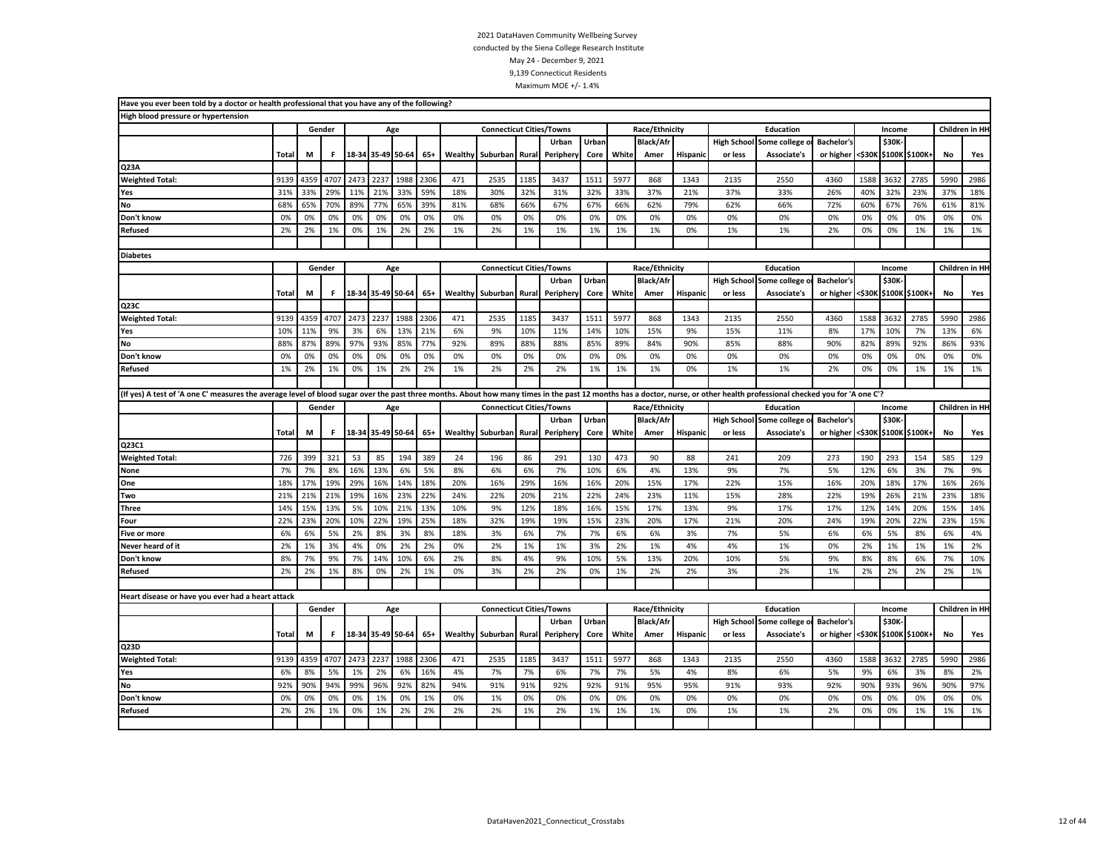| Have you ever been told by a doctor or health professional that you have any of the following?                                                                                                                             |          |          |          |          |                   |           |          |          |                                 |          |                    |               |          |                          |                 |                               |                             |                                |          |          |                       |          |                 |
|----------------------------------------------------------------------------------------------------------------------------------------------------------------------------------------------------------------------------|----------|----------|----------|----------|-------------------|-----------|----------|----------|---------------------------------|----------|--------------------|---------------|----------|--------------------------|-----------------|-------------------------------|-----------------------------|--------------------------------|----------|----------|-----------------------|----------|-----------------|
| High blood pressure or hypertension                                                                                                                                                                                        |          |          |          |          |                   |           |          |          |                                 |          |                    |               |          |                          |                 |                               |                             |                                |          |          |                       |          |                 |
|                                                                                                                                                                                                                            |          |          | Gender   |          |                   | Age       |          |          | <b>Connecticut Cities/Towns</b> |          |                    |               |          | Race/Ethnicity           |                 |                               | Education                   |                                |          | Income   |                       |          | Children in HH  |
|                                                                                                                                                                                                                            | Total    | M        | F        |          | 18-34 35-49 50-64 |           | $65+$    | Wealthy  | Suburban                        | Rural    | Urban<br>Periphery | Urban<br>Core | White    | <b>Black/Afr</b><br>Amer | Hispanic        | <b>High School</b><br>or less | Some college<br>Associate's | <b>Bachelor's</b><br>or higher |          | \$30K    | <\$30K \$100K \$100K+ | No       | Yes             |
| Q23A                                                                                                                                                                                                                       |          |          |          |          |                   |           |          |          |                                 |          |                    |               |          |                          |                 |                               |                             |                                |          |          |                       |          |                 |
| <b>Weighted Total:</b>                                                                                                                                                                                                     | 9139     | 4359     | 4707     | 2473     | 2237              | 1988      | 2306     | 471      | 2535                            | 1185     | 3437               | 1511          | 5977     | 868                      | 1343            | 2135                          | 2550                        | 4360                           | 1588     | 3632     | 2785                  | 5990     | 2986            |
| Yes                                                                                                                                                                                                                        | 31%      | 33%      | 29%      | 11%      | 21%               | 33%       | 59%      | 18%      | 30%                             | 32%      | 31%                | 32%           | 33%      | 37%                      | 21%             | 37%                           | 33%                         | 26%                            | 40%      | 32%      | 23%                   | 37%      | 18%             |
| No                                                                                                                                                                                                                         | 68%      | 65%      | 70%      | 89%      | 77%               | 65%       | 39%      | 81%      | 68%                             | 66%      | 67%                | 67%           | 66%      | 62%                      | 79%             | 62%                           | 66%                         | 72%                            | 60%      | 67%      | 76%                   | 61%      | 81%             |
| Don't know                                                                                                                                                                                                                 | 0%       | 0%       | 0%       | 0%       | 0%                | 0%        | 0%       | 0%       | 0%                              | 0%       | 0%                 | 0%            | 0%       | 0%                       | 0%              | 0%                            | 0%                          | 0%                             | 0%       | 0%       | 0%                    | 0%       | 0%              |
| <b>Refused</b>                                                                                                                                                                                                             | 2%       | 2%       | 1%       | 0%       | 1%                | 2%        | 2%       | 1%       | 2%                              | 1%       | 1%                 | 1%            | 1%       | 1%                       | 0%              | 1%                            | 1%                          | 2%                             | 0%       | 0%       | 1%                    | 1%       | 1%              |
|                                                                                                                                                                                                                            |          |          |          |          |                   |           |          |          |                                 |          |                    |               |          |                          |                 |                               |                             |                                |          |          |                       |          |                 |
| <b>Diabetes</b>                                                                                                                                                                                                            |          |          |          |          |                   |           |          |          |                                 |          |                    |               |          |                          |                 |                               |                             |                                |          |          |                       |          |                 |
|                                                                                                                                                                                                                            |          |          | Gender   |          | Age               |           |          |          | <b>Connecticut Cities/Towns</b> |          |                    |               |          | Race/Ethnicity           |                 |                               | Education                   |                                |          | Income   |                       |          | Children in HI- |
|                                                                                                                                                                                                                            |          |          |          |          |                   |           |          |          |                                 |          | Urban              | Urban         |          | <b>Black/Afr</b>         |                 | <b>High School</b>            | Some college o              | <b>Bachelor's</b>              |          | \$30K-   |                       |          |                 |
|                                                                                                                                                                                                                            | Total    | M        | F        |          | 18-34 35-49 50-64 |           | $65+$    | Wealthy  | Suburban                        | Rural    | Peripher           | Core          | White    | Amer                     | <b>Hispanic</b> | or less                       | Associate's                 | or higher                      |          |          | <\$30K \$100K \$100K+ | No       | Yes             |
| Q23C                                                                                                                                                                                                                       |          |          |          |          |                   |           |          |          |                                 |          |                    |               |          |                          |                 |                               |                             |                                |          |          |                       |          |                 |
| <b>Weighted Total:</b>                                                                                                                                                                                                     | 9139     | 4359     | 4707     | 2473     | 2237              | 1988      | 2306     | 471      | 2535                            | 1185     | 3437               | 1511          | 5977     | 868                      | 1343            | 2135                          | 2550                        | 4360                           | 1588     | 3632     | 2785                  | 5990     | 2986            |
| Yes                                                                                                                                                                                                                        | 10%      | 11%      | 9%       | 3%       | 6%                | 13%       | 21%      | 6%       | 9%                              | 10%      | 11%                | 14%           | 10%      | 15%                      | 9%              | 15%                           | 11%                         | 8%                             | 17%      | 10%      | 7%                    | 13%      | 6%              |
| No                                                                                                                                                                                                                         | 88%      | 87%      | 89%      | 97%      | 93%               | 85%       | 77%      | 92%      | 89%                             | 88%      | 88%                | 85%           | 89%      | 84%                      | 90%             | 85%                           | 88%                         | 90%                            | 82%      | 89%      | 92%                   | 86%      | 93%             |
| Don't know                                                                                                                                                                                                                 | 0%       | 0%       | 0%       | 0%       | 0%                | 0%        | 0%       | 0%       | 0%                              | 0%       | 0%                 | 0%            | 0%       | 0%                       | 0%              | 0%                            | 0%                          | 0%                             | 0%       | 0%       | 0%                    | 0%       | 0%              |
| Refused                                                                                                                                                                                                                    | 1%       | 2%       | 1%       | 0%       | 1%                | 2%        | 2%       | 1%       | 2%                              | 2%       | 2%                 | 1%            | 1%       | 1%                       | 0%              | 1%                            | 1%                          | 2%                             | 0%       | 0%       | 1%                    | 1%       | 1%              |
|                                                                                                                                                                                                                            |          |          |          |          |                   |           |          |          |                                 |          |                    |               |          |                          |                 |                               |                             |                                |          |          |                       |          |                 |
| (If yes) A test of 'A one C' measures the average level of blood sugar over the past three months. About how many times in the past 12 months has a doctor, nurse, or other health professional checked you for 'A one C'? |          |          |          |          |                   |           |          |          |                                 |          |                    |               |          |                          |                 |                               |                             |                                |          |          |                       |          |                 |
|                                                                                                                                                                                                                            |          |          | Gender   |          |                   | Age       |          |          | <b>Connecticut Cities/Towns</b> |          |                    |               |          | Race/Ethnicity           |                 |                               | Education                   |                                |          | Income   |                       |          | Children in HH  |
|                                                                                                                                                                                                                            |          |          |          |          |                   |           |          |          |                                 |          | Urban              | Urban         |          | <b>Black/Afr</b>         |                 | <b>High School</b>            | Some college                | <b>Bachelor's</b>              |          | \$30K    |                       |          |                 |
|                                                                                                                                                                                                                            | Total    | M        | F.       |          | 18-34 35-49 50-64 |           | $65+$    |          | Wealthy Suburban                | Rural    | Periphery          | Core          | White    | Amer                     | <b>Hispanic</b> | or less                       | Associate's                 | or higher                      |          |          | <\$30K \$100K \$100K+ | No       | Yes             |
| Q23C1                                                                                                                                                                                                                      |          |          |          |          |                   |           |          |          |                                 |          |                    |               |          |                          |                 |                               |                             |                                |          |          |                       |          |                 |
| <b>Weighted Total:</b>                                                                                                                                                                                                     | 726      | 399      | 321      | 53       | 85                | 194       | 389      | 24       | 196                             | 86       | 291                | 130           | 473      | 90                       | 88              | 241                           | 209                         | 273                            | 190      | 293      | 154                   | 585      | 129             |
| None                                                                                                                                                                                                                       | 7%       | 7%       | 8%       | 16%      | 13%               | 6%        | 5%       | 8%       | 6%                              | 6%       | 7%                 | 10%           | 6%       | 4%                       | 13%             | 9%                            | 7%                          | 5%                             | 12%      | 6%       | 3%                    | 7%       | 9%              |
| One                                                                                                                                                                                                                        | 18%      | 17%      | 19%      | 29%      | 16%               | 14%       | 18%      | 20%      | 16%                             | 29%      | 16%                | 16%           | 20%      | 15%                      | 17%             | 22%                           | 15%                         | 16%                            | 20%      | 18%      | 17%                   | 16%      | 26%             |
| Two                                                                                                                                                                                                                        | 21%      | 21%      | 21%      | 19%      | 16%               | 23%       | 22%      | 24%      | 22%                             | 20%      | 21%                | 22%           | 24%      | 23%                      | 11%             | 15%                           | 28%                         | 22%                            | 19%      | 26%      | 21%                   | 23%      | 18%             |
| Three                                                                                                                                                                                                                      | 14%      | 15%      | 13%      | 5%       | 10%               | 21%       | 13%      | 10%      | 9%                              | 12%      | 18%                | 16%           | 15%      | 17%                      | 13%             | 9%                            | 17%                         | 17%                            | 12%      | 14%      | 20%                   | 15%      | 14%             |
| Four                                                                                                                                                                                                                       | 22%      | 23%      | 20%      | 10%      | 22%               | 19%       | 25%      | 18%      | 32%                             | 19%      | 19%                | 15%           | 23%      | 20%                      | 17%             | 21%                           | 20%                         | 24%                            | 19%      | 20%      | 22%                   | 23%      | 15%             |
| <b>Five or more</b>                                                                                                                                                                                                        | 6%       | 6%       | 5%       | 2%       | 8%                | 3%        | 8%       | 18%      | 3%                              | 6%       | 7%                 | 7%            | 6%       | 6%                       | 3%              | 7%                            | 5%                          | 6%                             | 6%       | 5%       | 8%                    | 6%       | 4%              |
| Never heard of it                                                                                                                                                                                                          | 2%       | 1%<br>7% | 3%<br>9% | 4%       | 0%                | 2%<br>10% | 2%       | 0%       | 2%                              | 1%       | 1%                 | 3%            | 2%<br>5% | 1%                       | 4%<br>20%       | 4%                            | 1%<br>5%                    | 0%                             | 2%<br>8% | 1%       | 1%                    | 1%       | 2%<br>10%       |
| Don't know<br>Refused                                                                                                                                                                                                      | 8%<br>2% | 2%       | 1%       | 7%<br>8% | 14%<br>0%         | 2%        | 6%<br>1% | 2%<br>0% | 8%                              | 4%<br>2% | 9%                 | 10%<br>0%     | 1%       | 13%                      | 2%              | 10%<br>3%                     | 2%                          | 9%<br>1%                       | 2%       | 8%<br>2% | 6%<br>2%              | 7%<br>2% | 1%              |
|                                                                                                                                                                                                                            |          |          |          |          |                   |           |          |          | 3%                              |          | 2%                 |               |          | 2%                       |                 |                               |                             |                                |          |          |                       |          |                 |
|                                                                                                                                                                                                                            |          |          |          |          |                   |           |          |          |                                 |          |                    |               |          |                          |                 |                               |                             |                                |          |          |                       |          |                 |
| Heart disease or have you ever had a heart attack                                                                                                                                                                          |          |          | Gender   |          | Age               |           |          |          | <b>Connecticut Cities/Towns</b> |          |                    |               |          | Race/Ethnicity           |                 |                               | Education                   |                                |          | Income   |                       |          | Children in HH  |
|                                                                                                                                                                                                                            |          |          |          |          |                   |           |          |          |                                 |          | Urban              | Urban         |          | <b>Black/Afr</b>         |                 | <b>High School</b>            | Some college                | <b>Bachelor's</b>              |          | \$30K    |                       |          |                 |
|                                                                                                                                                                                                                            | Total    | M        | F.       |          | 18-34 35-49 50-64 |           | $65+$    |          | Wealthy Suburban                | Rural    | Periphery          | Core          | White    | Amer                     | <b>Hispanic</b> | or less                       | Associate's                 | or higher                      |          |          | <\$30K \$100K \$100K+ | No       | Yes             |
| Q <sub>23</sub> D                                                                                                                                                                                                          |          |          |          |          |                   |           |          |          |                                 |          |                    |               |          |                          |                 |                               |                             |                                |          |          |                       |          |                 |
| <b>Weighted Total:</b>                                                                                                                                                                                                     | 9139     | 4359     | 4707     | 2473     | 2237              | 1988      | 2306     | 471      | 2535                            | 1185     | 3437               | 1511          | 5977     | 868                      | 1343            | 2135                          | 2550                        | 4360                           | 1588     | 3632     | 2785                  | 5990     | 2986            |
| Yes                                                                                                                                                                                                                        | 6%       | 8%       | 5%       | 1%       | 2%                | 6%        | 16%      | 4%       | 7%                              | 7%       | 6%                 | 7%            | 7%       | 5%                       | 4%              | 8%                            | 6%                          | 5%                             | 9%       | 6%       | 3%                    | 8%       | 2%              |
| No                                                                                                                                                                                                                         | 92%      | 90%      | 94%      | 99%      | 96%               | 92%       | 82%      | 94%      | 91%                             | 91%      | 92%                | 92%           | 91%      | 95%                      | 95%             | 91%                           | 93%                         | 92%                            | 90%      | 93%      | 96%                   | 90%      | 97%             |
| Don't know                                                                                                                                                                                                                 | 0%       | 0%       | 0%       | 0%       | 1%                | 0%        | 1%       | 0%       | 1%                              | 0%       | 0%                 | 0%            | 0%       | 0%                       | 0%              | 0%                            | 0%                          | 0%                             | 0%       | 0%       | 0%                    | 0%       | 0%              |
| <b>Refused</b>                                                                                                                                                                                                             | 2%       | 2%       | 1%       | 0%       | 1%                | 2%        | 2%       | 2%       | 2%                              | 1%       | 2%                 | 1%            | 1%       | 1%                       | 0%              | 1%                            | 1%                          | 2%                             | 0%       | 0%       | 1%                    | 1%       | 1%              |
|                                                                                                                                                                                                                            |          |          |          |          |                   |           |          |          |                                 |          |                    |               |          |                          |                 |                               |                             |                                |          |          |                       |          |                 |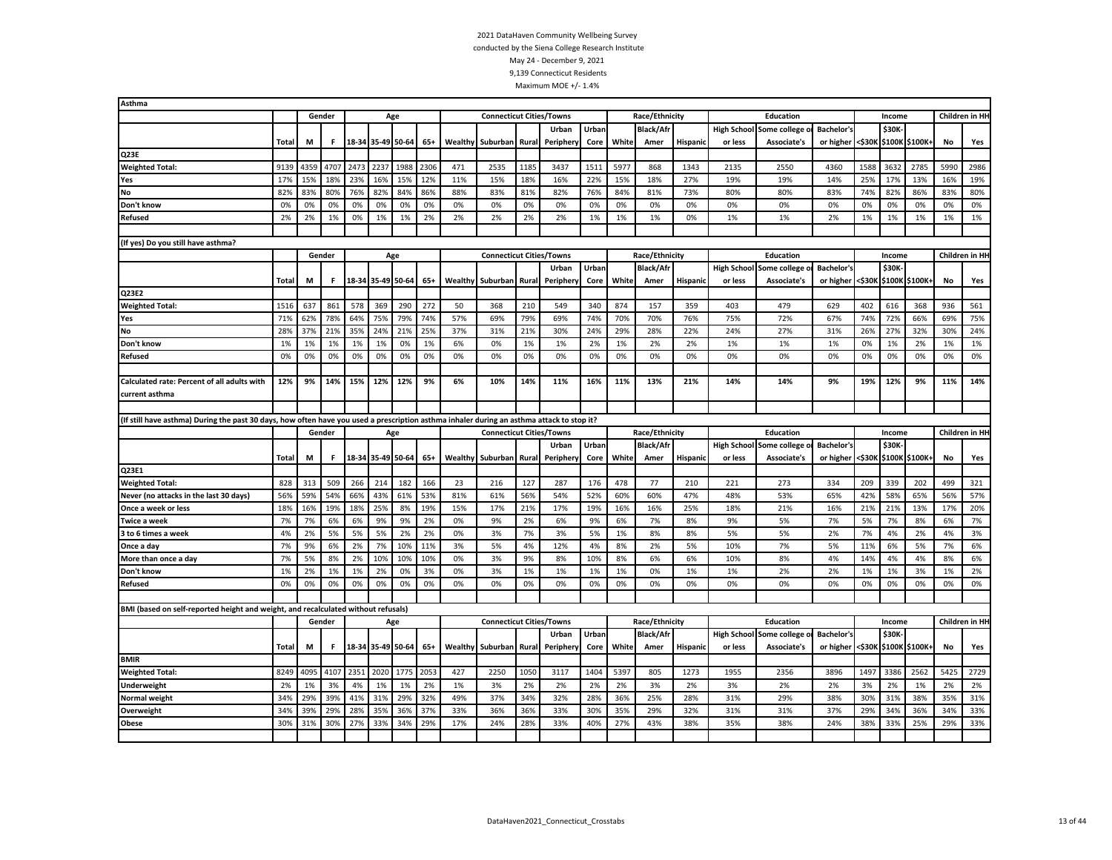| Asthma                                                                                                                                    |              |      |        |      |                   |      |       |         |                                 |       |          |       |            |                  |                 |                    |                                    |                   |        |        |                |            |                 |
|-------------------------------------------------------------------------------------------------------------------------------------------|--------------|------|--------|------|-------------------|------|-------|---------|---------------------------------|-------|----------|-------|------------|------------------|-----------------|--------------------|------------------------------------|-------------------|--------|--------|----------------|------------|-----------------|
|                                                                                                                                           |              |      | Gender |      | Age               |      |       |         | <b>Connecticut Cities/Towns</b> |       |          |       |            | Race/Ethnicity   |                 |                    | Education                          |                   |        | Income |                |            | Children in HI- |
|                                                                                                                                           |              |      |        |      |                   |      |       |         |                                 |       | Urban    | Urbar |            | <b>Black/Afr</b> |                 | <b>High School</b> | Some college                       | <b>Bachelor's</b> |        | \$30K  |                |            |                 |
|                                                                                                                                           | Total        | М    | F.     |      | 18-34 35-49 50-64 |      | $65+$ | Wealthy | Suburban Rural                  |       | Peripher | Core  | White      | Amer             | <b>Hispanic</b> | or less            | Associate's                        | or higher         | <\$30к |        | \$100K \$100K  | No         | Yes             |
| Q <sub>23E</sub>                                                                                                                          |              |      |        |      |                   |      |       |         |                                 |       |          |       |            |                  |                 |                    |                                    |                   |        |        |                |            |                 |
| <b>Weighted Total:</b>                                                                                                                    | 9139         | 4359 | 4707   | 2473 | 2237              | 1988 | 2306  | 471     | 2535                            | 1185  | 3437     | 1511  | 5977       | 868              | 1343            | 2135               | 2550                               | 4360              | 1588   | 3632   | 2785           | 5990       | 2986            |
| Yes                                                                                                                                       | 17%          | 15%  | 18%    | 23%  | 16%               | 15%  | 12%   | 11%     | 15%                             | 18%   | 16%      | 22%   | 15%        | 18%              | 27%             | 19%                | 19%                                | 14%               | 25%    | 17%    | 13%            | 16%        | 19%             |
| No                                                                                                                                        | 82%          | 83%  | 80%    | 76%  | 82%               | 84%  | 86%   | 88%     | 83%                             | 81%   | 82%      | 76%   | 84%        | 81%              | 73%             | 80%                | 80%                                | 83%               | 74%    | 82%    | 86%            | 83%        | 80%             |
| Don't know                                                                                                                                | 0%           | 0%   | 0%     | 0%   | 0%                | 0%   | 0%    | 0%      | 0%                              | 0%    | 0%       | 0%    | 0%         | 0%               | 0%              | 0%                 | 0%                                 | 0%                | 0%     | 0%     | 0%             | 0%         | 0%              |
| <b>Refused</b>                                                                                                                            | 2%           | 2%   | 1%     | 0%   | 1%                | 1%   | 2%    | 2%      | 2%                              | 2%    | 2%       | 1%    | 1%         | 1%               | 0%              | 1%                 | 1%                                 | 2%                | 1%     | 1%     | 1%             | 1%         | 1%              |
|                                                                                                                                           |              |      |        |      |                   |      |       |         |                                 |       |          |       |            |                  |                 |                    |                                    |                   |        |        |                |            |                 |
| (If yes) Do you still have asthma?                                                                                                        |              |      |        |      |                   |      |       |         |                                 |       |          |       |            |                  |                 |                    |                                    |                   |        |        |                |            |                 |
|                                                                                                                                           |              |      | Gender |      | Age               |      |       |         | <b>Connecticut Cities/Towns</b> |       |          |       |            | Race/Ethnicity   |                 |                    | Education                          |                   |        | Income |                |            | Children in HI- |
|                                                                                                                                           |              |      |        |      |                   |      |       |         |                                 |       | Urban    | Urban |            | <b>Black/Afr</b> |                 | <b>High School</b> | Some college                       | <b>Bachelor's</b> |        | \$30K  |                |            |                 |
|                                                                                                                                           | <b>Total</b> | M    | F.     |      | 18-34 35-49 50-64 |      | 65+   |         | <b>Wealthy Suburban Rural</b>   |       | Peripher | Core  | White      | Amer             | <b>Hispanic</b> | or less            | Associate's                        | or higher         | <\$30к |        | \$100K \$100K+ | No         | Yes             |
| Q23E2                                                                                                                                     |              |      |        |      |                   |      |       |         |                                 |       |          |       |            |                  |                 |                    |                                    |                   |        |        |                |            |                 |
| <b>Weighted Total:</b>                                                                                                                    | 1516         | 637  | 861    | 578  | 369               | 290  | 272   | 50      | 368                             | 210   | 549      | 340   | 874        | 157              | 359             | 403                | 479                                | 629               | 402    | 616    | 368            | 936        | 561             |
| Yes                                                                                                                                       | 71%          | 62%  | 78%    | 64%  | 75%               | 79%  | 74%   | 57%     | 69%                             | 79%   | 69%      | 74%   | 70%        | 70%              | 76%             | 75%                | 72%                                | 67%               | 74%    | 72%    | 66%            | 69%        | 75%             |
| No                                                                                                                                        | 28%          | 37%  | 21%    | 35%  | 24%               | 21%  | 25%   | 37%     | 31%                             | 21%   | 30%      | 24%   | 29%        | 28%              | 22%             | 24%                | 27%                                | 31%               | 26%    | 27%    | 32%            | 30%        | 24%             |
| Don't know                                                                                                                                | 1%           | 1%   | 1%     | 1%   | 1%                | 0%   | 1%    | 6%      | 0%                              | 1%    | 1%       | 2%    | 1%         | 2%               | 2%              | 1%                 | 1%                                 | 1%                | 0%     | 1%     | 2%             | 1%         | 1%              |
| <b>Refused</b>                                                                                                                            | 0%           | 0%   | 0%     | 0%   | 0%                | 0%   | 0%    | 0%      | 0%                              | 0%    | 0%       | 0%    | 0%         | 0%               | 0%              | 0%                 | 0%                                 | 0%                | 0%     | 0%     | 0%             | 0%         | 0%              |
|                                                                                                                                           |              |      |        |      |                   |      |       |         |                                 |       |          |       |            |                  |                 |                    |                                    |                   |        |        |                |            |                 |
| Calculated rate: Percent of all adults with                                                                                               | 12%          | 9%   | 14%    | 15%  | 12%               | 12%  | 9%    | 6%      | 10%                             | 14%   | 11%      | 16%   | 11%        | 13%              | 21%             | 14%                | 14%                                | 9%                | 19%    | 12%    | 9%             | 11%        | 14%             |
| current asthma                                                                                                                            |              |      |        |      |                   |      |       |         |                                 |       |          |       |            |                  |                 |                    |                                    |                   |        |        |                |            |                 |
|                                                                                                                                           |              |      |        |      |                   |      |       |         |                                 |       |          |       |            |                  |                 |                    |                                    |                   |        |        |                |            |                 |
| (If still have asthma) During the past 30 days, how often have you used a prescription asthma inhaler during an asthma attack to stop it? |              |      |        |      |                   |      |       |         |                                 |       |          |       |            |                  |                 |                    |                                    |                   |        |        |                |            |                 |
|                                                                                                                                           |              |      |        |      |                   |      |       |         |                                 |       |          |       |            |                  |                 |                    |                                    |                   |        |        |                |            |                 |
|                                                                                                                                           |              |      | Gender |      | Age               |      |       |         | <b>Connecticut Cities/Towns</b> |       |          |       |            | Race/Ethnicity   |                 |                    | Education                          |                   |        | Income |                |            | Children in HI- |
|                                                                                                                                           |              |      |        |      |                   |      |       |         |                                 |       | Urban    | Urban |            | <b>Black/Afr</b> |                 | <b>High School</b> | Some college                       | <b>Bachelor's</b> |        | \$30K  |                |            |                 |
|                                                                                                                                           | Total        | M    | F      |      | 18-34 35-49 50-64 |      | $65+$ | Wealthy | Suburban Rural                  |       | Peripher | Core  | White      | Amer             | <b>Hispanic</b> | or less            | <b>Associate's</b>                 | or higher         | <\$30к |        | \$100K \$100K+ | No         | Yes             |
| Q23E1                                                                                                                                     |              |      |        |      |                   |      |       |         |                                 |       |          |       |            |                  |                 |                    |                                    |                   |        |        |                |            |                 |
|                                                                                                                                           | 828          | 313  | 509    | 266  | 214               | 182  | 166   | 23      | 216                             | 127   | 287      | 176   | 478        | 77               | 210             | 221                | 273                                | 334               | 209    | 339    | 202            | 499        | 321             |
| <b>Weighted Total:</b><br>Never (no attacks in the last 30 days)                                                                          | 56%          | 59%  | 54%    | 66%  | 43%               | 61%  | 53%   | 81%     | 61%                             | 56%   | 54%      | 52%   | 60%        | 60%              | 47%             | 48%                | 53%                                | 65%               | 42%    | 58%    | 65%            | 56%        | 57%             |
| Once a week or less                                                                                                                       | 18%          | 16%  | 19%    | 18%  | 25%               | 8%   | 19%   | 15%     | 17%                             | 21%   | 17%      | 19%   | 16%        | 16%              | 25%             | 18%                | 21%                                | 16%               | 21%    | 21%    | 13%            | 17%        | 20%             |
| <b>Twice a week</b>                                                                                                                       | 7%           | 7%   | 6%     | 6%   | 9%                | 9%   | 2%    | 0%      | 9%                              | 2%    | 6%       | 9%    | 6%         | 7%               | 8%              | 9%                 | 5%                                 | 7%                | 5%     | 7%     | 8%             | 6%         | 7%              |
| 3 to 6 times a week                                                                                                                       | 4%           | 2%   | 5%     | 5%   | 5%                | 2%   | 2%    | 0%      | 3%                              | 7%    | 3%       | 5%    | 1%         | 8%               | 8%              | 5%                 | 5%                                 | 2%                | 7%     | 4%     | 2%             | 4%         | 3%              |
| Once a day                                                                                                                                | 7%           | 9%   | 6%     | 2%   | 7%                | 10%  | 11%   | 3%      | 5%                              | 4%    | 12%      | 4%    | 8%         | 2%               | 5%              | 10%                | 7%                                 | 5%                | 11%    | 6%     | 5%             | 7%         | 6%              |
| More than once a day                                                                                                                      | 7%           | 5%   | 8%     | 2%   | 10%               | 10%  | 10%   | 0%      | 3%                              | 9%    | 8%       | 10%   | 8%         | 6%               | 6%              | 10%                | 8%                                 | 4%                | 14%    | 4%     | 4%             | 8%         | 6%              |
| Don't know                                                                                                                                | 1%           | 2%   | 1%     | 1%   | 2%                | 0%   | 3%    | 0%      | 3%                              | 1%    | 1%       | 1%    | 1%         | 0%               | 1%              | 1%                 | 2%                                 | 2%                | 1%     | 1%     | 3%             | 1%         | 2%              |
| <b>Refused</b>                                                                                                                            | 0%           | 0%   | 0%     | 0%   | 0%                | 0%   | 0%    | 0%      | 0%                              | 0%    | 0%       | 0%    | 0%         | 0%               | 0%              | 0%                 | 0%                                 | 0%                | 0%     | 0%     | 0%             | 0%         | 0%              |
|                                                                                                                                           |              |      |        |      |                   |      |       |         |                                 |       |          |       |            |                  |                 |                    |                                    |                   |        |        |                |            |                 |
| BMI (based on self-reported height and weight, and recalculated without refusals)                                                         |              |      |        |      |                   |      |       |         |                                 |       |          |       |            |                  |                 |                    |                                    |                   |        |        |                |            |                 |
|                                                                                                                                           |              |      | Gender |      | Age               |      |       |         | <b>Connecticut Cities/Towns</b> |       |          |       |            | Race/Ethnicity   |                 |                    | Education                          |                   |        | Income |                |            | Children in HI- |
|                                                                                                                                           |              |      |        |      |                   |      |       |         |                                 |       | Urban    | Urban |            | <b>Black/Afr</b> |                 | <b>High School</b> |                                    | <b>Bachelor's</b> |        | \$30K  |                |            |                 |
|                                                                                                                                           | Total        | М    | F.     |      | 18-34 35-49 50-64 |      | $65+$ | Wealthy | Suburban                        | Rural | Peripher | Core  | White      | Amer             | <b>Hispanic</b> | or less            | Some college<br><b>Associate's</b> | or higher         | <\$30K |        | \$100K \$100K  | No         | Yes             |
| <b>BMIR</b>                                                                                                                               |              |      |        |      |                   |      |       |         |                                 |       |          |       |            |                  |                 |                    |                                    |                   |        |        |                |            |                 |
|                                                                                                                                           | 8249         | 4095 | 4107   | 2351 | 2020              | 1775 | 2053  | 427     | 2250                            | 1050  | 3117     | 1404  | 5397       | 805              | 1273            | 1955               | 2356                               | 3896              | 1497   | 3386   | 2562           | 5425       | 2729            |
| <b>Weighted Total:</b>                                                                                                                    | 2%           | 1%   | 3%     | 4%   | 1%                | 1%   | 2%    | 1%      | 3%                              | 2%    | 2%       | 2%    | 2%         | 3%               | 2%              | 3%                 | 2%                                 | 2%                | 3%     | 2%     | 1%             | 2%         |                 |
| <b>Underweight</b>                                                                                                                        |              |      |        |      |                   |      |       |         |                                 |       |          |       |            |                  |                 |                    |                                    |                   |        |        |                |            | 2%              |
| <b>Normal weight</b>                                                                                                                      | 34%<br>34%   | 29%  | 39%    | 41%  | 31%               | 29%  | 32%   | 49%     | 37%                             | 34%   | 32%      | 28%   | 36%        | 25%              | 28%             | 31%                | 29%<br>31%                         | 38%               | 30%    | 31%    | 38%            | 35%<br>34% | 31%             |
| Overweight                                                                                                                                | 30%          | 39%  | 29%    | 28%  | 35%               | 36%  | 37%   | 33%     | 36%                             | 36%   | 33%      | 30%   | 35%<br>27% | 29%              | 32%             | 31%                | 38%                                | 37%               | 29%    | 34%    | 36%            | 29%        | 33%             |
| Obese                                                                                                                                     |              | 31%  | 30%    | 27%  | 33%               | 34%  | 29%   | 17%     | 24%                             | 28%   | 33%      | 40%   |            | 43%              | 38%             | 35%                |                                    | 24%               | 38%    | 33%    | 25%            |            | 33%             |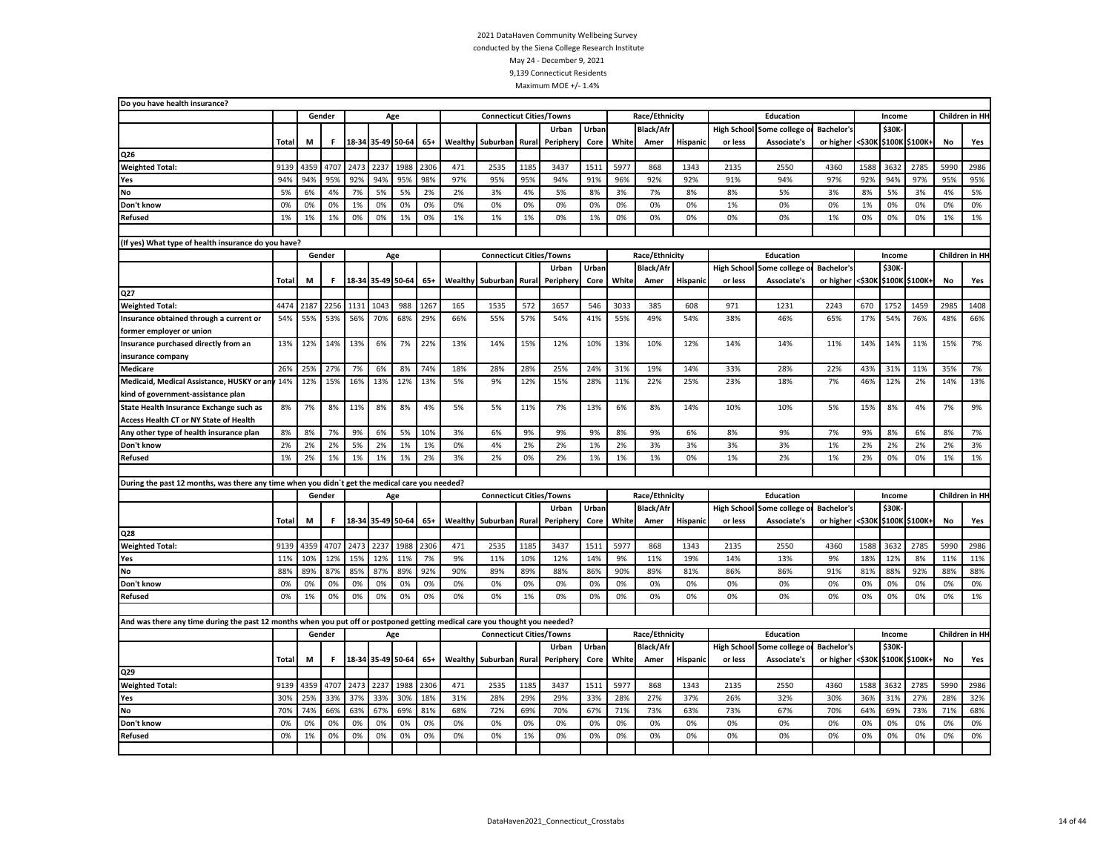| Do you have health insurance?                                                                                               |              |            |        |                   |                   |      |           |           |                                 |       |          |            |           |                  |                 |                    |                    |                   |        |        |                |      |                |
|-----------------------------------------------------------------------------------------------------------------------------|--------------|------------|--------|-------------------|-------------------|------|-----------|-----------|---------------------------------|-------|----------|------------|-----------|------------------|-----------------|--------------------|--------------------|-------------------|--------|--------|----------------|------|----------------|
|                                                                                                                             |              |            | Gender |                   | Age               |      |           |           | <b>Connecticut Cities/Towns</b> |       |          |            |           | Race/Ethnicity   |                 |                    | <b>Education</b>   |                   |        | Income |                |      | Children in HH |
|                                                                                                                             |              |            |        |                   |                   |      |           |           |                                 |       | Urban    | Urban      |           | Black/Af         |                 | <b>High School</b> | Some college       | <b>Bachelor's</b> |        | \$30K  |                |      |                |
|                                                                                                                             | <b>Total</b> | M          | F.     |                   | 18-34 35-49 50-64 |      | $65+$     | Wealthy   | Suburban Rural                  |       | Peripher | Core       | White     | Amer             | Hispanic        | or less            | Associate's        | or higher         | <\$30K | \$100K | \$100K+        | No   | Yes            |
| Q26                                                                                                                         |              |            |        |                   |                   |      |           |           |                                 |       |          |            |           |                  |                 |                    |                    |                   |        |        |                |      |                |
| <b>Weighted Total:</b>                                                                                                      | 9139         | 4359       | 4707   | 2473              | 2237              | 1988 | 2306      | 471       | 2535                            | 1185  | 3437     | 1511       | 5977      | 868              | 1343            | 2135               | 2550               | 4360              | 1588   | 3632   | 2785           | 5990 | 2986           |
| Yes                                                                                                                         | 94%          | 94%        | 95%    | 92%               | 94%               | 95%  | 98%       | 97%       | 95%                             | 95%   | 94%      | 91%        | 96%       | 92%              | 92%             | 91%                | 94%                | 97%               | 92%    | 94%    | 97%            | 95%  | 95%            |
| No                                                                                                                          | 5%           | 6%         | 4%     | 7%                | 5%                | 5%   | 2%        | 2%        | 3%                              | 4%    | 5%       | 8%         | 3%        | 7%               | 8%              | 8%                 | 5%                 | 3%                | 8%     | 5%     | 3%             | 4%   | 5%             |
| Don't know                                                                                                                  | 0%           | 0%         | 0%     | 1%                | 0%                | 0%   | 0%        | 0%        | 0%                              | 0%    | 0%       | 0%         | 0%        | 0%               | 0%              | 1%                 | 0%                 | 0%                | 1%     | 0%     | 0%             | 0%   | 0%             |
| Refused                                                                                                                     | 1%           | 1%         | 1%     | 0%                | 0%                | 1%   | 0%        | 1%        | 1%                              | 1%    | 0%       | 1%         | 0%        | 0%               | 0%              | 0%                 | 0%                 | 1%                | 0%     | 0%     | 0%             | 1%   | 1%             |
|                                                                                                                             |              |            |        |                   |                   |      |           |           |                                 |       |          |            |           |                  |                 |                    |                    |                   |        |        |                |      |                |
| (If yes) What type of health insurance do you have?                                                                         |              |            |        |                   |                   |      |           |           |                                 |       |          |            |           |                  |                 |                    |                    |                   |        |        |                |      |                |
|                                                                                                                             |              |            | Gender |                   | Age               |      |           |           | <b>Connecticut Cities/Towns</b> |       |          |            |           | Race/Ethnicity   |                 |                    | <b>Education</b>   |                   |        | Income |                |      | Children in HH |
|                                                                                                                             |              |            |        |                   |                   |      |           |           |                                 |       | Urban    | Urban      |           | <b>Black/Afr</b> |                 | <b>High School</b> | Some college       | <b>Bachelor's</b> |        | \$30K  |                |      |                |
|                                                                                                                             | <b>Total</b> | M          | F.     |                   | 18-34 35-49 50-64 |      | $65+$     | Wealthy   | Suburban                        | Rural | Peripher | Core       | White     | Amer             | <b>Hispanic</b> | or less            | Associate's        | or higher         | <\$30К |        | \$100K \$100K  | No   | Yes            |
| Q27                                                                                                                         |              |            |        |                   |                   |      |           |           |                                 |       |          |            |           |                  |                 |                    |                    |                   |        |        |                |      |                |
| <b>Weighted Total:</b>                                                                                                      | 4474         | 2187       | 2256   | 1131              | 1043              | 988  | 126       | 165       | 1535                            | 572   | 1657     | 546        | 3033      | 385              | 608             | 971                | 1231               | 2243              | 670    | 1752   | 1459           | 2985 | 1408           |
| Insurance obtained through a current or                                                                                     | 54%          | 55%        | 53%    | 56%               | 70%               | 68%  | 29%       | 66%       | 55%                             | 57%   | 54%      | 41%        | 55%       | 49%              | 54%             | 38%                | 46%                | 65%               | 17%    | 54%    | 76%            | 48%  | 66%            |
| former employer or union                                                                                                    |              |            |        |                   |                   |      |           |           |                                 |       |          |            |           |                  |                 |                    |                    |                   |        |        |                |      |                |
| Insurance purchased directly from an                                                                                        | 13%          | 12%        | 14%    | 13%               | 6%                | 7%   | 22%       | 13%       | 14%                             | 15%   | 12%      | 10%        | 13%       | 10%              | 12%             | 14%                | 14%                | 11%               | 14%    | 14%    | 11%            | 15%  | 7%             |
| insurance company                                                                                                           |              |            |        |                   |                   |      |           |           |                                 |       |          |            |           |                  |                 |                    |                    |                   |        |        |                |      |                |
| <b>Medicare</b>                                                                                                             | 26%          | 25%        | 27%    | 7%                | 6%                | 8%   | 74%       | 18%       | 28%                             | 28%   | 25%      | 24%        | 31%       | 19%              | 14%             | 33%                | 28%                | 22%               | 43%    | 31%    | 11%            | 35%  | 7%             |
| Medicaid, Medical Assistance, HUSKY or any 14%                                                                              |              | 12%        | 15%    | 16%               | 13%               | 12%  | 13%       | 5%        | 9%                              | 12%   | 15%      | 28%        | 11%       | 22%              | 25%             | 23%                | 18%                | 7%                | 46%    | 12%    | 2%             | 14%  | 13%            |
| kind of government-assistance plan                                                                                          |              |            |        |                   |                   |      |           |           |                                 |       |          |            |           |                  |                 |                    |                    |                   |        |        |                |      |                |
| State Health Insurance Exchange such as                                                                                     | 8%           | 7%         | 8%     | 11%               | 8%                | 8%   | 4%        | 5%        | 5%                              | 11%   | 7%       | 13%        | 6%        | 8%               | 14%             | 10%                | 10%                | 5%                | 15%    | 8%     | 4%             | 7%   | 9%             |
| Access Health CT or NY State of Health                                                                                      |              |            |        |                   |                   |      |           |           |                                 |       |          |            |           |                  |                 |                    |                    |                   |        |        |                |      |                |
| Any other type of health insurance plan                                                                                     | 8%           | 8%         | 7%     | 9%                | 6%                | 5%   | 10%       | 3%        | 6%                              | 9%    | 9%       | 9%         | 8%        | 9%               | 6%              | 8%                 | 9%                 | 7%                | 9%     | 8%     | 6%             | 8%   | 7%             |
| Don't know                                                                                                                  | 2%           | 2%         | 2%     | 5%                | 2%                | 1%   | 1%        | 0%        | 4%                              | 2%    | 2%       | 1%         | 2%        | 3%               | 3%              | 3%                 | 3%                 | 1%                | 2%     | 2%     | 2%             | 2%   | 3%             |
| Refused                                                                                                                     | 1%           | 2%         | 1%     | 1%                | 1%                | 1%   | 2%        | 3%        | 2%                              | 0%    | 2%       | 1%         | 1%        | 1%               | 0%              | 1%                 | 2%                 | 1%                | 2%     | 0%     | 0%             | 1%   | 1%             |
|                                                                                                                             |              |            |        |                   |                   |      |           |           |                                 |       |          |            |           |                  |                 |                    |                    |                   |        |        |                |      |                |
| During the past 12 months, was there any time when you didn't get the medical care you needed?                              |              |            |        |                   |                   |      |           |           |                                 |       |          |            |           |                  |                 |                    |                    |                   |        |        |                |      |                |
|                                                                                                                             |              |            | Gender |                   | Age               |      |           |           | <b>Connecticut Cities/Towns</b> |       |          |            |           | Race/Ethnicity   |                 |                    | Education          |                   |        | Income |                |      | Children in HH |
|                                                                                                                             |              |            |        |                   |                   |      |           |           |                                 |       | Urban    | Urban      |           | <b>Black/Afr</b> |                 | <b>High School</b> | Some college       | <b>Bachelor's</b> |        | \$30K  |                |      |                |
|                                                                                                                             | <b>Total</b> | M          | F.     |                   | 18-34 35-49 50-64 |      | $65+$     | Wealthy   | Suburban                        | Rural | Peripher | Core       | White     | Amer             | Hispanic        | or less            | Associate's        | or higher         | <\$30K |        | \$100K \$100K+ | No   | Yes            |
| Q28                                                                                                                         |              |            |        |                   |                   |      |           |           |                                 |       |          |            |           |                  |                 |                    |                    |                   |        |        |                |      |                |
| <b>Weighted Total:</b>                                                                                                      | 9139         | 4359       | 4707   | 2473              | 2237              | 1988 | 2306      | 471       | 2535                            | 1185  | 3437     | 1511       | 5977      | 868              | 1343            | 2135               | 2550               | 4360              | 1588   | 3632   | 2785           | 5990 | 2986           |
|                                                                                                                             | 11%          |            | 12%    | 15%               | 12%               | 11%  |           |           | 11%                             | 10%   | 12%      |            |           | 11%              |                 |                    | 13%                |                   | 18%    | 12%    |                | 11%  | 11%            |
| Yes<br><b>No</b>                                                                                                            | 88%          | 10%<br>89% | 87%    | 85%               | 87%               | 89%  | 7%<br>92% | 9%<br>90% | 89%                             | 89%   | 88%      | 14%<br>86% | 9%<br>90% | 89%              | 19%<br>81%      | 14%<br>86%         | 86%                | 9%<br>91%         | 81%    | 88%    | 8%<br>92%      | 88%  | 88%            |
|                                                                                                                             | 0%           | 0%         | 0%     | 0%                | 0%                | 0%   | 0%        | 0%        | 0%                              | 0%    |          | 0%         | 0%        |                  |                 |                    | 0%                 | 0%                | 0%     | 0%     | 0%             | 0%   | 0%             |
| Don't know                                                                                                                  | 0%           |            | 0%     |                   |                   | 0%   | 0%        | 0%        |                                 | 1%    | 0%       |            |           | 0%               | 0%              | 0%                 |                    | 0%                |        |        |                |      | 1%             |
| Refused                                                                                                                     |              | 1%         |        | 0%                | 0%                |      |           |           | 0%                              |       | 0%       | 0%         | 0%        | 0%               | 0%              | 0%                 | 0%                 |                   | 0%     | 0%     | 0%             | 0%   |                |
|                                                                                                                             |              |            |        |                   |                   |      |           |           |                                 |       |          |            |           |                  |                 |                    |                    |                   |        |        |                |      |                |
| And was there any time during the past 12 months when you put off or postponed getting medical care you thought you needed? |              |            |        |                   |                   |      |           |           |                                 |       |          |            |           |                  |                 |                    |                    |                   |        |        |                |      |                |
|                                                                                                                             |              |            | Gender |                   | Age               |      |           |           | <b>Connecticut Cities/Towns</b> |       |          |            |           | Race/Ethnicity   |                 |                    | Education          |                   |        | Income |                |      | Children in HH |
|                                                                                                                             |              |            |        |                   |                   |      |           |           |                                 |       | Urban    | Urban      |           | <b>Black/Afr</b> |                 | <b>High School</b> | Some college       | <b>Bachelor's</b> |        | \$30K  |                |      |                |
|                                                                                                                             | Total        | М          | F.     | 18-34 35-49 50-64 |                   |      | $65+$     | Wealthy   | Suburban                        | Rural | Peripher | Core       | White     | Amer             | <b>Hispanio</b> | or less            | <b>Associate's</b> | or higher         | <\$30K |        | \$100K \$100K+ | No   | Yes            |
| Q29                                                                                                                         |              |            |        |                   |                   |      |           |           |                                 |       |          |            |           |                  |                 |                    |                    |                   |        |        |                |      |                |
| <b>Weighted Total:</b>                                                                                                      | 9139         | 4359       | 4707   | 2473              | 2237              | 1988 | 2306      | 471       | 2535                            | 1185  | 3437     | 1511       | 5977      | 868              | 1343            | 2135               | 2550               | 4360              | 1588   | 3632   | 2785           | 5990 | 2986           |
| Yes                                                                                                                         | 30%          | 25%        | 33%    | 37%               | 33%               | 30%  | 18%       | 31%       | 28%                             | 29%   | 29%      | 33%        | 28%       | 27%              | 37%             | 26%                | 32%                | 30%               | 36%    | 31%    | 27%            | 28%  | 32%            |
| No                                                                                                                          | 70%          | 74%        | 66%    | 63%               | 67%               | 69%  | 81%       | 68%       | 72%                             | 69%   | 70%      | 67%        | 71%       | 73%              | 63%             | 73%                | 67%                | 70%               | 64%    | 69%    | 73%            | 71%  | 68%            |
| Don't know                                                                                                                  | 0%           | 0%         | 0%     | 0%                | 0%                | 0%   | 0%        | 0%        | 0%                              | 0%    | 0%       | 0%         | 0%        | 0%               | 0%              | 0%                 | 0%                 | 0%                | 0%     | 0%     | 0%             | 0%   | 0%             |
| <b>Refused</b>                                                                                                              | 0%           | 1%         | 0%     | 0%                | 0%                | 0%   | 0%        | 0%        | 0%                              | 1%    | 0%       | 0%         | 0%        | 0%               | 0%              | 0%                 | 0%                 | 0%                | 0%     | 0%     | 0%             | 0%   | 0%             |
|                                                                                                                             |              |            |        |                   |                   |      |           |           |                                 |       |          |            |           |                  |                 |                    |                    |                   |        |        |                |      |                |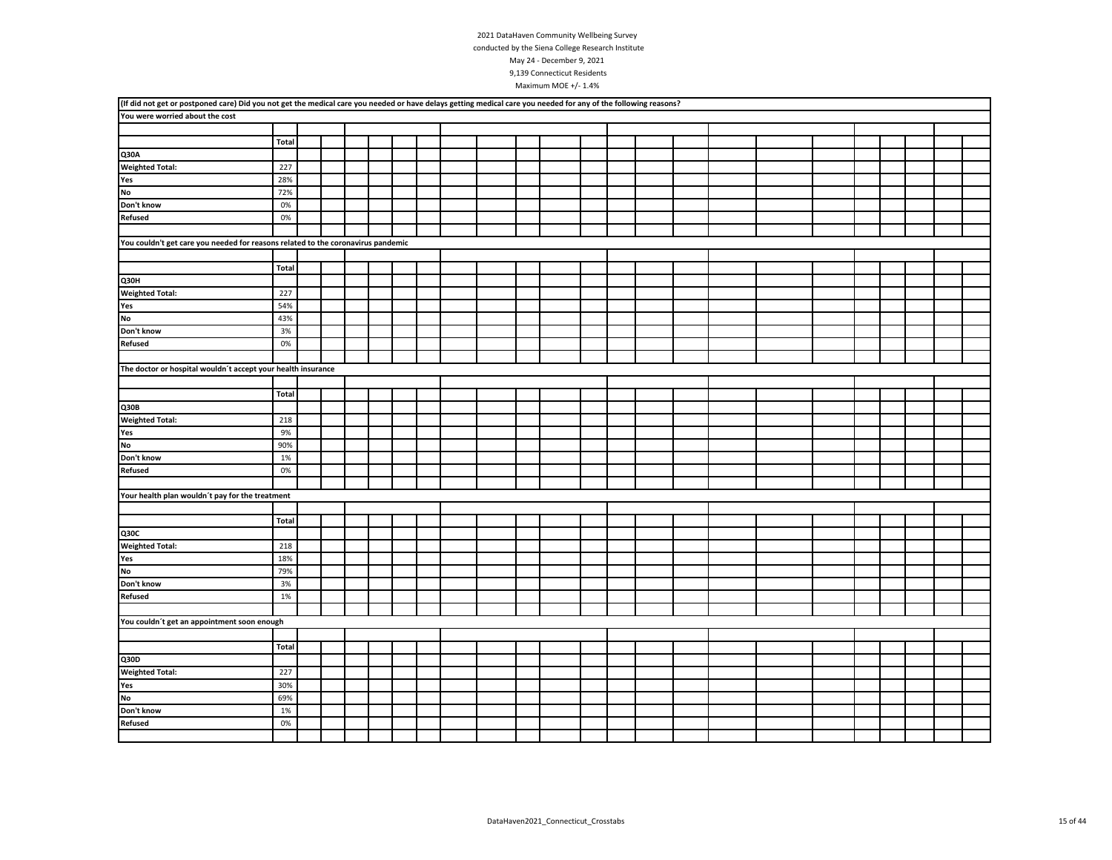| (If did not get or postponed care) Did you not get the medical care you needed or have delays getting medical care you needed for any of the following reasons? |              |  |  |  |  |  |  |  |  |  |  |  |
|-----------------------------------------------------------------------------------------------------------------------------------------------------------------|--------------|--|--|--|--|--|--|--|--|--|--|--|
| You were worried about the cost                                                                                                                                 |              |  |  |  |  |  |  |  |  |  |  |  |
|                                                                                                                                                                 |              |  |  |  |  |  |  |  |  |  |  |  |
|                                                                                                                                                                 | Total        |  |  |  |  |  |  |  |  |  |  |  |
| Q30A                                                                                                                                                            |              |  |  |  |  |  |  |  |  |  |  |  |
| <b>Weighted Total:</b>                                                                                                                                          | 227          |  |  |  |  |  |  |  |  |  |  |  |
| Yes                                                                                                                                                             | 28%          |  |  |  |  |  |  |  |  |  |  |  |
| No                                                                                                                                                              | 72%          |  |  |  |  |  |  |  |  |  |  |  |
| Don't know                                                                                                                                                      | 0%           |  |  |  |  |  |  |  |  |  |  |  |
| <b>Refused</b>                                                                                                                                                  | 0%           |  |  |  |  |  |  |  |  |  |  |  |
|                                                                                                                                                                 |              |  |  |  |  |  |  |  |  |  |  |  |
| You couldn't get care you needed for reasons related to the coronavirus pandemic                                                                                |              |  |  |  |  |  |  |  |  |  |  |  |
|                                                                                                                                                                 |              |  |  |  |  |  |  |  |  |  |  |  |
|                                                                                                                                                                 | Total        |  |  |  |  |  |  |  |  |  |  |  |
| Q30H                                                                                                                                                            |              |  |  |  |  |  |  |  |  |  |  |  |
| <b>Weighted Total:</b>                                                                                                                                          | 227          |  |  |  |  |  |  |  |  |  |  |  |
| Yes                                                                                                                                                             | 54%          |  |  |  |  |  |  |  |  |  |  |  |
| <b>No</b>                                                                                                                                                       | 43%          |  |  |  |  |  |  |  |  |  |  |  |
| Don't know                                                                                                                                                      | 3%           |  |  |  |  |  |  |  |  |  |  |  |
| <b>Refused</b>                                                                                                                                                  | 0%           |  |  |  |  |  |  |  |  |  |  |  |
|                                                                                                                                                                 |              |  |  |  |  |  |  |  |  |  |  |  |
| The doctor or hospital wouldn't accept your health insurance                                                                                                    |              |  |  |  |  |  |  |  |  |  |  |  |
|                                                                                                                                                                 |              |  |  |  |  |  |  |  |  |  |  |  |
|                                                                                                                                                                 | <b>Total</b> |  |  |  |  |  |  |  |  |  |  |  |
| Q30B                                                                                                                                                            |              |  |  |  |  |  |  |  |  |  |  |  |
| <b>Weighted Total:</b>                                                                                                                                          | 218          |  |  |  |  |  |  |  |  |  |  |  |
| Yes                                                                                                                                                             | 9%           |  |  |  |  |  |  |  |  |  |  |  |
| <b>No</b>                                                                                                                                                       | 90%          |  |  |  |  |  |  |  |  |  |  |  |
| Don't know                                                                                                                                                      | 1%           |  |  |  |  |  |  |  |  |  |  |  |
| <b>Refused</b>                                                                                                                                                  | 0%           |  |  |  |  |  |  |  |  |  |  |  |
|                                                                                                                                                                 |              |  |  |  |  |  |  |  |  |  |  |  |
| Your health plan wouldn't pay for the treatment                                                                                                                 |              |  |  |  |  |  |  |  |  |  |  |  |
|                                                                                                                                                                 |              |  |  |  |  |  |  |  |  |  |  |  |
|                                                                                                                                                                 | Total        |  |  |  |  |  |  |  |  |  |  |  |
| Q30C                                                                                                                                                            |              |  |  |  |  |  |  |  |  |  |  |  |
| <b>Weighted Total:</b>                                                                                                                                          | 218          |  |  |  |  |  |  |  |  |  |  |  |
| Yes                                                                                                                                                             | 18%          |  |  |  |  |  |  |  |  |  |  |  |
| <b>No</b>                                                                                                                                                       | 79%          |  |  |  |  |  |  |  |  |  |  |  |
| Don't know                                                                                                                                                      | 3%           |  |  |  |  |  |  |  |  |  |  |  |
| <b>Refused</b>                                                                                                                                                  | 1%           |  |  |  |  |  |  |  |  |  |  |  |
|                                                                                                                                                                 |              |  |  |  |  |  |  |  |  |  |  |  |
| You couldn't get an appointment soon enough                                                                                                                     |              |  |  |  |  |  |  |  |  |  |  |  |
|                                                                                                                                                                 |              |  |  |  |  |  |  |  |  |  |  |  |
|                                                                                                                                                                 | Total        |  |  |  |  |  |  |  |  |  |  |  |
| Q30D                                                                                                                                                            |              |  |  |  |  |  |  |  |  |  |  |  |
| <b>Weighted Total:</b>                                                                                                                                          | 227          |  |  |  |  |  |  |  |  |  |  |  |
| Yes                                                                                                                                                             | 30%          |  |  |  |  |  |  |  |  |  |  |  |
| No                                                                                                                                                              | 69%          |  |  |  |  |  |  |  |  |  |  |  |
| Don't know                                                                                                                                                      | 1%           |  |  |  |  |  |  |  |  |  |  |  |
| <b>Refused</b>                                                                                                                                                  | 0%           |  |  |  |  |  |  |  |  |  |  |  |
|                                                                                                                                                                 |              |  |  |  |  |  |  |  |  |  |  |  |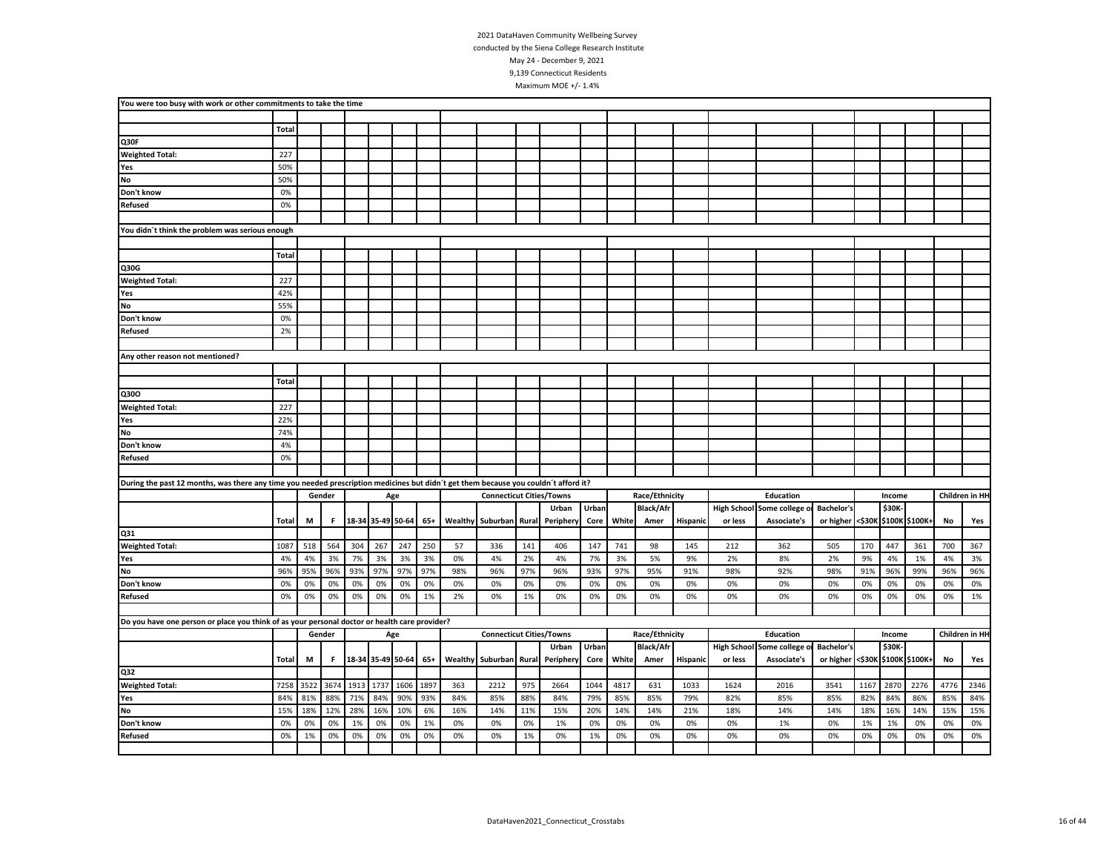| You were too busy with work or other commitments to take the time                                                                   |              |      |        |                   |      |                   |      |     |                                 |       |           |       |       |                  |          |         |                            |                   |      |        |                       |      |                |
|-------------------------------------------------------------------------------------------------------------------------------------|--------------|------|--------|-------------------|------|-------------------|------|-----|---------------------------------|-------|-----------|-------|-------|------------------|----------|---------|----------------------------|-------------------|------|--------|-----------------------|------|----------------|
|                                                                                                                                     |              |      |        |                   |      |                   |      |     |                                 |       |           |       |       |                  |          |         |                            |                   |      |        |                       |      |                |
|                                                                                                                                     | <b>Total</b> |      |        |                   |      |                   |      |     |                                 |       |           |       |       |                  |          |         |                            |                   |      |        |                       |      |                |
| Q30F                                                                                                                                |              |      |        |                   |      |                   |      |     |                                 |       |           |       |       |                  |          |         |                            |                   |      |        |                       |      |                |
| <b>Weighted Total:</b>                                                                                                              | 227          |      |        |                   |      |                   |      |     |                                 |       |           |       |       |                  |          |         |                            |                   |      |        |                       |      |                |
| Yes                                                                                                                                 | 50%          |      |        |                   |      |                   |      |     |                                 |       |           |       |       |                  |          |         |                            |                   |      |        |                       |      |                |
| No                                                                                                                                  | 50%          |      |        |                   |      |                   |      |     |                                 |       |           |       |       |                  |          |         |                            |                   |      |        |                       |      |                |
| Don't know                                                                                                                          | 0%           |      |        |                   |      |                   |      |     |                                 |       |           |       |       |                  |          |         |                            |                   |      |        |                       |      |                |
| <b>Refused</b>                                                                                                                      | 0%           |      |        |                   |      |                   |      |     |                                 |       |           |       |       |                  |          |         |                            |                   |      |        |                       |      |                |
|                                                                                                                                     |              |      |        |                   |      |                   |      |     |                                 |       |           |       |       |                  |          |         |                            |                   |      |        |                       |      |                |
| You didn't think the problem was serious enough                                                                                     |              |      |        |                   |      |                   |      |     |                                 |       |           |       |       |                  |          |         |                            |                   |      |        |                       |      |                |
|                                                                                                                                     |              |      |        |                   |      |                   |      |     |                                 |       |           |       |       |                  |          |         |                            |                   |      |        |                       |      |                |
|                                                                                                                                     | <b>Total</b> |      |        |                   |      |                   |      |     |                                 |       |           |       |       |                  |          |         |                            |                   |      |        |                       |      |                |
| Q30G                                                                                                                                |              |      |        |                   |      |                   |      |     |                                 |       |           |       |       |                  |          |         |                            |                   |      |        |                       |      |                |
| <b>Weighted Total:</b>                                                                                                              | 227          |      |        |                   |      |                   |      |     |                                 |       |           |       |       |                  |          |         |                            |                   |      |        |                       |      |                |
| Yes                                                                                                                                 | 42%          |      |        |                   |      |                   |      |     |                                 |       |           |       |       |                  |          |         |                            |                   |      |        |                       |      |                |
| <b>No</b>                                                                                                                           | 55%          |      |        |                   |      |                   |      |     |                                 |       |           |       |       |                  |          |         |                            |                   |      |        |                       |      |                |
| Don't know                                                                                                                          | 0%           |      |        |                   |      |                   |      |     |                                 |       |           |       |       |                  |          |         |                            |                   |      |        |                       |      |                |
| <b>Refused</b>                                                                                                                      | 2%           |      |        |                   |      |                   |      |     |                                 |       |           |       |       |                  |          |         |                            |                   |      |        |                       |      |                |
|                                                                                                                                     |              |      |        |                   |      |                   |      |     |                                 |       |           |       |       |                  |          |         |                            |                   |      |        |                       |      |                |
| Any other reason not mentioned?                                                                                                     |              |      |        |                   |      |                   |      |     |                                 |       |           |       |       |                  |          |         |                            |                   |      |        |                       |      |                |
|                                                                                                                                     |              |      |        |                   |      |                   |      |     |                                 |       |           |       |       |                  |          |         |                            |                   |      |        |                       |      |                |
|                                                                                                                                     | <b>Total</b> |      |        |                   |      |                   |      |     |                                 |       |           |       |       |                  |          |         |                            |                   |      |        |                       |      |                |
| Q30O                                                                                                                                |              |      |        |                   |      |                   |      |     |                                 |       |           |       |       |                  |          |         |                            |                   |      |        |                       |      |                |
| <b>Weighted Total:</b>                                                                                                              | 227          |      |        |                   |      |                   |      |     |                                 |       |           |       |       |                  |          |         |                            |                   |      |        |                       |      |                |
| Yes                                                                                                                                 | 22%          |      |        |                   |      |                   |      |     |                                 |       |           |       |       |                  |          |         |                            |                   |      |        |                       |      |                |
| No                                                                                                                                  | 74%          |      |        |                   |      |                   |      |     |                                 |       |           |       |       |                  |          |         |                            |                   |      |        |                       |      |                |
| Don't know                                                                                                                          | 4%           |      |        |                   |      |                   |      |     |                                 |       |           |       |       |                  |          |         |                            |                   |      |        |                       |      |                |
| Refused                                                                                                                             | 0%           |      |        |                   |      |                   |      |     |                                 |       |           |       |       |                  |          |         |                            |                   |      |        |                       |      |                |
|                                                                                                                                     |              |      |        |                   |      |                   |      |     |                                 |       |           |       |       |                  |          |         |                            |                   |      |        |                       |      |                |
| During the past 12 months, was there any time you needed prescription medicines but didn't get them because you couldn't afford it? |              |      |        |                   |      |                   |      |     |                                 |       |           |       |       |                  |          |         |                            |                   |      |        |                       |      |                |
|                                                                                                                                     |              |      | Gender |                   |      | Age               |      |     | <b>Connecticut Cities/Towns</b> |       |           |       |       | Race/Ethnicity   |          |         | Education                  |                   |      | Income |                       |      | Children in HH |
|                                                                                                                                     |              |      |        |                   |      |                   |      |     |                                 |       | Urban     | Urban |       | <b>Black/Afr</b> |          |         | High School Some college o | <b>Bachelor's</b> |      | \$30K- |                       |      |                |
|                                                                                                                                     | Total        | M    | F.     | 18-34 35-49 50-64 |      |                   | 65+  |     | Wealthy Suburban Rural          |       | Periphery | Core  | White | Amer             | Hispanic | or less | Associate's                | or higher         |      |        | <\$30K \$100K \$100K+ | No   | Yes            |
| Q31                                                                                                                                 |              |      |        |                   |      |                   |      |     |                                 |       |           |       |       |                  |          |         |                            |                   |      |        |                       |      |                |
| <b>Weighted Total:</b>                                                                                                              | 1087         | 518  | 564    | 304               | 267  | 247               | 250  | 57  | 336                             | 141   | 406       | 147   | 741   | 98               | 145      | 212     | 362                        | 505               | 170  | 447    | 361                   | 700  | 367            |
| Yes                                                                                                                                 | 4%           | 4%   | 3%     | 7%                | 3%   | 3%                | 3%   | 0%  | 4%                              | 2%    | 4%        | 7%    | 3%    | 5%               | 9%       | 2%      | 8%                         | 2%                | 9%   | 4%     | 1%                    | 4%   | 3%             |
| No                                                                                                                                  | 96%          | 95%  | 96%    | 93%               | 97%  | 97%               | 97%  | 98% | 96%                             | 97%   | 96%       | 93%   | 97%   | 95%              | 91%      | 98%     | 92%                        | 98%               | 91%  | 96%    | 99%                   | 96%  | 96%            |
| Don't know                                                                                                                          | 0%           | 0%   | 0%     | 0%                | 0%   | 0%                | 0%   | 0%  | 0%                              | 0%    | 0%        | 0%    | 0%    | 0%               | 0%       | 0%      | 0%                         | 0%                | 0%   | 0%     | 0%                    | 0%   | 0%             |
| Refused                                                                                                                             | 0%           | 0%   | 0%     | 0%                | 0%   | 0%                | 1%   | 2%  | 0%                              | 1%    | 0%        | 0%    | 0%    | 0%               | 0%       | 0%      | 0%                         | 0%                | 0%   | 0%     | 0%                    | 0%   | 1%             |
|                                                                                                                                     |              |      |        |                   |      |                   |      |     |                                 |       |           |       |       |                  |          |         |                            |                   |      |        |                       |      |                |
| Do you have one person or place you think of as your personal doctor or health care provider?                                       |              |      |        |                   |      |                   |      |     |                                 |       |           |       |       |                  |          |         |                            |                   |      |        |                       |      |                |
|                                                                                                                                     |              |      | Gender |                   |      | Age               |      |     | <b>Connecticut Cities/Towns</b> |       |           |       |       | Race/Ethnicity   |          |         | Education                  |                   |      | Income |                       |      | Children in HH |
|                                                                                                                                     |              |      |        |                   |      |                   |      |     |                                 |       | Urban     | Urban |       | <b>Black/Afr</b> |          |         | High School Some college o | <b>Bachelor's</b> |      | \$30K  |                       |      |                |
|                                                                                                                                     | Total        | M    | F.     |                   |      | 18-34 35-49 50-64 | 65+  |     | <b>Wealthy Suburban</b>         | Rural | Periphery | Core  | White | Amer             | Hispanio | or less | Associate's                | or higher         |      |        | <\$30K \$100K \$100K+ | No   | Yes            |
| Q32                                                                                                                                 |              |      |        |                   |      |                   |      |     |                                 |       |           |       |       |                  |          |         |                            |                   |      |        |                       |      |                |
| <b>Weighted Total:</b>                                                                                                              | 7258         | 3522 | 3674   | 1913              | 1737 | 1606              | 1897 | 363 | 2212                            | 975   | 2664      | 1044  | 4817  | 631              | 1033     | 1624    | 2016                       | 3541              | 1167 | 2870   | 2276                  | 4776 | 2346           |
| Yes                                                                                                                                 | 84%          | 81%  | 88%    | 71%               | 84%  | 90%               | 93%  | 84% | 85%                             | 88%   | 84%       | 79%   | 85%   | 85%              | 79%      | 82%     | 85%                        | 85%               | 82%  | 84%    | 86%                   | 85%  | 84%            |
| No                                                                                                                                  | 15%          | 18%  | 12%    | 28%               | 16%  | 10%               | 6%   | 16% | 14%                             | 11%   | 15%       | 20%   | 14%   | 14%              | 21%      | 18%     | 14%                        | 14%               | 18%  | 16%    | 14%                   | 15%  | 15%            |
| Don't know                                                                                                                          | 0%           | 0%   | 0%     | 1%                | 0%   | 0%                | 1%   | 0%  | 0%                              | 0%    | 1%        | 0%    | 0%    | 0%               | 0%       | 0%      | 1%                         | 0%                | 1%   | 1%     | 0%                    | 0%   | 0%             |
| <b>Refused</b>                                                                                                                      | 0%           | 1%   | 0%     | 0%                | 0%   | 0%                | 0%   | 0%  | 0%                              | 1%    | 0%        | 1%    | 0%    | 0%               | 0%       | 0%      | 0%                         | 0%                | 0%   | 0%     | 0%                    | 0%   | 0%             |
|                                                                                                                                     |              |      |        |                   |      |                   |      |     |                                 |       |           |       |       |                  |          |         |                            |                   |      |        |                       |      |                |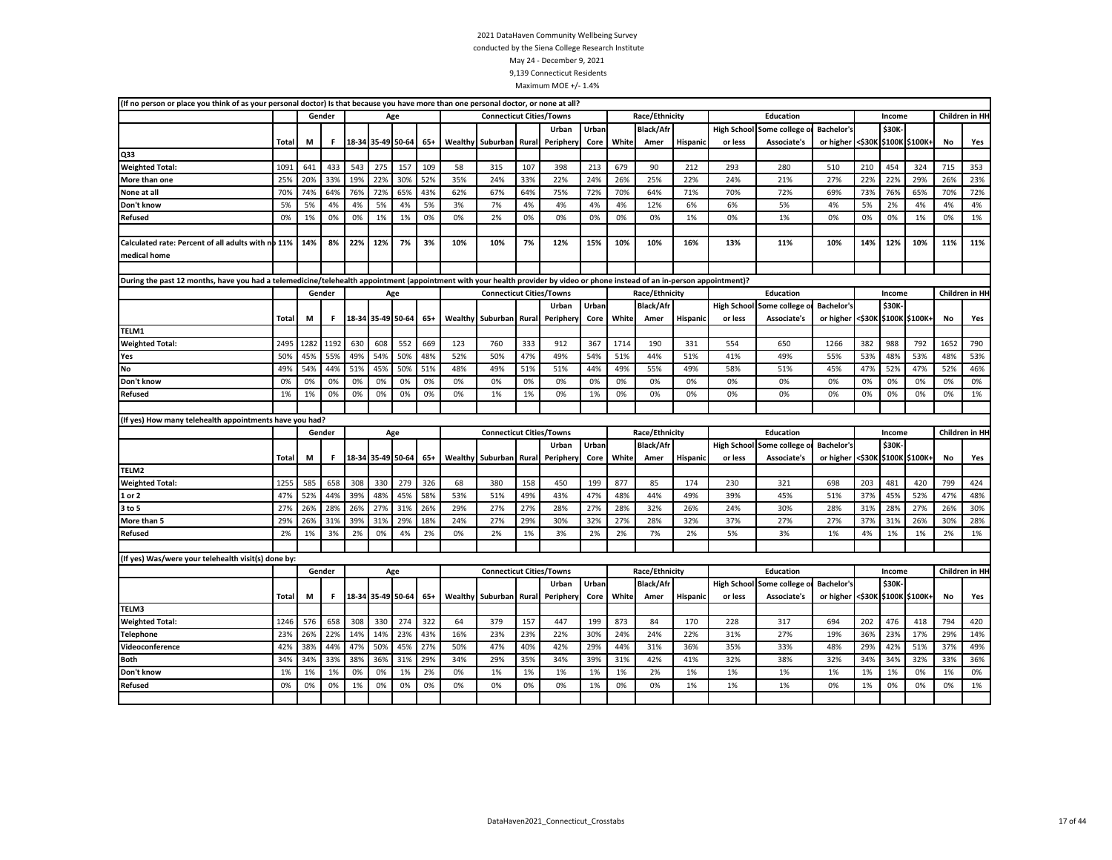|                                                     | (If no person or place you think of as your personal doctor) Is that because you have more than one personal doctor, or none at all?<br>Gender<br>Total<br>М<br>F.<br>543<br>1091<br>641<br>433<br>25%<br>20%<br>33%<br>19%<br>70%<br>74%<br>64%<br>76%<br>5%<br>5%<br>4%<br>4%<br>0%<br>1%<br>0%<br>0%<br>Calculated rate: Percent of all adults with no 11%<br>14%<br>8%<br>22%<br>During the past 12 months, have you had a telemedicine/telehealth appointment (appointment with your health provider by video or phone instead of an in-person appointment)?<br>Gender<br>Total<br>F.<br>М<br>2495<br>1282<br>1192<br>630<br>45%<br>55%<br>49%<br>50%<br>54%<br>44%<br>51%<br>49%<br>0%<br>0%<br>0%<br>0%<br>1%<br>1%<br>0%<br>0%<br>(If yes) How many telehealth appointments have you had?<br>Gender<br>Total<br>M<br>F<br>1255<br>585<br>658<br>308<br>52%<br>47%<br>44%<br>39% |     |        |     |                   |     |       |         |                                 |       |           |       |       |                  |                 |                    |                |                   |        |        |                       |      |                 |
|-----------------------------------------------------|-----------------------------------------------------------------------------------------------------------------------------------------------------------------------------------------------------------------------------------------------------------------------------------------------------------------------------------------------------------------------------------------------------------------------------------------------------------------------------------------------------------------------------------------------------------------------------------------------------------------------------------------------------------------------------------------------------------------------------------------------------------------------------------------------------------------------------------------------------------------------------------------|-----|--------|-----|-------------------|-----|-------|---------|---------------------------------|-------|-----------|-------|-------|------------------|-----------------|--------------------|----------------|-------------------|--------|--------|-----------------------|------|-----------------|
|                                                     |                                                                                                                                                                                                                                                                                                                                                                                                                                                                                                                                                                                                                                                                                                                                                                                                                                                                                         |     |        |     | Age               |     |       |         | <b>Connecticut Cities/Towns</b> |       |           |       |       | Race/Ethnicity   |                 |                    | Education      |                   |        | Income |                       |      | Children in HI- |
|                                                     |                                                                                                                                                                                                                                                                                                                                                                                                                                                                                                                                                                                                                                                                                                                                                                                                                                                                                         |     |        |     |                   |     |       |         |                                 |       | Urban     | Urban |       | <b>Black/Afr</b> |                 | <b>High School</b> | Some college   | <b>Bachelor's</b> |        | \$30K- |                       |      |                 |
|                                                     |                                                                                                                                                                                                                                                                                                                                                                                                                                                                                                                                                                                                                                                                                                                                                                                                                                                                                         |     |        |     |                   |     | $65+$ | Wealthy | Suburban                        | Rural | Peripher  | Core  | White | Amer             | Hispanic        | or less            | Associate's    | or higher         | <\$30K |        | \$100K \$100K+        | No   | Yes             |
| Q33                                                 |                                                                                                                                                                                                                                                                                                                                                                                                                                                                                                                                                                                                                                                                                                                                                                                                                                                                                         |     |        |     |                   |     |       |         |                                 |       |           |       |       |                  |                 |                    |                |                   |        |        |                       |      |                 |
| <b>Weighted Total:</b>                              |                                                                                                                                                                                                                                                                                                                                                                                                                                                                                                                                                                                                                                                                                                                                                                                                                                                                                         |     |        |     | 275               | 157 | 109   | 58      | 315                             | 107   | 398       | 213   | 679   | 90               | 212             | 293                | 280            | 510               | 210    | 454    | 324                   | 715  | 353             |
| More than one                                       |                                                                                                                                                                                                                                                                                                                                                                                                                                                                                                                                                                                                                                                                                                                                                                                                                                                                                         |     |        |     | 22%               | 30% | 52%   | 35%     | 24%                             | 33%   | 22%       | 24%   | 26%   | 25%              | 22%             | 24%                | 21%            | 27%               | 22%    | 22%    | 29%                   | 26%  | 23%             |
| None at all                                         |                                                                                                                                                                                                                                                                                                                                                                                                                                                                                                                                                                                                                                                                                                                                                                                                                                                                                         |     |        |     | 72%               | 65% | 43%   | 62%     | 67%                             | 64%   | 75%       | 72%   | 70%   | 64%              | 71%             | 70%                | 72%            | 69%               | 73%    | 76%    | 65%                   | 70%  | 72%             |
| Don't know                                          |                                                                                                                                                                                                                                                                                                                                                                                                                                                                                                                                                                                                                                                                                                                                                                                                                                                                                         |     |        |     |                   |     |       |         | 7%                              | 4%    | 4%        | 4%    | 4%    | 12%              | 6%              | 6%                 | 5%             | 4%                | 5%     | 2%     | 4%                    | 4%   | 4%              |
| <b>Refused</b>                                      |                                                                                                                                                                                                                                                                                                                                                                                                                                                                                                                                                                                                                                                                                                                                                                                                                                                                                         |     |        |     |                   |     |       |         | 2%                              | 0%    | 0%        | 0%    | 0%    | 0%               | 1%              | 0%                 | 1%             | 0%                | 0%     | 0%     | 1%                    | 0%   | 1%              |
|                                                     | 18-34 35-49 50-64<br>330                                                                                                                                                                                                                                                                                                                                                                                                                                                                                                                                                                                                                                                                                                                                                                                                                                                                |     |        |     |                   |     |       |         |                                 |       |           |       |       |                  |                 |                    |                |                   |        |        |                       |      |                 |
|                                                     |                                                                                                                                                                                                                                                                                                                                                                                                                                                                                                                                                                                                                                                                                                                                                                                                                                                                                         |     |        |     |                   |     |       |         | 10%                             | 7%    | 12%       | 15%   | 10%   | 10%              | 16%             | 13%                | 11%            | 10%               | 14%    | 12%    | 10%                   | 11%  | 11%             |
| medical home                                        |                                                                                                                                                                                                                                                                                                                                                                                                                                                                                                                                                                                                                                                                                                                                                                                                                                                                                         |     |        |     |                   |     |       |         |                                 |       |           |       |       |                  |                 |                    |                |                   |        |        |                       |      |                 |
|                                                     |                                                                                                                                                                                                                                                                                                                                                                                                                                                                                                                                                                                                                                                                                                                                                                                                                                                                                         |     |        |     |                   |     |       |         |                                 |       |           |       |       |                  |                 |                    |                |                   |        |        |                       |      |                 |
|                                                     |                                                                                                                                                                                                                                                                                                                                                                                                                                                                                                                                                                                                                                                                                                                                                                                                                                                                                         |     |        |     |                   |     |       |         |                                 |       |           |       |       |                  |                 |                    |                |                   |        |        |                       |      |                 |
|                                                     |                                                                                                                                                                                                                                                                                                                                                                                                                                                                                                                                                                                                                                                                                                                                                                                                                                                                                         |     |        |     |                   | Age |       |         | <b>Connecticut Cities/Towns</b> |       |           |       |       | Race/Ethnicity   |                 |                    | Education      |                   |        | Income |                       |      | Children in HI- |
|                                                     |                                                                                                                                                                                                                                                                                                                                                                                                                                                                                                                                                                                                                                                                                                                                                                                                                                                                                         |     |        |     |                   |     |       |         |                                 |       | Urban     | Urban |       | <b>Black/Afr</b> |                 | <b>High School</b> | Some college   | <b>Bachelor's</b> |        | \$30K- |                       |      |                 |
|                                                     | 5%<br>1%<br>12%<br>18-34 35-49 50-64<br>54%<br>45%<br>0%<br>0%<br>18-34 35-49 50-64                                                                                                                                                                                                                                                                                                                                                                                                                                                                                                                                                                                                                                                                                                                                                                                                     |     |        |     |                   |     |       |         | Suburban                        | Rural | Periphery | Core  | White | Amer             | <b>Hispanic</b> | or less            | Associate's    | or higher         | <\$30к |        | \$100K \$100K+        | No   | Yes             |
| TELM1                                               |                                                                                                                                                                                                                                                                                                                                                                                                                                                                                                                                                                                                                                                                                                                                                                                                                                                                                         |     |        |     |                   |     |       |         |                                 |       |           |       |       |                  |                 |                    |                |                   |        |        |                       |      |                 |
| <b>Weighted Total:</b>                              |                                                                                                                                                                                                                                                                                                                                                                                                                                                                                                                                                                                                                                                                                                                                                                                                                                                                                         |     |        |     | 608               | 552 | 669   | 123     | 760                             | 333   | 912       | 367   | 1714  | 190              | 331             | 554                | 650            | 1266              | 382    | 988    | 792                   | 1652 | 790             |
| Yes                                                 |                                                                                                                                                                                                                                                                                                                                                                                                                                                                                                                                                                                                                                                                                                                                                                                                                                                                                         |     |        |     |                   | 50% | 48%   | 52%     | 50%                             | 47%   | 49%       | 54%   | 51%   | 44%              | 51%             | 41%                | 49%            | 55%               | 53%    | 48%    | 53%                   | 48%  | 53%             |
| No                                                  |                                                                                                                                                                                                                                                                                                                                                                                                                                                                                                                                                                                                                                                                                                                                                                                                                                                                                         |     |        |     |                   | 50% | 51%   | 48%     | 49%                             | 51%   | 51%       | 44%   | 49%   | 55%              | 49%             | 58%                | 51%            | 45%               | 47%    | 52%    | 47%                   | 52%  | 46%             |
| Don't know                                          |                                                                                                                                                                                                                                                                                                                                                                                                                                                                                                                                                                                                                                                                                                                                                                                                                                                                                         |     |        |     |                   |     |       |         | 0%                              | 0%    | 0%        | 0%    | 0%    | 0%               | 0%              | 0%                 | 0%             | 0%                | 0%     | 0%     | 0%                    | 0%   | 0%              |
| <b>Refused</b>                                      | 27%<br>26%<br>28%<br>26%                                                                                                                                                                                                                                                                                                                                                                                                                                                                                                                                                                                                                                                                                                                                                                                                                                                                |     |        |     |                   |     |       | 0%      | 1%                              | 1%    | 0%        | 1%    | 0%    | 0%               | 0%              | 0%                 | 0%             | 0%                | 0%     | 0%     | 0%                    | 0%   | 1%              |
|                                                     |                                                                                                                                                                                                                                                                                                                                                                                                                                                                                                                                                                                                                                                                                                                                                                                                                                                                                         |     |        |     |                   |     |       |         |                                 |       |           |       |       |                  |                 |                    |                |                   |        |        |                       |      |                 |
|                                                     |                                                                                                                                                                                                                                                                                                                                                                                                                                                                                                                                                                                                                                                                                                                                                                                                                                                                                         |     |        |     |                   |     |       |         |                                 |       |           |       |       |                  |                 |                    |                |                   |        |        |                       |      |                 |
|                                                     |                                                                                                                                                                                                                                                                                                                                                                                                                                                                                                                                                                                                                                                                                                                                                                                                                                                                                         |     |        |     |                   | Age |       |         | <b>Connecticut Cities/Towns</b> |       |           |       |       | Race/Ethnicity   |                 |                    | Education      |                   |        | Income |                       |      | Children in HI- |
|                                                     |                                                                                                                                                                                                                                                                                                                                                                                                                                                                                                                                                                                                                                                                                                                                                                                                                                                                                         |     |        |     |                   |     |       |         |                                 |       | Urban     | Urban |       | <b>Black/Afr</b> |                 | <b>High School</b> | Some college   | <b>Bachelor's</b> |        | \$30K- |                       |      |                 |
|                                                     |                                                                                                                                                                                                                                                                                                                                                                                                                                                                                                                                                                                                                                                                                                                                                                                                                                                                                         |     |        |     |                   |     | $65+$ |         | Wealthy Suburban                | Rural | Peripher  | Core  | White | Amer             | Hispanic        | or less            | Associate's    | or higher         |        |        | <\$30K \$100K \$100K+ | No   | Yes             |
| TELM2                                               |                                                                                                                                                                                                                                                                                                                                                                                                                                                                                                                                                                                                                                                                                                                                                                                                                                                                                         |     |        |     |                   |     |       |         |                                 |       |           |       |       |                  |                 |                    |                |                   |        |        |                       |      |                 |
| <b>Weighted Total:</b>                              |                                                                                                                                                                                                                                                                                                                                                                                                                                                                                                                                                                                                                                                                                                                                                                                                                                                                                         |     |        |     |                   |     |       |         | 380                             | 158   | 450       | 199   | 877   | 85               | 174             | 230                | 321            | 698               | 203    | 481    | 420                   | 799  | 424             |
| 1 or 2                                              |                                                                                                                                                                                                                                                                                                                                                                                                                                                                                                                                                                                                                                                                                                                                                                                                                                                                                         |     |        |     | 48%               | 45% | 58%   | 53%     | 51%                             | 49%   | 43%       | 47%   | 48%   | 44%              | 49%             | 39%                | 45%            | 51%               | 37%    | 45%    | 52%                   | 47%  | 48%             |
| 3 to 5                                              |                                                                                                                                                                                                                                                                                                                                                                                                                                                                                                                                                                                                                                                                                                                                                                                                                                                                                         |     |        |     | 27%               | 31% | 26%   | 29%     | 27%                             | 27%   | 28%       | 27%   | 28%   | 32%              | 26%             | 24%                | 30%            | 28%               | 31%    | 28%    | 27%                   | 26%  | 30%             |
| More than 5                                         | 29%                                                                                                                                                                                                                                                                                                                                                                                                                                                                                                                                                                                                                                                                                                                                                                                                                                                                                     | 26% | 31%    | 39% | 31%               | 29% | 18%   | 24%     | 27%                             | 29%   | 30%       | 32%   | 27%   | 28%              | 32%             | 37%                | 27%            | 27%               | 37%    | 31%    | 26%                   | 30%  | 28%             |
| <b>Refused</b>                                      | 2%                                                                                                                                                                                                                                                                                                                                                                                                                                                                                                                                                                                                                                                                                                                                                                                                                                                                                      | 1%  | 3%     | 2%  | 0%                | 4%  | 2%    | 0%      | 2%                              | 1%    | 3%        | 2%    | 2%    | 7%               | 2%              | 5%                 | 3%             | 1%                | 4%     | 1%     | 1%                    | 2%   | 1%              |
|                                                     |                                                                                                                                                                                                                                                                                                                                                                                                                                                                                                                                                                                                                                                                                                                                                                                                                                                                                         |     |        |     |                   |     |       |         |                                 |       |           |       |       |                  |                 |                    |                |                   |        |        |                       |      |                 |
| (If yes) Was/were your telehealth visit(s) done by: |                                                                                                                                                                                                                                                                                                                                                                                                                                                                                                                                                                                                                                                                                                                                                                                                                                                                                         |     |        |     |                   |     |       |         |                                 |       |           |       |       |                  |                 |                    |                |                   |        |        |                       |      |                 |
|                                                     |                                                                                                                                                                                                                                                                                                                                                                                                                                                                                                                                                                                                                                                                                                                                                                                                                                                                                         |     | Gender |     |                   | Age |       |         | <b>Connecticut Cities/Towns</b> |       |           |       |       | Race/Ethnicity   |                 |                    | Education      |                   |        | Income |                       |      | Children in HI- |
|                                                     |                                                                                                                                                                                                                                                                                                                                                                                                                                                                                                                                                                                                                                                                                                                                                                                                                                                                                         |     |        |     |                   |     |       |         |                                 |       | Urban     | Urban |       | <b>Black/Afr</b> |                 | <b>High School</b> | Some college o | <b>Bachelor's</b> |        | \$30K- |                       |      |                 |
|                                                     | Total                                                                                                                                                                                                                                                                                                                                                                                                                                                                                                                                                                                                                                                                                                                                                                                                                                                                                   | М   | F.     |     | 18-34 35-49 50-64 |     | $65+$ | Wealthy | Suburban                        | Rural | Periphery | Core  | White | Amer             | <b>Hispanic</b> | or less            | Associate's    | or higher         | <\$30K |        | \$100K \$100K         | No   | Yes             |
| <b>TELM3</b>                                        |                                                                                                                                                                                                                                                                                                                                                                                                                                                                                                                                                                                                                                                                                                                                                                                                                                                                                         |     |        |     |                   |     |       |         |                                 |       |           |       |       |                  |                 |                    |                |                   |        |        |                       |      |                 |
| <b>Weighted Total:</b>                              | 1246                                                                                                                                                                                                                                                                                                                                                                                                                                                                                                                                                                                                                                                                                                                                                                                                                                                                                    | 576 | 658    | 308 | 330               | 274 | 322   | 64      | 379                             | 157   | 447       | 199   | 873   | 84               | 170             | 228                | 317            | 694               | 202    | 476    | 418                   | 794  | 420             |
| <b>Telephone</b>                                    | 23%                                                                                                                                                                                                                                                                                                                                                                                                                                                                                                                                                                                                                                                                                                                                                                                                                                                                                     | 26% | 22%    | 14% | 14%               | 23% | 43%   | 16%     | 23%                             | 23%   | 22%       | 30%   | 24%   | 24%              | 22%             | 31%                | 27%            | 19%               | 36%    | 23%    | 17%                   | 29%  | 14%             |
| Videoconference                                     | 42%                                                                                                                                                                                                                                                                                                                                                                                                                                                                                                                                                                                                                                                                                                                                                                                                                                                                                     | 38% | 44%    | 47% | 50%               | 45% | 27%   | 50%     | 47%                             | 40%   | 42%       | 29%   | 44%   | 31%              | 36%             | 35%                | 33%            | 48%               | 29%    | 42%    | 51%                   | 37%  | 49%             |
| <b>Both</b>                                         | 34%                                                                                                                                                                                                                                                                                                                                                                                                                                                                                                                                                                                                                                                                                                                                                                                                                                                                                     | 34% | 33%    | 38% | 36%               | 31% | 29%   | 34%     | 29%                             | 35%   | 34%       | 39%   | 31%   | 42%              | 41%             | 32%                | 38%            | 32%               | 34%    | 34%    | 32%                   | 33%  | 36%             |
| Don't know                                          | 1%                                                                                                                                                                                                                                                                                                                                                                                                                                                                                                                                                                                                                                                                                                                                                                                                                                                                                      | 1%  | 1%     | 0%  | 0%                | 1%  | 2%    | 0%      | 1%                              | 1%    | 1%        | 1%    | 1%    | 2%               | 1%              | 1%                 | 1%             | 1%                | 1%     | 1%     | 0%                    | 1%   | 0%              |
| Refused                                             | 0%                                                                                                                                                                                                                                                                                                                                                                                                                                                                                                                                                                                                                                                                                                                                                                                                                                                                                      | 0%  | 0%     | 1%  | 0%                | 0%  | 0%    | 0%      | 0%                              | 0%    | 0%        | 1%    | 0%    | 0%               | 1%              | 1%                 | 1%             | 0%                | 1%     | 0%     | 0%                    | 0%   | 1%              |
|                                                     |                                                                                                                                                                                                                                                                                                                                                                                                                                                                                                                                                                                                                                                                                                                                                                                                                                                                                         |     |        |     |                   |     |       |         |                                 |       |           |       |       |                  |                 |                    |                |                   |        |        |                       |      |                 |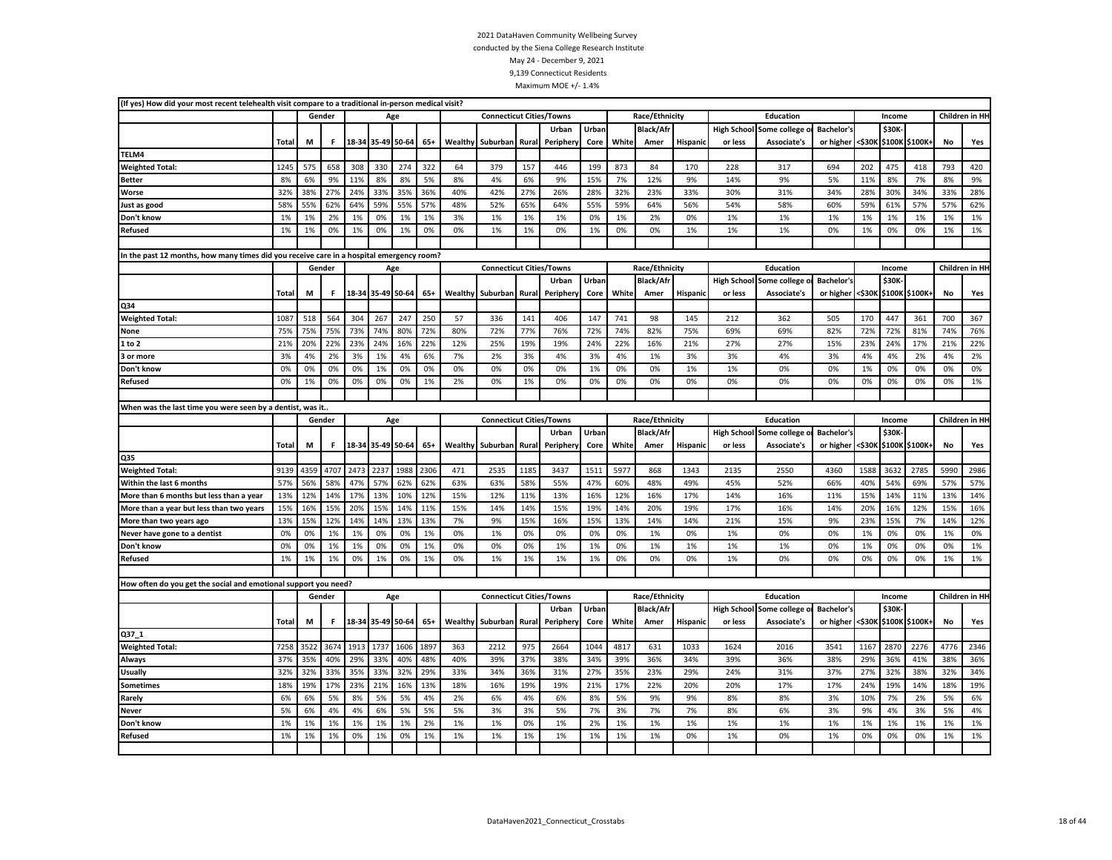| (If yes) How did your most recent telehealth visit compare to a traditional in-person medical visit? |              |      |        |      |                   |      |       |         |                                 |       |                   |               |       |                          |                 |                               |                             |                                |        |        |                |      |                 |
|------------------------------------------------------------------------------------------------------|--------------|------|--------|------|-------------------|------|-------|---------|---------------------------------|-------|-------------------|---------------|-------|--------------------------|-----------------|-------------------------------|-----------------------------|--------------------------------|--------|--------|----------------|------|-----------------|
|                                                                                                      |              |      | Gender |      |                   | Age  |       |         | <b>Connecticut Cities/Towns</b> |       |                   |               |       | Race/Ethnicity           |                 |                               | Education                   |                                |        | Income |                |      | Children in HI- |
|                                                                                                      |              |      |        |      |                   |      |       |         |                                 |       | Urban             | Urban         |       | <b>Black/Afr</b>         |                 | <b>High School</b>            | Some college                | <b>Bachelor's</b>              |        | \$30K  |                |      |                 |
|                                                                                                      | <b>Total</b> | M    | F      |      | 18-34 35-49 50-64 |      | $65+$ | Wealthy | Suburban Rural                  |       | Peripher          | Core          | White | Amer                     | <b>Hispanic</b> | or less                       | Associate's                 | or higher                      | <\$30K |        | \$100K \$100K  | No   | Yes             |
| TELM4                                                                                                |              |      |        |      |                   |      |       |         |                                 |       |                   |               |       |                          |                 |                               |                             |                                |        |        |                |      |                 |
| <b>Weighted Total:</b>                                                                               | 1245         | 575  | 658    | 308  | 330               | 274  | 322   | 64      | 379                             | 157   | 446               | 199           | 873   | 84                       | 170             | 228                           | 317                         | 694                            | 202    | 475    | 418            | 793  | 420             |
| Better                                                                                               | 8%           | 6%   | 9%     | 11%  | 8%                | 8%   | 5%    | 8%      | 4%                              | 6%    | 9%                | 15%           | 7%    | 12%                      | 9%              | 14%                           | 9%                          | 5%                             | 11%    | 8%     | 7%             | 8%   | 9%              |
| Worse                                                                                                | 32%          | 38%  | 27%    | 24%  | 33%               | 35%  | 36%   | 40%     | 42%                             | 27%   | 26%               | 28%           | 32%   | 23%                      | 33%             | 30%                           | 31%                         | 34%                            | 28%    | 30%    | 34%            | 33%  | 28%             |
| Just as good                                                                                         | 58%          | 55%  | 62%    | 64%  | 59%               | 55%  | 57%   | 48%     | 52%                             | 65%   | 64%               | 55%           | 59%   | 64%                      | 56%             | 54%                           | 58%                         | 60%                            | 59%    | 61%    | 57%            | 57%  | 62%             |
| Don't know                                                                                           | 1%           | 1%   | 2%     | 1%   | 0%                | 1%   | 1%    | 3%      | 1%                              | 1%    | 1%                | 0%            | 1%    | 2%                       | 0%              | 1%                            | 1%                          | 1%                             | 1%     | 1%     | 1%             | 1%   | 1%              |
| Refused                                                                                              | 1%           | 1%   | 0%     | 1%   | 0%                | 1%   | 0%    | 0%      | 1%                              | 1%    | 0%                | 1%            | 0%    | 0%                       | 1%              | 1%                            | 1%                          | 0%                             | 1%     | 0%     | 0%             | 1%   | 1%              |
|                                                                                                      |              |      |        |      |                   |      |       |         |                                 |       |                   |               |       |                          |                 |                               |                             |                                |        |        |                |      |                 |
| In the past 12 months, how many times did you receive care in a hospital emergency room?             |              |      |        |      |                   |      |       |         |                                 |       |                   |               |       |                          |                 |                               |                             |                                |        |        |                |      |                 |
|                                                                                                      |              |      | Gender |      |                   | Age  |       |         | <b>Connecticut Cities/Towns</b> |       |                   |               |       | Race/Ethnicity           |                 |                               | <b>Education</b>            |                                |        | Income |                |      | Children in HI- |
|                                                                                                      |              |      |        |      |                   |      |       |         |                                 |       | Urban             | Urban         |       | Black/Afr                |                 | <b>High School</b>            | Some college                | <b>Bachelor's</b>              |        | \$30K- |                |      |                 |
|                                                                                                      | Total        | М    | F.     |      | 18-34 35-49 50-64 |      | 65+   | Wealthy | Suburban                        | Rural | Peripher          | Core          | White | Amer                     | <b>Hispanio</b> | or less                       | <b>Associate's</b>          | or higher                      | <\$30к |        | \$100K \$100K+ | No   | Yes             |
| Q34                                                                                                  |              |      |        |      |                   |      |       |         |                                 |       |                   |               |       |                          |                 |                               |                             |                                |        |        |                |      |                 |
| <b>Weighted Total:</b>                                                                               | 1087         | 518  | 564    | 304  | 267               | 247  | 250   | 57      | 336                             | 141   | 406               | 147           | 741   | 98                       | 145             | 212                           | 362                         | 505                            | 170    | 447    | 361            | 700  | 367             |
| None                                                                                                 | 75%          | 75%  | 75%    | 73%  | 74%               | 80%  | 72%   | 80%     | 72%                             | 77%   | 76%               | 72%           | 74%   | 82%                      | 75%             | 69%                           | 69%                         | 82%                            | 72%    | 72%    | 81%            | 74%  | 76%             |
| 1 to 2                                                                                               | 21%          | 20%  | 22%    | 23%  | 24%               | 16%  | 22%   | 12%     | 25%                             | 19%   | 19%               | 24%           | 22%   | 16%                      | 21%             | 27%                           | 27%                         | 15%                            | 23%    | 24%    | 17%            | 21%  | 22%             |
| 3 or more                                                                                            | 3%           | 4%   | 2%     | 3%   | 1%                | 4%   | 6%    | 7%      | 2%                              | 3%    | 4%                | 3%            | 4%    | 1%                       | 3%              | 3%                            | 4%                          | 3%                             | 4%     | 4%     | 2%             | 4%   | 2%              |
| Don't know                                                                                           | 0%           | 0%   | 0%     | 0%   | 1%                | 0%   | 0%    | 0%      | 0%                              | 0%    | 0%                | 1%            | 0%    | 0%                       | 1%              | 1%                            | 0%                          | 0%                             | 1%     | 0%     | 0%             | 0%   | 0%              |
| Refused                                                                                              | 0%           | 1%   | 0%     | 0%   | 0%                | 0%   | 1%    | 2%      | 0%                              | 1%    | 0%                | 0%            | 0%    | 0%                       | 0%              | 0%                            | 0%                          | 0%                             | 0%     | 0%     | 0%             | 0%   | 1%              |
|                                                                                                      |              |      |        |      |                   |      |       |         |                                 |       |                   |               |       |                          |                 |                               |                             |                                |        |        |                |      |                 |
| When was the last time you were seen by a dentist, was it.                                           |              |      |        |      |                   |      |       |         |                                 |       |                   |               |       |                          |                 |                               |                             |                                |        |        |                |      |                 |
|                                                                                                      |              |      | Gender |      | Age               |      |       |         | <b>Connecticut Cities/Towns</b> |       |                   |               |       | Race/Ethnicity           |                 |                               | Education                   |                                |        | Income |                |      | Children in HI- |
|                                                                                                      |              |      |        |      |                   |      |       |         |                                 |       | Urban             | Urban         |       | <b>Black/Afr</b>         |                 |                               | High School Some college o  | <b>Bachelor's</b>              |        | \$30K  |                |      |                 |
|                                                                                                      | <b>Total</b> | M    | F.     |      | 18-34 35-49 50-64 |      | $65+$ | Wealthy | Suburban                        | Rural | Periphery         | Core          | White | Amer                     | Hispanic        | or less                       | Associate's                 | or higher                      | <\$30K |        | \$100K \$100K+ | No   | Yes             |
| Q35                                                                                                  |              |      |        |      |                   |      |       |         |                                 |       |                   |               |       |                          |                 |                               |                             |                                |        |        |                |      |                 |
| <b>Weighted Total:</b>                                                                               | 9139         | 4359 | 4707   | 2473 | 2237              | 1988 | 2306  | 471     | 2535                            | 1185  | 3437              | 1511          | 5977  | 868                      | 1343            | 2135                          | 2550                        | 4360                           | 1588   | 3632   | 2785           | 5990 | 2986            |
| Within the last 6 months                                                                             | 57%          | 56%  | 58%    | 47%  | 57%               | 62%  | 62%   | 63%     | 63%                             | 58%   | 55%               | 47%           | 60%   | 48%                      | 49%             | 45%                           | 52%                         | 66%                            | 40%    | 54%    | 69%            | 57%  | 57%             |
| More than 6 months but less than a year                                                              | 13%          | 12%  | 14%    | 17%  | 13%               | 10%  | 12%   | 15%     | 12%                             | 11%   | 13%               | 16%           | 12%   | 16%                      | 17%             | 14%                           | 16%                         | 11%                            | 15%    | 14%    | 11%            | 13%  | 14%             |
| More than a year but less than two years                                                             | 15%          | 16%  | 15%    | 20%  | 15%               | 14%  | 11%   | 15%     | 14%                             | 14%   | 15%               | 19%           | 14%   | 20%                      | 19%             | 17%                           | 16%                         | 14%                            | 20%    | 16%    | 12%            | 15%  | 16%             |
| More than two years ago                                                                              | 13%          | 15%  | 12%    | 14%  | 14%               | 13%  | 13%   | 7%      | 9%                              | 15%   | 16%               | 15%           | 13%   | 14%                      | 14%             | 21%                           | 15%                         | 9%                             | 23%    | 15%    | 7%             | 14%  | 12%             |
| Never have gone to a dentist                                                                         | 0%           | 0%   | 1%     | 1%   | 0%                | 0%   | 1%    | 0%      | 1%                              | 0%    | 0%                | 0%            | 0%    | 1%                       | 0%              | 1%                            | 0%                          | 0%                             | 1%     | 0%     | 0%             | 1%   | 0%              |
| Don't know                                                                                           | 0%           | 0%   | 1%     | 1%   | 0%                | 0%   | 1%    | 0%      | 0%                              | 0%    | 1%                | 1%            | 0%    | 1%                       | 1%              | 1%                            | 1%                          | 0%                             | 1%     | 0%     | 0%             | 0%   | 1%              |
| Refused                                                                                              | 1%           | 1%   | 1%     | 0%   | 1%                | 0%   | 1%    | 0%      | 1%                              | 1%    | 1%                | 1%            | 0%    | 0%                       | 0%              | 1%                            | 0%                          | 0%                             | 0%     | 0%     | 0%             | 1%   | 1%              |
|                                                                                                      |              |      |        |      |                   |      |       |         |                                 |       |                   |               |       |                          |                 |                               |                             |                                |        |        |                |      |                 |
| How often do you get the social and emotional support you need?                                      |              |      |        |      |                   |      |       |         |                                 |       |                   |               |       |                          |                 |                               |                             |                                |        |        |                |      |                 |
|                                                                                                      |              |      | Gender |      |                   | Age  |       |         | <b>Connecticut Cities/Towns</b> |       |                   |               |       | Race/Ethnicity           |                 |                               | Education                   |                                |        | Income |                |      | Children in HI- |
|                                                                                                      | <b>Total</b> | М    | F.     |      | 18-34 35-49 50-64 |      | $65+$ | Wealthy | Suburban                        | Rural | Urban<br>Peripher | Urban<br>Core | White | <b>Black/Afr</b><br>Amer | Hispanic        | <b>High School</b><br>or less | Some college<br>Associate's | <b>Bachelor's</b><br>or higher | <\$30К | \$30K  | \$100K \$100K+ | No   | Yes             |
| Q37_1                                                                                                |              |      |        |      |                   |      |       |         |                                 |       |                   |               |       |                          |                 |                               |                             |                                |        |        |                |      |                 |
| <b>Weighted Total:</b>                                                                               | 7258         | 3522 | 3674   | 1913 | 1737              | 1606 | 1897  | 363     | 2212                            | 975   | 2664              | 1044          | 4817  | 631                      | 1033            | 1624                          | 2016                        | 3541                           | 1167   | 2870   | 2276           | 4776 | 2346            |
| Always                                                                                               | 37%          | 35%  | 40%    | 29%  | 33%               | 40%  | 48%   | 40%     | 39%                             | 37%   | 38%               | 34%           | 39%   | 36%                      | 34%             | 39%                           | 36%                         | 38%                            | 29%    | 36%    | 41%            | 38%  | 36%             |
| <b>Usually</b>                                                                                       | 32%          | 32%  | 33%    | 35%  | 33%               | 32%  | 29%   | 33%     | 34%                             | 36%   | 31%               | 27%           | 35%   | 23%                      | 29%             | 24%                           | 31%                         | 37%                            | 27%    | 32%    | 38%            | 32%  | 34%             |
| Sometimes                                                                                            | 18%          | 19%  | 17%    | 23%  | 21%               | 16%  | 13%   | 18%     | 16%                             | 19%   | 19%               | 21%           | 17%   | 22%                      | 20%             | 20%                           | 17%                         | 17%                            | 24%    | 19%    | 14%            | 18%  | 19%             |
| Rarely                                                                                               | 6%           | 6%   | 5%     | 8%   | 5%                | 5%   | 4%    | 2%      | 6%                              | 4%    | 6%                | 8%            | 5%    | 9%                       | 9%              | 8%                            | 8%                          | 3%                             | 10%    | 7%     | 2%             | 5%   | 6%              |
| Never                                                                                                | 5%           | 6%   | 4%     | 4%   | 6%                | 5%   | 5%    | 5%      | 3%                              | 3%    | 5%                | 7%            | 3%    | 7%                       | 7%              | 8%                            | 6%                          | 3%                             | 9%     | 4%     | 3%             | 5%   | 4%              |
| Don't know                                                                                           | 1%           | 1%   | 1%     | 1%   | 1%                | 1%   | 2%    | 1%      | 1%                              | 0%    | 1%                | 2%            | 1%    | 1%                       | 1%              | 1%                            | 1%                          | 1%                             | 1%     | 1%     | 1%             | 1%   | 1%              |
| <b>Refused</b>                                                                                       | 1%           | 1%   | 1%     | 0%   | 1%                | 0%   | 1%    | 1%      | 1%                              | 1%    | 1%                | 1%            | 1%    | 1%                       | 0%              | 1%                            | 0%                          | 1%                             | 0%     | 0%     | 0%             | 1%   | 1%              |
|                                                                                                      |              |      |        |      |                   |      |       |         |                                 |       |                   |               |       |                          |                 |                               |                             |                                |        |        |                |      |                 |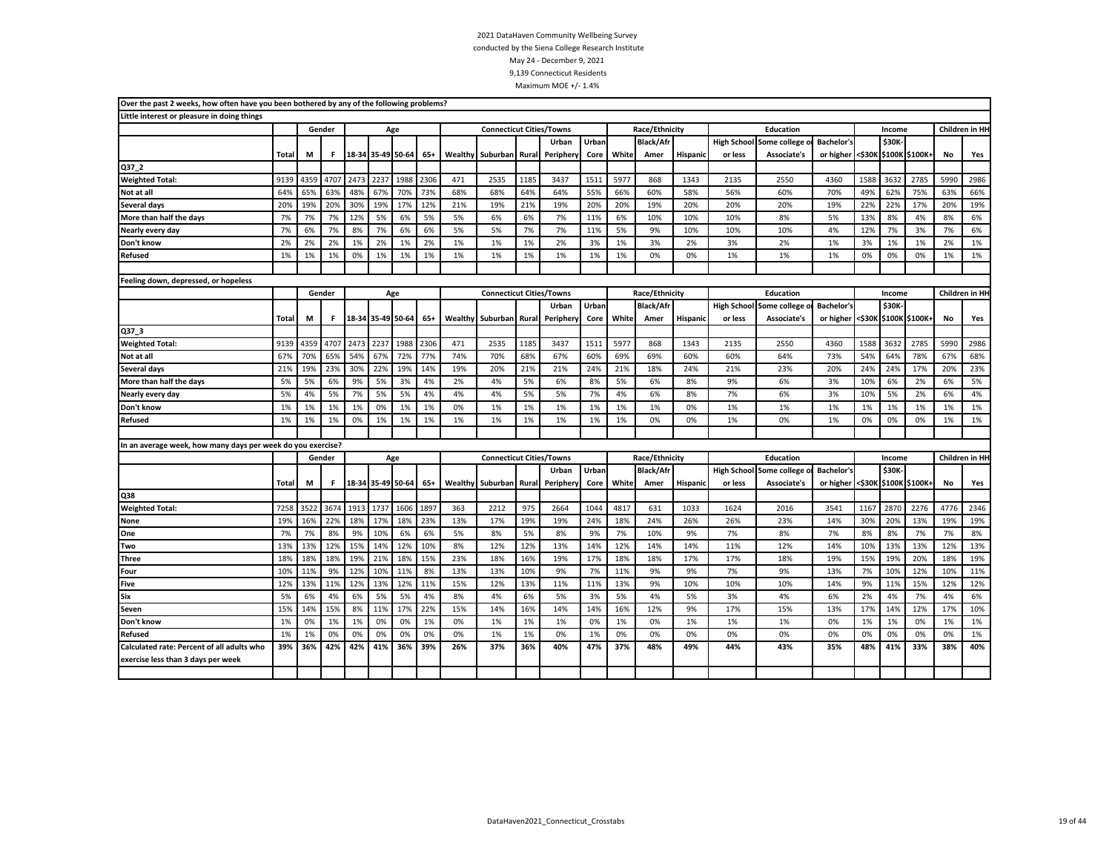| Over the past 2 weeks, how often have you been bothered by any of the following problems? |              |      |        |      |                   |      |       |         |                                 |       |           |       |       |                  |                 |                    |                |                   |      |        |                       |           |                 |
|-------------------------------------------------------------------------------------------|--------------|------|--------|------|-------------------|------|-------|---------|---------------------------------|-------|-----------|-------|-------|------------------|-----------------|--------------------|----------------|-------------------|------|--------|-----------------------|-----------|-----------------|
| Little interest or pleasure in doing things                                               |              |      |        |      |                   |      |       |         |                                 |       |           |       |       |                  |                 |                    |                |                   |      |        |                       |           |                 |
|                                                                                           |              |      | Gender |      | Age               |      |       |         | <b>Connecticut Cities/Towns</b> |       |           |       |       | Race/Ethnicity   |                 |                    | Education      |                   |      | Income |                       |           | Children in HH  |
|                                                                                           |              |      |        |      |                   |      |       |         |                                 |       | Urban     | Urban |       | <b>Black/Afr</b> |                 | <b>High School</b> | Some college o | Bachelor's        |      | \$30K  |                       |           |                 |
|                                                                                           | Total        | М    | F.     |      | 18-34 35-49 50-64 |      | $65+$ | Wealthy | Suburban                        | Rural | Periphery | Core  | White | Amer             | Hispanic        | or less            | Associate's    | or higher         |      |        | <\$30K \$100K \$100K+ | No        | Yes             |
| Q37 2                                                                                     |              |      |        |      |                   |      |       |         |                                 |       |           |       |       |                  |                 |                    |                |                   |      |        |                       |           |                 |
| <b>Weighted Total:</b>                                                                    | 9139         | 4359 | 4707   | 2473 | 2237              | 1988 | 2306  | 471     | 2535                            | 1185  | 3437      | 1511  | 5977  | 868              | 1343            | 2135               | 2550           | 4360              | 1588 | 3632   | 2785                  | 5990      | 2986            |
| Not at all                                                                                | 64%          | 65%  | 63%    | 48%  | 67%               | 70%  | 73%   | 68%     | 68%                             | 64%   | 64%       | 55%   | 66%   | 60%              | 58%             | 56%                | 60%            | 70%               | 49%  | 62%    | 75%                   | 63%       | 66%             |
| Several days                                                                              | 20%          | 19%  | 20%    | 30%  | 19%               | 17%  | 12%   | 21%     | 19%                             | 21%   | 19%       | 20%   | 20%   | 19%              | 20%             | 20%                | 20%            | 19%               | 22%  | 22%    | 17%                   | 20%       | 19%             |
| More than half the days                                                                   | 7%           | 7%   | 7%     | 12%  | 5%                | 6%   | 5%    | 5%      | 6%                              | 6%    | 7%        | 11%   | 6%    | 10%              | 10%             | 10%                | 8%             | 5%                | 13%  | 8%     | 4%                    | 8%        | 6%              |
| Nearly every day                                                                          | 7%           | 6%   | 7%     | 8%   | 7%                | 6%   | 6%    | 5%      | 5%                              | 7%    | 7%        | 11%   | 5%    | 9%               | 10%             | 10%                | 10%            | 4%                | 12%  | 7%     | 3%                    | 7%        | 6%              |
| Don't know                                                                                | 2%           | 2%   | 2%     | 1%   | 2%                | 1%   | 2%    | 1%      | 1%                              | 1%    | 2%        | 3%    | 1%    | 3%               | 2%              | 3%                 | 2%             | 1%                | 3%   | 1%     | 1%                    | 2%        | 1%              |
| <b>Refused</b>                                                                            | 1%           | 1%   | 1%     | 0%   | 1%                | 1%   | 1%    | 1%      | 1%                              | 1%    | 1%        | 1%    | 1%    | 0%               | 0%              | 1%                 | 1%             | 1%                | 0%   | 0%     | 0%                    | 1%        | 1%              |
|                                                                                           |              |      |        |      |                   |      |       |         |                                 |       |           |       |       |                  |                 |                    |                |                   |      |        |                       |           |                 |
| Feeling down, depressed, or hopeless                                                      |              |      |        |      |                   |      |       |         |                                 |       |           |       |       |                  |                 |                    |                |                   |      |        |                       |           |                 |
|                                                                                           |              |      | Gender |      | Age               |      |       |         | <b>Connecticut Cities/Towns</b> |       |           |       |       | Race/Ethnicity   |                 |                    | Education      |                   |      | Income |                       |           | Children in HI- |
|                                                                                           |              |      |        |      |                   |      |       |         |                                 |       | Urban     | Urban |       | <b>Black/Afr</b> |                 | <b>High School</b> | Some college o | <b>Bachelor's</b> |      | \$30K- |                       |           |                 |
|                                                                                           | <b>Total</b> | M    | F.     |      | 18-34 35-49 50-64 |      | $65+$ | Wealthy | Suburban                        | Rural | Periphery | Core  | White | Amer             | <b>Hispanic</b> | or less            | Associate's    | or higher         |      |        | <\$30K \$100K \$100K+ | <b>No</b> | Yes             |
| Q37_3                                                                                     |              |      |        |      |                   |      |       |         |                                 |       |           |       |       |                  |                 |                    |                |                   |      |        |                       |           |                 |
| <b>Weighted Total:</b>                                                                    | 9139         | 4359 | 4707   | 2473 | 2237              | 1988 | 2306  | 471     | 2535                            | 1185  | 3437      | 1511  | 5977  | 868              | 1343            | 2135               | 2550           | 4360              | 1588 | 3632   | 2785                  | 5990      | 2986            |
| Not at all                                                                                | 67%          | 70%  | 65%    | 54%  | 67%               | 72%  | 77%   | 74%     | 70%                             | 68%   | 67%       | 60%   | 69%   | 69%              | 60%             | 60%                | 64%            | 73%               | 54%  | 64%    | 78%                   | 67%       | 68%             |
| Several days                                                                              | 21%          | 19%  | 23%    | 30%  | 22%               | 19%  | 14%   | 19%     | 20%                             | 21%   | 21%       | 24%   | 21%   | 18%              | 24%             | 21%                | 23%            | 20%               | 24%  | 24%    | 17%                   | 20%       | 23%             |
| More than half the days                                                                   | 5%           | 5%   | 6%     | 9%   | 5%                | 3%   | 4%    | 2%      | 4%                              | 5%    | 6%        | 8%    | 5%    | 6%               | 8%              | 9%                 | 6%             | 3%                | 10%  | 6%     | 2%                    | 6%        | 5%              |
| Nearly every day                                                                          | 5%           | 4%   | 5%     | 7%   | 5%                | 5%   | 4%    | 4%      | 4%                              | 5%    | 5%        | 7%    | 4%    | 6%               | 8%              | 7%                 | 6%             | 3%                | 10%  | 5%     | 2%                    | 6%        | 4%              |
| Don't know                                                                                | 1%           | 1%   | 1%     | 1%   | 0%                | 1%   | 1%    | 0%      | 1%                              | 1%    | 1%        | 1%    | 1%    | 1%               | 0%              | 1%                 | 1%             | 1%                | 1%   | 1%     | 1%                    | 1%        | 1%              |
| <b>Refused</b>                                                                            | 1%           | 1%   | 1%     | 0%   | 1%                | 1%   | 1%    | 1%      | 1%                              | 1%    | 1%        | 1%    | 1%    | 0%               | 0%              | 1%                 | 0%             | 1%                | 0%   | 0%     | 0%                    | 1%        | 1%              |
|                                                                                           |              |      |        |      |                   |      |       |         |                                 |       |           |       |       |                  |                 |                    |                |                   |      |        |                       |           |                 |
| In an average week, how many days per week do you exercise?                               |              |      |        |      |                   |      |       |         |                                 |       |           |       |       |                  |                 |                    |                |                   |      |        |                       |           |                 |
|                                                                                           |              |      | Gender |      |                   | Age  |       |         | <b>Connecticut Cities/Towns</b> |       |           |       |       | Race/Ethnicity   |                 |                    | Education      |                   |      | Income |                       |           | Children in HI- |
|                                                                                           |              |      |        |      |                   |      |       |         |                                 |       | Urban     | Urban |       | <b>Black/Afr</b> |                 | <b>High School</b> | Some college o | <b>Bachelor's</b> |      | \$30K- |                       |           |                 |
|                                                                                           | Total        | M    | F.     |      | 18-34 35-49 50-64 |      | $65+$ |         | <b>Wealthy Suburban</b>         | Rural | Peripher  | Core  | White | Amer             | <b>Hispanic</b> | or less            | Associate's    | or higher         |      |        | <\$30K \$100K \$100K+ | No        | Yes             |
| Q38                                                                                       |              |      |        |      |                   |      |       |         |                                 |       |           |       |       |                  |                 |                    |                |                   |      |        |                       |           |                 |
| <b>Weighted Total:</b>                                                                    | 7258         | 3522 | 3674   | 1913 | 1737              | 1606 | 1897  | 363     | 2212                            | 975   | 2664      | 1044  | 4817  | 631              | 1033            | 1624               | 2016           | 3541              | 1167 | 2870   | 2276                  | 4776      | 2346            |
| None                                                                                      | 19%          | 16%  | 22%    | 18%  | 17%               | 18%  | 23%   | 13%     | 17%                             | 19%   | 19%       | 24%   | 18%   | 24%              | 26%             | 26%                | 23%            | 14%               | 30%  | 20%    | 13%                   | 19%       | 19%             |
| One                                                                                       | 7%           | 7%   | 8%     | 9%   | 10%               | 6%   | 6%    | 5%      | 8%                              | 5%    | 8%        | 9%    | 7%    | 10%              | 9%              | 7%                 | 8%             | 7%                | 8%   | 8%     | 7%                    | 7%        | 8%              |
| Two                                                                                       | 13%          | 13%  | 12%    | 15%  | 14%               | 12%  | 10%   | 8%      | 12%                             | 12%   | 13%       | 14%   | 12%   | 14%              | 14%             | 11%                | 12%            | 14%               | 10%  | 13%    | 13%                   | 12%       | 13%             |
| Three                                                                                     | 18%          | 18%  | 18%    | 19%  | 21%               | 18%  | 15%   | 23%     | 18%                             | 16%   | 19%       | 17%   | 18%   | 18%              | 17%             | 17%                | 18%            | 19%               | 15%  | 19%    | 20%                   | 18%       | 19%             |
| Four                                                                                      | 10%          | 11%  | 9%     | 12%  | 10%               | 11%  | 8%    | 13%     | 13%                             | 10%   | 9%        | 7%    | 11%   | 9%               | 9%              | 7%                 | 9%             | 13%               | 7%   | 10%    | 12%                   | 10%       | 11%             |
| <b>Five</b>                                                                               | 12%          | 13%  | 11%    | 12%  | 13%               | 12%  | 11%   | 15%     | 12%                             | 13%   | 11%       | 11%   | 13%   | 9%               | 10%             | 10%                | 10%            | 14%               | 9%   | 11%    | 15%                   | 12%       | 12%             |
| Six                                                                                       | 5%           | 6%   | 4%     | 6%   | 5%                | 5%   | 4%    | 8%      | 4%                              | 6%    | 5%        | 3%    | 5%    | 4%               | 5%              | 3%                 | 4%             | 6%                | 2%   | 4%     | 7%                    | 4%        | 6%              |
| Seven                                                                                     | 15%          | 14%  | 15%    | 8%   | 11%               | 17%  | 22%   | 15%     | 14%                             | 16%   | 14%       | 14%   | 16%   | 12%              | 9%              | 17%                | 15%            | 13%               | 17%  | 14%    | 12%                   | 17%       | 10%             |
| Don't know                                                                                | 1%           | 0%   | 1%     | 1%   | 0%                | 0%   | 1%    | 0%      | 1%                              | 1%    | 1%        | 0%    | 1%    | 0%               | 1%              | 1%                 | 1%             | 0%                | 1%   | 1%     | 0%                    | 1%        | 1%              |
| <b>Refused</b>                                                                            | 1%           | 1%   | 0%     | 0%   | 0%                | 0%   | 0%    | 0%      | 1%                              | 1%    | 0%        | 1%    | 0%    | 0%               | 0%              | 0%                 | 0%             | 0%                | 0%   | 0%     | 0%                    | 0%        | 1%              |
| Calculated rate: Percent of all adults who                                                | 39%          | 36%  | 42%    | 42%  | 41%               | 36%  | 39%   | 26%     | 37%                             | 36%   | 40%       | 47%   | 37%   | 48%              | 49%             | 44%                | 43%            | 35%               | 48%  | 41%    | 33%                   | 38%       | 40%             |
| exercise less than 3 days per week                                                        |              |      |        |      |                   |      |       |         |                                 |       |           |       |       |                  |                 |                    |                |                   |      |        |                       |           |                 |
|                                                                                           |              |      |        |      |                   |      |       |         |                                 |       |           |       |       |                  |                 |                    |                |                   |      |        |                       |           |                 |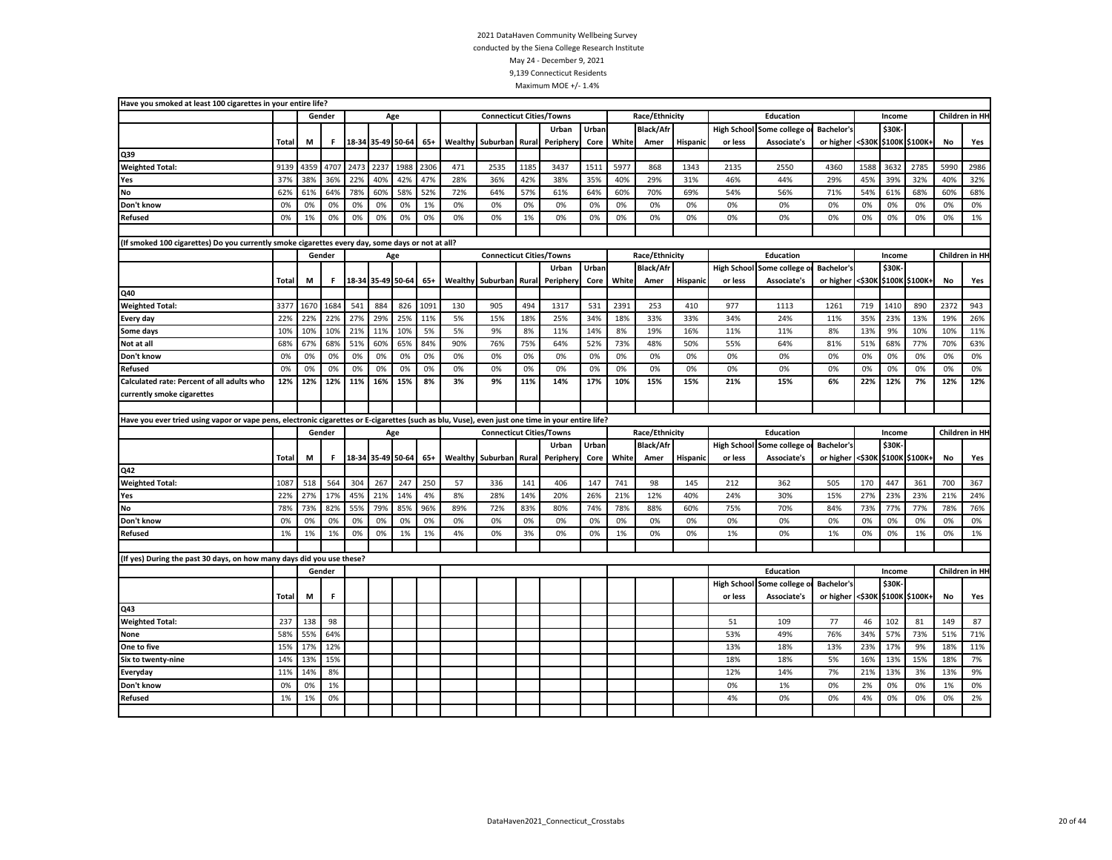|                                                                       | Have you smoked at least 100 cigarettes in your entire life?<br>Gender<br>Total<br>М<br>F.<br>4359<br>4707<br>2473<br>2237<br>9139<br>38%<br>36%<br>22%<br>40%<br>37%<br>62%<br>61%<br>64%<br>78%<br>60%<br>0%<br>0%<br>0%<br>0%<br>0%<br>0%<br>1%<br>0%<br>0%<br>0%<br>(If smoked 100 cigarettes) Do you currently smoke cigarettes every day, some days or not at all?<br>Gender<br>F.<br>Total<br>М<br>1684<br>541<br>884<br>3377<br>1670<br>27%<br>22%<br>22%<br>22%<br>29%<br>10%<br>10%<br>10%<br>21%<br>11%<br>68%<br>67%<br>68%<br>51%<br>60%<br>0%<br>0%<br>0%<br>0%<br>0%<br>0%<br>0%<br>0%<br>0%<br>0%<br>12%<br>12%<br>12%<br>11%<br>16%<br>Have you ever tried using vapor or vape pens, electronic cigarettes or E-cigarettes (such as blu, Vuse), even just one time in your entire life?<br>Gender<br>Total<br>М<br>F.<br>304<br>267<br>1087<br>518<br>564<br>22%<br>21%<br>27%<br>17%<br>45%<br>73%<br>82%<br>55%<br>79%<br>78%<br>0%<br>0%<br>0%<br>0%<br>0%<br>1%<br>1%<br>1%<br>0%<br>0% |     |        |     |    |      |       |         | <b>Connecticut Cities/Towns</b> |       |           |       |       | Race/Ethnicity   |                 |         | Education                       |                                |        | Income |                |      | Children in HH |
|-----------------------------------------------------------------------|--------------------------------------------------------------------------------------------------------------------------------------------------------------------------------------------------------------------------------------------------------------------------------------------------------------------------------------------------------------------------------------------------------------------------------------------------------------------------------------------------------------------------------------------------------------------------------------------------------------------------------------------------------------------------------------------------------------------------------------------------------------------------------------------------------------------------------------------------------------------------------------------------------------------------------------------------------------------------------------------------------------|-----|--------|-----|----|------|-------|---------|---------------------------------|-------|-----------|-------|-------|------------------|-----------------|---------|---------------------------------|--------------------------------|--------|--------|----------------|------|----------------|
|                                                                       | Age<br>18-34 35-49 50-64<br>Age<br>18-34 35-49 50-64<br>Age<br>18-34 35-49 50-64                                                                                                                                                                                                                                                                                                                                                                                                                                                                                                                                                                                                                                                                                                                                                                                                                                                                                                                             |     |        |     |    |      |       |         |                                 |       | Urban     | Urban |       | <b>Black/Afr</b> |                 |         | High School Some college        | <b>Bachelor's</b>              |        | \$30K  |                |      |                |
|                                                                       |                                                                                                                                                                                                                                                                                                                                                                                                                                                                                                                                                                                                                                                                                                                                                                                                                                                                                                                                                                                                              |     |        |     |    |      | $65+$ | Wealthy | Suburban Rural                  |       | Periphery | Core  | White | Amer             | <b>Hispanic</b> | or less | Associate's                     | or higher <\$30K               |        |        | \$100K \$100K+ | No   | Yes            |
| Q39                                                                   |                                                                                                                                                                                                                                                                                                                                                                                                                                                                                                                                                                                                                                                                                                                                                                                                                                                                                                                                                                                                              |     |        |     |    |      |       |         |                                 |       |           |       |       |                  |                 |         |                                 |                                |        |        |                |      |                |
| <b>Weighted Total:</b>                                                |                                                                                                                                                                                                                                                                                                                                                                                                                                                                                                                                                                                                                                                                                                                                                                                                                                                                                                                                                                                                              |     |        |     |    | 1988 | 2306  | 471     | 2535                            | 1185  | 3437      | 1511  | 5977  | 868              | 1343            | 2135    | 2550                            | 4360                           | 1588   | 3632   | 2785           | 5990 | 2986           |
| Yes                                                                   |                                                                                                                                                                                                                                                                                                                                                                                                                                                                                                                                                                                                                                                                                                                                                                                                                                                                                                                                                                                                              |     |        |     |    | 42%  | 47%   | 28%     | 36%                             | 42%   | 38%       | 35%   | 40%   | 29%              | 31%             | 46%     | 44%                             | 29%                            | 45%    | 39%    | 32%            | 40%  | 32%            |
| <b>No</b>                                                             |                                                                                                                                                                                                                                                                                                                                                                                                                                                                                                                                                                                                                                                                                                                                                                                                                                                                                                                                                                                                              |     |        |     |    | 58%  | 52%   | 72%     | 64%                             | 57%   | 61%       | 64%   | 60%   | 70%              | 69%             | 54%     | 56%                             | 71%                            | 54%    | 61%    | 68%            | 60%  | 68%            |
| Don't know                                                            |                                                                                                                                                                                                                                                                                                                                                                                                                                                                                                                                                                                                                                                                                                                                                                                                                                                                                                                                                                                                              |     |        |     |    | 0%   | 1%    | 0%      | 0%                              | 0%    | 0%        | 0%    | 0%    | 0%               | 0%              | 0%      | 0%                              | 0%                             | 0%     | 0%     | 0%             | 0%   | 0%             |
| Refused                                                               |                                                                                                                                                                                                                                                                                                                                                                                                                                                                                                                                                                                                                                                                                                                                                                                                                                                                                                                                                                                                              |     |        |     |    | 0%   | 0%    | 0%      | 0%                              | 1%    | 0%        | 0%    | 0%    | 0%               | 0%              | 0%      | 0%                              | 0%                             | 0%     | 0%     | 0%             | 0%   | 1%             |
|                                                                       |                                                                                                                                                                                                                                                                                                                                                                                                                                                                                                                                                                                                                                                                                                                                                                                                                                                                                                                                                                                                              |     |        |     |    |      |       |         |                                 |       |           |       |       |                  |                 |         |                                 |                                |        |        |                |      |                |
|                                                                       |                                                                                                                                                                                                                                                                                                                                                                                                                                                                                                                                                                                                                                                                                                                                                                                                                                                                                                                                                                                                              |     |        |     |    |      |       |         |                                 |       |           |       |       |                  |                 |         |                                 |                                |        |        |                |      |                |
|                                                                       |                                                                                                                                                                                                                                                                                                                                                                                                                                                                                                                                                                                                                                                                                                                                                                                                                                                                                                                                                                                                              |     |        |     |    |      |       |         | <b>Connecticut Cities/Towns</b> |       |           |       |       | Race/Ethnicity   |                 |         | Education                       |                                |        | Income |                |      | Children in HH |
|                                                                       |                                                                                                                                                                                                                                                                                                                                                                                                                                                                                                                                                                                                                                                                                                                                                                                                                                                                                                                                                                                                              |     |        |     |    |      |       |         |                                 |       | Urban     | Urban |       | <b>Black/Afr</b> |                 |         | <b>High School Some college</b> | <b>Bachelor's</b>              |        | \$30K  |                |      |                |
|                                                                       |                                                                                                                                                                                                                                                                                                                                                                                                                                                                                                                                                                                                                                                                                                                                                                                                                                                                                                                                                                                                              |     |        |     |    |      | $65+$ |         | Wealthy Suburban                | Rural | Periphery | Core  | White | Amer             | <b>Hispanic</b> | or less | Associate's                     | or higher <\$30K               |        |        | \$100K \$100K+ | No   | Yes            |
| Q40                                                                   |                                                                                                                                                                                                                                                                                                                                                                                                                                                                                                                                                                                                                                                                                                                                                                                                                                                                                                                                                                                                              |     |        |     |    |      |       |         |                                 |       |           |       |       |                  |                 |         |                                 |                                |        |        |                |      |                |
| <b>Weighted Total:</b>                                                |                                                                                                                                                                                                                                                                                                                                                                                                                                                                                                                                                                                                                                                                                                                                                                                                                                                                                                                                                                                                              |     |        |     |    | 826  | 109   | 130     | 905                             | 494   | 1317      | 531   | 2391  | 253              | 410             | 977     | 1113                            | 1261                           | 719    | 1410   | 890            | 2372 | 943            |
| Every day                                                             |                                                                                                                                                                                                                                                                                                                                                                                                                                                                                                                                                                                                                                                                                                                                                                                                                                                                                                                                                                                                              |     | 25%    | 11% | 5% | 15%  | 18%   | 25%     | 34%                             | 18%   | 33%       | 33%   | 34%   | 24%              | 11%             | 35%     | 23%                             | 13%                            | 19%    | 26%    |                |      |                |
| Some days                                                             |                                                                                                                                                                                                                                                                                                                                                                                                                                                                                                                                                                                                                                                                                                                                                                                                                                                                                                                                                                                                              |     |        |     |    | 10%  | 5%    | 5%      | 9%                              | 8%    | 11%       | 14%   | 8%    | 19%              | 16%             | 11%     | 11%                             | 8%                             | 13%    | 9%     | 10%            | 10%  | 11%            |
| Not at all                                                            |                                                                                                                                                                                                                                                                                                                                                                                                                                                                                                                                                                                                                                                                                                                                                                                                                                                                                                                                                                                                              |     |        |     |    | 65%  | 84%   | 90%     | 76%                             | 75%   | 64%       | 52%   | 73%   | 48%              | 50%             | 55%     | 64%                             | 81%                            | 51%    | 68%    | 77%            | 70%  | 63%            |
| Don't know                                                            |                                                                                                                                                                                                                                                                                                                                                                                                                                                                                                                                                                                                                                                                                                                                                                                                                                                                                                                                                                                                              |     |        |     |    | 0%   | 0%    | 0%      | 0%                              | 0%    | 0%        | 0%    | 0%    | 0%               | 0%              | 0%      | 0%                              | 0%                             | 0%     | 0%     | 0%             | 0%   | 0%             |
| <b>Refused</b>                                                        |                                                                                                                                                                                                                                                                                                                                                                                                                                                                                                                                                                                                                                                                                                                                                                                                                                                                                                                                                                                                              |     |        |     |    | 0%   | 0%    | 0%      | 0%                              | 0%    | 0%        | 0%    | 0%    | 0%               | 0%              | 0%      | 0%                              | 0%                             | 0%     | 0%     | 0%             | 0%   | 0%             |
| Calculated rate: Percent of all adults who                            |                                                                                                                                                                                                                                                                                                                                                                                                                                                                                                                                                                                                                                                                                                                                                                                                                                                                                                                                                                                                              |     |        |     |    | 15%  | 8%    | 3%      | 9%                              | 11%   | 14%       | 17%   | 10%   | 15%              | 15%             | 21%     | 15%                             | 6%                             | 22%    | 12%    | 7%             | 12%  | 12%            |
| currently smoke cigarettes                                            |                                                                                                                                                                                                                                                                                                                                                                                                                                                                                                                                                                                                                                                                                                                                                                                                                                                                                                                                                                                                              |     |        |     |    |      |       |         |                                 |       |           |       |       |                  |                 |         |                                 |                                |        |        |                |      |                |
|                                                                       |                                                                                                                                                                                                                                                                                                                                                                                                                                                                                                                                                                                                                                                                                                                                                                                                                                                                                                                                                                                                              |     |        |     |    |      |       |         |                                 |       |           |       |       |                  |                 |         |                                 |                                |        |        |                |      |                |
|                                                                       |                                                                                                                                                                                                                                                                                                                                                                                                                                                                                                                                                                                                                                                                                                                                                                                                                                                                                                                                                                                                              |     |        |     |    |      |       |         |                                 |       |           |       |       |                  |                 |         |                                 |                                |        |        |                |      |                |
|                                                                       |                                                                                                                                                                                                                                                                                                                                                                                                                                                                                                                                                                                                                                                                                                                                                                                                                                                                                                                                                                                                              |     |        |     |    |      |       |         | <b>Connecticut Cities/Towns</b> |       |           |       |       | Race/Ethnicity   |                 |         | Education                       |                                |        | Income |                |      | Children in HH |
|                                                                       |                                                                                                                                                                                                                                                                                                                                                                                                                                                                                                                                                                                                                                                                                                                                                                                                                                                                                                                                                                                                              |     |        |     |    |      |       |         |                                 |       | Urban     | Urban |       | <b>Black/Afr</b> |                 |         | High School Some college o      | <b>Bachelor's</b>              |        | \$30K  |                |      |                |
|                                                                       |                                                                                                                                                                                                                                                                                                                                                                                                                                                                                                                                                                                                                                                                                                                                                                                                                                                                                                                                                                                                              |     |        |     |    |      | $65+$ |         | Wealthy Suburban                | Rural | Peripher  | Core  | White | Amer             | <b>Hispanic</b> | or less | Associate's                     | or higher                      | <\$30K |        | \$100K \$100K+ | No   | Yes            |
| Q42                                                                   |                                                                                                                                                                                                                                                                                                                                                                                                                                                                                                                                                                                                                                                                                                                                                                                                                                                                                                                                                                                                              |     |        |     |    |      |       |         |                                 |       |           |       |       |                  |                 |         |                                 |                                |        |        |                |      |                |
| <b>Weighted Total:</b>                                                |                                                                                                                                                                                                                                                                                                                                                                                                                                                                                                                                                                                                                                                                                                                                                                                                                                                                                                                                                                                                              |     |        |     |    | 247  | 250   | 57      | 336                             | 141   | 406       | 147   | 741   | 98               | 145             | 212     | 362                             | 505                            | 170    | 447    | 361            | 700  | 367            |
| Yes                                                                   |                                                                                                                                                                                                                                                                                                                                                                                                                                                                                                                                                                                                                                                                                                                                                                                                                                                                                                                                                                                                              |     |        |     |    | 14%  | 4%    | 8%      | 28%                             | 14%   | 20%       | 26%   | 21%   | 12%              | 40%             | 24%     | 30%                             | 15%                            | 27%    | 23%    | 23%            | 21%  | 24%            |
| No                                                                    |                                                                                                                                                                                                                                                                                                                                                                                                                                                                                                                                                                                                                                                                                                                                                                                                                                                                                                                                                                                                              |     |        |     |    | 85%  | 96%   | 89%     | 72%                             | 83%   | 80%       | 74%   | 78%   | 88%              | 60%             | 75%     | 70%                             | 84%                            | 73%    | 77%    | 77%            | 78%  | 76%            |
| Don't know                                                            |                                                                                                                                                                                                                                                                                                                                                                                                                                                                                                                                                                                                                                                                                                                                                                                                                                                                                                                                                                                                              |     |        |     |    | 0%   | 0%    | 0%      | 0%                              | 0%    | 0%        | 0%    | 0%    | 0%               | 0%              | 0%      | 0%                              | 0%                             | 0%     | 0%     | 0%             | 0%   | 0%             |
| Refused                                                               |                                                                                                                                                                                                                                                                                                                                                                                                                                                                                                                                                                                                                                                                                                                                                                                                                                                                                                                                                                                                              |     |        |     |    | 1%   | 1%    | 4%      | 0%                              | 3%    | 0%        | 0%    | 1%    | 0%               | 0%              | 1%      | 0%                              | 1%                             | 0%     | 0%     | 1%             | 0%   | 1%             |
|                                                                       |                                                                                                                                                                                                                                                                                                                                                                                                                                                                                                                                                                                                                                                                                                                                                                                                                                                                                                                                                                                                              |     |        |     |    |      |       |         |                                 |       |           |       |       |                  |                 |         |                                 |                                |        |        |                |      |                |
| (If yes) During the past 30 days, on how many days did you use these? |                                                                                                                                                                                                                                                                                                                                                                                                                                                                                                                                                                                                                                                                                                                                                                                                                                                                                                                                                                                                              |     |        |     |    |      |       |         |                                 |       |           |       |       |                  |                 |         |                                 |                                |        |        |                |      |                |
|                                                                       |                                                                                                                                                                                                                                                                                                                                                                                                                                                                                                                                                                                                                                                                                                                                                                                                                                                                                                                                                                                                              |     | Gender |     |    |      |       |         |                                 |       |           |       |       |                  |                 |         | <b>Education</b>                |                                |        | Income |                |      | Children in HH |
|                                                                       |                                                                                                                                                                                                                                                                                                                                                                                                                                                                                                                                                                                                                                                                                                                                                                                                                                                                                                                                                                                                              |     |        |     |    |      |       |         |                                 |       |           |       |       |                  |                 |         | High School Some college o      | <b>Bachelor's</b>              |        | \$30K  |                |      |                |
|                                                                       | Total                                                                                                                                                                                                                                                                                                                                                                                                                                                                                                                                                                                                                                                                                                                                                                                                                                                                                                                                                                                                        | М   | F.     |     |    |      |       |         |                                 |       |           |       |       |                  |                 | or less | Associate's                     | or higher <\$30K \$100K \$100K |        |        |                | No   | Yes            |
| Q43                                                                   |                                                                                                                                                                                                                                                                                                                                                                                                                                                                                                                                                                                                                                                                                                                                                                                                                                                                                                                                                                                                              |     |        |     |    |      |       |         |                                 |       |           |       |       |                  |                 |         |                                 |                                |        |        |                |      |                |
| <b>Weighted Total:</b>                                                | 237                                                                                                                                                                                                                                                                                                                                                                                                                                                                                                                                                                                                                                                                                                                                                                                                                                                                                                                                                                                                          | 138 | 98     |     |    |      |       |         |                                 |       |           |       |       |                  |                 | 51      | 109                             | 77                             | 46     | 102    | 81             | 149  | 87             |
| None                                                                  | 58%                                                                                                                                                                                                                                                                                                                                                                                                                                                                                                                                                                                                                                                                                                                                                                                                                                                                                                                                                                                                          | 55% | 64%    |     |    |      |       |         |                                 |       |           |       |       |                  |                 | 53%     | 49%                             | 76%                            | 34%    | 57%    | 73%            | 51%  | 71%            |
| One to five                                                           | 15%                                                                                                                                                                                                                                                                                                                                                                                                                                                                                                                                                                                                                                                                                                                                                                                                                                                                                                                                                                                                          | 17% | 12%    |     |    |      |       |         |                                 |       |           |       |       |                  |                 | 13%     | 18%                             | 13%                            | 23%    | 17%    | 9%             | 18%  | 11%            |
| Six to twenty-nine                                                    | 14%                                                                                                                                                                                                                                                                                                                                                                                                                                                                                                                                                                                                                                                                                                                                                                                                                                                                                                                                                                                                          | 13% | 15%    |     |    |      |       |         |                                 |       |           |       |       |                  |                 | 18%     | 18%                             | 5%                             | 16%    | 13%    | 15%            | 18%  | 7%             |
| Everyday                                                              | 11%                                                                                                                                                                                                                                                                                                                                                                                                                                                                                                                                                                                                                                                                                                                                                                                                                                                                                                                                                                                                          | 14% | 8%     |     |    |      |       |         |                                 |       |           |       |       |                  |                 | 12%     | 14%                             | 7%                             | 21%    | 13%    | 3%             | 13%  | 9%             |
| Don't know                                                            | 0%                                                                                                                                                                                                                                                                                                                                                                                                                                                                                                                                                                                                                                                                                                                                                                                                                                                                                                                                                                                                           | 0%  | 1%     |     |    |      |       |         |                                 |       |           |       |       |                  |                 | 0%      | 1%                              | 0%                             | 2%     | 0%     | 0%             | 1%   | 0%             |
| <b>Refused</b>                                                        | 1%                                                                                                                                                                                                                                                                                                                                                                                                                                                                                                                                                                                                                                                                                                                                                                                                                                                                                                                                                                                                           | 1%  | 0%     |     |    |      |       |         |                                 |       |           |       |       |                  |                 | 4%      | 0%                              | 0%                             | 4%     | 0%     | 0%             | 0%   | 2%             |
|                                                                       |                                                                                                                                                                                                                                                                                                                                                                                                                                                                                                                                                                                                                                                                                                                                                                                                                                                                                                                                                                                                              |     |        |     |    |      |       |         |                                 |       |           |       |       |                  |                 |         |                                 |                                |        |        |                |      |                |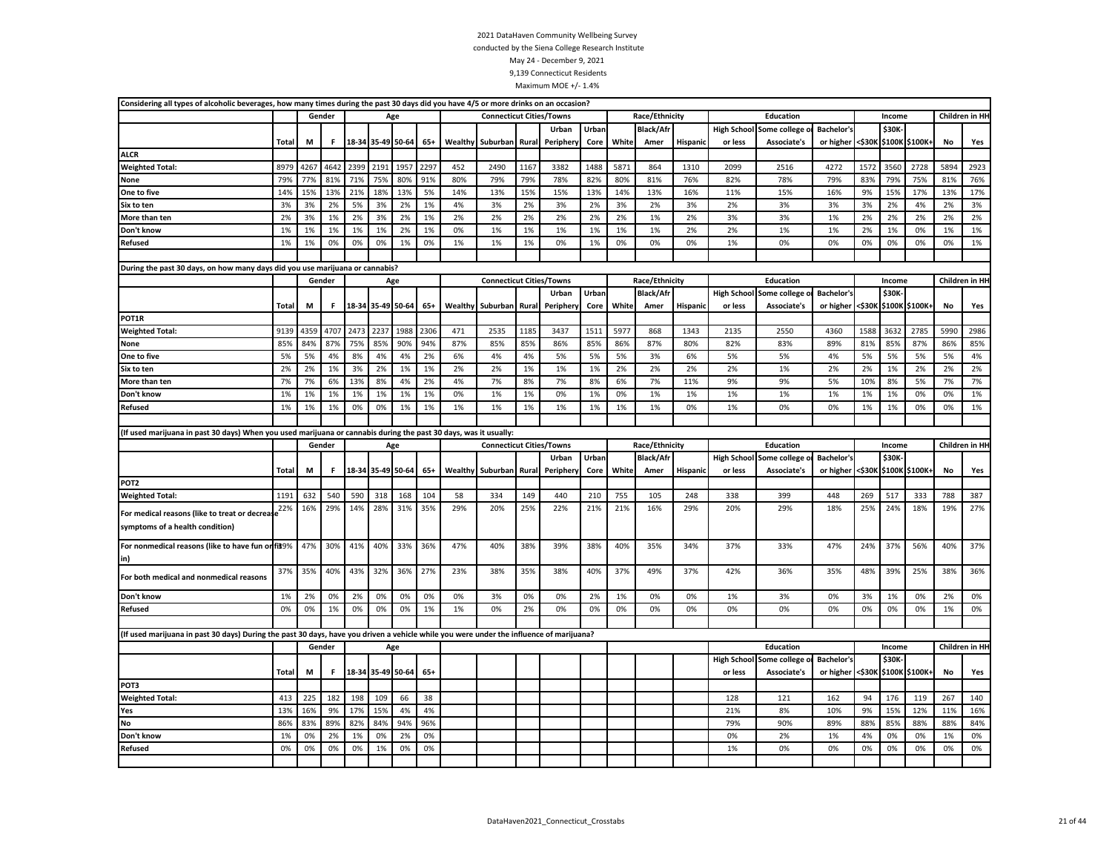| Race/Ethnicity<br>Children in HI-<br>Gender<br><b>Connecticut Cities/Towns</b><br><b>Education</b><br>Income<br>Age<br>Urban<br><b>Black/Afr</b><br><b>High School</b><br>Some college<br><b>Bachelor's</b><br><b>\$30K</b><br>Urban<br>\$100K \$100K+<br>M<br>18-34 35-49 50-64<br>$65+$<br>Wealthy Suburban Rural<br>White<br>Hispanic<br><\$30K<br>Yes<br>Total<br>F<br>Periphery<br>Core<br>Amer<br>or less<br>Associate's<br>or higher<br>No<br><b>ALCR</b><br>2399<br>2297<br>8979<br>4267<br>4642<br>2191<br>195<br>452<br>2490<br>1167<br>3382<br>1488<br>5871<br>864<br>1310<br>2099<br>2516<br>4272<br>1572<br>3560<br>2728<br>5894<br>2923<br><b>Weighted Total:</b><br>79%<br>81%<br>71%<br>75%<br>80%<br>77%<br>91%<br>80%<br>79%<br>79%<br>78%<br>82%<br>80%<br>81%<br>76%<br>82%<br>78%<br>79%<br>83%<br>75%<br>76%<br>79%<br>81%<br>None<br>15%<br>14%<br>13%<br>21%<br>18%<br>13%<br>5%<br>14%<br>15%<br>15%<br>13%<br>14%<br>13%<br>16%<br>11%<br>15%<br>16%<br>9%<br>15%<br>17%<br>13%<br>17%<br>One to five<br>13%<br>3%<br>3%<br>2%<br>5%<br>3%<br>2%<br>1%<br>4%<br>3%<br>3%<br>2%<br>3%<br>2%<br>3%<br>2%<br>3%<br>3%<br>3%<br>2%<br>4%<br>2%<br>3%<br>Six to ten<br>2%<br>2%<br>2%<br>3%<br>2%<br>More than ten<br>3%<br>1%<br>2%<br>1%<br>2%<br>2%<br>2%<br>2%<br>2%<br>1%<br>2%<br>3%<br>3%<br>1%<br>2%<br>2%<br>2%<br>2%<br>2%<br>1%<br>2%<br>0%<br>1%<br>1%<br>1%<br>1%<br>2%<br>2%<br>1%<br>1%<br>2%<br>1%<br>0%<br>1%<br>1%<br>Don't know<br>1%<br>1%<br>1%<br>1%<br>1%<br>1%<br>1%<br>1%<br>1%<br>0%<br>0%<br>0%<br>1%<br>0%<br>1%<br>1%<br>1%<br>0%<br>1%<br>0%<br>0%<br>0%<br>1%<br>0%<br>0%<br>0%<br>0%<br>0%<br>1%<br><b>Refused</b><br>0%<br>During the past 30 days, on how many days did you use marijuana or cannabis?<br><b>Connecticut Cities/Towns</b><br>Race/Ethnicity<br>Education<br>Children in HI-<br>Gender<br>Income<br>Age<br>Urban<br><b>Black/Afr</b><br>\$30K-<br>Urban<br><b>High School</b><br>Bachelor's<br>Some college o<br>18-34 35-49 50-64<br>Wealthy<br>White<br><\$30K \$100K \$100K+<br>Total<br>M<br>F<br>$65+$<br>Suburban<br>Rural<br>Amer<br>Hispanic<br>Associate's<br>or higher<br>No<br>Yes<br>Peripher<br>Core<br>or less<br>POT1R<br>4707<br>2473<br>2237<br>1988<br>2306<br>2785<br>2986<br>9139<br>4359<br>471<br>2535<br>1185<br>3437<br>1511<br>5977<br>868<br>1343<br>2135<br>2550<br>4360<br>1588<br>3632<br>5990<br><b>Weighted Total:</b><br>85%<br>85%<br>84%<br>87%<br>75%<br>90%<br>94%<br>87%<br>85%<br>85%<br>86%<br>85%<br>86%<br>87%<br>80%<br>82%<br>83%<br>89%<br>81%<br>85%<br>87%<br>86%<br>85%<br>None<br>5%<br>5%<br>4%<br>8%<br>4%<br>4%<br>2%<br>4%<br>4%<br>5%<br>5%<br>5%<br>3%<br>6%<br>5%<br>5%<br>4%<br>5%<br>5%<br>5%<br>5%<br>4%<br>One to five<br>6%<br>2%<br>2%<br>2%<br>2%<br>Six to ten<br>2%<br>1%<br>3%<br>1%<br>1%<br>2%<br>2%<br>1%<br>1%<br>1%<br>2%<br>2%<br>2%<br>1%<br>2%<br>2%<br>1%<br>2%<br>2%<br>7%<br>7%<br>6%<br>13%<br>8%<br>4%<br>2%<br>4%<br>7%<br>8%<br>7%<br>8%<br>6%<br>7%<br>11%<br>9%<br>9%<br>5%<br>10%<br>8%<br>5%<br>7%<br>7%<br>More than ten<br>1%<br>1%<br>1%<br>1%<br>1%<br>1%<br>1%<br>0%<br>1%<br>0%<br>1%<br>0%<br>1%<br>1%<br>1%<br>1%<br>1%<br>0%<br>1%<br>Don't know<br>1%<br>1%<br>1%<br>0%<br>1%<br>0%<br>0%<br>1%<br>1%<br>1%<br>1%<br>1%<br>1%<br>1%<br>1%<br>1%<br>1%<br>1%<br>1%<br>1%<br>0%<br>1%<br>0%<br>0%<br>1%<br>0%<br>0%<br><b>Refused</b><br>(If used marijuana in past 30 days) When you used marijuana or cannabis during the past 30 days, was it usually:<br>Children in HI-<br><b>Connecticut Cities/Towns</b><br>Race/Ethnicity<br>Gender<br>Age<br>Education<br>Income<br>Urban<br>Urban<br><b>Black/Afr</b><br><b>Bachelor's</b><br>\$30K<br><b>High School</b><br>Some college<br>M<br>18-34 35-49 50-64<br>$65+$<br>Wealthy Suburban<br>Rural<br>White<br>or higher<br><\$30K \$100K \$100K+<br>Total<br>F<br>Peripher<br>Core<br>Amer<br><b>Hispanic</b><br>or less<br>Associate's<br>No<br>Yes<br>POT2<br><b>Weighted Total:</b><br>1191<br>632<br>540<br>590<br>318<br>168<br>104<br>58<br>334<br>149<br>440<br>210<br>755<br>105<br>248<br>338<br>399<br>448<br>269<br>517<br>333<br>788<br>387<br>25%<br>27%<br>For medical reasons (like to treat or decrease $2\%$<br>16%<br>29%<br>14%<br>28%<br>31%<br>35%<br>29%<br>20%<br>22%<br>21%<br>21%<br>16%<br>29%<br>20%<br>29%<br>18%<br>25%<br>24%<br>18%<br>19%<br>symptoms of a health condition)<br>For nonmedical reasons (like to have fun or fis9%<br>47%<br>30%<br>41%<br>40%<br>33%<br>36%<br>47%<br>40%<br>38%<br>40%<br>34%<br>33%<br>47%<br>24%<br>37%<br>40%<br>37%<br>39%<br>38%<br>35%<br>37%<br>56%<br>in)<br>37%<br>35%<br>40%<br>43%<br>32%<br>36%<br>27%<br>23%<br>38%<br>35%<br>38%<br>40%<br>37%<br>49%<br>37%<br>42%<br>36%<br>35%<br>48%<br>39%<br>25%<br>38%<br>36%<br>For both medical and nonmedical reasons<br>Don't know<br>1%<br>2%<br>0%<br>2%<br>0%<br>0%<br>0%<br>0%<br>0%<br>0%<br>2%<br>1%<br>0%<br>0%<br>1%<br>3%<br>0%<br>3%<br>1%<br>0%<br>2%<br>0%<br>3%<br>0%<br>0%<br>0%<br>0%<br>Refused<br>0%<br>1%<br>0%<br>0%<br>1%<br>1%<br>0%<br>2%<br>0%<br>0%<br>0%<br>0%<br>0%<br>0%<br>0%<br>0%<br>0%<br>1%<br>0%<br>(If used marijuana in past 30 days) During the past 30 days, have you driven a vehicle while you were under the influence of marijuana?<br>Children in HI-<br>Gender<br>Education<br>Age<br>Income<br>\$30K-<br><b>High School</b><br><b>Bachelor's</b><br>Some college o<br>F<br>18-34 35-49 50-64<br><\$30K \$100K \$100K+<br>Total<br>M<br>$65+$<br>Associate's<br>or higher<br>No<br>Yes<br>or less<br>POT3<br><b>Weighted Total:</b><br>413<br>225<br>182<br>198<br>109<br>38<br>128<br>121<br>162<br>119<br>140<br>66<br>94<br>176<br>267<br>16%<br>17%<br>4%<br>9%<br>16%<br>13%<br>9%<br>15%<br>4%<br>21%<br>8%<br>10%<br>15%<br>12%<br>11%<br>Yes<br>83%<br><b>No</b><br>86%<br>89%<br>82%<br>84%<br>94%<br>96%<br>79%<br>90%<br>89%<br>88%<br>85%<br>88%<br>88%<br>84%<br>Don't know<br>1%<br>0%<br>2%<br>1%<br>0%<br>2%<br>0%<br>0%<br>2%<br>4%<br>0%<br>0%<br>1%<br>0%<br>1%<br>Refused<br>0%<br>0%<br>0%<br>0%<br>1%<br>0%<br>0%<br>1%<br>0%<br>0%<br>0%<br>0%<br>0%<br>0%<br>0% | Considering all types of alcoholic beverages, how many times during the past 30 days did you have 4/5 or more drinks on an occasion? |  |  |  |  |  |  |  |  |  |  |  |  |
|----------------------------------------------------------------------------------------------------------------------------------------------------------------------------------------------------------------------------------------------------------------------------------------------------------------------------------------------------------------------------------------------------------------------------------------------------------------------------------------------------------------------------------------------------------------------------------------------------------------------------------------------------------------------------------------------------------------------------------------------------------------------------------------------------------------------------------------------------------------------------------------------------------------------------------------------------------------------------------------------------------------------------------------------------------------------------------------------------------------------------------------------------------------------------------------------------------------------------------------------------------------------------------------------------------------------------------------------------------------------------------------------------------------------------------------------------------------------------------------------------------------------------------------------------------------------------------------------------------------------------------------------------------------------------------------------------------------------------------------------------------------------------------------------------------------------------------------------------------------------------------------------------------------------------------------------------------------------------------------------------------------------------------------------------------------------------------------------------------------------------------------------------------------------------------------------------------------------------------------------------------------------------------------------------------------------------------------------------------------------------------------------------------------------------------------------------------------------------------------------------------------------------------------------------------------------------------------------------------------------------------------------------------------------------------------------------------------------------------------------------------------------------------------------------------------------------------------------------------------------------------------------------------------------------------------------------------------------------------------------------------------------------------------------------------------------------------------------------------------------------------------------------------------------------------------------------------------------------------------------------------------------------------------------------------------------------------------------------------------------------------------------------------------------------------------------------------------------------------------------------------------------------------------------------------------------------------------------------------------------------------------------------------------------------------------------------------------------------------------------------------------------------------------------------------------------------------------------------------------------------------------------------------------------------------------------------------------------------------------------------------------------------------------------------------------------------------------------------------------------------------------------------------------------------------------------------------------------------------------------------------------------------------------------------------------------------------------------------------------------------------------------------------------------------------------------------------------------------------------------------------------------------------------------------------------------------------------------------------------------------------------------------------------------------------------------------------------------------------------------------------------------------------------------------------------------------------------------------------------------------------------------------------------------------------------------------------------------------------------------------------------------------------------------------------------------------------------------------------------------------------------------------------------------------------------------------------------------------------------------------------------------------------------------------------------------------------------------------------------------------------------------------------------------------------------------------------------------------------------------------------------------------------------------------------------------------------------------------------------------------------------------------------------------------------------------------------------------------------------------------------------------------------------------------------------------------------------------------------------------------------------------------------------------------------------------------------------------------------------------------------------------------------------------------------------------------------------------------------------------------------------------------------------------------------|--------------------------------------------------------------------------------------------------------------------------------------|--|--|--|--|--|--|--|--|--|--|--|--|
|                                                                                                                                                                                                                                                                                                                                                                                                                                                                                                                                                                                                                                                                                                                                                                                                                                                                                                                                                                                                                                                                                                                                                                                                                                                                                                                                                                                                                                                                                                                                                                                                                                                                                                                                                                                                                                                                                                                                                                                                                                                                                                                                                                                                                                                                                                                                                                                                                                                                                                                                                                                                                                                                                                                                                                                                                                                                                                                                                                                                                                                                                                                                                                                                                                                                                                                                                                                                                                                                                                                                                                                                                                                                                                                                                                                                                                                                                                                                                                                                                                                                                                                                                                                                                                                                                                                                                                                                                                                                                                                                                                                                                                                                                                                                                                                                                                                                                                                                                                                                                                                                                                                                                                                                                                                                                                                                                                                                                                                                                                                                                                                                                                                                                                                                                                                                                                                                                                                                                                                                                                                                                                                                                                                  |                                                                                                                                      |  |  |  |  |  |  |  |  |  |  |  |  |
|                                                                                                                                                                                                                                                                                                                                                                                                                                                                                                                                                                                                                                                                                                                                                                                                                                                                                                                                                                                                                                                                                                                                                                                                                                                                                                                                                                                                                                                                                                                                                                                                                                                                                                                                                                                                                                                                                                                                                                                                                                                                                                                                                                                                                                                                                                                                                                                                                                                                                                                                                                                                                                                                                                                                                                                                                                                                                                                                                                                                                                                                                                                                                                                                                                                                                                                                                                                                                                                                                                                                                                                                                                                                                                                                                                                                                                                                                                                                                                                                                                                                                                                                                                                                                                                                                                                                                                                                                                                                                                                                                                                                                                                                                                                                                                                                                                                                                                                                                                                                                                                                                                                                                                                                                                                                                                                                                                                                                                                                                                                                                                                                                                                                                                                                                                                                                                                                                                                                                                                                                                                                                                                                                                                  |                                                                                                                                      |  |  |  |  |  |  |  |  |  |  |  |  |
|                                                                                                                                                                                                                                                                                                                                                                                                                                                                                                                                                                                                                                                                                                                                                                                                                                                                                                                                                                                                                                                                                                                                                                                                                                                                                                                                                                                                                                                                                                                                                                                                                                                                                                                                                                                                                                                                                                                                                                                                                                                                                                                                                                                                                                                                                                                                                                                                                                                                                                                                                                                                                                                                                                                                                                                                                                                                                                                                                                                                                                                                                                                                                                                                                                                                                                                                                                                                                                                                                                                                                                                                                                                                                                                                                                                                                                                                                                                                                                                                                                                                                                                                                                                                                                                                                                                                                                                                                                                                                                                                                                                                                                                                                                                                                                                                                                                                                                                                                                                                                                                                                                                                                                                                                                                                                                                                                                                                                                                                                                                                                                                                                                                                                                                                                                                                                                                                                                                                                                                                                                                                                                                                                                                  |                                                                                                                                      |  |  |  |  |  |  |  |  |  |  |  |  |
|                                                                                                                                                                                                                                                                                                                                                                                                                                                                                                                                                                                                                                                                                                                                                                                                                                                                                                                                                                                                                                                                                                                                                                                                                                                                                                                                                                                                                                                                                                                                                                                                                                                                                                                                                                                                                                                                                                                                                                                                                                                                                                                                                                                                                                                                                                                                                                                                                                                                                                                                                                                                                                                                                                                                                                                                                                                                                                                                                                                                                                                                                                                                                                                                                                                                                                                                                                                                                                                                                                                                                                                                                                                                                                                                                                                                                                                                                                                                                                                                                                                                                                                                                                                                                                                                                                                                                                                                                                                                                                                                                                                                                                                                                                                                                                                                                                                                                                                                                                                                                                                                                                                                                                                                                                                                                                                                                                                                                                                                                                                                                                                                                                                                                                                                                                                                                                                                                                                                                                                                                                                                                                                                                                                  |                                                                                                                                      |  |  |  |  |  |  |  |  |  |  |  |  |
|                                                                                                                                                                                                                                                                                                                                                                                                                                                                                                                                                                                                                                                                                                                                                                                                                                                                                                                                                                                                                                                                                                                                                                                                                                                                                                                                                                                                                                                                                                                                                                                                                                                                                                                                                                                                                                                                                                                                                                                                                                                                                                                                                                                                                                                                                                                                                                                                                                                                                                                                                                                                                                                                                                                                                                                                                                                                                                                                                                                                                                                                                                                                                                                                                                                                                                                                                                                                                                                                                                                                                                                                                                                                                                                                                                                                                                                                                                                                                                                                                                                                                                                                                                                                                                                                                                                                                                                                                                                                                                                                                                                                                                                                                                                                                                                                                                                                                                                                                                                                                                                                                                                                                                                                                                                                                                                                                                                                                                                                                                                                                                                                                                                                                                                                                                                                                                                                                                                                                                                                                                                                                                                                                                                  |                                                                                                                                      |  |  |  |  |  |  |  |  |  |  |  |  |
|                                                                                                                                                                                                                                                                                                                                                                                                                                                                                                                                                                                                                                                                                                                                                                                                                                                                                                                                                                                                                                                                                                                                                                                                                                                                                                                                                                                                                                                                                                                                                                                                                                                                                                                                                                                                                                                                                                                                                                                                                                                                                                                                                                                                                                                                                                                                                                                                                                                                                                                                                                                                                                                                                                                                                                                                                                                                                                                                                                                                                                                                                                                                                                                                                                                                                                                                                                                                                                                                                                                                                                                                                                                                                                                                                                                                                                                                                                                                                                                                                                                                                                                                                                                                                                                                                                                                                                                                                                                                                                                                                                                                                                                                                                                                                                                                                                                                                                                                                                                                                                                                                                                                                                                                                                                                                                                                                                                                                                                                                                                                                                                                                                                                                                                                                                                                                                                                                                                                                                                                                                                                                                                                                                                  |                                                                                                                                      |  |  |  |  |  |  |  |  |  |  |  |  |
|                                                                                                                                                                                                                                                                                                                                                                                                                                                                                                                                                                                                                                                                                                                                                                                                                                                                                                                                                                                                                                                                                                                                                                                                                                                                                                                                                                                                                                                                                                                                                                                                                                                                                                                                                                                                                                                                                                                                                                                                                                                                                                                                                                                                                                                                                                                                                                                                                                                                                                                                                                                                                                                                                                                                                                                                                                                                                                                                                                                                                                                                                                                                                                                                                                                                                                                                                                                                                                                                                                                                                                                                                                                                                                                                                                                                                                                                                                                                                                                                                                                                                                                                                                                                                                                                                                                                                                                                                                                                                                                                                                                                                                                                                                                                                                                                                                                                                                                                                                                                                                                                                                                                                                                                                                                                                                                                                                                                                                                                                                                                                                                                                                                                                                                                                                                                                                                                                                                                                                                                                                                                                                                                                                                  |                                                                                                                                      |  |  |  |  |  |  |  |  |  |  |  |  |
|                                                                                                                                                                                                                                                                                                                                                                                                                                                                                                                                                                                                                                                                                                                                                                                                                                                                                                                                                                                                                                                                                                                                                                                                                                                                                                                                                                                                                                                                                                                                                                                                                                                                                                                                                                                                                                                                                                                                                                                                                                                                                                                                                                                                                                                                                                                                                                                                                                                                                                                                                                                                                                                                                                                                                                                                                                                                                                                                                                                                                                                                                                                                                                                                                                                                                                                                                                                                                                                                                                                                                                                                                                                                                                                                                                                                                                                                                                                                                                                                                                                                                                                                                                                                                                                                                                                                                                                                                                                                                                                                                                                                                                                                                                                                                                                                                                                                                                                                                                                                                                                                                                                                                                                                                                                                                                                                                                                                                                                                                                                                                                                                                                                                                                                                                                                                                                                                                                                                                                                                                                                                                                                                                                                  |                                                                                                                                      |  |  |  |  |  |  |  |  |  |  |  |  |
|                                                                                                                                                                                                                                                                                                                                                                                                                                                                                                                                                                                                                                                                                                                                                                                                                                                                                                                                                                                                                                                                                                                                                                                                                                                                                                                                                                                                                                                                                                                                                                                                                                                                                                                                                                                                                                                                                                                                                                                                                                                                                                                                                                                                                                                                                                                                                                                                                                                                                                                                                                                                                                                                                                                                                                                                                                                                                                                                                                                                                                                                                                                                                                                                                                                                                                                                                                                                                                                                                                                                                                                                                                                                                                                                                                                                                                                                                                                                                                                                                                                                                                                                                                                                                                                                                                                                                                                                                                                                                                                                                                                                                                                                                                                                                                                                                                                                                                                                                                                                                                                                                                                                                                                                                                                                                                                                                                                                                                                                                                                                                                                                                                                                                                                                                                                                                                                                                                                                                                                                                                                                                                                                                                                  |                                                                                                                                      |  |  |  |  |  |  |  |  |  |  |  |  |
|                                                                                                                                                                                                                                                                                                                                                                                                                                                                                                                                                                                                                                                                                                                                                                                                                                                                                                                                                                                                                                                                                                                                                                                                                                                                                                                                                                                                                                                                                                                                                                                                                                                                                                                                                                                                                                                                                                                                                                                                                                                                                                                                                                                                                                                                                                                                                                                                                                                                                                                                                                                                                                                                                                                                                                                                                                                                                                                                                                                                                                                                                                                                                                                                                                                                                                                                                                                                                                                                                                                                                                                                                                                                                                                                                                                                                                                                                                                                                                                                                                                                                                                                                                                                                                                                                                                                                                                                                                                                                                                                                                                                                                                                                                                                                                                                                                                                                                                                                                                                                                                                                                                                                                                                                                                                                                                                                                                                                                                                                                                                                                                                                                                                                                                                                                                                                                                                                                                                                                                                                                                                                                                                                                                  |                                                                                                                                      |  |  |  |  |  |  |  |  |  |  |  |  |
|                                                                                                                                                                                                                                                                                                                                                                                                                                                                                                                                                                                                                                                                                                                                                                                                                                                                                                                                                                                                                                                                                                                                                                                                                                                                                                                                                                                                                                                                                                                                                                                                                                                                                                                                                                                                                                                                                                                                                                                                                                                                                                                                                                                                                                                                                                                                                                                                                                                                                                                                                                                                                                                                                                                                                                                                                                                                                                                                                                                                                                                                                                                                                                                                                                                                                                                                                                                                                                                                                                                                                                                                                                                                                                                                                                                                                                                                                                                                                                                                                                                                                                                                                                                                                                                                                                                                                                                                                                                                                                                                                                                                                                                                                                                                                                                                                                                                                                                                                                                                                                                                                                                                                                                                                                                                                                                                                                                                                                                                                                                                                                                                                                                                                                                                                                                                                                                                                                                                                                                                                                                                                                                                                                                  |                                                                                                                                      |  |  |  |  |  |  |  |  |  |  |  |  |
|                                                                                                                                                                                                                                                                                                                                                                                                                                                                                                                                                                                                                                                                                                                                                                                                                                                                                                                                                                                                                                                                                                                                                                                                                                                                                                                                                                                                                                                                                                                                                                                                                                                                                                                                                                                                                                                                                                                                                                                                                                                                                                                                                                                                                                                                                                                                                                                                                                                                                                                                                                                                                                                                                                                                                                                                                                                                                                                                                                                                                                                                                                                                                                                                                                                                                                                                                                                                                                                                                                                                                                                                                                                                                                                                                                                                                                                                                                                                                                                                                                                                                                                                                                                                                                                                                                                                                                                                                                                                                                                                                                                                                                                                                                                                                                                                                                                                                                                                                                                                                                                                                                                                                                                                                                                                                                                                                                                                                                                                                                                                                                                                                                                                                                                                                                                                                                                                                                                                                                                                                                                                                                                                                                                  |                                                                                                                                      |  |  |  |  |  |  |  |  |  |  |  |  |
|                                                                                                                                                                                                                                                                                                                                                                                                                                                                                                                                                                                                                                                                                                                                                                                                                                                                                                                                                                                                                                                                                                                                                                                                                                                                                                                                                                                                                                                                                                                                                                                                                                                                                                                                                                                                                                                                                                                                                                                                                                                                                                                                                                                                                                                                                                                                                                                                                                                                                                                                                                                                                                                                                                                                                                                                                                                                                                                                                                                                                                                                                                                                                                                                                                                                                                                                                                                                                                                                                                                                                                                                                                                                                                                                                                                                                                                                                                                                                                                                                                                                                                                                                                                                                                                                                                                                                                                                                                                                                                                                                                                                                                                                                                                                                                                                                                                                                                                                                                                                                                                                                                                                                                                                                                                                                                                                                                                                                                                                                                                                                                                                                                                                                                                                                                                                                                                                                                                                                                                                                                                                                                                                                                                  |                                                                                                                                      |  |  |  |  |  |  |  |  |  |  |  |  |
|                                                                                                                                                                                                                                                                                                                                                                                                                                                                                                                                                                                                                                                                                                                                                                                                                                                                                                                                                                                                                                                                                                                                                                                                                                                                                                                                                                                                                                                                                                                                                                                                                                                                                                                                                                                                                                                                                                                                                                                                                                                                                                                                                                                                                                                                                                                                                                                                                                                                                                                                                                                                                                                                                                                                                                                                                                                                                                                                                                                                                                                                                                                                                                                                                                                                                                                                                                                                                                                                                                                                                                                                                                                                                                                                                                                                                                                                                                                                                                                                                                                                                                                                                                                                                                                                                                                                                                                                                                                                                                                                                                                                                                                                                                                                                                                                                                                                                                                                                                                                                                                                                                                                                                                                                                                                                                                                                                                                                                                                                                                                                                                                                                                                                                                                                                                                                                                                                                                                                                                                                                                                                                                                                                                  |                                                                                                                                      |  |  |  |  |  |  |  |  |  |  |  |  |
|                                                                                                                                                                                                                                                                                                                                                                                                                                                                                                                                                                                                                                                                                                                                                                                                                                                                                                                                                                                                                                                                                                                                                                                                                                                                                                                                                                                                                                                                                                                                                                                                                                                                                                                                                                                                                                                                                                                                                                                                                                                                                                                                                                                                                                                                                                                                                                                                                                                                                                                                                                                                                                                                                                                                                                                                                                                                                                                                                                                                                                                                                                                                                                                                                                                                                                                                                                                                                                                                                                                                                                                                                                                                                                                                                                                                                                                                                                                                                                                                                                                                                                                                                                                                                                                                                                                                                                                                                                                                                                                                                                                                                                                                                                                                                                                                                                                                                                                                                                                                                                                                                                                                                                                                                                                                                                                                                                                                                                                                                                                                                                                                                                                                                                                                                                                                                                                                                                                                                                                                                                                                                                                                                                                  |                                                                                                                                      |  |  |  |  |  |  |  |  |  |  |  |  |
|                                                                                                                                                                                                                                                                                                                                                                                                                                                                                                                                                                                                                                                                                                                                                                                                                                                                                                                                                                                                                                                                                                                                                                                                                                                                                                                                                                                                                                                                                                                                                                                                                                                                                                                                                                                                                                                                                                                                                                                                                                                                                                                                                                                                                                                                                                                                                                                                                                                                                                                                                                                                                                                                                                                                                                                                                                                                                                                                                                                                                                                                                                                                                                                                                                                                                                                                                                                                                                                                                                                                                                                                                                                                                                                                                                                                                                                                                                                                                                                                                                                                                                                                                                                                                                                                                                                                                                                                                                                                                                                                                                                                                                                                                                                                                                                                                                                                                                                                                                                                                                                                                                                                                                                                                                                                                                                                                                                                                                                                                                                                                                                                                                                                                                                                                                                                                                                                                                                                                                                                                                                                                                                                                                                  |                                                                                                                                      |  |  |  |  |  |  |  |  |  |  |  |  |
|                                                                                                                                                                                                                                                                                                                                                                                                                                                                                                                                                                                                                                                                                                                                                                                                                                                                                                                                                                                                                                                                                                                                                                                                                                                                                                                                                                                                                                                                                                                                                                                                                                                                                                                                                                                                                                                                                                                                                                                                                                                                                                                                                                                                                                                                                                                                                                                                                                                                                                                                                                                                                                                                                                                                                                                                                                                                                                                                                                                                                                                                                                                                                                                                                                                                                                                                                                                                                                                                                                                                                                                                                                                                                                                                                                                                                                                                                                                                                                                                                                                                                                                                                                                                                                                                                                                                                                                                                                                                                                                                                                                                                                                                                                                                                                                                                                                                                                                                                                                                                                                                                                                                                                                                                                                                                                                                                                                                                                                                                                                                                                                                                                                                                                                                                                                                                                                                                                                                                                                                                                                                                                                                                                                  |                                                                                                                                      |  |  |  |  |  |  |  |  |  |  |  |  |
|                                                                                                                                                                                                                                                                                                                                                                                                                                                                                                                                                                                                                                                                                                                                                                                                                                                                                                                                                                                                                                                                                                                                                                                                                                                                                                                                                                                                                                                                                                                                                                                                                                                                                                                                                                                                                                                                                                                                                                                                                                                                                                                                                                                                                                                                                                                                                                                                                                                                                                                                                                                                                                                                                                                                                                                                                                                                                                                                                                                                                                                                                                                                                                                                                                                                                                                                                                                                                                                                                                                                                                                                                                                                                                                                                                                                                                                                                                                                                                                                                                                                                                                                                                                                                                                                                                                                                                                                                                                                                                                                                                                                                                                                                                                                                                                                                                                                                                                                                                                                                                                                                                                                                                                                                                                                                                                                                                                                                                                                                                                                                                                                                                                                                                                                                                                                                                                                                                                                                                                                                                                                                                                                                                                  |                                                                                                                                      |  |  |  |  |  |  |  |  |  |  |  |  |
|                                                                                                                                                                                                                                                                                                                                                                                                                                                                                                                                                                                                                                                                                                                                                                                                                                                                                                                                                                                                                                                                                                                                                                                                                                                                                                                                                                                                                                                                                                                                                                                                                                                                                                                                                                                                                                                                                                                                                                                                                                                                                                                                                                                                                                                                                                                                                                                                                                                                                                                                                                                                                                                                                                                                                                                                                                                                                                                                                                                                                                                                                                                                                                                                                                                                                                                                                                                                                                                                                                                                                                                                                                                                                                                                                                                                                                                                                                                                                                                                                                                                                                                                                                                                                                                                                                                                                                                                                                                                                                                                                                                                                                                                                                                                                                                                                                                                                                                                                                                                                                                                                                                                                                                                                                                                                                                                                                                                                                                                                                                                                                                                                                                                                                                                                                                                                                                                                                                                                                                                                                                                                                                                                                                  |                                                                                                                                      |  |  |  |  |  |  |  |  |  |  |  |  |
|                                                                                                                                                                                                                                                                                                                                                                                                                                                                                                                                                                                                                                                                                                                                                                                                                                                                                                                                                                                                                                                                                                                                                                                                                                                                                                                                                                                                                                                                                                                                                                                                                                                                                                                                                                                                                                                                                                                                                                                                                                                                                                                                                                                                                                                                                                                                                                                                                                                                                                                                                                                                                                                                                                                                                                                                                                                                                                                                                                                                                                                                                                                                                                                                                                                                                                                                                                                                                                                                                                                                                                                                                                                                                                                                                                                                                                                                                                                                                                                                                                                                                                                                                                                                                                                                                                                                                                                                                                                                                                                                                                                                                                                                                                                                                                                                                                                                                                                                                                                                                                                                                                                                                                                                                                                                                                                                                                                                                                                                                                                                                                                                                                                                                                                                                                                                                                                                                                                                                                                                                                                                                                                                                                                  |                                                                                                                                      |  |  |  |  |  |  |  |  |  |  |  |  |
|                                                                                                                                                                                                                                                                                                                                                                                                                                                                                                                                                                                                                                                                                                                                                                                                                                                                                                                                                                                                                                                                                                                                                                                                                                                                                                                                                                                                                                                                                                                                                                                                                                                                                                                                                                                                                                                                                                                                                                                                                                                                                                                                                                                                                                                                                                                                                                                                                                                                                                                                                                                                                                                                                                                                                                                                                                                                                                                                                                                                                                                                                                                                                                                                                                                                                                                                                                                                                                                                                                                                                                                                                                                                                                                                                                                                                                                                                                                                                                                                                                                                                                                                                                                                                                                                                                                                                                                                                                                                                                                                                                                                                                                                                                                                                                                                                                                                                                                                                                                                                                                                                                                                                                                                                                                                                                                                                                                                                                                                                                                                                                                                                                                                                                                                                                                                                                                                                                                                                                                                                                                                                                                                                                                  |                                                                                                                                      |  |  |  |  |  |  |  |  |  |  |  |  |
|                                                                                                                                                                                                                                                                                                                                                                                                                                                                                                                                                                                                                                                                                                                                                                                                                                                                                                                                                                                                                                                                                                                                                                                                                                                                                                                                                                                                                                                                                                                                                                                                                                                                                                                                                                                                                                                                                                                                                                                                                                                                                                                                                                                                                                                                                                                                                                                                                                                                                                                                                                                                                                                                                                                                                                                                                                                                                                                                                                                                                                                                                                                                                                                                                                                                                                                                                                                                                                                                                                                                                                                                                                                                                                                                                                                                                                                                                                                                                                                                                                                                                                                                                                                                                                                                                                                                                                                                                                                                                                                                                                                                                                                                                                                                                                                                                                                                                                                                                                                                                                                                                                                                                                                                                                                                                                                                                                                                                                                                                                                                                                                                                                                                                                                                                                                                                                                                                                                                                                                                                                                                                                                                                                                  |                                                                                                                                      |  |  |  |  |  |  |  |  |  |  |  |  |
|                                                                                                                                                                                                                                                                                                                                                                                                                                                                                                                                                                                                                                                                                                                                                                                                                                                                                                                                                                                                                                                                                                                                                                                                                                                                                                                                                                                                                                                                                                                                                                                                                                                                                                                                                                                                                                                                                                                                                                                                                                                                                                                                                                                                                                                                                                                                                                                                                                                                                                                                                                                                                                                                                                                                                                                                                                                                                                                                                                                                                                                                                                                                                                                                                                                                                                                                                                                                                                                                                                                                                                                                                                                                                                                                                                                                                                                                                                                                                                                                                                                                                                                                                                                                                                                                                                                                                                                                                                                                                                                                                                                                                                                                                                                                                                                                                                                                                                                                                                                                                                                                                                                                                                                                                                                                                                                                                                                                                                                                                                                                                                                                                                                                                                                                                                                                                                                                                                                                                                                                                                                                                                                                                                                  |                                                                                                                                      |  |  |  |  |  |  |  |  |  |  |  |  |
|                                                                                                                                                                                                                                                                                                                                                                                                                                                                                                                                                                                                                                                                                                                                                                                                                                                                                                                                                                                                                                                                                                                                                                                                                                                                                                                                                                                                                                                                                                                                                                                                                                                                                                                                                                                                                                                                                                                                                                                                                                                                                                                                                                                                                                                                                                                                                                                                                                                                                                                                                                                                                                                                                                                                                                                                                                                                                                                                                                                                                                                                                                                                                                                                                                                                                                                                                                                                                                                                                                                                                                                                                                                                                                                                                                                                                                                                                                                                                                                                                                                                                                                                                                                                                                                                                                                                                                                                                                                                                                                                                                                                                                                                                                                                                                                                                                                                                                                                                                                                                                                                                                                                                                                                                                                                                                                                                                                                                                                                                                                                                                                                                                                                                                                                                                                                                                                                                                                                                                                                                                                                                                                                                                                  |                                                                                                                                      |  |  |  |  |  |  |  |  |  |  |  |  |
|                                                                                                                                                                                                                                                                                                                                                                                                                                                                                                                                                                                                                                                                                                                                                                                                                                                                                                                                                                                                                                                                                                                                                                                                                                                                                                                                                                                                                                                                                                                                                                                                                                                                                                                                                                                                                                                                                                                                                                                                                                                                                                                                                                                                                                                                                                                                                                                                                                                                                                                                                                                                                                                                                                                                                                                                                                                                                                                                                                                                                                                                                                                                                                                                                                                                                                                                                                                                                                                                                                                                                                                                                                                                                                                                                                                                                                                                                                                                                                                                                                                                                                                                                                                                                                                                                                                                                                                                                                                                                                                                                                                                                                                                                                                                                                                                                                                                                                                                                                                                                                                                                                                                                                                                                                                                                                                                                                                                                                                                                                                                                                                                                                                                                                                                                                                                                                                                                                                                                                                                                                                                                                                                                                                  |                                                                                                                                      |  |  |  |  |  |  |  |  |  |  |  |  |
|                                                                                                                                                                                                                                                                                                                                                                                                                                                                                                                                                                                                                                                                                                                                                                                                                                                                                                                                                                                                                                                                                                                                                                                                                                                                                                                                                                                                                                                                                                                                                                                                                                                                                                                                                                                                                                                                                                                                                                                                                                                                                                                                                                                                                                                                                                                                                                                                                                                                                                                                                                                                                                                                                                                                                                                                                                                                                                                                                                                                                                                                                                                                                                                                                                                                                                                                                                                                                                                                                                                                                                                                                                                                                                                                                                                                                                                                                                                                                                                                                                                                                                                                                                                                                                                                                                                                                                                                                                                                                                                                                                                                                                                                                                                                                                                                                                                                                                                                                                                                                                                                                                                                                                                                                                                                                                                                                                                                                                                                                                                                                                                                                                                                                                                                                                                                                                                                                                                                                                                                                                                                                                                                                                                  |                                                                                                                                      |  |  |  |  |  |  |  |  |  |  |  |  |
|                                                                                                                                                                                                                                                                                                                                                                                                                                                                                                                                                                                                                                                                                                                                                                                                                                                                                                                                                                                                                                                                                                                                                                                                                                                                                                                                                                                                                                                                                                                                                                                                                                                                                                                                                                                                                                                                                                                                                                                                                                                                                                                                                                                                                                                                                                                                                                                                                                                                                                                                                                                                                                                                                                                                                                                                                                                                                                                                                                                                                                                                                                                                                                                                                                                                                                                                                                                                                                                                                                                                                                                                                                                                                                                                                                                                                                                                                                                                                                                                                                                                                                                                                                                                                                                                                                                                                                                                                                                                                                                                                                                                                                                                                                                                                                                                                                                                                                                                                                                                                                                                                                                                                                                                                                                                                                                                                                                                                                                                                                                                                                                                                                                                                                                                                                                                                                                                                                                                                                                                                                                                                                                                                                                  |                                                                                                                                      |  |  |  |  |  |  |  |  |  |  |  |  |
|                                                                                                                                                                                                                                                                                                                                                                                                                                                                                                                                                                                                                                                                                                                                                                                                                                                                                                                                                                                                                                                                                                                                                                                                                                                                                                                                                                                                                                                                                                                                                                                                                                                                                                                                                                                                                                                                                                                                                                                                                                                                                                                                                                                                                                                                                                                                                                                                                                                                                                                                                                                                                                                                                                                                                                                                                                                                                                                                                                                                                                                                                                                                                                                                                                                                                                                                                                                                                                                                                                                                                                                                                                                                                                                                                                                                                                                                                                                                                                                                                                                                                                                                                                                                                                                                                                                                                                                                                                                                                                                                                                                                                                                                                                                                                                                                                                                                                                                                                                                                                                                                                                                                                                                                                                                                                                                                                                                                                                                                                                                                                                                                                                                                                                                                                                                                                                                                                                                                                                                                                                                                                                                                                                                  |                                                                                                                                      |  |  |  |  |  |  |  |  |  |  |  |  |
|                                                                                                                                                                                                                                                                                                                                                                                                                                                                                                                                                                                                                                                                                                                                                                                                                                                                                                                                                                                                                                                                                                                                                                                                                                                                                                                                                                                                                                                                                                                                                                                                                                                                                                                                                                                                                                                                                                                                                                                                                                                                                                                                                                                                                                                                                                                                                                                                                                                                                                                                                                                                                                                                                                                                                                                                                                                                                                                                                                                                                                                                                                                                                                                                                                                                                                                                                                                                                                                                                                                                                                                                                                                                                                                                                                                                                                                                                                                                                                                                                                                                                                                                                                                                                                                                                                                                                                                                                                                                                                                                                                                                                                                                                                                                                                                                                                                                                                                                                                                                                                                                                                                                                                                                                                                                                                                                                                                                                                                                                                                                                                                                                                                                                                                                                                                                                                                                                                                                                                                                                                                                                                                                                                                  |                                                                                                                                      |  |  |  |  |  |  |  |  |  |  |  |  |
|                                                                                                                                                                                                                                                                                                                                                                                                                                                                                                                                                                                                                                                                                                                                                                                                                                                                                                                                                                                                                                                                                                                                                                                                                                                                                                                                                                                                                                                                                                                                                                                                                                                                                                                                                                                                                                                                                                                                                                                                                                                                                                                                                                                                                                                                                                                                                                                                                                                                                                                                                                                                                                                                                                                                                                                                                                                                                                                                                                                                                                                                                                                                                                                                                                                                                                                                                                                                                                                                                                                                                                                                                                                                                                                                                                                                                                                                                                                                                                                                                                                                                                                                                                                                                                                                                                                                                                                                                                                                                                                                                                                                                                                                                                                                                                                                                                                                                                                                                                                                                                                                                                                                                                                                                                                                                                                                                                                                                                                                                                                                                                                                                                                                                                                                                                                                                                                                                                                                                                                                                                                                                                                                                                                  |                                                                                                                                      |  |  |  |  |  |  |  |  |  |  |  |  |
|                                                                                                                                                                                                                                                                                                                                                                                                                                                                                                                                                                                                                                                                                                                                                                                                                                                                                                                                                                                                                                                                                                                                                                                                                                                                                                                                                                                                                                                                                                                                                                                                                                                                                                                                                                                                                                                                                                                                                                                                                                                                                                                                                                                                                                                                                                                                                                                                                                                                                                                                                                                                                                                                                                                                                                                                                                                                                                                                                                                                                                                                                                                                                                                                                                                                                                                                                                                                                                                                                                                                                                                                                                                                                                                                                                                                                                                                                                                                                                                                                                                                                                                                                                                                                                                                                                                                                                                                                                                                                                                                                                                                                                                                                                                                                                                                                                                                                                                                                                                                                                                                                                                                                                                                                                                                                                                                                                                                                                                                                                                                                                                                                                                                                                                                                                                                                                                                                                                                                                                                                                                                                                                                                                                  |                                                                                                                                      |  |  |  |  |  |  |  |  |  |  |  |  |
|                                                                                                                                                                                                                                                                                                                                                                                                                                                                                                                                                                                                                                                                                                                                                                                                                                                                                                                                                                                                                                                                                                                                                                                                                                                                                                                                                                                                                                                                                                                                                                                                                                                                                                                                                                                                                                                                                                                                                                                                                                                                                                                                                                                                                                                                                                                                                                                                                                                                                                                                                                                                                                                                                                                                                                                                                                                                                                                                                                                                                                                                                                                                                                                                                                                                                                                                                                                                                                                                                                                                                                                                                                                                                                                                                                                                                                                                                                                                                                                                                                                                                                                                                                                                                                                                                                                                                                                                                                                                                                                                                                                                                                                                                                                                                                                                                                                                                                                                                                                                                                                                                                                                                                                                                                                                                                                                                                                                                                                                                                                                                                                                                                                                                                                                                                                                                                                                                                                                                                                                                                                                                                                                                                                  |                                                                                                                                      |  |  |  |  |  |  |  |  |  |  |  |  |
|                                                                                                                                                                                                                                                                                                                                                                                                                                                                                                                                                                                                                                                                                                                                                                                                                                                                                                                                                                                                                                                                                                                                                                                                                                                                                                                                                                                                                                                                                                                                                                                                                                                                                                                                                                                                                                                                                                                                                                                                                                                                                                                                                                                                                                                                                                                                                                                                                                                                                                                                                                                                                                                                                                                                                                                                                                                                                                                                                                                                                                                                                                                                                                                                                                                                                                                                                                                                                                                                                                                                                                                                                                                                                                                                                                                                                                                                                                                                                                                                                                                                                                                                                                                                                                                                                                                                                                                                                                                                                                                                                                                                                                                                                                                                                                                                                                                                                                                                                                                                                                                                                                                                                                                                                                                                                                                                                                                                                                                                                                                                                                                                                                                                                                                                                                                                                                                                                                                                                                                                                                                                                                                                                                                  |                                                                                                                                      |  |  |  |  |  |  |  |  |  |  |  |  |
|                                                                                                                                                                                                                                                                                                                                                                                                                                                                                                                                                                                                                                                                                                                                                                                                                                                                                                                                                                                                                                                                                                                                                                                                                                                                                                                                                                                                                                                                                                                                                                                                                                                                                                                                                                                                                                                                                                                                                                                                                                                                                                                                                                                                                                                                                                                                                                                                                                                                                                                                                                                                                                                                                                                                                                                                                                                                                                                                                                                                                                                                                                                                                                                                                                                                                                                                                                                                                                                                                                                                                                                                                                                                                                                                                                                                                                                                                                                                                                                                                                                                                                                                                                                                                                                                                                                                                                                                                                                                                                                                                                                                                                                                                                                                                                                                                                                                                                                                                                                                                                                                                                                                                                                                                                                                                                                                                                                                                                                                                                                                                                                                                                                                                                                                                                                                                                                                                                                                                                                                                                                                                                                                                                                  |                                                                                                                                      |  |  |  |  |  |  |  |  |  |  |  |  |
|                                                                                                                                                                                                                                                                                                                                                                                                                                                                                                                                                                                                                                                                                                                                                                                                                                                                                                                                                                                                                                                                                                                                                                                                                                                                                                                                                                                                                                                                                                                                                                                                                                                                                                                                                                                                                                                                                                                                                                                                                                                                                                                                                                                                                                                                                                                                                                                                                                                                                                                                                                                                                                                                                                                                                                                                                                                                                                                                                                                                                                                                                                                                                                                                                                                                                                                                                                                                                                                                                                                                                                                                                                                                                                                                                                                                                                                                                                                                                                                                                                                                                                                                                                                                                                                                                                                                                                                                                                                                                                                                                                                                                                                                                                                                                                                                                                                                                                                                                                                                                                                                                                                                                                                                                                                                                                                                                                                                                                                                                                                                                                                                                                                                                                                                                                                                                                                                                                                                                                                                                                                                                                                                                                                  |                                                                                                                                      |  |  |  |  |  |  |  |  |  |  |  |  |
|                                                                                                                                                                                                                                                                                                                                                                                                                                                                                                                                                                                                                                                                                                                                                                                                                                                                                                                                                                                                                                                                                                                                                                                                                                                                                                                                                                                                                                                                                                                                                                                                                                                                                                                                                                                                                                                                                                                                                                                                                                                                                                                                                                                                                                                                                                                                                                                                                                                                                                                                                                                                                                                                                                                                                                                                                                                                                                                                                                                                                                                                                                                                                                                                                                                                                                                                                                                                                                                                                                                                                                                                                                                                                                                                                                                                                                                                                                                                                                                                                                                                                                                                                                                                                                                                                                                                                                                                                                                                                                                                                                                                                                                                                                                                                                                                                                                                                                                                                                                                                                                                                                                                                                                                                                                                                                                                                                                                                                                                                                                                                                                                                                                                                                                                                                                                                                                                                                                                                                                                                                                                                                                                                                                  |                                                                                                                                      |  |  |  |  |  |  |  |  |  |  |  |  |
|                                                                                                                                                                                                                                                                                                                                                                                                                                                                                                                                                                                                                                                                                                                                                                                                                                                                                                                                                                                                                                                                                                                                                                                                                                                                                                                                                                                                                                                                                                                                                                                                                                                                                                                                                                                                                                                                                                                                                                                                                                                                                                                                                                                                                                                                                                                                                                                                                                                                                                                                                                                                                                                                                                                                                                                                                                                                                                                                                                                                                                                                                                                                                                                                                                                                                                                                                                                                                                                                                                                                                                                                                                                                                                                                                                                                                                                                                                                                                                                                                                                                                                                                                                                                                                                                                                                                                                                                                                                                                                                                                                                                                                                                                                                                                                                                                                                                                                                                                                                                                                                                                                                                                                                                                                                                                                                                                                                                                                                                                                                                                                                                                                                                                                                                                                                                                                                                                                                                                                                                                                                                                                                                                                                  |                                                                                                                                      |  |  |  |  |  |  |  |  |  |  |  |  |
|                                                                                                                                                                                                                                                                                                                                                                                                                                                                                                                                                                                                                                                                                                                                                                                                                                                                                                                                                                                                                                                                                                                                                                                                                                                                                                                                                                                                                                                                                                                                                                                                                                                                                                                                                                                                                                                                                                                                                                                                                                                                                                                                                                                                                                                                                                                                                                                                                                                                                                                                                                                                                                                                                                                                                                                                                                                                                                                                                                                                                                                                                                                                                                                                                                                                                                                                                                                                                                                                                                                                                                                                                                                                                                                                                                                                                                                                                                                                                                                                                                                                                                                                                                                                                                                                                                                                                                                                                                                                                                                                                                                                                                                                                                                                                                                                                                                                                                                                                                                                                                                                                                                                                                                                                                                                                                                                                                                                                                                                                                                                                                                                                                                                                                                                                                                                                                                                                                                                                                                                                                                                                                                                                                                  |                                                                                                                                      |  |  |  |  |  |  |  |  |  |  |  |  |
|                                                                                                                                                                                                                                                                                                                                                                                                                                                                                                                                                                                                                                                                                                                                                                                                                                                                                                                                                                                                                                                                                                                                                                                                                                                                                                                                                                                                                                                                                                                                                                                                                                                                                                                                                                                                                                                                                                                                                                                                                                                                                                                                                                                                                                                                                                                                                                                                                                                                                                                                                                                                                                                                                                                                                                                                                                                                                                                                                                                                                                                                                                                                                                                                                                                                                                                                                                                                                                                                                                                                                                                                                                                                                                                                                                                                                                                                                                                                                                                                                                                                                                                                                                                                                                                                                                                                                                                                                                                                                                                                                                                                                                                                                                                                                                                                                                                                                                                                                                                                                                                                                                                                                                                                                                                                                                                                                                                                                                                                                                                                                                                                                                                                                                                                                                                                                                                                                                                                                                                                                                                                                                                                                                                  |                                                                                                                                      |  |  |  |  |  |  |  |  |  |  |  |  |
|                                                                                                                                                                                                                                                                                                                                                                                                                                                                                                                                                                                                                                                                                                                                                                                                                                                                                                                                                                                                                                                                                                                                                                                                                                                                                                                                                                                                                                                                                                                                                                                                                                                                                                                                                                                                                                                                                                                                                                                                                                                                                                                                                                                                                                                                                                                                                                                                                                                                                                                                                                                                                                                                                                                                                                                                                                                                                                                                                                                                                                                                                                                                                                                                                                                                                                                                                                                                                                                                                                                                                                                                                                                                                                                                                                                                                                                                                                                                                                                                                                                                                                                                                                                                                                                                                                                                                                                                                                                                                                                                                                                                                                                                                                                                                                                                                                                                                                                                                                                                                                                                                                                                                                                                                                                                                                                                                                                                                                                                                                                                                                                                                                                                                                                                                                                                                                                                                                                                                                                                                                                                                                                                                                                  |                                                                                                                                      |  |  |  |  |  |  |  |  |  |  |  |  |
|                                                                                                                                                                                                                                                                                                                                                                                                                                                                                                                                                                                                                                                                                                                                                                                                                                                                                                                                                                                                                                                                                                                                                                                                                                                                                                                                                                                                                                                                                                                                                                                                                                                                                                                                                                                                                                                                                                                                                                                                                                                                                                                                                                                                                                                                                                                                                                                                                                                                                                                                                                                                                                                                                                                                                                                                                                                                                                                                                                                                                                                                                                                                                                                                                                                                                                                                                                                                                                                                                                                                                                                                                                                                                                                                                                                                                                                                                                                                                                                                                                                                                                                                                                                                                                                                                                                                                                                                                                                                                                                                                                                                                                                                                                                                                                                                                                                                                                                                                                                                                                                                                                                                                                                                                                                                                                                                                                                                                                                                                                                                                                                                                                                                                                                                                                                                                                                                                                                                                                                                                                                                                                                                                                                  |                                                                                                                                      |  |  |  |  |  |  |  |  |  |  |  |  |
|                                                                                                                                                                                                                                                                                                                                                                                                                                                                                                                                                                                                                                                                                                                                                                                                                                                                                                                                                                                                                                                                                                                                                                                                                                                                                                                                                                                                                                                                                                                                                                                                                                                                                                                                                                                                                                                                                                                                                                                                                                                                                                                                                                                                                                                                                                                                                                                                                                                                                                                                                                                                                                                                                                                                                                                                                                                                                                                                                                                                                                                                                                                                                                                                                                                                                                                                                                                                                                                                                                                                                                                                                                                                                                                                                                                                                                                                                                                                                                                                                                                                                                                                                                                                                                                                                                                                                                                                                                                                                                                                                                                                                                                                                                                                                                                                                                                                                                                                                                                                                                                                                                                                                                                                                                                                                                                                                                                                                                                                                                                                                                                                                                                                                                                                                                                                                                                                                                                                                                                                                                                                                                                                                                                  |                                                                                                                                      |  |  |  |  |  |  |  |  |  |  |  |  |
|                                                                                                                                                                                                                                                                                                                                                                                                                                                                                                                                                                                                                                                                                                                                                                                                                                                                                                                                                                                                                                                                                                                                                                                                                                                                                                                                                                                                                                                                                                                                                                                                                                                                                                                                                                                                                                                                                                                                                                                                                                                                                                                                                                                                                                                                                                                                                                                                                                                                                                                                                                                                                                                                                                                                                                                                                                                                                                                                                                                                                                                                                                                                                                                                                                                                                                                                                                                                                                                                                                                                                                                                                                                                                                                                                                                                                                                                                                                                                                                                                                                                                                                                                                                                                                                                                                                                                                                                                                                                                                                                                                                                                                                                                                                                                                                                                                                                                                                                                                                                                                                                                                                                                                                                                                                                                                                                                                                                                                                                                                                                                                                                                                                                                                                                                                                                                                                                                                                                                                                                                                                                                                                                                                                  |                                                                                                                                      |  |  |  |  |  |  |  |  |  |  |  |  |
|                                                                                                                                                                                                                                                                                                                                                                                                                                                                                                                                                                                                                                                                                                                                                                                                                                                                                                                                                                                                                                                                                                                                                                                                                                                                                                                                                                                                                                                                                                                                                                                                                                                                                                                                                                                                                                                                                                                                                                                                                                                                                                                                                                                                                                                                                                                                                                                                                                                                                                                                                                                                                                                                                                                                                                                                                                                                                                                                                                                                                                                                                                                                                                                                                                                                                                                                                                                                                                                                                                                                                                                                                                                                                                                                                                                                                                                                                                                                                                                                                                                                                                                                                                                                                                                                                                                                                                                                                                                                                                                                                                                                                                                                                                                                                                                                                                                                                                                                                                                                                                                                                                                                                                                                                                                                                                                                                                                                                                                                                                                                                                                                                                                                                                                                                                                                                                                                                                                                                                                                                                                                                                                                                                                  |                                                                                                                                      |  |  |  |  |  |  |  |  |  |  |  |  |
|                                                                                                                                                                                                                                                                                                                                                                                                                                                                                                                                                                                                                                                                                                                                                                                                                                                                                                                                                                                                                                                                                                                                                                                                                                                                                                                                                                                                                                                                                                                                                                                                                                                                                                                                                                                                                                                                                                                                                                                                                                                                                                                                                                                                                                                                                                                                                                                                                                                                                                                                                                                                                                                                                                                                                                                                                                                                                                                                                                                                                                                                                                                                                                                                                                                                                                                                                                                                                                                                                                                                                                                                                                                                                                                                                                                                                                                                                                                                                                                                                                                                                                                                                                                                                                                                                                                                                                                                                                                                                                                                                                                                                                                                                                                                                                                                                                                                                                                                                                                                                                                                                                                                                                                                                                                                                                                                                                                                                                                                                                                                                                                                                                                                                                                                                                                                                                                                                                                                                                                                                                                                                                                                                                                  |                                                                                                                                      |  |  |  |  |  |  |  |  |  |  |  |  |
|                                                                                                                                                                                                                                                                                                                                                                                                                                                                                                                                                                                                                                                                                                                                                                                                                                                                                                                                                                                                                                                                                                                                                                                                                                                                                                                                                                                                                                                                                                                                                                                                                                                                                                                                                                                                                                                                                                                                                                                                                                                                                                                                                                                                                                                                                                                                                                                                                                                                                                                                                                                                                                                                                                                                                                                                                                                                                                                                                                                                                                                                                                                                                                                                                                                                                                                                                                                                                                                                                                                                                                                                                                                                                                                                                                                                                                                                                                                                                                                                                                                                                                                                                                                                                                                                                                                                                                                                                                                                                                                                                                                                                                                                                                                                                                                                                                                                                                                                                                                                                                                                                                                                                                                                                                                                                                                                                                                                                                                                                                                                                                                                                                                                                                                                                                                                                                                                                                                                                                                                                                                                                                                                                                                  |                                                                                                                                      |  |  |  |  |  |  |  |  |  |  |  |  |
|                                                                                                                                                                                                                                                                                                                                                                                                                                                                                                                                                                                                                                                                                                                                                                                                                                                                                                                                                                                                                                                                                                                                                                                                                                                                                                                                                                                                                                                                                                                                                                                                                                                                                                                                                                                                                                                                                                                                                                                                                                                                                                                                                                                                                                                                                                                                                                                                                                                                                                                                                                                                                                                                                                                                                                                                                                                                                                                                                                                                                                                                                                                                                                                                                                                                                                                                                                                                                                                                                                                                                                                                                                                                                                                                                                                                                                                                                                                                                                                                                                                                                                                                                                                                                                                                                                                                                                                                                                                                                                                                                                                                                                                                                                                                                                                                                                                                                                                                                                                                                                                                                                                                                                                                                                                                                                                                                                                                                                                                                                                                                                                                                                                                                                                                                                                                                                                                                                                                                                                                                                                                                                                                                                                  |                                                                                                                                      |  |  |  |  |  |  |  |  |  |  |  |  |
|                                                                                                                                                                                                                                                                                                                                                                                                                                                                                                                                                                                                                                                                                                                                                                                                                                                                                                                                                                                                                                                                                                                                                                                                                                                                                                                                                                                                                                                                                                                                                                                                                                                                                                                                                                                                                                                                                                                                                                                                                                                                                                                                                                                                                                                                                                                                                                                                                                                                                                                                                                                                                                                                                                                                                                                                                                                                                                                                                                                                                                                                                                                                                                                                                                                                                                                                                                                                                                                                                                                                                                                                                                                                                                                                                                                                                                                                                                                                                                                                                                                                                                                                                                                                                                                                                                                                                                                                                                                                                                                                                                                                                                                                                                                                                                                                                                                                                                                                                                                                                                                                                                                                                                                                                                                                                                                                                                                                                                                                                                                                                                                                                                                                                                                                                                                                                                                                                                                                                                                                                                                                                                                                                                                  |                                                                                                                                      |  |  |  |  |  |  |  |  |  |  |  |  |
|                                                                                                                                                                                                                                                                                                                                                                                                                                                                                                                                                                                                                                                                                                                                                                                                                                                                                                                                                                                                                                                                                                                                                                                                                                                                                                                                                                                                                                                                                                                                                                                                                                                                                                                                                                                                                                                                                                                                                                                                                                                                                                                                                                                                                                                                                                                                                                                                                                                                                                                                                                                                                                                                                                                                                                                                                                                                                                                                                                                                                                                                                                                                                                                                                                                                                                                                                                                                                                                                                                                                                                                                                                                                                                                                                                                                                                                                                                                                                                                                                                                                                                                                                                                                                                                                                                                                                                                                                                                                                                                                                                                                                                                                                                                                                                                                                                                                                                                                                                                                                                                                                                                                                                                                                                                                                                                                                                                                                                                                                                                                                                                                                                                                                                                                                                                                                                                                                                                                                                                                                                                                                                                                                                                  |                                                                                                                                      |  |  |  |  |  |  |  |  |  |  |  |  |
|                                                                                                                                                                                                                                                                                                                                                                                                                                                                                                                                                                                                                                                                                                                                                                                                                                                                                                                                                                                                                                                                                                                                                                                                                                                                                                                                                                                                                                                                                                                                                                                                                                                                                                                                                                                                                                                                                                                                                                                                                                                                                                                                                                                                                                                                                                                                                                                                                                                                                                                                                                                                                                                                                                                                                                                                                                                                                                                                                                                                                                                                                                                                                                                                                                                                                                                                                                                                                                                                                                                                                                                                                                                                                                                                                                                                                                                                                                                                                                                                                                                                                                                                                                                                                                                                                                                                                                                                                                                                                                                                                                                                                                                                                                                                                                                                                                                                                                                                                                                                                                                                                                                                                                                                                                                                                                                                                                                                                                                                                                                                                                                                                                                                                                                                                                                                                                                                                                                                                                                                                                                                                                                                                                                  |                                                                                                                                      |  |  |  |  |  |  |  |  |  |  |  |  |
|                                                                                                                                                                                                                                                                                                                                                                                                                                                                                                                                                                                                                                                                                                                                                                                                                                                                                                                                                                                                                                                                                                                                                                                                                                                                                                                                                                                                                                                                                                                                                                                                                                                                                                                                                                                                                                                                                                                                                                                                                                                                                                                                                                                                                                                                                                                                                                                                                                                                                                                                                                                                                                                                                                                                                                                                                                                                                                                                                                                                                                                                                                                                                                                                                                                                                                                                                                                                                                                                                                                                                                                                                                                                                                                                                                                                                                                                                                                                                                                                                                                                                                                                                                                                                                                                                                                                                                                                                                                                                                                                                                                                                                                                                                                                                                                                                                                                                                                                                                                                                                                                                                                                                                                                                                                                                                                                                                                                                                                                                                                                                                                                                                                                                                                                                                                                                                                                                                                                                                                                                                                                                                                                                                                  |                                                                                                                                      |  |  |  |  |  |  |  |  |  |  |  |  |
|                                                                                                                                                                                                                                                                                                                                                                                                                                                                                                                                                                                                                                                                                                                                                                                                                                                                                                                                                                                                                                                                                                                                                                                                                                                                                                                                                                                                                                                                                                                                                                                                                                                                                                                                                                                                                                                                                                                                                                                                                                                                                                                                                                                                                                                                                                                                                                                                                                                                                                                                                                                                                                                                                                                                                                                                                                                                                                                                                                                                                                                                                                                                                                                                                                                                                                                                                                                                                                                                                                                                                                                                                                                                                                                                                                                                                                                                                                                                                                                                                                                                                                                                                                                                                                                                                                                                                                                                                                                                                                                                                                                                                                                                                                                                                                                                                                                                                                                                                                                                                                                                                                                                                                                                                                                                                                                                                                                                                                                                                                                                                                                                                                                                                                                                                                                                                                                                                                                                                                                                                                                                                                                                                                                  |                                                                                                                                      |  |  |  |  |  |  |  |  |  |  |  |  |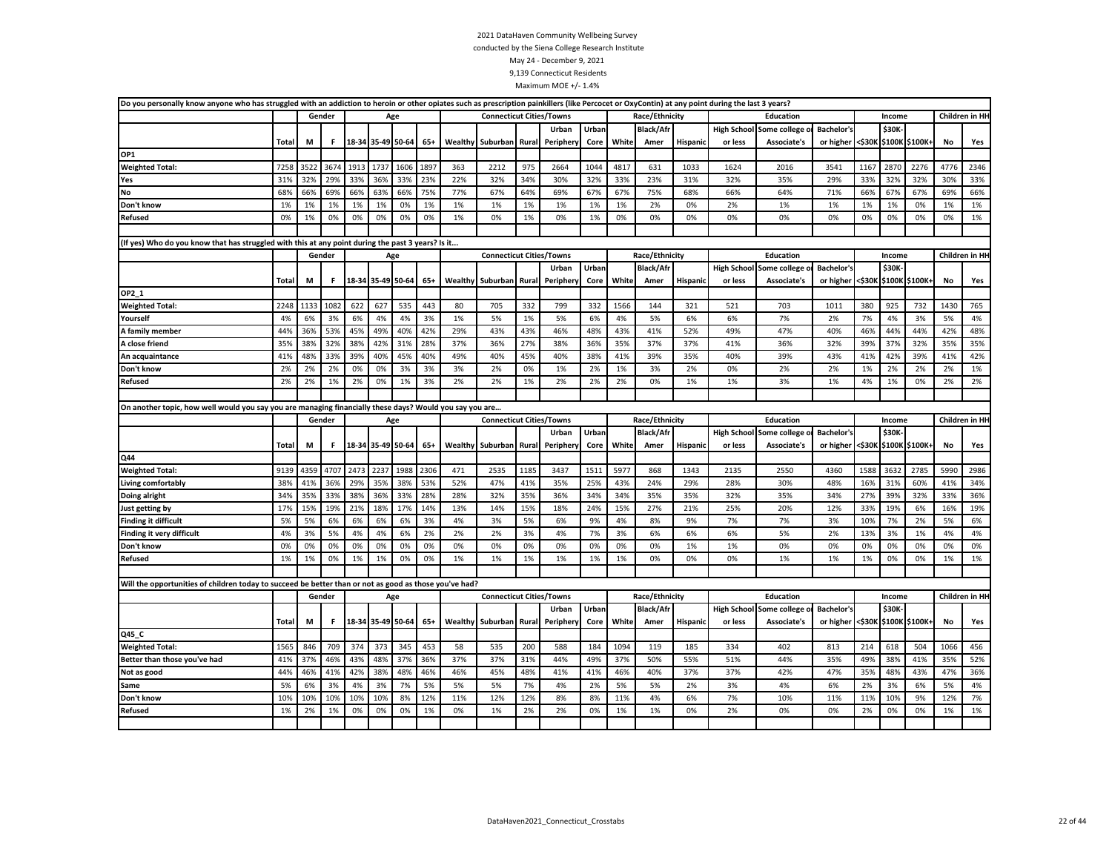| Do you personally know anyone who has struggled with an addiction to heroin or other opiates such as prescription painkillers (like Percocet or OxyContin) at any point during the last 3 years? |       |      |        |                   |      |      |       |         |                                 |       |          |       |       |                  |                 |         |                                 |                   |        |        |                       |                |      |
|--------------------------------------------------------------------------------------------------------------------------------------------------------------------------------------------------|-------|------|--------|-------------------|------|------|-------|---------|---------------------------------|-------|----------|-------|-------|------------------|-----------------|---------|---------------------------------|-------------------|--------|--------|-----------------------|----------------|------|
|                                                                                                                                                                                                  |       |      | Gender |                   | Age  |      |       |         | <b>Connecticut Cities/Towns</b> |       |          |       |       | Race/Ethnicity   |                 |         | Education                       |                   |        | Income |                       | Children in HH |      |
|                                                                                                                                                                                                  |       |      |        |                   |      |      |       |         |                                 |       | Urban    | Urban |       | <b>Black/Afr</b> |                 |         | <b>High School Some college</b> | <b>Bachelor's</b> |        | \$30K- |                       |                |      |
|                                                                                                                                                                                                  | Total | М    | F.     | 18-34 35-49 50-64 |      |      | 65+   | Wealthy | Suburban Rural                  |       | Peripher | Core  | White | Amer             | <b>Hispanic</b> | or less | Associate's                     | or higher         | <\$30К |        | \$100K \$100K+        | No             | Yes  |
| OP1                                                                                                                                                                                              |       |      |        |                   |      |      |       |         |                                 |       |          |       |       |                  |                 |         |                                 |                   |        |        |                       |                |      |
| <b>Weighted Total:</b>                                                                                                                                                                           | 7258  | 3522 | 3674   | 1913              | 1737 | 1606 | 1897  | 363     | 2212                            | 975   | 2664     | 1044  | 4817  | 631              | 1033            | 1624    | 2016                            | 3541              | 1167   | 2870   | 2276                  | 4776           | 2346 |
| Yes                                                                                                                                                                                              | 31%   | 32%  | 29%    | 33%               | 36%  | 33%  | 23%   | 22%     | 32%                             | 34%   | 30%      | 32%   | 33%   | 23%              | 31%             | 32%     | 35%                             | 29%               | 33%    | 32%    | 32%                   | 30%            | 33%  |
| No                                                                                                                                                                                               | 68%   | 66%  | 69%    | 66%               | 63%  | 66%  | 75%   | 77%     | 67%                             | 64%   | 69%      | 67%   | 67%   | 75%              | 68%             | 66%     | 64%                             | 71%               | 66%    | 67%    | 67%                   | 69%            | 66%  |
| Don't know                                                                                                                                                                                       | 1%    | 1%   | 1%     | 1%                | 1%   | 0%   | 1%    | 1%      | 1%                              | 1%    | 1%       | 1%    | 1%    | 2%               | 0%              | 2%      | 1%                              | 1%                | 1%     | 1%     | 0%                    | 1%             | 1%   |
| <b>Refused</b>                                                                                                                                                                                   | 0%    | 1%   | 0%     | 0%                | 0%   | 0%   | 0%    | 1%      | 0%                              | 1%    | 0%       | 1%    | 0%    | 0%               | 0%              | 0%      | 0%                              | 0%                | 0%     | 0%     | 0%                    | 0%             | 1%   |
|                                                                                                                                                                                                  |       |      |        |                   |      |      |       |         |                                 |       |          |       |       |                  |                 |         |                                 |                   |        |        |                       |                |      |
| (If yes) Who do you know that has struggled with this at any point during the past 3 years? Is it                                                                                                |       |      |        |                   |      |      |       |         |                                 |       |          |       |       |                  |                 |         |                                 |                   |        |        |                       |                |      |
|                                                                                                                                                                                                  |       |      | Gender |                   | Age  |      |       |         | <b>Connecticut Cities/Towns</b> |       |          |       |       | Race/Ethnicity   |                 |         | Education                       |                   |        | Income |                       | Children in HH |      |
|                                                                                                                                                                                                  |       |      |        |                   |      |      |       |         |                                 |       | Urban    | Urban |       | <b>Black/Afr</b> |                 |         | <b>High School Some college</b> | <b>Bachelor's</b> |        | \$30K- |                       |                |      |
|                                                                                                                                                                                                  | Total | М    | .F     | 18-34 35-49 50-64 |      |      | 65+   |         | Wealthy Suburban Rural          |       | Peripher | Core  | White | Amer             | <b>Hispanic</b> | or less | Associate's                     | or higher         |        |        | <\$30K \$100K \$100K+ | No             | Yes  |
| OP2_1                                                                                                                                                                                            |       |      |        |                   |      |      |       |         |                                 |       |          |       |       |                  |                 |         |                                 |                   |        |        |                       |                |      |
| <b>Weighted Total:</b>                                                                                                                                                                           | 2248  | 1133 | 1082   | 622               | 627  | 535  | 443   | 80      | 705                             | 332   | 799      | 332   | 1566  | 144              | 321             | 521     | 703                             | 1011              | 380    | 925    | 732                   | 1430           | 765  |
| Yourself                                                                                                                                                                                         | 4%    | 6%   | 3%     | 6%                | 4%   | 4%   | 3%    | 1%      | 5%                              | 1%    | 5%       | 6%    | 4%    | 5%               | 6%              | 6%      | 7%                              | 2%                | 7%     | 4%     | 3%                    | 5%             | 4%   |
| A family member                                                                                                                                                                                  | 44%   | 36%  | 53%    | 45%               | 49%  | 40%  | 42%   | 29%     | 43%                             | 43%   | 46%      | 48%   | 43%   | 41%              | 52%             | 49%     | 47%                             | 40%               | 46%    | 44%    | 44%                   | 42%            | 48%  |
| A close friend                                                                                                                                                                                   | 35%   | 38%  | 32%    | 38%               | 42%  | 31%  | 28%   | 37%     | 36%                             | 27%   | 38%      | 36%   | 35%   | 37%              | 37%             | 41%     | 36%                             | 32%               | 39%    | 37%    | 32%                   | 35%            | 35%  |
| An acquaintance                                                                                                                                                                                  | 41%   | 48%  | 33%    | 39%               | 40%  | 45%  | 40%   | 49%     | 40%                             | 45%   | 40%      | 38%   | 41%   | 39%              | 35%             | 40%     | 39%                             | 43%               | 41%    | 42%    | 39%                   | 41%            | 42%  |
| Don't know                                                                                                                                                                                       | 2%    | 2%   | 2%     | 0%                | 0%   | 3%   | 3%    | 3%      | 2%                              | 0%    | 1%       | 2%    | 1%    | 3%               | 2%              | 0%      | 2%                              | 2%                | 1%     | 2%     | 2%                    | 2%             | 1%   |
| Refused                                                                                                                                                                                          | 2%    | 2%   | 1%     | 2%                | 0%   | 1%   | 3%    | 2%      | 2%                              | 1%    | 2%       | 2%    | 2%    | 0%               | 1%              | 1%      | 3%                              | 1%                | 4%     | 1%     | 0%                    | 2%             | 2%   |
|                                                                                                                                                                                                  |       |      |        |                   |      |      |       |         |                                 |       |          |       |       |                  |                 |         |                                 |                   |        |        |                       |                |      |
| On another topic, how well would you say you are managing financially these days? Would you say you are                                                                                          |       |      |        |                   |      |      |       |         |                                 |       |          |       |       |                  |                 |         |                                 |                   |        |        |                       |                |      |
|                                                                                                                                                                                                  |       |      |        |                   |      |      |       |         |                                 |       |          |       |       |                  |                 |         |                                 |                   |        |        |                       |                |      |
|                                                                                                                                                                                                  |       |      | Gender |                   | Age  |      |       |         | <b>Connecticut Cities/Towns</b> |       |          |       |       | Race/Ethnicity   |                 |         | Education                       |                   |        | Income |                       | Children in HH |      |
|                                                                                                                                                                                                  |       |      |        |                   |      |      |       |         |                                 |       | Urban    | Urban |       | Black/Afr        |                 |         | <b>High School Some college</b> | <b>Bachelor's</b> |        | \$30K- |                       |                |      |
|                                                                                                                                                                                                  | Total | М    | F.     | 18-34 35-49 50-64 |      |      | 65+   | Wealthy | Suburban Rural                  |       | Peripher | Core  | White | Amer             | <b>Hispanic</b> | or less | Associate's                     | or higher <\$30K  |        |        | \$100K \$100K+        | No             | Yes  |
| Q44                                                                                                                                                                                              |       |      |        |                   |      |      |       |         |                                 |       |          |       |       |                  |                 |         |                                 |                   |        |        |                       |                |      |
| <b>Weighted Total:</b>                                                                                                                                                                           | 9139  | 4359 | 4707   | 2473              | 2237 | 1988 | 2306  | 471     | 2535                            | 1185  | 3437     | 1511  | 5977  | 868              | 1343            | 2135    | 2550                            | 4360              | 1588   | 3632   | 2785                  | 5990           | 2986 |
| Living comfortably                                                                                                                                                                               | 38%   | 41%  | 36%    | 29%               | 35%  | 38%  | 53%   | 52%     | 47%                             | 41%   | 35%      | 25%   | 43%   | 24%              | 29%             | 28%     | 30%                             | 48%               | 16%    | 31%    | 60%                   | 41%            | 34%  |
| Doing alright                                                                                                                                                                                    | 34%   | 35%  | 33%    | 38%               | 36%  | 33%  | 28%   | 28%     | 32%                             | 35%   | 36%      | 34%   | 34%   | 35%              | 35%             | 32%     | 35%                             | 34%               | 27%    | 39%    | 32%                   | 33%            | 36%  |
| Just getting by                                                                                                                                                                                  | 17%   | 15%  | 19%    | 21%               | 18%  | 17%  | 14%   | 13%     | 14%                             | 15%   | 18%      | 24%   | 15%   | 27%              | 21%             | 25%     | 20%                             | 12%               | 33%    | 19%    | 6%                    | 16%            | 19%  |
| <b>Finding it difficult</b>                                                                                                                                                                      | 5%    | 5%   | 6%     | 6%                | 6%   | 6%   | 3%    | 4%      | 3%                              | 5%    | 6%       | 9%    | 4%    | 8%               | 9%              | 7%      | 7%                              | 3%                | 10%    | 7%     | 2%                    | 5%             | 6%   |
| Finding it very difficult                                                                                                                                                                        | 4%    | 3%   | 5%     | 4%                | 4%   | 6%   | 2%    | 2%      | 2%                              | 3%    | 4%       | 7%    | 3%    | 6%               | 6%              | 6%      | 5%                              | 2%                | 13%    | 3%     | 1%                    | 4%             | 4%   |
| Don't know                                                                                                                                                                                       | 0%    | 0%   | 0%     | 0%                | 0%   | 0%   | 0%    | 0%      | 0%                              | 0%    | 0%       | 0%    | 0%    | 0%               | 1%              | 1%      | 0%                              | 0%                | 0%     | 0%     | 0%                    | 0%             | 0%   |
| <b>Refused</b>                                                                                                                                                                                   | 1%    | 1%   | 0%     | 1%                | 1%   | 0%   | 0%    | 1%      | 1%                              | 1%    | 1%       | 1%    | 1%    | 0%               | 0%              | 0%      | 1%                              | 1%                | 1%     | 0%     | 0%                    | 1%             | 1%   |
|                                                                                                                                                                                                  |       |      |        |                   |      |      |       |         |                                 |       |          |       |       |                  |                 |         |                                 |                   |        |        |                       |                |      |
| Will the opportunities of children today to succeed be better than or not as good as those you've had?                                                                                           |       |      |        |                   |      |      |       |         |                                 |       |          |       |       |                  |                 |         |                                 |                   |        |        |                       |                |      |
|                                                                                                                                                                                                  |       |      | Gender |                   | Age  |      |       |         | <b>Connecticut Cities/Towns</b> |       |          |       |       | Race/Ethnicity   |                 |         | Education                       |                   |        | Income |                       | Children in HH |      |
|                                                                                                                                                                                                  |       |      |        |                   |      |      |       |         |                                 |       | Urban    | Urban |       | <b>Black/Afr</b> |                 |         | <b>High School Some college</b> | <b>Bachelor's</b> |        | \$30K- |                       |                |      |
|                                                                                                                                                                                                  | Total | М    | F.     | 18-34 35-49 50-64 |      |      | $65+$ | Wealthy | Suburban                        | Rural | Peripher | Core  | White | Amer             | <b>Hispanic</b> | or less | Associate's                     | or higher <\$30K  |        |        | \$100K \$100K+        | No             | Yes  |
| Q45_C                                                                                                                                                                                            |       |      |        |                   |      |      |       |         |                                 |       |          |       |       |                  |                 |         |                                 |                   |        |        |                       |                |      |
| <b>Weighted Total:</b>                                                                                                                                                                           | 1565  | 846  | 709    | 374               | 373  | 345  | 453   | 58      | 535                             | 200   | 588      | 184   | 1094  | 119              | 185             | 334     | 402                             | 813               | 214    | 618    | 504                   | 1066           | 456  |
| Better than those you've had                                                                                                                                                                     | 41%   | 37%  | 46%    | 43%               | 48%  | 37%  | 36%   | 37%     | 37%                             | 31%   | 44%      | 49%   | 37%   | 50%              | 55%             | 51%     | 44%                             | 35%               | 49%    | 38%    | 41%                   | 35%            | 52%  |
| Not as good                                                                                                                                                                                      | 44%   | 46%  | 41%    | 42%               | 38%  | 48%  | 46%   | 46%     | 45%                             | 48%   | 41%      | 41%   | 46%   | 40%              | 37%             | 37%     | 42%                             | 47%               | 35%    | 48%    | 43%                   | 47%            | 36%  |
| Same                                                                                                                                                                                             | 5%    | 6%   | 3%     | 4%                | 3%   | 7%   | 5%    | 5%      | 5%                              | 7%    | 4%       | 2%    | 5%    | 5%               | 2%              | 3%      | 4%                              | 6%                | 2%     | 3%     | 6%                    | 5%             | 4%   |
| Don't know                                                                                                                                                                                       | 10%   | 10%  | 10%    | 10%               | 10%  | 8%   | 12%   | 11%     | 12%                             | 12%   | 8%       | 8%    | 11%   | 4%               | 6%              | 7%      | 10%                             | 11%               | 11%    | 10%    | 9%                    | 12%            | 7%   |
| <b>Refused</b>                                                                                                                                                                                   | 1%    | 2%   | 1%     | 0%                | 0%   | 0%   | 1%    | 0%      | 1%                              | 2%    | 2%       | 0%    | 1%    | 1%               | 0%              | 2%      | 0%                              | 0%                | 2%     | 0%     | 0%                    | 1%             | 1%   |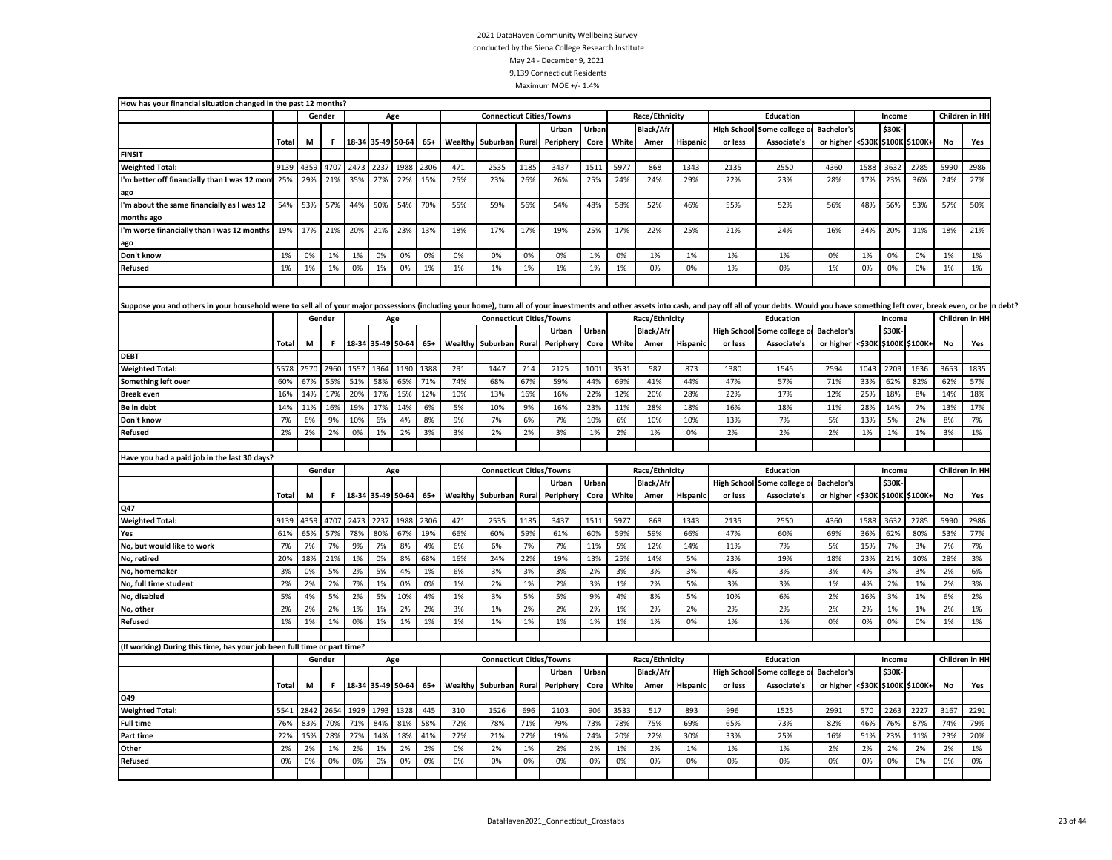| How has your financial situation changed in the past 12 months?                                                                                                                                                                |              |      |           |                   |      |                   |       |         |                                 |      |                    |       |       |                                    |                 |         |                                                     |                   |        |                 |                       |           |                 |  |
|--------------------------------------------------------------------------------------------------------------------------------------------------------------------------------------------------------------------------------|--------------|------|-----------|-------------------|------|-------------------|-------|---------|---------------------------------|------|--------------------|-------|-------|------------------------------------|-----------------|---------|-----------------------------------------------------|-------------------|--------|-----------------|-----------------------|-----------|-----------------|--|
|                                                                                                                                                                                                                                |              |      | Gender    |                   |      | Age               |       |         | <b>Connecticut Cities/Towns</b> |      |                    |       |       | Race/Ethnicity                     |                 |         | <b>Education</b>                                    |                   |        | Income          |                       |           | Children in HH  |  |
|                                                                                                                                                                                                                                |              |      |           |                   |      |                   |       |         |                                 |      | Urban              | Urbar |       | <b>Black/Afr</b>                   |                 |         | <b>High School Some college</b>                     | Bachelor's        |        | \$30K           |                       |           |                 |  |
|                                                                                                                                                                                                                                | <b>Total</b> | М    | F.        |                   |      | 18-34 35-49 50-64 | 65+   | Wealthy | Suburban Rural                  |      | Periphery          | Core  | White | Amer                               | <b>Hispanic</b> | or less | Associate's                                         | or higher         |        |                 | <\$30K \$100K \$100K+ | <b>No</b> | Yes             |  |
| <b>FINSIT</b>                                                                                                                                                                                                                  |              |      |           |                   |      |                   |       |         |                                 |      |                    |       |       |                                    |                 |         |                                                     |                   |        |                 |                       |           |                 |  |
| <b>Weighted Total:</b>                                                                                                                                                                                                         | 9139         | 4359 | 4707      | 2473              | 2237 | 1988              | 2306  | 471     | 2535                            | 1185 | 3437               | 1511  | 5977  | 868                                | 1343            | 2135    | 2550                                                | 4360              | 1588   | 3632            | 2785                  | 5990      | 2986            |  |
| I'm better off financially than I was 12 mont                                                                                                                                                                                  | 25%          | 29%  | 21%       | 35%               | 27%  | 22%               | 15%   | 25%     | 23%                             | 26%  | 26%                | 25%   | 24%   | 24%                                | 29%             | 22%     | 23%                                                 | 28%               | 17%    | 23%             | 36%                   | 24%       | 27%             |  |
| ago                                                                                                                                                                                                                            |              |      |           |                   |      |                   |       |         |                                 |      |                    |       |       |                                    |                 |         |                                                     |                   |        |                 |                       |           |                 |  |
| I'm about the same financially as I was 12                                                                                                                                                                                     | 54%          | 53%  | 57%       | 44%               | 50%  | 54%               | 70%   | 55%     | 59%                             | 56%  | 54%                | 48%   | 58%   | 52%                                | 46%             | 55%     | 52%                                                 | 56%               | 48%    | 56%             | 53%                   | 57%       | 50%             |  |
| months ago                                                                                                                                                                                                                     |              |      |           |                   |      |                   |       |         |                                 |      |                    |       |       |                                    |                 |         |                                                     |                   |        |                 |                       |           |                 |  |
| I'm worse financially than I was 12 months                                                                                                                                                                                     | 19%          | 17%  | 21%       | 20%               | 21%  | 23%               | 13%   | 18%     | 17%                             | 17%  | 19%                | 25%   | 17%   | 22%                                | 25%             | 21%     | 24%                                                 | 16%               | 34%    | 20%             | 11%                   | 18%       | 21%             |  |
| ago                                                                                                                                                                                                                            |              |      |           |                   |      |                   |       |         |                                 |      |                    |       |       |                                    |                 |         |                                                     |                   |        |                 |                       |           |                 |  |
| Don't know                                                                                                                                                                                                                     | 1%           | 0%   | 1%        | 1%                | 0%   | 0%                | 0%    | 0%      | 0%                              | 0%   | 0%                 | 1%    | 0%    | 1%                                 | 1%              | 1%      | 1%                                                  | 0%                | 1%     | 0%              | 0%                    | 1%        | 1%              |  |
| Refused                                                                                                                                                                                                                        | 1%           | 1%   | 1%        | 0%                | 1%   | 0%                | 1%    | 1%      | 1%                              | 1%   | 1%                 | 1%    | 1%    | 0%                                 | 0%              | 1%      | 0%                                                  | 1%                | 0%     | 0%              | 0%                    | 1%        | 1%              |  |
|                                                                                                                                                                                                                                |              |      |           |                   |      |                   |       |         |                                 |      |                    |       |       |                                    |                 |         |                                                     |                   |        |                 |                       |           |                 |  |
|                                                                                                                                                                                                                                |              |      |           |                   |      |                   |       |         |                                 |      |                    |       |       |                                    |                 |         |                                                     |                   |        |                 |                       |           |                 |  |
| Suppose you and others in your household were to sell all of your major possessions (including your home), turn all of your investments and other assets into cash, and pay off all of your debts. Would you have something le |              |      |           |                   |      |                   |       |         |                                 |      |                    |       |       |                                    |                 |         |                                                     |                   |        |                 |                       |           |                 |  |
|                                                                                                                                                                                                                                |              |      | Gender    |                   |      | Age               |       |         | <b>Connecticut Cities/Towns</b> |      |                    |       |       | Race/Ethnicity                     |                 |         | Education                                           |                   |        | Income          |                       |           | Children in HI- |  |
|                                                                                                                                                                                                                                |              |      |           |                   |      |                   |       |         |                                 |      | Urban              | Urban |       | <b>Black/Afr</b>                   |                 |         | High School Some college o                          | <b>Bachelor's</b> |        | \$30K           |                       |           |                 |  |
|                                                                                                                                                                                                                                | Total        | М    | F.        |                   |      | 18-34 35-49 50-64 | 65+   | Wealthy | Suburban Rural                  |      | Periphery          | Core  | White | Amer                               | <b>Hispanic</b> | or less | Associate's                                         | or higher         | <\$30K |                 | \$100K \$100K+        | No        | Yes             |  |
| <b>DEBT</b>                                                                                                                                                                                                                    |              |      |           |                   |      |                   |       |         |                                 |      |                    |       |       |                                    |                 |         |                                                     |                   |        |                 |                       |           |                 |  |
| <b>Weighted Total:</b>                                                                                                                                                                                                         | 5578         | 2570 | 2960      | 1557              | 1364 | 1190              | 1388  | 291     | 1447                            | 714  | 2125               | 1001  | 3531  | 587                                | 873             | 1380    | 1545                                                | 2594              | 1043   | 2209            | 1636                  | 3653      | 1835            |  |
| Something left over                                                                                                                                                                                                            | 60%          | 67%  | 55%       | 51%               | 58%  | 65%               | 71%   | 74%     | 68%                             | 67%  | 59%                | 44%   | 69%   | 41%                                | 44%             | 47%     | 57%                                                 | 71%               | 33%    | 62%             | 82%                   | 62%       | 57%             |  |
| <b>Break even</b>                                                                                                                                                                                                              | 16%          | 14%  | 17%       | 20%               | 17%  | 15%               | 12%   | 10%     | 13%                             | 16%  | 16%                | 22%   | 12%   | 20%                                | 28%             | 22%     | 17%                                                 | 12%               | 25%    | 18%             | 8%                    | 14%       | 18%             |  |
| Be in debt                                                                                                                                                                                                                     | 14%          | 11%  | 16%       | 19%               | 17%  | 14%               | 6%    | 5%      | 10%                             | 9%   | 16%                | 23%   | 11%   | 28%                                | 18%             | 16%     | 18%                                                 | 11%               | 28%    | 14%             | 7%                    | 13%       | 17%             |  |
| Don't know                                                                                                                                                                                                                     | 7%           | 6%   | 9%        | 10%               | 6%   | 4%                | 8%    | 9%      | 7%                              | 6%   | 7%                 | 10%   | 6%    | 10%                                | 10%             | 13%     | 7%                                                  | 5%                | 13%    | 5%              | 2%                    | 8%        | 7%              |  |
| Refused                                                                                                                                                                                                                        | 2%           | 2%   | 2%        | 0%                | 1%   | 2%                | 3%    | 3%      | 2%                              | 2%   | 3%                 | 1%    | 2%    | 1%                                 | 0%              | 2%      | 2%                                                  | 2%                | 1%     | 1%              | 1%                    | 3%        | 1%              |  |
|                                                                                                                                                                                                                                |              |      |           |                   |      |                   |       |         |                                 |      |                    |       |       |                                    |                 |         |                                                     |                   |        |                 |                       |           |                 |  |
| Have you had a paid job in the last 30 days?                                                                                                                                                                                   |              |      |           |                   |      |                   |       |         |                                 |      |                    |       |       |                                    |                 |         |                                                     |                   |        |                 |                       |           | Children in HH  |  |
|                                                                                                                                                                                                                                |              |      | Gender    |                   |      | Age               |       |         | <b>Connecticut Cities/Towns</b> |      |                    | Urban |       | Race/Ethnicity<br><b>Black/Afr</b> |                 |         | <b>Education</b><br><b>High School Some college</b> | <b>Bachelor's</b> |        | Income<br>\$30K |                       |           |                 |  |
|                                                                                                                                                                                                                                | Total        | M    | F.        | 18-34 35-49 50-64 |      |                   | 65+   | Wealthy | Suburban Rural                  |      | Urban<br>Periphery | Core  | White | Amer                               | Hispanic        | or less | Associate's                                         | or higher         |        |                 | <\$30K \$100K \$100K+ | No        | Yes             |  |
| Q47                                                                                                                                                                                                                            |              |      |           |                   |      |                   |       |         |                                 |      |                    |       |       |                                    |                 |         |                                                     |                   |        |                 |                       |           |                 |  |
| <b>Weighted Total:</b>                                                                                                                                                                                                         | 9139         | 4359 | 4707      | 2473              | 223  | 1988              | 2306  | 471     | 2535                            | 1185 | 3437               | 1511  | 597   | 868                                | 1343            | 2135    | 2550                                                | 4360              | 1588   | 3632            | 2785                  | 5990      | 2986            |  |
| Yes                                                                                                                                                                                                                            | 61%          | 65%  | 57%       | 78%               | 80%  | 67%               | 19%   | 66%     | 60%                             | 59%  | 61%                | 60%   | 59%   | 59%                                | 66%             | 47%     | 60%                                                 | 69%               | 36%    | 62%             | 80%                   | 53%       | 77%             |  |
| No, but would like to work                                                                                                                                                                                                     | 7%           | 7%   | 7%        | 9%                | 7%   | 8%                | 4%    | 6%      | 6%                              | 7%   | 7%                 | 11%   | 5%    | 12%                                | 14%             | 11%     | 7%                                                  | 5%                | 15%    | 7%              | 3%                    | 7%        | 7%              |  |
| No, retired                                                                                                                                                                                                                    | 20%          | 18%  | 21%       | 1%                | 0%   | 8%                | 68%   | 16%     | 24%                             | 22%  | 19%                | 13%   | 25%   | 14%                                | 5%              | 23%     | 19%                                                 | 18%               | 23%    | 21%             | 10%                   | 28%       | 3%              |  |
| No, homemaker                                                                                                                                                                                                                  | 3%           | 0%   | 5%        | 2%                | 5%   | 4%                | 1%    | 6%      | 3%                              | 3%   | 3%                 | 2%    | 3%    | 3%                                 | 3%              | 4%      | 3%                                                  | 3%                | 4%     | 3%              | 3%                    | 2%        | 6%              |  |
| No, full time student                                                                                                                                                                                                          | 2%           | 2%   | 2%        | 7%                | 1%   | 0%                | 0%    | 1%      | 2%                              | 1%   | 2%                 | 3%    | 1%    | 2%                                 | 5%              | 3%      | 3%                                                  | 1%                | 4%     | 2%              | 1%                    | 2%        | 3%              |  |
| No, disabled                                                                                                                                                                                                                   | 5%           | 4%   | 5%        | 2%                | 5%   | 10%               | 4%    | 1%      | 3%                              | 5%   | 5%                 | 9%    | 4%    | 8%                                 | 5%              | 10%     | 6%                                                  | 2%                | 16%    | 3%              | 1%                    | 6%        | 2%              |  |
| No, other                                                                                                                                                                                                                      | 2%           | 2%   | 2%        | 1%                | 1%   | 2%                | 2%    | 3%      | 1%                              | 2%   | 2%                 | 2%    | 1%    | 2%                                 | 2%              | 2%      | 2%                                                  | 2%                | 2%     | 1%              | 1%                    | 2%        | 1%              |  |
| <b>Refused</b>                                                                                                                                                                                                                 | 1%           | 1%   | 1%        | 0%                | 1%   | 1%                | 1%    | 1%      | 1%                              | 1%   | 1%                 | 1%    | 1%    | 1%                                 | 0%              | 1%      | 1%                                                  | 0%                | 0%     | 0%              | 0%                    | 1%        | 1%              |  |
|                                                                                                                                                                                                                                |              |      |           |                   |      |                   |       |         |                                 |      |                    |       |       |                                    |                 |         |                                                     |                   |        |                 |                       |           |                 |  |
| (If working) During this time, has your job been full time or part time?                                                                                                                                                       |              |      |           |                   |      |                   |       |         |                                 |      |                    |       |       |                                    |                 |         |                                                     |                   |        |                 |                       |           |                 |  |
|                                                                                                                                                                                                                                |              |      | Gender    |                   |      | Age               |       |         | <b>Connecticut Cities/Towns</b> |      |                    |       |       | Race/Ethnicity                     |                 |         | Education                                           |                   |        | Income          |                       |           | Children in HI- |  |
|                                                                                                                                                                                                                                |              |      |           |                   |      |                   |       |         |                                 |      | Urban              | Urban |       | <b>Black/Afr</b>                   |                 |         | High School Some college o                          | <b>Bachelor's</b> |        | \$30K           |                       |           |                 |  |
|                                                                                                                                                                                                                                | <b>Total</b> | М    | F.        | 18-34 35-49 50-64 |      |                   | $65+$ | Wealthy | Suburban Rural                  |      | Periphery          | Core  | White | Amer                               | Hispanic        | or less | Associate's                                         | or higher         |        | <\$30K \$100K   | \$100K+               | No        | Yes             |  |
| Q49                                                                                                                                                                                                                            |              |      |           |                   |      |                   |       |         |                                 |      |                    |       |       |                                    |                 |         |                                                     |                   |        |                 |                       |           |                 |  |
| <b>Weighted Total:</b>                                                                                                                                                                                                         | 5541         |      | 2842 2654 | 1929              | 1793 | 1328              | 445   | 310     | 1526                            | 696  | 2103               | 906   | 3533  | 517                                | 893             | 996     | 1525                                                | 2991              | 570    | 2263            | 2227                  | 3167      | 2291            |  |
| <b>Full time</b>                                                                                                                                                                                                               | 76%          | 83%  | 70%       | 71%               | 84%  | 81%               | 58%   | 72%     | 78%                             | 71%  | 79%                | 73%   | 78%   | 75%                                | 69%             | 65%     | 73%                                                 | 82%               | 46%    | 76%             | 87%                   | 74%       | 79%             |  |
| Part time                                                                                                                                                                                                                      | 22%          | 15%  | 28%       | 27%               | 14%  | 18%               | 41%   | 27%     | 21%                             | 27%  | 19%                | 24%   | 20%   | 22%                                | 30%             | 33%     | 25%                                                 | 16%               | 51%    | 23%             | 11%                   | 23%       | 20%             |  |
| Other                                                                                                                                                                                                                          | 2%           | 2%   | 1%        | 2%                | 1%   | 2%                | 2%    | 0%      | 2%                              | 1%   | 2%                 | 2%    | 1%    | 2%                                 | 1%              | 1%      | 1%                                                  | 2%                | 2%     | 2%              | 2%                    | 2%        | 1%              |  |
| <b>Refused</b>                                                                                                                                                                                                                 | 0%           | 0%   | 0%        | 0%                | 0%   | 0%                | 0%    | 0%      | 0%                              | 0%   | 0%                 | 0%    | 0%    | 0%                                 | 0%              | 0%      | 0%                                                  | 0%                | 0%     | 0%              | 0%                    | 0%        | 0%              |  |
|                                                                                                                                                                                                                                |              |      |           |                   |      |                   |       |         |                                 |      |                    |       |       |                                    |                 |         |                                                     |                   |        |                 |                       |           |                 |  |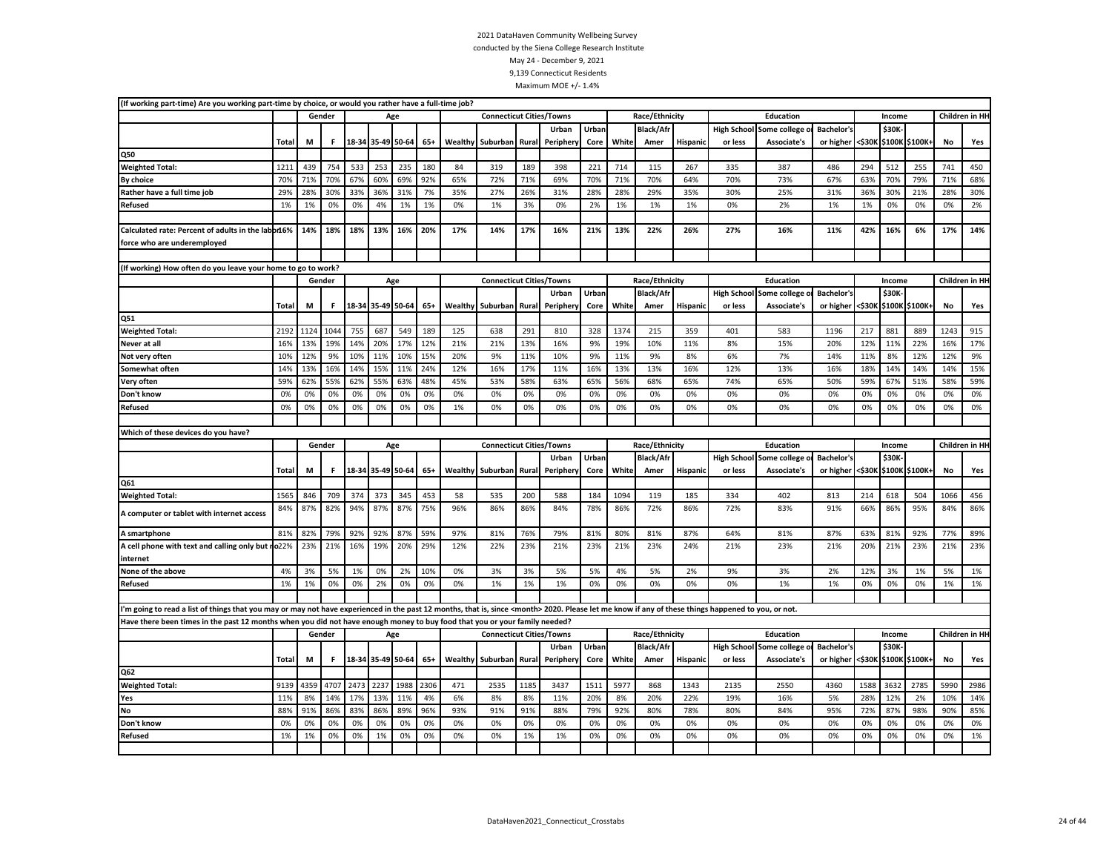| (If working part-time) Are you working part-time by choice, or would you rather have a full-time job?                                                                                                      |       |      |        |      |                   |      |       |                |                                 |       |           |       |       |                  |                 |                    |                          |                   |        |        |                |           |                                        |
|------------------------------------------------------------------------------------------------------------------------------------------------------------------------------------------------------------|-------|------|--------|------|-------------------|------|-------|----------------|---------------------------------|-------|-----------|-------|-------|------------------|-----------------|--------------------|--------------------------|-------------------|--------|--------|----------------|-----------|----------------------------------------|
|                                                                                                                                                                                                            |       |      | Gender |      |                   | Age  |       |                | <b>Connecticut Cities/Towns</b> |       |           |       |       | Race/Ethnicity   |                 |                    | Education                |                   |        | Income |                |           | Children in HH                         |
|                                                                                                                                                                                                            |       |      |        |      |                   |      |       |                |                                 |       | Urban     | Urban |       | <b>Black/Af</b>  |                 | <b>High School</b> | Some college             | Bachelor's        |        | \$30K  |                |           |                                        |
|                                                                                                                                                                                                            | Total | M    | F.     |      | 18-34 35-49 50-64 |      | $65+$ | Wealthy        | Suburban Rural                  |       | Periphery | Core  | White | Amer             | <b>Hispanic</b> | or less            | Associate's              | or higher         | <\$30K |        | \$100K \$100K+ | No        | Yes                                    |
| Q50                                                                                                                                                                                                        |       |      |        |      |                   |      |       |                |                                 |       |           |       |       |                  |                 |                    |                          |                   |        |        |                |           |                                        |
| <b>Weighted Total:</b>                                                                                                                                                                                     | 1211  | 439  | 754    | 533  | 253               | 235  | 180   | 84             | 319                             | 189   | 398       | 221   | 714   | 115              | 267             | 335                | 387                      | 486               | 294    | 512    | 255            | 741       | 450                                    |
| By choice                                                                                                                                                                                                  | 70%   | 71%  | 70%    | 67%  | 60%               | 69%  | 92%   | 65%            | 72%                             | 71%   | 69%       | 70%   | 71%   | 70%              | 64%             | 70%                | 73%                      | 67%               | 63%    | 70%    | 79%            | 71%       | 68%                                    |
| Rather have a full time job                                                                                                                                                                                | 29%   | 28%  | 30%    | 33%  | 36%               | 31%  | 7%    | 35%            | 27%                             | 26%   | 31%       | 28%   | 28%   | 29%              | 35%             | 30%                | 25%                      | 31%               | 36%    | 30%    | 21%            | 28%       | 30%                                    |
| Refused                                                                                                                                                                                                    | 1%    | 1%   | 0%     | 0%   | 4%                | 1%   | 1%    | 0%             | 1%                              | 3%    | 0%        | 2%    | 1%    | 1%               | 1%              | 0%                 | 2%                       | 1%                | 1%     | 0%     | 0%             | 0%        | 2%                                     |
|                                                                                                                                                                                                            |       |      |        |      |                   |      |       |                |                                 |       |           |       |       |                  |                 |                    |                          |                   |        |        |                |           |                                        |
| Calculated rate: Percent of adults in the labor16%                                                                                                                                                         |       | 14%  | 18%    | 18%  | 13%               | 16%  | 20%   | 17%            | 14%                             | 17%   | 16%       | 21%   | 13%   | 22%              | 26%             | 27%                | 16%                      | 11%               | 42%    | 16%    | 6%             | 17%       | 14%                                    |
| force who are underemployed                                                                                                                                                                                |       |      |        |      |                   |      |       |                |                                 |       |           |       |       |                  |                 |                    |                          |                   |        |        |                |           |                                        |
|                                                                                                                                                                                                            |       |      |        |      |                   |      |       |                |                                 |       |           |       |       |                  |                 |                    |                          |                   |        |        |                |           |                                        |
| (If working) How often do you leave your home to go to work?                                                                                                                                               |       |      |        |      |                   |      |       |                |                                 |       |           |       |       |                  |                 |                    |                          |                   |        |        |                |           |                                        |
|                                                                                                                                                                                                            |       |      | Gender |      |                   | Age  |       |                | <b>Connecticut Cities/Towns</b> |       |           |       |       | Race/Ethnicity   |                 |                    | <b>Education</b>         |                   |        | Income |                |           | Children in HH                         |
|                                                                                                                                                                                                            |       |      |        |      |                   |      |       |                |                                 |       | Urban     | Urban |       | <b>Black/Afr</b> |                 |                    | High School Some college | <b>Bachelor's</b> |        | \$30K  |                |           |                                        |
|                                                                                                                                                                                                            | Total | M    | F.     |      | 18-34 35-49 50-64 |      | $65+$ | <b>Wealthy</b> | Suburban Rural                  |       | Periphery | Core  | White | Amer             | Hispanic        | or less            | Associate's              | or higher         | <\$30к |        | \$100K \$100K+ | No        | Yes                                    |
| Q51                                                                                                                                                                                                        |       |      |        |      |                   |      |       |                |                                 |       |           |       |       |                  |                 |                    |                          |                   |        |        |                |           |                                        |
| <b>Weighted Total:</b>                                                                                                                                                                                     | 2192  | 1124 | 1044   | 755  | 687               | 549  | 189   | 125            | 638                             | 291   | 810       | 328   | 1374  | 215              | 359             | 401                | 583                      | 1196              | 217    | 881    | 889            | 1243      | 915                                    |
| Never at all                                                                                                                                                                                               | 16%   | 13%  | 19%    | 14%  | 20%               | 17%  | 12%   | 21%            | 21%                             | 13%   | 16%       | 9%    | 19%   | 10%              | 11%             | 8%                 | 15%                      | 20%               | 12%    | 11%    | 22%            | 16%       | 17%                                    |
| Not very often                                                                                                                                                                                             | 10%   | 12%  | 9%     | 10%  | 11%               | 10%  | 15%   | 20%            | 9%                              | 11%   | 10%       | 9%    | 11%   | 9%               | 8%              | 6%                 | 7%                       | 14%               | 11%    | 8%     | 12%            | 12%       | 9%                                     |
| Somewhat often                                                                                                                                                                                             | 14%   | 13%  | 16%    | 14%  | 15%               | 11%  | 24%   | 12%            | 16%                             | 17%   | 11%       | 16%   | 13%   | 13%              | 16%             | 12%                | 13%                      | 16%               | 18%    | 14%    | 14%            | 14%       | 15%                                    |
| Very often                                                                                                                                                                                                 | 59%   | 62%  | 55%    | 62%  | 55%               | 63%  | 48%   | 45%            | 53%                             | 58%   | 63%       | 65%   | 56%   | 68%              | 65%             | 74%                | 65%                      | 50%               | 59%    | 67%    | 51%            | 58%       | 59%                                    |
| Don't know                                                                                                                                                                                                 | 0%    | 0%   | 0%     | 0%   | 0%                | 0%   | 0%    | 0%             | 0%                              | 0%    | 0%        | 0%    | 0%    | 0%               | 0%              | 0%                 | 0%                       | 0%                | 0%     | 0%     | 0%             | 0%        | 0%                                     |
| Refused                                                                                                                                                                                                    | 0%    | 0%   | 0%     | 0%   | 0%                | 0%   | 0%    | 1%             | 0%                              | 0%    | 0%        | 0%    | 0%    | 0%               | 0%              | 0%                 | 0%                       | 0%                | 0%     | 0%     | 0%             | 0%        | 0%                                     |
|                                                                                                                                                                                                            |       |      |        |      |                   |      |       |                |                                 |       |           |       |       |                  |                 |                    |                          |                   |        |        |                |           |                                        |
|                                                                                                                                                                                                            |       |      |        |      |                   |      |       |                |                                 |       |           |       |       |                  |                 |                    |                          |                   |        |        |                |           |                                        |
| Which of these devices do you have?                                                                                                                                                                        |       |      |        |      |                   |      |       |                |                                 |       |           |       |       |                  |                 |                    |                          |                   |        |        |                |           |                                        |
|                                                                                                                                                                                                            |       |      | Gender |      |                   | Age  |       |                | <b>Connecticut Cities/Towns</b> |       |           |       |       | Race/Ethnicity   |                 |                    | <b>Education</b>         |                   |        | Income |                |           |                                        |
|                                                                                                                                                                                                            |       |      |        |      |                   |      |       |                |                                 |       | Urban     | Urban |       | <b>Black/Afr</b> |                 | <b>High School</b> | Some college             | <b>Bachelor's</b> |        | \$30K  |                |           |                                        |
|                                                                                                                                                                                                            | Total | M    | F.     |      | 18-34 35-49 50-64 |      | $65+$ | Wealthy        | Suburban                        | Rural | Peripher  | Core  | White | Amer             | Hispanio        | or less            | Associate's              | or higher         | <\$30K |        | \$100K \$100K+ | No        | Yes                                    |
| Q61                                                                                                                                                                                                        |       |      |        |      |                   |      |       |                |                                 |       |           |       |       |                  |                 |                    |                          |                   |        |        |                |           |                                        |
| <b>Weighted Total:</b>                                                                                                                                                                                     | 1565  | 846  | 709    | 374  | 373               | 345  | 453   | 58             | 535                             | 200   | 588       | 184   | 1094  | 119              | 185             | 334                | 402                      | 813               | 214    | 618    | 504            | 1066      | 456                                    |
| A computer or tablet with internet access                                                                                                                                                                  | 84%   | 87%  | 82%    | 94%  | 87%               | 87%  | 75%   | 96%            | 86%                             | 86%   | 84%       | 78%   | 86%   | 72%              | 86%             | 72%                | 83%                      | 91%               | 66%    | 86%    | 95%            | 84%       | 86%                                    |
| A smartphone                                                                                                                                                                                               | 81%   | 82%  | 79%    | 92%  | 92%               | 87%  | 59%   | 97%            | 81%                             | 76%   | 79%       | 81%   | 80%   | 81%              | 87%             | 64%                | 81%                      | 87%               | 63%    | 81%    | 92%            | 77%       | 89%                                    |
| A cell phone with text and calling only but ro22%<br>internet                                                                                                                                              |       | 23%  | 21%    | 16%  | 19%               | 20%  | 29%   | 12%            | 22%                             | 23%   | 21%       | 23%   | 21%   | 23%              | 24%             | 21%                | 23%                      | 21%               | 20%    | 21%    | 23%            | 21%       | 23%                                    |
| None of the above                                                                                                                                                                                          | 4%    | 3%   | 5%     | 1%   | 0%                | 2%   | 10%   | 0%             | 3%                              | 3%    | 5%        | 5%    | 4%    | 5%               | 2%              | 9%                 | 3%                       | 2%                | 12%    | 3%     | 1%             | 5%        | 1%                                     |
| Refused                                                                                                                                                                                                    | 1%    | 1%   | 0%     | 0%   | 2%                | 0%   | 0%    | 0%             | 1%                              | 1%    | 1%        | 0%    | 0%    | 0%               | 0%              | 0%                 | 1%                       | 1%                | 0%     | 0%     | 0%             | 1%        | 1%                                     |
|                                                                                                                                                                                                            |       |      |        |      |                   |      |       |                |                                 |       |           |       |       |                  |                 |                    |                          |                   |        |        |                |           |                                        |
| I'm going to read a list of things that you may or may not have experienced in the past 12 months, that is, since <month> 2020. Please let me know if any of these things happened to you, or not.</month> |       |      |        |      |                   |      |       |                |                                 |       |           |       |       |                  |                 |                    |                          |                   |        |        |                |           |                                        |
| Have there been times in the past 12 months when you did not have enough money to buy food that you or your family needed?                                                                                 |       |      |        |      |                   |      |       |                |                                 |       |           |       |       |                  |                 |                    |                          |                   |        |        |                |           |                                        |
|                                                                                                                                                                                                            |       |      | Gender |      |                   | Age  |       |                | <b>Connecticut Cities/Towns</b> |       |           |       |       | Race/Ethnicity   |                 |                    | Education                |                   |        | Income |                |           |                                        |
|                                                                                                                                                                                                            |       |      |        |      |                   |      |       |                |                                 |       | Urban     | Urban |       | <b>Black/Afr</b> |                 | <b>High School</b> | Some college             | Bachelor's        |        | \$30K  |                |           |                                        |
|                                                                                                                                                                                                            | Total | M    | F.     |      | 18-34 35-49 50-64 |      | $65+$ |                | Wealthy Suburban Rural          |       | Periphery | Core  | White | Amer             | <b>Hispanic</b> | or less            | Associate's              | or higher         | <\$30K |        | \$100K \$100K+ | <b>No</b> | Yes                                    |
| Q62                                                                                                                                                                                                        |       |      |        |      |                   |      |       |                |                                 |       |           |       |       |                  |                 |                    |                          |                   |        |        |                |           |                                        |
| <b>Weighted Total:</b>                                                                                                                                                                                     | 9139  | 4359 | 4707   | 2473 | 2237              | 1988 | 2306  | 471            | 2535                            | 1185  | 3437      | 1511  | 5977  | 868              | 1343            | 2135               | 2550                     | 4360              | 1588   | 3632   | 2785           | 5990      | 2986                                   |
| Yes                                                                                                                                                                                                        | 11%   | 8%   | 14%    | 17%  | 13%               | 11%  | 4%    | 6%             | 8%                              | 8%    | 11%       | 20%   | 8%    | 20%              | 22%             | 19%                | 16%                      | 5%                | 28%    | 12%    | 2%             | 10%       | 14%                                    |
| <b>No</b>                                                                                                                                                                                                  | 88%   | 91%  | 86%    | 83%  | 86%               | 89%  | 96%   | 93%            | 91%                             | 91%   | 88%       | 79%   | 92%   | 80%              | 78%             | 80%                | 84%                      | 95%               | 72%    | 87%    | 98%            | 90%       | 85%                                    |
| Don't know                                                                                                                                                                                                 | 0%    | 0%   | 0%     | 0%   | 0%                | 0%   | 0%    | 0%             | 0%                              | 0%    | 0%        | 0%    | 0%    | 0%               | 0%              | 0%                 | 0%                       | 0%                | 0%     | 0%     | 0%             | 0%        | Children in HH<br>Children in HH<br>0% |
| Refused                                                                                                                                                                                                    | 1%    | 1%   | 0%     | 0%   | 1%                | 0%   | 0%    | 0%             | 0%                              | 1%    | 1%        | 0%    | 0%    | 0%               | 0%              | 0%                 | 0%                       | 0%                | 0%     | 0%     | 0%             | 0%        | 1%                                     |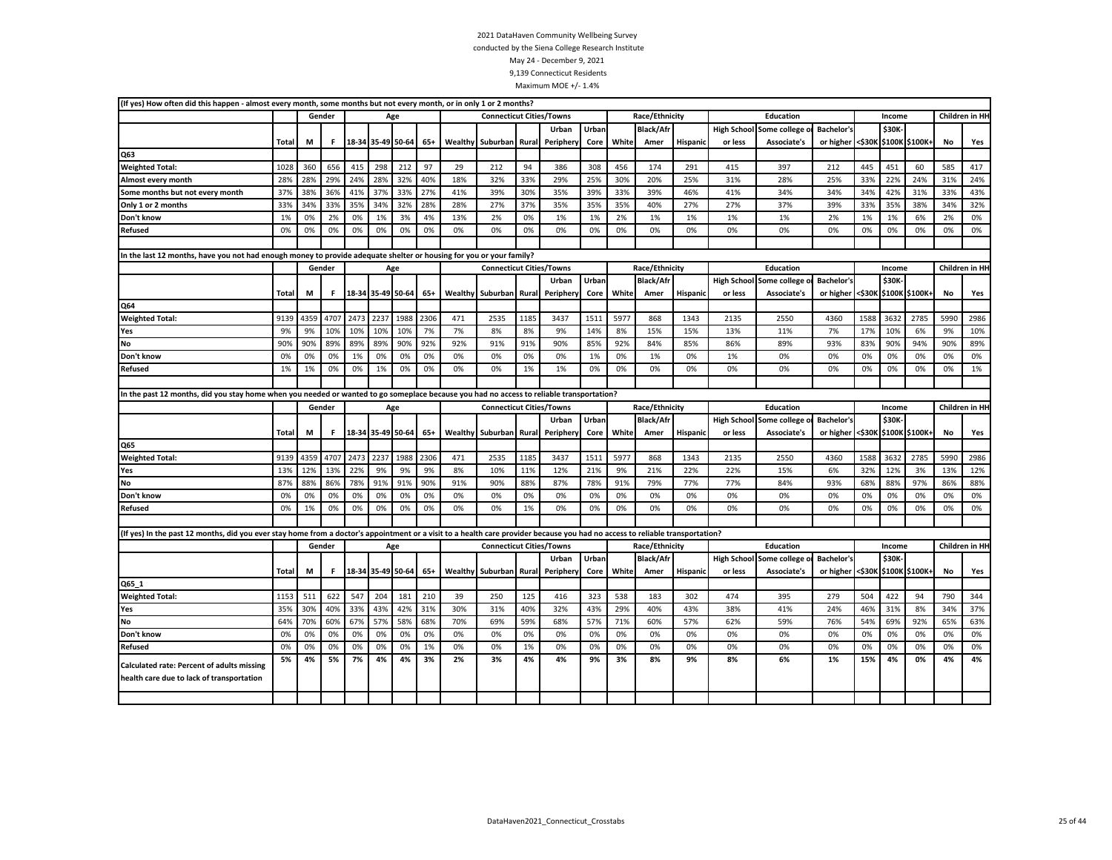| (If yes) How often did this happen - almost every month, some months but not every month, or in only 1 or 2 months?                                                           |              |      |        |                   |                   |                   |       |         |                                 |       |           |       |       |                  |                 |                    |                          |                                 |        |        |                |      |                |
|-------------------------------------------------------------------------------------------------------------------------------------------------------------------------------|--------------|------|--------|-------------------|-------------------|-------------------|-------|---------|---------------------------------|-------|-----------|-------|-------|------------------|-----------------|--------------------|--------------------------|---------------------------------|--------|--------|----------------|------|----------------|
|                                                                                                                                                                               |              |      | Gender |                   |                   | Age               |       |         | <b>Connecticut Cities/Towns</b> |       |           |       |       | Race/Ethnicity   |                 |                    | Education                |                                 |        | Income |                |      | Children in HH |
|                                                                                                                                                                               |              |      |        |                   |                   |                   |       |         |                                 |       | Urban     | Urban |       | <b>Black/Afr</b> |                 | <b>High School</b> | Some college             | <b>Bachelor's</b>               |        | \$30K  |                |      |                |
|                                                                                                                                                                               | <b>Total</b> | M    | F.     |                   | 18-34 35-49 50-64 |                   | $65+$ | Wealthy | Suburban                        | Rural | Peripher  | Core  | White | Amer             | <b>Hispanic</b> | or less            | Associate's              | or higher                       | <\$30K |        | \$100K \$100K+ | No   | Yes            |
| Q63                                                                                                                                                                           |              |      |        |                   |                   |                   |       |         |                                 |       |           |       |       |                  |                 |                    |                          |                                 |        |        |                |      |                |
| <b>Weighted Total:</b>                                                                                                                                                        | 1028         | 360  | 656    | 415               | 298               | 212               | 97    | 29      | 212                             | 94    | 386       | 308   | 456   | 174              | 291             | 415                | 397                      | 212                             | 445    | 451    | 60             | 585  | 417            |
| Almost every month                                                                                                                                                            | 28%          | 28%  | 29%    | 24%               | 28%               | 32%               | 40%   | 18%     | 32%                             | 33%   | 29%       | 25%   | 30%   | 20%              | 25%             | 31%                | 28%                      | 25%                             | 33%    | 22%    | 24%            | 31%  | 24%            |
| Some months but not every month                                                                                                                                               | 37%          | 38%  | 36%    | 41%               | 37%               | 33%               | 27%   | 41%     | 39%                             | 30%   | 35%       | 39%   | 33%   | 39%              | 46%             | 41%                | 34%                      | 34%                             | 34%    | 42%    | 31%            | 33%  | 43%            |
| Only 1 or 2 months                                                                                                                                                            | 33%          | 34%  | 33%    | 35%               | 34%               | 32%               | 28%   | 28%     | 27%                             | 37%   | 35%       | 35%   | 35%   | 40%              | 27%             | 27%                | 37%                      | 39%                             | 33%    | 35%    | 38%            | 34%  | 32%            |
| Don't know                                                                                                                                                                    | 1%           | 0%   | 2%     | 0%                | 1%                | 3%                | 4%    | 13%     | 2%                              | 0%    | 1%        | 1%    | 2%    | 1%               | 1%              | 1%                 | 1%                       | 2%                              | 1%     | 1%     | 6%             | 2%   | 0%             |
| <b>Refused</b>                                                                                                                                                                | 0%           | 0%   | 0%     | 0%                | 0%                | 0%                | 0%    | 0%      | 0%                              | 0%    | 0%        | 0%    | 0%    | 0%               | 0%              | 0%                 | 0%                       | 0%                              | 0%     | 0%     | 0%             | 0%   | 0%             |
|                                                                                                                                                                               |              |      |        |                   |                   |                   |       |         |                                 |       |           |       |       |                  |                 |                    |                          |                                 |        |        |                |      |                |
| In the last 12 months, have you not had enough money to provide adequate shelter or housing for you or your family?                                                           |              |      |        |                   |                   |                   |       |         |                                 |       |           |       |       |                  |                 |                    |                          |                                 |        |        |                |      |                |
|                                                                                                                                                                               |              |      | Gender |                   |                   | Age               |       |         | <b>Connecticut Cities/Towns</b> |       |           |       |       | Race/Ethnicity   |                 |                    | Education                |                                 |        | Income |                |      | Children in HH |
|                                                                                                                                                                               |              |      |        |                   |                   |                   |       |         |                                 |       | Urban     | Urban |       | <b>Black/Afr</b> |                 | <b>High School</b> | Some college             | <b>Bachelor's</b>               |        | \$30K  |                |      |                |
|                                                                                                                                                                               | Total        | M    | F.     |                   |                   | 18-34 35-49 50-64 | $65+$ |         | <b>Wealthy Suburban</b>         | Rural | Periphery | Core  | White | Amer             | Hispanic        | or less            | Associate's              | or higher <\$30K \$100K \$100K+ |        |        |                | No   | Yes            |
| Q64                                                                                                                                                                           |              |      |        |                   |                   |                   |       |         |                                 |       |           |       |       |                  |                 |                    |                          |                                 |        |        |                |      |                |
| <b>Weighted Total:</b>                                                                                                                                                        | 9139         | 4359 | 4707   | 2473              | 2237              | 1988              | 2306  | 471     | 2535                            | 1185  | 3437      | 1511  | 5977  | 868              | 1343            | 2135               | 2550                     | 4360                            | 1588   | 3632   | 2785           | 5990 | 2986           |
| Yes                                                                                                                                                                           | 9%           | 9%   | 10%    | 10%               | 10%               | 10%               | 7%    | 7%      | 8%                              | 8%    | 9%        | 14%   | 8%    | 15%              | 15%             | 13%                | 11%                      | 7%                              | 17%    | 10%    | 6%             | 9%   | 10%            |
| No                                                                                                                                                                            | 90%          | 90%  | 89%    | 89%               | 89%               | 90%               | 92%   | 92%     | 91%                             | 91%   | 90%       | 85%   | 92%   | 84%              | 85%             | 86%                | 89%                      | 93%                             | 83%    | 90%    | 94%            | 90%  | 89%            |
| Don't know                                                                                                                                                                    | 0%           | 0%   | 0%     | 1%                | 0%                | 0%                | 0%    | 0%      | 0%                              | 0%    | 0%        | 1%    | 0%    | 1%               | 0%              | 1%                 | 0%                       | 0%                              | 0%     | 0%     | 0%             | 0%   | 0%             |
| Refused                                                                                                                                                                       | 1%           | 1%   | 0%     | 0%                | 1%                | 0%                | 0%    | 0%      | 0%                              | 1%    | 1%        | 0%    | 0%    | 0%               | 0%              | 0%                 | 0%                       | 0%                              | 0%     | 0%     | 0%             | 0%   | 1%             |
|                                                                                                                                                                               |              |      |        |                   |                   |                   |       |         |                                 |       |           |       |       |                  |                 |                    |                          |                                 |        |        |                |      |                |
| In the past 12 months, did you stay home when you needed or wanted to go someplace because you had no access to reliable transportation?                                      |              |      |        |                   |                   |                   |       |         |                                 |       |           |       |       |                  |                 |                    |                          |                                 |        |        |                |      |                |
|                                                                                                                                                                               |              |      | Gender |                   |                   | Age               |       |         | <b>Connecticut Cities/Towns</b> |       |           |       |       | Race/Ethnicity   |                 |                    | Education                |                                 |        | Income |                |      | Children in HH |
|                                                                                                                                                                               |              |      |        |                   |                   |                   |       |         |                                 |       | Urban     | Urban |       | <b>Black/Afr</b> |                 |                    | High School Some college | <b>Bachelor's</b>               |        | \$30K  |                |      |                |
|                                                                                                                                                                               | Total        | М    | F.     |                   | 18-34 35-49 50-64 |                   | $65+$ |         | Wealthy Suburban                | Rural | Periphery | Core  | White | Amer             | <b>Hispanic</b> | or less            | <b>Associate's</b>       | or higher                       | <\$30K |        | \$100K \$100K+ | No   | Yes            |
| Q65                                                                                                                                                                           |              |      |        |                   |                   |                   |       |         |                                 |       |           |       |       |                  |                 |                    |                          |                                 |        |        |                |      |                |
| <b>Weighted Total:</b>                                                                                                                                                        | 9139         | 4359 | 4707   | 2473              | 2237              | 1988              | 2306  | 471     | 2535                            | 1185  | 3437      | 1511  | 5977  | 868              | 1343            | 2135               | 2550                     | 4360                            | 1588   | 3632   | 2785           | 5990 | 2986           |
| Yes                                                                                                                                                                           | 13%          | 12%  | 13%    | 22%               | 9%                | 9%                | 9%    | 8%      | 10%                             | 11%   | 12%       | 21%   | 9%    | 21%              | 22%             | 22%                | 15%                      | 6%                              | 32%    | 12%    | 3%             | 13%  | 12%            |
| <b>No</b>                                                                                                                                                                     | 87%          | 88%  | 86%    | 78%               | 91%               | 91%               | 90%   | 91%     | 90%                             | 88%   | 87%       | 78%   | 91%   | 79%              | 77%             | 77%                | 84%                      | 93%                             | 68%    | 88%    | 97%            | 86%  | 88%            |
| Don't know                                                                                                                                                                    | 0%           | 0%   | 0%     | 0%                | 0%                | 0%                | 0%    | 0%      | 0%                              | 0%    | 0%        | 0%    | 0%    | 0%               | 0%              | 0%                 | 0%                       | 0%                              | 0%     | 0%     | 0%             | 0%   | 0%             |
| <b>Refused</b>                                                                                                                                                                | 0%           | 1%   | 0%     | 0%                | 0%                | 0%                | 0%    | 0%      | 0%                              | 1%    | 0%        | 0%    | 0%    | 0%               | 0%              | 0%                 | 0%                       | 0%                              | 0%     | 0%     | 0%             | 0%   | 0%             |
|                                                                                                                                                                               |              |      |        |                   |                   |                   |       |         |                                 |       |           |       |       |                  |                 |                    |                          |                                 |        |        |                |      |                |
| (If yes) In the past 12 months, did you ever stay home from a doctor's appointment or a visit to a health care provider because you had no access to reliable transportation? |              |      |        |                   |                   |                   |       |         |                                 |       |           |       |       |                  |                 |                    |                          |                                 |        |        |                |      |                |
|                                                                                                                                                                               |              |      | Gender |                   |                   | Age               |       |         | <b>Connecticut Cities/Towns</b> |       |           |       |       | Race/Ethnicity   |                 |                    | <b>Education</b>         |                                 |        | Income |                |      | Children in HH |
|                                                                                                                                                                               |              |      |        |                   |                   |                   |       |         |                                 |       | Urban     | Urban |       | <b>Black/Afr</b> |                 |                    | High School Some college | <b>Bachelor's</b>               |        | \$30K  |                |      |                |
|                                                                                                                                                                               |              |      |        |                   |                   |                   |       |         |                                 | Rural |           |       |       | Amer             | Hispanic        | or less            | Associate's              | or higher <\$30K                |        |        | \$100K \$100K+ | No   | Yes            |
|                                                                                                                                                                               | <b>Total</b> | M    | F.     | 18-34 35-49 50-64 |                   |                   | $65+$ | Wealthy | Suburban                        |       | Periphery | Core  | White |                  |                 |                    |                          |                                 |        |        |                |      |                |
| Q65_1                                                                                                                                                                         |              |      |        |                   |                   |                   |       |         |                                 |       |           |       |       |                  |                 |                    |                          |                                 |        |        |                |      |                |
| <b>Weighted Total:</b>                                                                                                                                                        | 1153         | 511  | 622    | 547               | 204               | 181               | 210   | 39      | 250                             | 125   | 416       | 323   | 538   | 183              | 302             | 474                | 395                      | 279                             | 504    | 422    | 94             | 790  | 344            |
| Yes                                                                                                                                                                           | 35%          | 30%  | 40%    | 33%               | 43%               | 42%               | 31%   | 30%     | 31%                             | 40%   | 32%       | 43%   | 29%   | 40%              | 43%             | 38%                | 41%                      | 24%                             | 46%    | 31%    | 8%             | 34%  | 37%            |
| <b>No</b>                                                                                                                                                                     | 64%          | 70%  | 60%    | 67%               | 57%               | 58%               | 68%   | 70%     | 69%                             | 59%   | 68%       | 57%   | 71%   | 60%              | 57%             | 62%                | 59%                      | 76%                             | 54%    | 69%    | 92%            | 65%  | 63%            |
| Don't know                                                                                                                                                                    | 0%           | 0%   | 0%     | 0%                | 0%                | 0%                | 0%    | 0%      | 0%                              | 0%    | 0%        | 0%    | 0%    | 0%               | 0%              | 0%                 | 0%                       | 0%                              | 0%     | 0%     | 0%             | 0%   | 0%             |
| <b>Refused</b>                                                                                                                                                                | 0%           | 0%   | 0%     | 0%                | 0%                | 0%                | 1%    | 0%      | 0%                              | 1%    | 0%        | 0%    | 0%    | 0%               | 0%              | 0%                 | 0%                       | 0%                              | 0%     | 0%     | 0%             | 0%   | 0%             |
|                                                                                                                                                                               | 5%           | 4%   | 5%     | 7%                | 4%                | 4%                | 3%    | 2%      | 3%                              | 4%    | 4%        | 9%    | 3%    | 8%               | 9%              | 8%                 | 6%                       | 1%                              | 15%    | 4%     | 0%             | 4%   | 4%             |
| Calculated rate: Percent of adults missing<br>health care due to lack of transportation                                                                                       |              |      |        |                   |                   |                   |       |         |                                 |       |           |       |       |                  |                 |                    |                          |                                 |        |        |                |      |                |
|                                                                                                                                                                               |              |      |        |                   |                   |                   |       |         |                                 |       |           |       |       |                  |                 |                    |                          |                                 |        |        |                |      |                |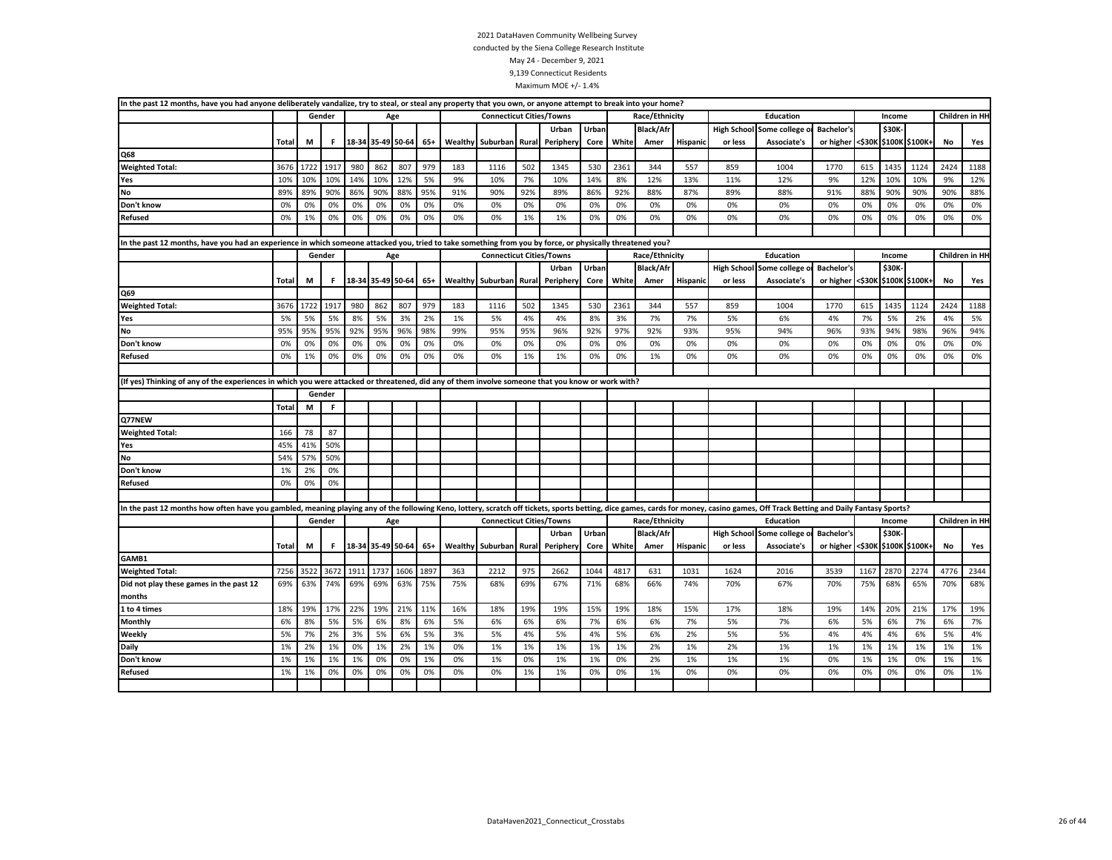| In the past 12 months, have you had anyone deliberately vandalize, try to steal, or steal any property that you own, or anyone attempt to break into your home?                                                                |       |      |        |      |                   |      |       |     |                                 |       |                 |       |       |                  |                 |                    |                            |                   |        |              |                |           |                |
|--------------------------------------------------------------------------------------------------------------------------------------------------------------------------------------------------------------------------------|-------|------|--------|------|-------------------|------|-------|-----|---------------------------------|-------|-----------------|-------|-------|------------------|-----------------|--------------------|----------------------------|-------------------|--------|--------------|----------------|-----------|----------------|
|                                                                                                                                                                                                                                |       |      | Gender |      |                   | Age  |       |     | <b>Connecticut Cities/Towns</b> |       |                 |       |       | Race/Ethnicity   |                 |                    | Education                  |                   |        | Income       |                |           | Children in HH |
|                                                                                                                                                                                                                                |       |      |        |      |                   |      |       |     |                                 |       | Urban           | Urban |       | <b>Black/Afr</b> |                 | <b>High School</b> | Some college               | <b>Bachelor's</b> |        | \$30K        |                |           |                |
|                                                                                                                                                                                                                                | Total | M    | F      |      | 18-34 35-49 50-64 |      | 65+   |     | Wealthy Suburban                | Rural | Periphery       | Core  | White | Amer             | Hispanic        | or less            | Associate's                | or higher <\$30K  |        |              | \$100K \$100K+ | <b>No</b> | Yes            |
| Q68                                                                                                                                                                                                                            |       |      |        |      |                   |      |       |     |                                 |       |                 |       |       |                  |                 |                    |                            |                   |        |              |                |           |                |
| <b>Weighted Total:</b>                                                                                                                                                                                                         | 3676  | 1722 | 1917   | 980  | 862               | 807  | 979   | 183 | 1116                            | 502   | 1345            | 530   | 2361  | 344              | 557             | 859                | 1004                       | 1770              | 615    | 1435         | 1124           | 2424      | 1188           |
| Yes                                                                                                                                                                                                                            | 10%   | 10%  | 10%    | 14%  | 10%               | 12%  | 5%    | 9%  | 10%                             | 7%    | 10%             | 14%   | 8%    | 12%              | 13%             | 11%                | 12%                        | 9%                | 12%    | 10%          | 10%            | 9%        | 12%            |
| No                                                                                                                                                                                                                             | 89%   | 89%  | 90%    | 86%  | 90%               | 88%  | 95%   | 91% | 90%                             | 92%   | 89%             | 86%   | 92%   | 88%              | 87%             | 89%                | 88%                        | 91%               | 88%    | 90%          | 90%            | 90%       | 88%            |
| Don't know                                                                                                                                                                                                                     | 0%    | 0%   | 0%     | 0%   | 0%                | 0%   | 0%    | 0%  | 0%                              | 0%    | 0%              | 0%    | 0%    | 0%               | 0%              | 0%                 | 0%                         | 0%                | 0%     | 0%           | 0%             | 0%        | 0%             |
| Refused                                                                                                                                                                                                                        | 0%    | 1%   | 0%     | 0%   | 0%                | 0%   | 0%    | 0%  | 0%                              | 1%    | 1%              | 0%    | 0%    | 0%               | 0%              | 0%                 | 0%                         | 0%                | 0%     | 0%           | 0%             | 0%        | 0%             |
|                                                                                                                                                                                                                                |       |      |        |      |                   |      |       |     |                                 |       |                 |       |       |                  |                 |                    |                            |                   |        |              |                |           |                |
| In the past 12 months, have you had an experience in which someone attacked you, tried to take something from you by force, or physically threatened you?                                                                      |       |      |        |      |                   |      |       |     |                                 |       |                 |       |       |                  |                 |                    |                            |                   |        |              |                |           |                |
|                                                                                                                                                                                                                                |       |      | Gender |      |                   | Age  |       |     | <b>Connecticut Cities/Towns</b> |       |                 |       |       | Race/Ethnicity   |                 |                    | Education                  |                   |        | Income       |                |           | Children in HH |
|                                                                                                                                                                                                                                |       |      |        |      |                   |      |       |     |                                 |       | Urban           | Urban |       | <b>Black/Afr</b> |                 | <b>High School</b> | Some college               | <b>Bachelor's</b> |        | <b>\$30K</b> |                |           |                |
|                                                                                                                                                                                                                                | Total | M    | F.     |      | 18-34 35-49 50-64 |      | 65+   |     | Wealthy Suburban                |       | Rural Periphery | Core  | White | Amer             | <b>Hispanic</b> | or less            | Associate's                | or higher         | <\$30K |              | \$100K \$100K+ | No        | Yes            |
| Q69                                                                                                                                                                                                                            |       |      |        |      |                   |      |       |     |                                 |       |                 |       |       |                  |                 |                    |                            |                   |        |              |                |           |                |
| <b>Weighted Total:</b>                                                                                                                                                                                                         | 3676  | 1722 | 1917   | 980  | 862               | 807  | 979   | 183 | 1116                            | 502   | 1345            | 530   | 2361  | 344              | 557             | 859                | 1004                       | 1770              | 615    | 1435         | 1124           | 2424      | 1188           |
| Yes                                                                                                                                                                                                                            | 5%    | 5%   | 5%     | 8%   | 5%                | 3%   | 2%    | 1%  | 5%                              | 4%    | 4%              | 8%    | 3%    | 7%               | 7%              | 5%                 | 6%                         | 4%                | 7%     | 5%           | 2%             | 4%        | 5%             |
| No                                                                                                                                                                                                                             | 95%   | 95%  | 95%    | 92%  | 95%               | 96%  | 98%   | 99% | 95%                             | 95%   | 96%             | 92%   | 97%   | 92%              | 93%             | 95%                | 94%                        | 96%               | 93%    | 94%          | 98%            | 96%       | 94%            |
| Don't know                                                                                                                                                                                                                     | 0%    | 0%   | 0%     | 0%   | 0%                | 0%   | 0%    | 0%  | 0%                              | 0%    | 0%              | 0%    | 0%    | 0%               | 0%              | 0%                 | 0%                         | 0%                | 0%     | 0%           | 0%             | 0%        | 0%             |
| Refused                                                                                                                                                                                                                        | 0%    | 1%   | 0%     | 0%   | 0%                | 0%   | 0%    | 0%  | 0%                              | 1%    | 1%              | 0%    | 0%    | 1%               | 0%              | 0%                 | 0%                         | 0%                | 0%     | 0%           | 0%             | 0%        | 0%             |
|                                                                                                                                                                                                                                |       |      |        |      |                   |      |       |     |                                 |       |                 |       |       |                  |                 |                    |                            |                   |        |              |                |           |                |
| (If yes) Thinking of any of the experiences in which you were attacked or threatened, did any of them involve someone that you know or work with?                                                                              |       |      |        |      |                   |      |       |     |                                 |       |                 |       |       |                  |                 |                    |                            |                   |        |              |                |           |                |
|                                                                                                                                                                                                                                |       |      | Gender |      |                   |      |       |     |                                 |       |                 |       |       |                  |                 |                    |                            |                   |        |              |                |           |                |
|                                                                                                                                                                                                                                | Total | M    | F.     |      |                   |      |       |     |                                 |       |                 |       |       |                  |                 |                    |                            |                   |        |              |                |           |                |
| Q77NEW                                                                                                                                                                                                                         |       |      |        |      |                   |      |       |     |                                 |       |                 |       |       |                  |                 |                    |                            |                   |        |              |                |           |                |
| <b>Weighted Total:</b>                                                                                                                                                                                                         | 166   | 78   | 87     |      |                   |      |       |     |                                 |       |                 |       |       |                  |                 |                    |                            |                   |        |              |                |           |                |
| Yes                                                                                                                                                                                                                            | 45%   | 41%  | 50%    |      |                   |      |       |     |                                 |       |                 |       |       |                  |                 |                    |                            |                   |        |              |                |           |                |
| No                                                                                                                                                                                                                             | 54%   | 57%  | 50%    |      |                   |      |       |     |                                 |       |                 |       |       |                  |                 |                    |                            |                   |        |              |                |           |                |
| Don't know                                                                                                                                                                                                                     | 1%    | 2%   | 0%     |      |                   |      |       |     |                                 |       |                 |       |       |                  |                 |                    |                            |                   |        |              |                |           |                |
| Refused                                                                                                                                                                                                                        | 0%    | 0%   | 0%     |      |                   |      |       |     |                                 |       |                 |       |       |                  |                 |                    |                            |                   |        |              |                |           |                |
|                                                                                                                                                                                                                                |       |      |        |      |                   |      |       |     |                                 |       |                 |       |       |                  |                 |                    |                            |                   |        |              |                |           |                |
| In the past 12 months how often have you gambled, meaning playing any of the following Keno, lottery, scratch off tickets, sports betting, dice games, cards for money, casino games, Off Track Betting and Daily Fantasy Spor |       |      |        |      |                   |      |       |     |                                 |       |                 |       |       |                  |                 |                    |                            |                   |        |              |                |           |                |
|                                                                                                                                                                                                                                |       |      | Gender |      |                   | Age  |       |     | <b>Connecticut Cities/Towns</b> |       |                 |       |       | Race/Ethnicity   |                 |                    | Education                  |                   |        | Income       |                |           | Children in HH |
|                                                                                                                                                                                                                                |       |      |        |      |                   |      |       |     |                                 |       | Urban           | Urban |       | <b>Black/Afr</b> |                 |                    | High School Some college o | <b>Bachelor's</b> |        | \$30K        |                |           |                |
|                                                                                                                                                                                                                                | Total | M    | F.     |      | 18-34 35-49 50-64 |      | $65+$ |     | Wealthy Suburban                | Rural | Periphery       | Core  | White | Amer             | Hispanic        | or less            | Associate's                | or higher <\$30K  |        |              | \$100K \$100K+ | No        | Yes            |
| GAMB1                                                                                                                                                                                                                          |       |      |        |      |                   |      |       |     |                                 |       |                 |       |       |                  |                 |                    |                            |                   |        |              |                |           |                |
| <b>Weighted Total:</b>                                                                                                                                                                                                         | 7256  | 3522 | 3672   | 1911 | 1737              | 1606 | 1897  | 363 | 2212                            | 975   | 2662            | 1044  | 4817  | 631              | 1031            | 1624               | 2016                       | 3539              | 1167   | <b>2870</b>  | 2274           | 4776      | 2344           |
| Did not play these games in the past 12                                                                                                                                                                                        | 69%   | 63%  | 74%    | 69%  | 69%               | 63%  | 75%   | 75% | 68%                             | 69%   | 67%             | 71%   | 68%   | 66%              | 74%             | 70%                | 67%                        | 70%               | 75%    | 68%          | 65%            | 70%       | 68%            |
| months                                                                                                                                                                                                                         |       |      |        |      |                   |      |       |     |                                 |       |                 |       |       |                  |                 |                    |                            |                   |        |              |                |           |                |
| 1 to 4 times                                                                                                                                                                                                                   | 18%   | 19%  | 17%    | 22%  | 19%               | 21%  | 11%   | 16% | 18%                             | 19%   | 19%             | 15%   | 19%   | 18%              | 15%             | 17%                | 18%                        | 19%               | 14%    | 20%          | 21%            | 17%       | 19%            |
| Monthly                                                                                                                                                                                                                        | 6%    | 8%   | 5%     | 5%   | 6%                | 8%   | 6%    | 5%  | 6%                              | 6%    | 6%              | 7%    | 6%    | 6%               | 7%              | 5%                 | 7%                         | 6%                | 5%     | 6%           | 7%             | 6%        | 7%             |
| Weekly                                                                                                                                                                                                                         | 5%    | 7%   | 2%     | 3%   | 5%                | 6%   | 5%    | 3%  | 5%                              | 4%    | 5%              | 4%    | 5%    | 6%               | 2%              | 5%                 | 5%                         | 4%                | 4%     | 4%           | 6%             | 5%        | 4%             |
| Daily                                                                                                                                                                                                                          | 1%    | 2%   | 1%     | 0%   | 1%                | 2%   | 1%    | 0%  | 1%                              | 1%    | 1%              | 1%    | 1%    | 2%               | 1%              | 2%                 | 1%                         | 1%                | 1%     | 1%           | 1%             | 1%        | 1%             |
| Don't know                                                                                                                                                                                                                     | 1%    | 1%   | 1%     | 1%   | 0%                | 0%   | 1%    | 0%  | 1%                              | 0%    | 1%              | 1%    | 0%    | 2%               | 1%              | 1%                 | 1%                         | 0%                | 1%     | 1%           | 0%             | 1%        | 1%             |
| Refused                                                                                                                                                                                                                        | 1%    | 1%   | 0%     | 0%   | 0%                | 0%   | 0%    | 0%  | 0%                              | 1%    | 1%              | 0%    | 0%    | 1%               | 0%              | 0%                 | 0%                         | 0%                | 0%     | 0%           | 0%             | 0%        | 1%             |
|                                                                                                                                                                                                                                |       |      |        |      |                   |      |       |     |                                 |       |                 |       |       |                  |                 |                    |                            |                   |        |              |                |           |                |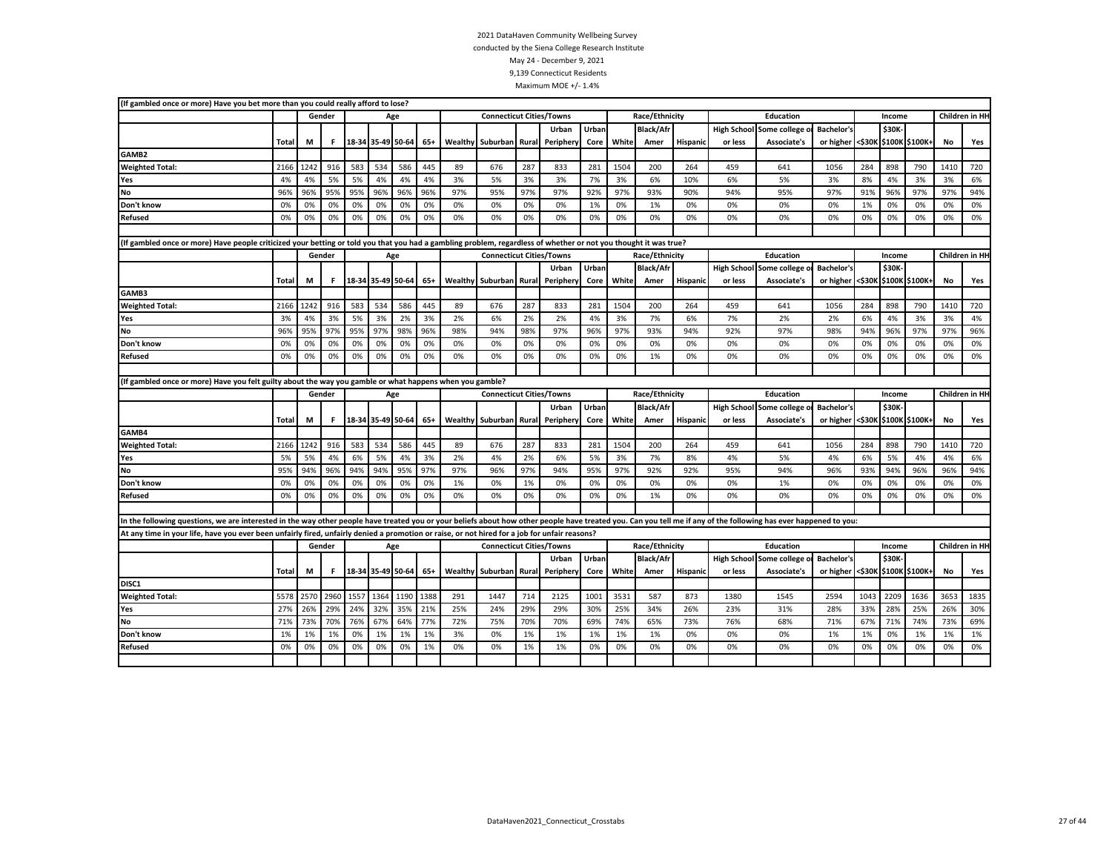| (If gambled once or more) Have you bet more than you could really afford to lose?                                                                                                                                 |              |      |        |      |                   |      |       |     |                                 |       |           |       |       |                  |                 |         |                                 |                                 |      |        |      |                 |                       |
|-------------------------------------------------------------------------------------------------------------------------------------------------------------------------------------------------------------------|--------------|------|--------|------|-------------------|------|-------|-----|---------------------------------|-------|-----------|-------|-------|------------------|-----------------|---------|---------------------------------|---------------------------------|------|--------|------|-----------------|-----------------------|
|                                                                                                                                                                                                                   |              |      | Gender |      |                   | Age  |       |     | <b>Connecticut Cities/Towns</b> |       |           |       |       | Race/Ethnicity   |                 |         | <b>Education</b>                |                                 |      | Income |      |                 | Children in HH        |
|                                                                                                                                                                                                                   |              |      |        |      |                   |      |       |     |                                 |       | Urban     | Urban |       | <b>Black/Afr</b> |                 |         | High School Some college o      | <b>Bachelor's</b>               |      | \$30K  |      |                 |                       |
|                                                                                                                                                                                                                   | Total        | M    | F      |      | 18-34 35-49 50-64 |      | $65+$ |     | Wealthy Suburban                | Rural | Periphery | Core  | White | Amer             | Hispanic        | or less | Associate's                     | or higher <\$30K \$100K \$100K+ |      |        |      | No              | Yes                   |
| GAMB <sub>2</sub>                                                                                                                                                                                                 |              |      |        |      |                   |      |       |     |                                 |       |           |       |       |                  |                 |         |                                 |                                 |      |        |      |                 |                       |
| <b>Weighted Total:</b>                                                                                                                                                                                            | 2166         | 1242 | 916    | 583  | 534               | 586  | 445   | 89  | 676                             | 287   | 833       | 281   | 1504  | 200              | 264             | 459     | 641                             | 1056                            | 284  | 898    | 790  | 1410            | 720                   |
| Yes                                                                                                                                                                                                               | 4%           | 4%   | 5%     | 5%   | 4%                | 4%   | 4%    | 3%  | 5%                              | 3%    | 3%        | 7%    | 3%    | 6%               | 10%             | 6%      | 5%                              | 3%                              | 8%   | 4%     | 3%   | 3%              | 6%                    |
| No                                                                                                                                                                                                                | 96%          | 96%  | 95%    | 95%  | 96%               | 96%  | 96%   | 97% | 95%                             | 97%   | 97%       | 92%   | 97%   | 93%              | 90%             | 94%     | 95%                             | 97%                             | 91%  | 96%    | 97%  | 97%             | 94%                   |
| Don't know                                                                                                                                                                                                        | 0%           | 0%   | 0%     | 0%   | 0%                | 0%   | 0%    | 0%  | 0%                              | 0%    | 0%        | 1%    | 0%    | 1%               | 0%              | 0%      | 0%                              | 0%                              | 1%   | 0%     | 0%   | 0%              | 0%                    |
| Refused                                                                                                                                                                                                           | 0%           | 0%   | 0%     | 0%   | 0%                | 0%   | 0%    | 0%  | 0%                              | 0%    | 0%        | 0%    | 0%    | 0%               | 0%              | 0%      | 0%                              | 0%                              | 0%   | 0%     | 0%   | 0%              | 0%                    |
|                                                                                                                                                                                                                   |              |      |        |      |                   |      |       |     |                                 |       |           |       |       |                  |                 |         |                                 |                                 |      |        |      |                 |                       |
| (If gambled once or more) Have people criticized your betting or told you that you had a gambling problem, regardless of whether or not you thought it was true?                                                  |              |      |        |      |                   |      |       |     |                                 |       |           |       |       |                  |                 |         |                                 |                                 |      |        |      |                 |                       |
|                                                                                                                                                                                                                   |              |      | Gender |      |                   | Age  |       |     | <b>Connecticut Cities/Towns</b> |       |           |       |       | Race/Ethnicity   |                 |         | <b>Education</b>                |                                 |      | Income |      |                 | <b>Children in HH</b> |
|                                                                                                                                                                                                                   |              |      |        |      |                   |      |       |     |                                 |       | Urban     | Urban |       | <b>Black/Afr</b> |                 |         | <b>High School Some college</b> | <b>Bachelor's</b>               |      | \$30K  |      |                 |                       |
|                                                                                                                                                                                                                   | <b>Total</b> | M    | F.     |      | 18-34 35-49 50-64 |      | 65+   |     | Wealthy Suburban                | Rural | Periphery | Core  | White | Amer             | <b>Hispanic</b> | or less | Associate's                     | or higher <\$30K \$100K \$100K+ |      |        |      | No              | Yes                   |
| GAMB3                                                                                                                                                                                                             |              |      |        |      |                   |      |       |     |                                 |       |           |       |       |                  |                 |         |                                 |                                 |      |        |      |                 |                       |
| <b>Weighted Total:</b>                                                                                                                                                                                            | 2166         | 1242 | 916    | 583  | 534               | 586  | 445   | 89  | 676                             | 287   | 833       | 281   | 1504  | 200              | 264             | 459     | 641                             | 1056                            | 284  | 898    | 790  | 1410            | 720                   |
| Yes                                                                                                                                                                                                               | 3%           | 4%   | 3%     | 5%   | 3%                | 2%   | 3%    | 2%  | 6%                              | 2%    | 2%        | 4%    | 3%    | 7%               | 6%              | 7%      | 2%                              | 2%                              | 6%   | 4%     | 3%   | 3%              | 4%                    |
| No                                                                                                                                                                                                                | 96%          | 95%  | 97%    | 95%  | 97%               | 98%  | 96%   | 98% | 94%                             | 98%   | 97%       | 96%   | 97%   | 93%              | 94%             | 92%     | 97%                             | 98%                             | 94%  | 96%    | 97%  | 97%             | 96%                   |
| Don't know                                                                                                                                                                                                        | 0%           | 0%   | 0%     | 0%   | 0%                | 0%   | 0%    | 0%  | 0%                              | 0%    | 0%        | 0%    | 0%    | 0%               | 0%              | 0%      | 0%                              | 0%                              | 0%   | 0%     | 0%   | 0%              | 0%                    |
| <b>Refused</b>                                                                                                                                                                                                    | 0%           | 0%   | 0%     | 0%   | 0%                | 0%   | 0%    | 0%  | 0%                              | 0%    | 0%        | 0%    | 0%    | 1%               | 0%              | 0%      | 0%                              | 0%                              | 0%   | 0%     | 0%   | 0%              | 0%                    |
|                                                                                                                                                                                                                   |              |      |        |      |                   |      |       |     |                                 |       |           |       |       |                  |                 |         |                                 |                                 |      |        |      |                 |                       |
| (If gambled once or more) Have you felt guilty about the way you gamble or what happens when you gamble?                                                                                                          |              |      |        |      |                   |      |       |     |                                 |       |           |       |       |                  |                 |         |                                 |                                 |      |        |      |                 |                       |
|                                                                                                                                                                                                                   |              |      | Gender |      |                   | Age  |       |     | <b>Connecticut Cities/Towns</b> |       |           |       |       | Race/Ethnicity   |                 |         | Education                       |                                 |      | Income |      | Children in HI- |                       |
|                                                                                                                                                                                                                   |              |      |        |      |                   |      |       |     |                                 |       | Urban     | Urban |       | <b>Black/Afr</b> |                 |         | <b>High School Some college</b> | <b>Bachelor's</b>               |      | \$30K  |      |                 |                       |
|                                                                                                                                                                                                                   | Total        | M    | F      |      | 18-34 35-49 50-64 |      | $65+$ |     | Wealthy Suburban                | Rural | Periphery | Core  | White | Amer             | <b>Hispanic</b> | or less | Associate's                     | or higher <\$30K \$100K \$100K+ |      |        |      | No              | Yes                   |
| GAMB4                                                                                                                                                                                                             |              |      |        |      |                   |      |       |     |                                 |       |           |       |       |                  |                 |         |                                 |                                 |      |        |      |                 |                       |
| <b>Weighted Total:</b>                                                                                                                                                                                            | 2166         | 1242 | 916    | 583  | 534               | 586  | 445   | 89  | 676                             | 287   | 833       | 281   | 1504  | 200              | 264             | 459     | 641                             | 1056                            | 284  | 898    | 790  | 1410            | 720                   |
| Yes                                                                                                                                                                                                               | 5%           | 5%   | 4%     | 6%   | 5%                | 4%   | 3%    | 2%  | 4%                              | 2%    | 6%        | 5%    | 3%    | 7%               | 8%              | 4%      | 5%                              | 4%                              | 6%   | 5%     | 4%   | 4%              | 6%                    |
| <b>No</b>                                                                                                                                                                                                         | 95%          | 94%  | 96%    | 94%  | 94%               | 95%  | 97%   | 97% | 96%                             | 97%   | 94%       | 95%   | 97%   | 92%              | 92%             | 95%     | 94%                             | 96%                             | 93%  | 94%    | 96%  | 96%             | 94%                   |
| Don't know                                                                                                                                                                                                        | 0%           | 0%   | 0%     | 0%   | 0%                | 0%   | 0%    | 1%  | 0%                              | 1%    | 0%        | 0%    | 0%    | 0%               | 0%              | 0%      | 1%                              | 0%                              | 0%   | 0%     | 0%   | 0%              | 0%                    |
| <b>Refused</b>                                                                                                                                                                                                    | 0%           | 0%   | 0%     | 0%   | 0%                | 0%   | 0%    | 0%  | 0%                              | 0%    | 0%        | 0%    | 0%    | 1%               | 0%              | 0%      | 0%                              | 0%                              | 0%   | 0%     | 0%   | 0%              | 0%                    |
|                                                                                                                                                                                                                   |              |      |        |      |                   |      |       |     |                                 |       |           |       |       |                  |                 |         |                                 |                                 |      |        |      |                 |                       |
| In the following questions, we are interested in the way other people have treated you or your beliefs about how other people have treated you. Can you tell me if any of the following has ever happened to you: |              |      |        |      |                   |      |       |     |                                 |       |           |       |       |                  |                 |         |                                 |                                 |      |        |      |                 |                       |
| At any time in your life, have you ever been unfairly fired, unfairly denied a promotion or raise, or not hired for a job for unfair reasons?                                                                     |              |      |        |      |                   |      |       |     |                                 |       |           |       |       |                  |                 |         |                                 |                                 |      |        |      |                 |                       |
|                                                                                                                                                                                                                   |              |      | Gender |      |                   | Age  |       |     | <b>Connecticut Cities/Towns</b> |       |           |       |       | Race/Ethnicity   |                 |         | <b>Education</b>                |                                 |      | Income |      |                 | Children in HH        |
|                                                                                                                                                                                                                   |              |      |        |      |                   |      |       |     |                                 |       | Urban     | Urban |       | <b>Black/Afr</b> |                 |         | High School Some college        | <b>Bachelor's</b>               |      | \$30K  |      |                 |                       |
|                                                                                                                                                                                                                   | <b>Total</b> | M    | F      |      | 18-34 35-49 50-64 |      | $65+$ |     | Wealthy Suburban                | Rural | Periphery | Core  | White | Amer             | <b>Hispanic</b> | or less | Associate's                     | or higher <\$30K \$100K \$100K+ |      |        |      | No              | Yes                   |
| DISC1                                                                                                                                                                                                             |              |      |        |      |                   |      |       |     |                                 |       |           |       |       |                  |                 |         |                                 |                                 |      |        |      |                 |                       |
| <b>Weighted Total:</b>                                                                                                                                                                                            | 5578         | 2570 | 2960   | 1557 | 1364              | 1190 | 1388  | 291 | 1447                            | 714   | 2125      | 1001  | 3531  | 587              | 873             | 1380    | 1545                            | 2594                            | 1043 | 2209   | 1636 | 3653            | 1835                  |
|                                                                                                                                                                                                                   | 27%          | 26%  | 29%    | 24%  | 32%               | 35%  | 21%   | 25% | 24%                             | 29%   | 29%       | 30%   | 25%   | 34%              | 26%             | 23%     | 31%                             | 28%                             | 33%  | 28%    | 25%  | 26%             | 30%                   |
| Yes                                                                                                                                                                                                               |              |      |        |      |                   |      |       |     |                                 |       |           |       |       |                  |                 |         |                                 |                                 |      |        |      |                 |                       |
| No                                                                                                                                                                                                                | 71%          | 73%  | 70%    | 76%  | 67%               | 64%  | 77%   | 72% | 75%                             | 70%   | 70%       | 69%   | 74%   | 65%              | 73%             | 76%     | 68%                             | 71%                             | 67%  | 71%    | 74%  | 73%             | 69%                   |
| Don't know                                                                                                                                                                                                        | 1%           | 1%   | 1%     | 0%   | 1%                | 1%   | 1%    | 3%  | 0%                              | 1%    | 1%        | 1%    | 1%    | 1%               | 0%              | 0%      | 0%                              | 1%                              | 1%   | 0%     | 1%   | 1%              | 1%                    |
| <b>Refused</b>                                                                                                                                                                                                    | 0%           | 0%   | 0%     | 0%   | 0%                | 0%   | 1%    | 0%  | 0%                              | 1%    | 1%        | 0%    | 0%    | 0%               | 0%              | 0%      | 0%                              | 0%                              | 0%   | 0%     | 0%   | 0%              | 0%                    |
|                                                                                                                                                                                                                   |              |      |        |      |                   |      |       |     |                                 |       |           |       |       |                  |                 |         |                                 |                                 |      |        |      |                 |                       |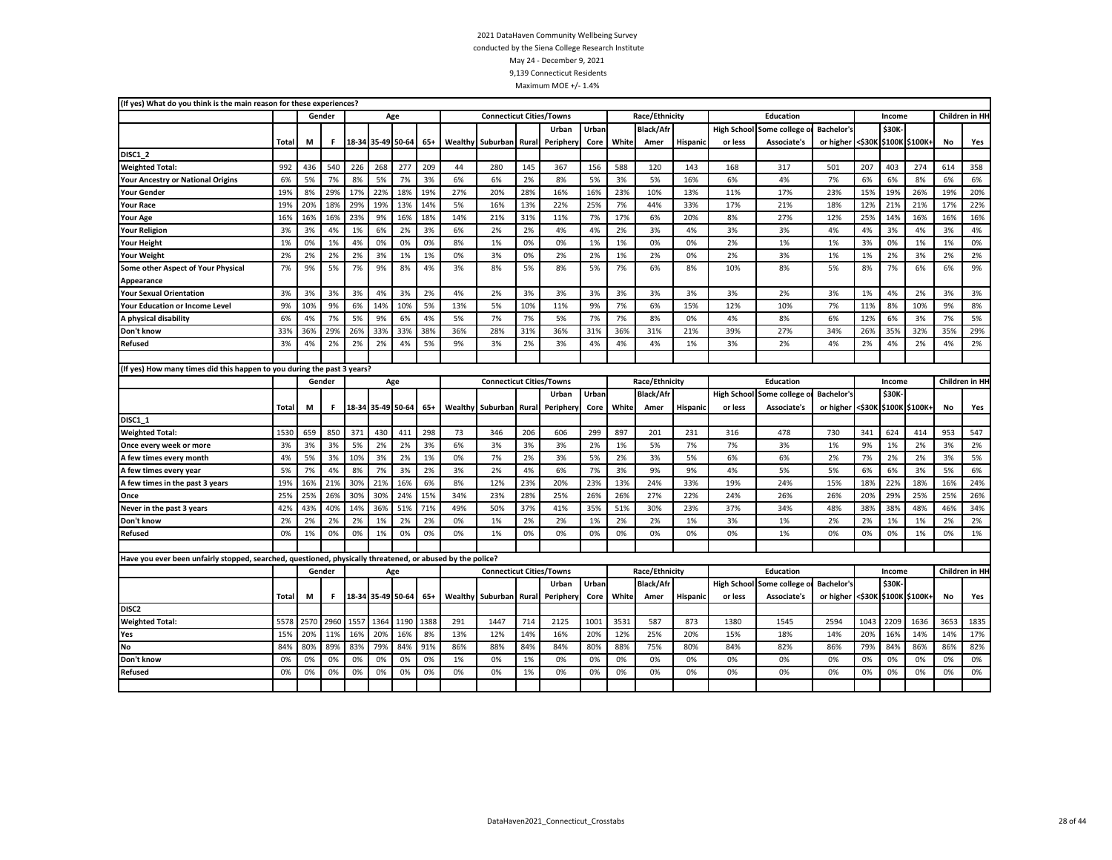| (If yes) What do you think is the main reason for these experiences?                                       |              |      |        |      |                   |      |       |         |                                 |       |          |       |       |                  |                 |                    |                            |                   |        |        |                |      |                |
|------------------------------------------------------------------------------------------------------------|--------------|------|--------|------|-------------------|------|-------|---------|---------------------------------|-------|----------|-------|-------|------------------|-----------------|--------------------|----------------------------|-------------------|--------|--------|----------------|------|----------------|
|                                                                                                            |              |      | Gender |      |                   | Age  |       |         | <b>Connecticut Cities/Towns</b> |       |          |       |       | Race/Ethnicity   |                 |                    | <b>Education</b>           |                   |        | Income |                |      | Children in HH |
|                                                                                                            |              |      |        |      |                   |      |       |         |                                 |       | Urban    | Urban |       | <b>Black/Afr</b> |                 | <b>High School</b> | Some college               | <b>Bachelor's</b> |        | \$30K  |                |      |                |
|                                                                                                            | Total        | М    | F.     |      | 18-34 35-49 50-64 |      | $65+$ | Wealthy | Suburban                        | Rural | Peripher | Core  | White | Amer             | <b>Hispanic</b> | or less            | <b>Associate's</b>         | or higher         | <\$30к |        | \$100K \$100K+ | No   | Yes            |
| DISC1 2                                                                                                    |              |      |        |      |                   |      |       |         |                                 |       |          |       |       |                  |                 |                    |                            |                   |        |        |                |      |                |
| <b>Weighted Total:</b>                                                                                     | 992          | 436  | 540    | 226  | 268               | 277  | 209   | 44      | 280                             | 145   | 367      | 156   | 588   | 120              | 143             | 168                | 317                        | 501               | 207    | 403    | 274            | 614  | 358            |
| <b>Your Ancestry or National Origins</b>                                                                   | 6%           | 5%   | 7%     | 8%   | 5%                | 7%   | 3%    | 6%      | 6%                              | 2%    | 8%       | 5%    | 3%    | 5%               | 16%             | 6%                 | 4%                         | 7%                | 6%     | 6%     | 8%             | 6%   | 6%             |
| Your Gender                                                                                                | 19%          | 8%   | 29%    | 17%  | 22%               | 18%  | 19%   | 27%     | 20%                             | 28%   | 16%      | 16%   | 23%   | 10%              | 13%             | 11%                | 17%                        | 23%               | 15%    | 19%    | 26%            | 19%  | 20%            |
| <b>Your Race</b>                                                                                           | 19%          | 20%  | 18%    | 29%  | 19%               | 13%  | 14%   | 5%      | 16%                             | 13%   | 22%      | 25%   | 7%    | 44%              | 33%             | 17%                | 21%                        | 18%               | 12%    | 21%    | 21%            | 17%  | 22%            |
| <b>Your Age</b>                                                                                            | 16%          | 16%  | 16%    | 23%  | 9%                | 16%  | 18%   | 14%     | 21%                             | 31%   | 11%      | 7%    | 17%   | 6%               | 20%             | 8%                 | 27%                        | 12%               | 25%    | 14%    | 16%            | 16%  | 16%            |
| <b>Your Religion</b>                                                                                       | 3%           | 3%   | 4%     | 1%   | 6%                | 2%   | 3%    | 6%      | 2%                              | 2%    | 4%       | 4%    | 2%    | 3%               | 4%              | 3%                 | 3%                         | 4%                | 4%     | 3%     | 4%             | 3%   | 4%             |
| <b>Your Height</b>                                                                                         | 1%           | 0%   | 1%     | 4%   | 0%                | 0%   | 0%    | 8%      | 1%                              | 0%    | 0%       | 1%    | 1%    | 0%               | 0%              | 2%                 | 1%                         | 1%                | 3%     | 0%     | 1%             | 1%   | 0%             |
| <b>Your Weight</b>                                                                                         | 2%           | 2%   | 2%     | 2%   | 3%                | 1%   | 1%    | 0%      | 3%                              | 0%    | 2%       | 2%    | 1%    | 2%               | 0%              | 2%                 | 3%                         | 1%                | 1%     | 2%     | 3%             | 2%   | 2%             |
| Some other Aspect of Your Physical                                                                         | 7%           | 9%   | 5%     | 7%   | 9%                | 8%   | 4%    | 3%      | 8%                              | 5%    | 8%       | 5%    | 7%    | 6%               | 8%              | 10%                | 8%                         | 5%                | 8%     | 7%     | 6%             | 6%   | 9%             |
| Appearance                                                                                                 |              |      |        |      |                   |      |       |         |                                 |       |          |       |       |                  |                 |                    |                            |                   |        |        |                |      |                |
| <b>Your Sexual Orientation</b>                                                                             | 3%           | 3%   | 3%     | 3%   | 4%                | 3%   | 2%    | 4%      | 2%                              | 3%    | 3%       | 3%    | 3%    | 3%               | 3%              | 3%                 | 2%                         | 3%                | 1%     | 4%     | 2%             | 3%   | 3%             |
| <b>Your Education or Income Level</b>                                                                      | 9%           | 10%  | 9%     | 6%   | 14%               | 10%  | 5%    | 13%     | 5%                              | 10%   | 11%      | 9%    | 7%    | 6%               | 15%             | 12%                | 10%                        | 7%                | 11%    | 8%     | 10%            | 9%   | 8%             |
| A physical disability                                                                                      | 6%           | 4%   | 7%     | 5%   | 9%                | 6%   | 4%    | 5%      | 7%                              | 7%    | 5%       | 7%    | 7%    | 8%               | 0%              | 4%                 | 8%                         | 6%                | 12%    | 6%     | 3%             | 7%   | 5%             |
| Don't know                                                                                                 | 33%          | 36%  | 29%    | 26%  | 33%               | 33%  | 38%   | 36%     | 28%                             | 31%   | 36%      | 31%   | 36%   | 31%              | 21%             | 39%                | 27%                        | 34%               | 26%    | 35%    | 32%            | 35%  | 29%            |
| <b>Refused</b>                                                                                             | 3%           | 4%   | 2%     | 2%   | 2%                | 4%   | 5%    | 9%      | 3%                              | 2%    | 3%       | 4%    | 4%    | 4%               | 1%              | 3%                 | 2%                         | 4%                | 2%     | 4%     | 2%             | 4%   | 2%             |
|                                                                                                            |              |      |        |      |                   |      |       |         |                                 |       |          |       |       |                  |                 |                    |                            |                   |        |        |                |      |                |
| (If yes) How many times did this happen to you during the past 3 years?                                    |              |      |        |      |                   |      |       |         |                                 |       |          |       |       |                  |                 |                    |                            |                   |        |        |                |      |                |
|                                                                                                            |              |      | Gender |      |                   | Age  |       |         | <b>Connecticut Cities/Towns</b> |       |          |       |       | Race/Ethnicity   |                 |                    | Education                  |                   |        | Income |                |      | Children in HH |
|                                                                                                            |              |      |        |      |                   |      |       |         |                                 |       | Urban    | Urban |       | <b>Black/Afr</b> |                 |                    | High School Some college   | <b>Bachelor's</b> |        | \$30K  |                |      |                |
|                                                                                                            | Total        | М    | F.     |      | 18-34 35-49 50-64 |      | $65+$ | Wealthy | Suburban                        | Rural | Peripher | Core  | White | Amer             | <b>Hispanic</b> | or less            | Associate's                | or higher         | <\$30K |        | \$100K \$100K  | No   | Yes            |
| <b>DISC1 1</b>                                                                                             |              |      |        |      |                   |      |       |         |                                 |       |          |       |       |                  |                 |                    |                            |                   |        |        |                |      |                |
| <b>Weighted Total:</b>                                                                                     | 1530         | 659  | 850    | 371  | 430               | 411  | 298   | 73      | 346                             | 206   | 606      | 299   | 897   | 201              | 231             | 316                | 478                        | 730               | 341    | 624    | 414            | 953  | 547            |
| Once every week or more                                                                                    | 3%           | 3%   | 3%     | 5%   | 2%                | 2%   | 3%    | 6%      | 3%                              | 3%    | 3%       | 2%    | 1%    | 5%               | 7%              | 7%                 | 3%                         | 1%                | 9%     | 1%     | 2%             | 3%   | 2%             |
| A few times every month                                                                                    | 4%           | 5%   | 3%     | 10%  | 3%                | 2%   | 1%    | 0%      | 7%                              | 2%    | 3%       | 5%    | 2%    | 3%               | 5%              | 6%                 | 6%                         | 2%                | 7%     | 2%     | 2%             | 3%   | 5%             |
| A few times every year                                                                                     | 5%           | 7%   | 4%     | 8%   | 7%                | 3%   | 2%    | 3%      | 2%                              | 4%    | 6%       | 7%    | 3%    | 9%               | 9%              | 4%                 | 5%                         | 5%                | 6%     | 6%     | 3%             | 5%   | 6%             |
| A few times in the past 3 years                                                                            | 19%          | 16%  | 21%    | 30%  | 21%               | 16%  | 6%    | 8%      | 12%                             | 23%   | 20%      | 23%   | 13%   | 24%              | 33%             | 19%                | 24%                        | 15%               | 18%    | 22%    | 18%            | 16%  | 24%            |
| Once                                                                                                       | 25%          | 25%  | 26%    | 30%  | 30%               | 24%  | 15%   | 34%     | 23%                             | 28%   | 25%      | 26%   | 26%   | 27%              | 22%             | 24%                | 26%                        | 26%               | 20%    | 29%    | 25%            | 25%  | 26%            |
| Never in the past 3 years                                                                                  | 42%          | 43%  | 40%    | 14%  | 36%               | 51%  | 71%   | 49%     | 50%                             | 37%   | 41%      | 35%   | 51%   | 30%              | 23%             | 37%                | 34%                        | 48%               | 38%    | 38%    | 48%            | 46%  | 34%            |
| Don't know                                                                                                 | 2%           | 2%   | 2%     | 2%   | 1%                | 2%   | 2%    | 0%      | 1%                              | 2%    | 2%       | 1%    | 2%    | 2%               | 1%              | 3%                 | 1%                         | 2%                | 2%     | 1%     | 1%             | 2%   | 2%             |
| <b>Refused</b>                                                                                             | 0%           | 1%   | 0%     | 0%   | 1%                | 0%   | 0%    | 0%      | 1%                              | 0%    | 0%       | 0%    | 0%    | 0%               | 0%              | 0%                 | 1%                         | 0%                | 0%     | 0%     | 1%             | 0%   | 1%             |
|                                                                                                            |              |      |        |      |                   |      |       |         |                                 |       |          |       |       |                  |                 |                    |                            |                   |        |        |                |      |                |
| Have you ever been unfairly stopped, searched, questioned, physically threatened, or abused by the police? |              |      |        |      |                   |      |       |         |                                 |       |          |       |       |                  |                 |                    |                            |                   |        |        |                |      |                |
|                                                                                                            |              |      | Gender |      | Age               |      |       |         | <b>Connecticut Cities/Towns</b> |       |          |       |       | Race/Ethnicity   |                 |                    | Education                  |                   |        | Income |                |      | Children in HH |
|                                                                                                            |              |      |        |      |                   |      |       |         |                                 |       | Urban    | Urban |       | <b>Black/Afr</b> |                 |                    | High School Some college o | <b>Bachelor's</b> |        | \$30K  |                |      |                |
|                                                                                                            | <b>Total</b> | M    | F.     |      | 18-34 35-49 50-64 |      | $65+$ | Wealthy | Suburban                        | Rural | Peripher | Core  | White | Amer             | Hispanic        | or less            | <b>Associate's</b>         | or higher         | <\$30K |        | \$100K \$100K  | No   | Yes            |
| DISC <sub>2</sub>                                                                                          |              |      |        |      |                   |      |       |         |                                 |       |          |       |       |                  |                 |                    |                            |                   |        |        |                |      |                |
| <b>Weighted Total:</b>                                                                                     | 5578         | 2570 | 2960   | 1557 | 1364              | 1190 | 1388  | 291     | 1447                            | 714   | 2125     | 1001  | 3531  | 587              | 873             | 1380               | 1545                       | 2594              | 1043   | 2209   | 1636           | 3653 | 1835           |
| Yes                                                                                                        | 15%          | 20%  | 11%    | 16%  | 20%               | 16%  | 8%    | 13%     | 12%                             | 14%   | 16%      | 20%   | 12%   | 25%              | 20%             | 15%                | 18%                        | 14%               | 20%    | 16%    | 14%            | 14%  | 17%            |
| <b>No</b>                                                                                                  | 84%          | 80%  | 89%    | 83%  | 79%               | 84%  | 91%   | 86%     | 88%                             | 84%   | 84%      | 80%   | 88%   | 75%              | 80%             | 84%                | 82%                        | 86%               | 79%    | 84%    | 86%            | 86%  | 82%            |
| Don't know                                                                                                 | 0%           | 0%   | 0%     | 0%   | 0%                | 0%   | 0%    | 1%      | 0%                              | 1%    | 0%       | 0%    | 0%    | 0%               | 0%              | 0%                 | 0%                         | 0%                | 0%     | 0%     | 0%             | 0%   | 0%             |
| <b>Refused</b>                                                                                             | 0%           | 0%   | 0%     | 0%   | 0%                | 0%   | 0%    | 0%      | 0%                              | 1%    | 0%       | 0%    | 0%    | 0%               | 0%              | 0%                 | 0%                         | 0%                | 0%     | 0%     | 0%             | 0%   | 0%             |
|                                                                                                            |              |      |        |      |                   |      |       |         |                                 |       |          |       |       |                  |                 |                    |                            |                   |        |        |                |      |                |
|                                                                                                            |              |      |        |      |                   |      |       |         |                                 |       |          |       |       |                  |                 |                    |                            |                   |        |        |                |      |                |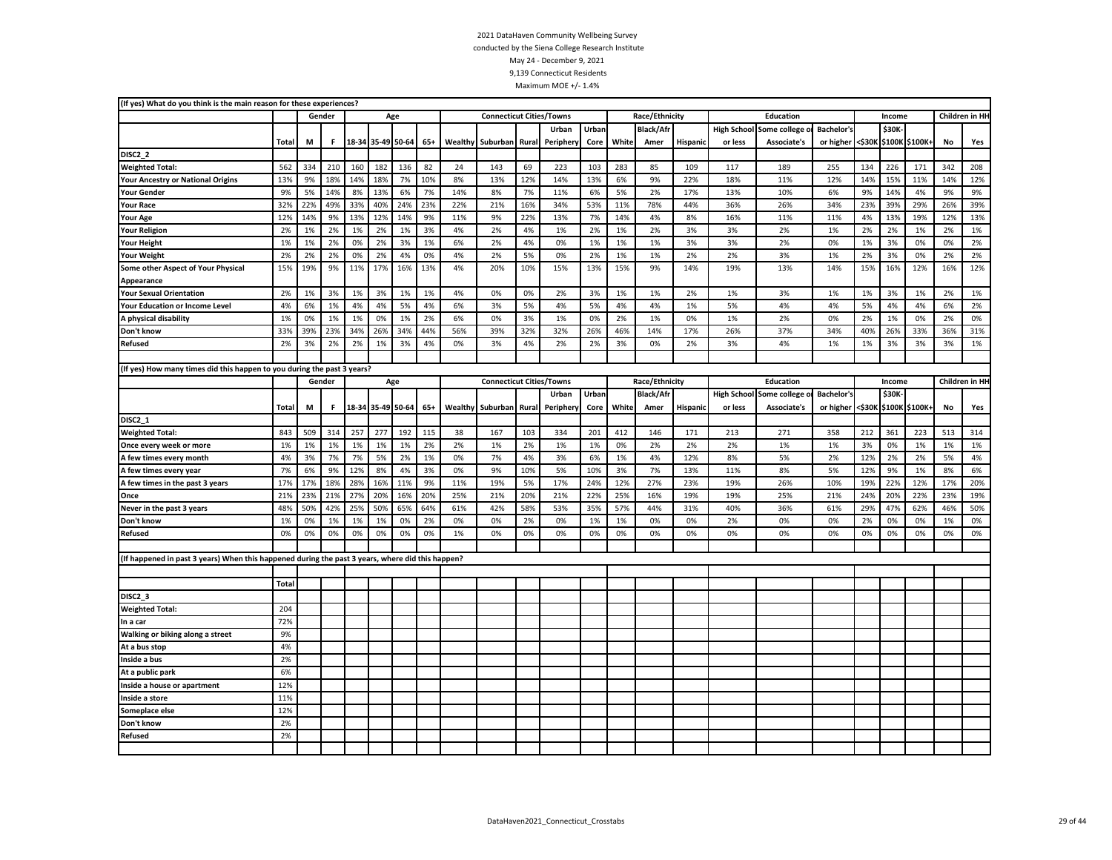| (If yes) What do you think is the main reason for these experiences?                             |              |     |        |     |                   |                   |       |         |                                 |       |           |       |       |                  |          |                    |              |                   |        |        |                |     |                 |
|--------------------------------------------------------------------------------------------------|--------------|-----|--------|-----|-------------------|-------------------|-------|---------|---------------------------------|-------|-----------|-------|-------|------------------|----------|--------------------|--------------|-------------------|--------|--------|----------------|-----|-----------------|
|                                                                                                  |              |     | Gender |     | Age               |                   |       |         | <b>Connecticut Cities/Towns</b> |       |           |       |       | Race/Ethnicity   |          |                    | Education    |                   |        | Income |                |     | Children in HI- |
|                                                                                                  |              |     |        |     |                   |                   |       |         |                                 |       | Urban     | Urban |       | <b>Black/Afr</b> |          | <b>High School</b> | Some college | <b>Bachelor's</b> |        | \$30K  |                |     |                 |
|                                                                                                  | <b>Total</b> | M   | F.     |     | 18-34 35-49 50-64 |                   | $65+$ | Wealthy | Suburban                        | Rural | Peripher  | Core  | White | Amer             | Hispanic | or less            | Associate's  | or higher         | <\$30⊧ |        | \$100K \$100K  | No  | Yes             |
| DISC <sub>2_2</sub>                                                                              |              |     |        |     |                   |                   |       |         |                                 |       |           |       |       |                  |          |                    |              |                   |        |        |                |     |                 |
| <b>Weighted Total:</b>                                                                           | 562          | 334 | 210    | 160 | 182               | 136               | 82    | 24      | 143                             | 69    | 223       | 103   | 283   | 85               | 109      | 117                | 189          | 255               | 134    | 226    | 171            | 342 | 208             |
| <b>Your Ancestry or National Origins</b>                                                         | 13%          | 9%  | 18%    | 14% | 18%               | 7%                | 10%   | 8%      | 13%                             | 12%   | 14%       | 13%   | 6%    | 9%               | 22%      | 18%                | 11%          | 12%               | 14%    | 15%    | 11%            | 14% | 12%             |
| <b>Your Gender</b>                                                                               | 9%           | 5%  | 14%    | 8%  | 13%               | 6%                | 7%    | 14%     | 8%                              | 7%    | 11%       | 6%    | 5%    | 2%               | 17%      | 13%                | 10%          | 6%                | 9%     | 14%    | 4%             | 9%  | 9%              |
| <b>Your Race</b>                                                                                 | 32%          | 22% | 49%    | 33% | 40%               | 24%               | 23%   | 22%     | 21%                             | 16%   | 34%       | 53%   | 11%   | 78%              | 44%      | 36%                | 26%          | 34%               | 23%    | 39%    | 29%            | 26% | 39%             |
| <b>Your Age</b>                                                                                  | 12%          | 14% | 9%     | 13% | 12%               | 14%               | 9%    | 11%     | 9%                              | 22%   | 13%       | 7%    | 14%   | 4%               | 8%       | 16%                | 11%          | 11%               | 4%     | 13%    | 19%            | 12% | 13%             |
| <b>Your Religion</b>                                                                             | 2%           | 1%  | 2%     | 1%  | 2%                | 1%                | 3%    | 4%      | 2%                              | 4%    | 1%        | 2%    | 1%    | 2%               | 3%       | 3%                 | 2%           | 1%                | 2%     | 2%     | 1%             | 2%  | 1%              |
| <b>Your Height</b>                                                                               | 1%           | 1%  | 2%     | 0%  | 2%                | 3%                | 1%    | 6%      | 2%                              | 4%    | 0%        | 1%    | 1%    | 1%               | 3%       | 3%                 | 2%           | 0%                | 1%     | 3%     | 0%             | 0%  | 2%              |
| <b>Your Weight</b>                                                                               | 2%           | 2%  | 2%     | 0%  | 2%                | 4%                | 0%    | 4%      | 2%                              | 5%    | 0%        | 2%    | 1%    | 1%               | 2%       | 2%                 | 3%           | 1%                | 2%     | 3%     | 0%             | 2%  | 2%              |
| Some other Aspect of Your Physical                                                               | 15%          | 19% | 9%     | 11% | 17%               | 16%               | 13%   | 4%      | 20%                             | 10%   | 15%       | 13%   | 15%   | 9%               | 14%      | 19%                | 13%          | 14%               | 15%    | 16%    | 12%            | 16% | 12%             |
| Appearance                                                                                       |              |     |        |     |                   |                   |       |         |                                 |       |           |       |       |                  |          |                    |              |                   |        |        |                |     |                 |
| <b>Your Sexual Orientation</b>                                                                   | 2%           | 1%  | 3%     | 1%  | 3%                | 1%                | 1%    | 4%      | 0%                              | 0%    | 2%        | 3%    | 1%    | 1%               | 2%       | 1%                 | 3%           | 1%                | 1%     | 3%     | 1%             | 2%  | 1%              |
| <b>Your Education or Income Level</b>                                                            | 4%           | 6%  | 1%     | 4%  | 4%                | 5%                | 4%    | 6%      | 3%                              | 5%    | 4%        | 5%    | 4%    | 4%               | 1%       | 5%                 | 4%           | 4%                | 5%     | 4%     | 4%             | 6%  | 2%              |
| A physical disability                                                                            | 1%           | 0%  | 1%     | 1%  | 0%                | 1%                | 2%    | 6%      | 0%                              | 3%    | 1%        | 0%    | 2%    | 1%               | 0%       | 1%                 | 2%           | 0%                | 2%     | 1%     | 0%             | 2%  | 0%              |
| Don't know                                                                                       | 33%          | 39% | 23%    | 34% | 26%               | 34%               | 44%   | 56%     | 39%                             | 32%   | 32%       | 26%   | 46%   | 14%              | 17%      | 26%                | 37%          | 34%               | 40%    | 26%    | 33%            | 36% | 31%             |
| Refused                                                                                          | 2%           | 3%  | 2%     | 2%  | 1%                | 3%                | 4%    | 0%      | 3%                              | 4%    | 2%        | 2%    | 3%    | 0%               | 2%       | 3%                 | 4%           | 1%                | 1%     | 3%     | 3%             | 3%  | 1%              |
|                                                                                                  |              |     |        |     |                   |                   |       |         |                                 |       |           |       |       |                  |          |                    |              |                   |        |        |                |     |                 |
| (If yes) How many times did this happen to you during the past 3 years?                          |              |     |        |     |                   |                   |       |         |                                 |       |           |       |       |                  |          |                    |              |                   |        |        |                |     |                 |
|                                                                                                  |              |     | Gender |     |                   | Age               |       |         | <b>Connecticut Cities/Towns</b> |       |           |       |       | Race/Ethnicity   |          |                    | Education    |                   |        | Income |                |     | Children in HI- |
|                                                                                                  |              |     |        |     |                   |                   |       |         |                                 |       | Urban     | Urban |       | <b>Black/Afr</b> |          | <b>High School</b> | Some college | Bachelor's        |        | \$30K  |                |     |                 |
|                                                                                                  | Total        | М   | F.     |     |                   | 18-34 35-49 50-64 | $65+$ | Wealthy | Suburban                        | Rural | Periphery | Core  | White | Amer             | Hispanic | or less            | Associate's  | or higher         | <\$30K |        | \$100K \$100K+ | No  | Yes             |
| DISC2 1                                                                                          |              |     |        |     |                   |                   |       |         |                                 |       |           |       |       |                  |          |                    |              |                   |        |        |                |     |                 |
| <b>Weighted Total:</b>                                                                           | 843          | 509 | 314    | 257 | 277               | 192               | 115   | 38      | 167                             | 103   | 334       | 201   | 412   | 146              | 171      | 213                | 271          | 358               | 212    | 361    | 223            | 513 | 314             |
| Once every week or more                                                                          | 1%           | 1%  | 1%     | 1%  | 1%                | 1%                | 2%    | 2%      | 1%                              | 2%    | 1%        | 1%    | 0%    | 2%               | 2%       | 2%                 | 1%           | 1%                | 3%     | 0%     | 1%             | 1%  | 1%              |
| A few times every month                                                                          | 4%           | 3%  | 7%     | 7%  | 5%                | 2%                | 1%    | 0%      | 7%                              | 4%    | 3%        | 6%    | 1%    | 4%               | 12%      | 8%                 | 5%           | 2%                | 12%    | 2%     | 2%             | 5%  | 4%              |
| A few times every year                                                                           | 7%           | 6%  | 9%     | 12% | 8%                | 4%                | 3%    | 0%      | 9%                              | 10%   | 5%        | 10%   | 3%    | 7%               | 13%      | 11%                | 8%           | 5%                | 12%    | 9%     | 1%             | 8%  | 6%              |
| A few times in the past 3 years                                                                  | 17%          | 17% | 18%    | 28% | 16%               | 11%               | 9%    | 11%     | 19%                             | 5%    | 17%       | 24%   | 12%   | 27%              | 23%      | 19%                | 26%          | 10%               | 19%    | 22%    | 12%            | 17% | 20%             |
| Once                                                                                             | 21%          | 23% | 21%    | 27% | 20%               | 16%               | 20%   | 25%     | 21%                             | 20%   | 21%       | 22%   | 25%   | 16%              | 19%      | 19%                | 25%          | 21%               | 24%    | 20%    | 22%            | 23% | 19%             |
| Never in the past 3 years                                                                        | 48%          | 50% | 42%    | 25% | 50%               | 65%               | 64%   | 61%     | 42%                             | 58%   | 53%       | 35%   | 57%   | 44%              | 31%      | 40%                | 36%          | 61%               | 29%    | 47%    | 62%            | 46% | 50%             |
| Don't know                                                                                       | 1%           | 0%  | 1%     | 1%  | 1%                | 0%                | 2%    | 0%      | 0%                              | 2%    | 0%        | 1%    | 1%    | 0%               | 0%       | 2%                 | 0%           | 0%                | 2%     | 0%     | 0%             | 1%  | 0%              |
| Refused                                                                                          | 0%           | 0%  | 0%     | 0%  | 0%                | 0%                | 0%    | 1%      | 0%                              | 0%    | 0%        | 0%    | 0%    | 0%               | 0%       | 0%                 | 0%           | 0%                | 0%     | 0%     | 0%             | 0%  | 0%              |
|                                                                                                  |              |     |        |     |                   |                   |       |         |                                 |       |           |       |       |                  |          |                    |              |                   |        |        |                |     |                 |
| (If happened in past 3 years) When this happened during the past 3 years, where did this happen? |              |     |        |     |                   |                   |       |         |                                 |       |           |       |       |                  |          |                    |              |                   |        |        |                |     |                 |
|                                                                                                  |              |     |        |     |                   |                   |       |         |                                 |       |           |       |       |                  |          |                    |              |                   |        |        |                |     |                 |
|                                                                                                  | Total        |     |        |     |                   |                   |       |         |                                 |       |           |       |       |                  |          |                    |              |                   |        |        |                |     |                 |
| DISC2 3                                                                                          |              |     |        |     |                   |                   |       |         |                                 |       |           |       |       |                  |          |                    |              |                   |        |        |                |     |                 |
| <b>Weighted Total:</b>                                                                           | 204          |     |        |     |                   |                   |       |         |                                 |       |           |       |       |                  |          |                    |              |                   |        |        |                |     |                 |
| In a car                                                                                         | 72%          |     |        |     |                   |                   |       |         |                                 |       |           |       |       |                  |          |                    |              |                   |        |        |                |     |                 |
| Walking or biking along a street                                                                 | 9%           |     |        |     |                   |                   |       |         |                                 |       |           |       |       |                  |          |                    |              |                   |        |        |                |     |                 |
| At a bus stop                                                                                    | 4%           |     |        |     |                   |                   |       |         |                                 |       |           |       |       |                  |          |                    |              |                   |        |        |                |     |                 |
| Inside a bus                                                                                     | 2%           |     |        |     |                   |                   |       |         |                                 |       |           |       |       |                  |          |                    |              |                   |        |        |                |     |                 |
| At a public park                                                                                 | 6%           |     |        |     |                   |                   |       |         |                                 |       |           |       |       |                  |          |                    |              |                   |        |        |                |     |                 |
| Inside a house or apartment                                                                      | 12%          |     |        |     |                   |                   |       |         |                                 |       |           |       |       |                  |          |                    |              |                   |        |        |                |     |                 |
| Inside a store                                                                                   | 11%          |     |        |     |                   |                   |       |         |                                 |       |           |       |       |                  |          |                    |              |                   |        |        |                |     |                 |
| Someplace else                                                                                   | 12%          |     |        |     |                   |                   |       |         |                                 |       |           |       |       |                  |          |                    |              |                   |        |        |                |     |                 |
| Don't know                                                                                       | 2%           |     |        |     |                   |                   |       |         |                                 |       |           |       |       |                  |          |                    |              |                   |        |        |                |     |                 |
| Refused                                                                                          | 2%           |     |        |     |                   |                   |       |         |                                 |       |           |       |       |                  |          |                    |              |                   |        |        |                |     |                 |
|                                                                                                  |              |     |        |     |                   |                   |       |         |                                 |       |           |       |       |                  |          |                    |              |                   |        |        |                |     |                 |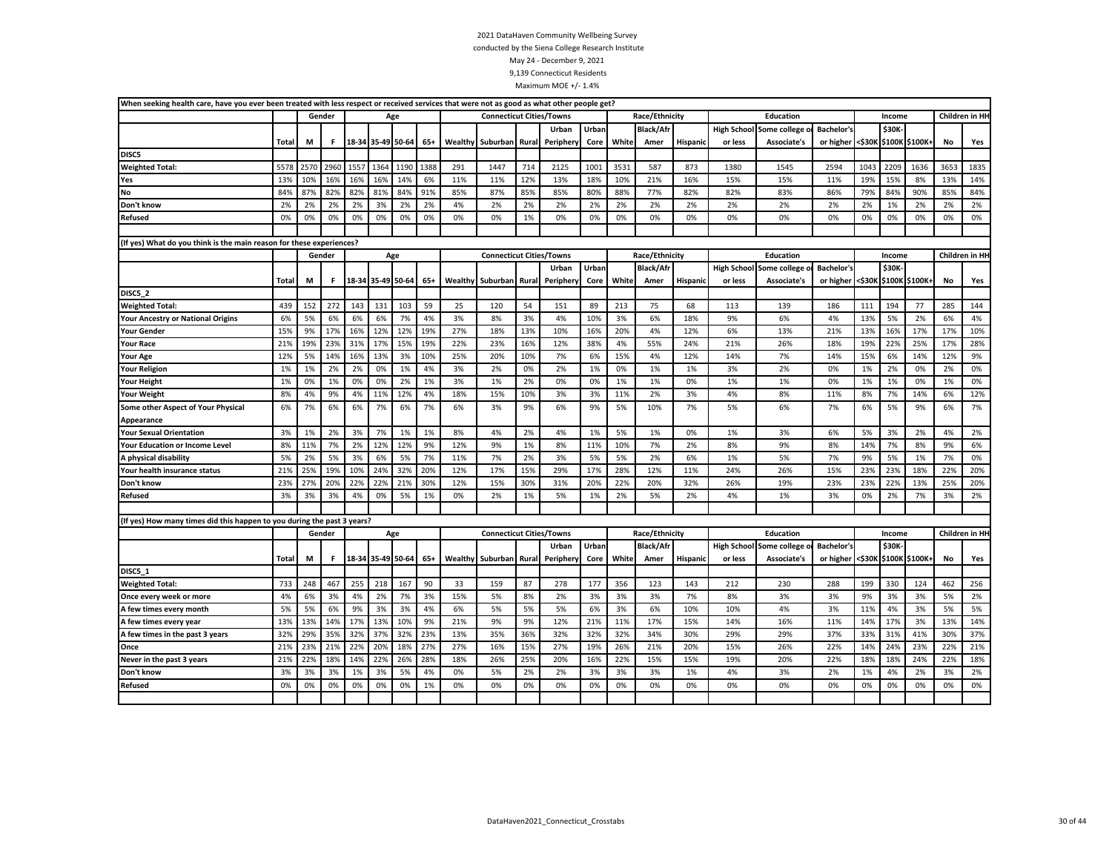|       |      |      |                            |                                                                      |                                                                         |                                                                                  |         |          |                  |                        |                                                                                                       |       |                                                                                                                                             |                 |                                                    | Education          |                                                                                                  |      |           |      |                                                                                                                 |                                                       |
|-------|------|------|----------------------------|----------------------------------------------------------------------|-------------------------------------------------------------------------|----------------------------------------------------------------------------------|---------|----------|------------------|------------------------|-------------------------------------------------------------------------------------------------------|-------|---------------------------------------------------------------------------------------------------------------------------------------------|-----------------|----------------------------------------------------|--------------------|--------------------------------------------------------------------------------------------------|------|-----------|------|-----------------------------------------------------------------------------------------------------------------|-------------------------------------------------------|
|       |      |      |                            |                                                                      |                                                                         |                                                                                  |         |          |                  | Urban                  | Urban                                                                                                 |       | <b>Black/Afr</b>                                                                                                                            |                 |                                                    |                    | Bachelor's                                                                                       |      | \$30K     |      |                                                                                                                 |                                                       |
| Total | M    | F.   |                            |                                                                      |                                                                         | $65+$                                                                            | Wealthy | Suburban | Rural            | Peripher               | Core                                                                                                  | White | Amer                                                                                                                                        | Hispanic        | or less                                            | <b>Associate's</b> |                                                                                                  |      |           |      | No                                                                                                              | Yes                                                   |
|       |      |      |                            |                                                                      |                                                                         |                                                                                  |         |          |                  |                        |                                                                                                       |       |                                                                                                                                             |                 |                                                    |                    |                                                                                                  |      |           |      |                                                                                                                 |                                                       |
| 5578  | 2570 | 2960 | 1557                       | 1364                                                                 | 1190                                                                    | 1388                                                                             | 291     | 1447     | 714              | 2125                   | 1001                                                                                                  | 3531  | 587                                                                                                                                         | 873             | 1380                                               | 1545               | 2594                                                                                             | 1043 | 2209      | 1636 | 3653                                                                                                            | 1835                                                  |
| 13%   | 10%  | 16%  | 16%                        | 16%                                                                  | 14%                                                                     | 6%                                                                               | 11%     | 11%      | 12%              | 13%                    | 18%                                                                                                   | 10%   | 21%                                                                                                                                         | 16%             | 15%                                                | 15%                | 11%                                                                                              | 19%  | 15%       | 8%   | 13%                                                                                                             | 14%                                                   |
| 84%   | 87%  | 82%  | 82%                        | 81%                                                                  | 84%                                                                     | 91%                                                                              | 85%     | 87%      | 85%              | 85%                    | 80%                                                                                                   | 88%   | 77%                                                                                                                                         | 82%             | 82%                                                | 83%                | 86%                                                                                              | 79%  | 84%       | 90%  | 85%                                                                                                             | 84%                                                   |
| 2%    | 2%   | 2%   | 2%                         | 3%                                                                   | 2%                                                                      | 2%                                                                               | 4%      | 2%       | 2%               | 2%                     | 2%                                                                                                    | 2%    | 2%                                                                                                                                          | 2%              | 2%                                                 | 2%                 | 2%                                                                                               | 2%   | 1%        | 2%   | 2%                                                                                                              | 2%                                                    |
| 0%    | 0%   | 0%   | 0%                         | 0%                                                                   | 0%                                                                      | 0%                                                                               | 0%      | 0%       | 1%               | 0%                     | 0%                                                                                                    | 0%    | 0%                                                                                                                                          | 0%              | 0%                                                 | 0%                 | 0%                                                                                               | 0%   | 0%        | 0%   | 0%                                                                                                              | 0%                                                    |
|       |      |      |                            |                                                                      |                                                                         |                                                                                  |         |          |                  |                        |                                                                                                       |       |                                                                                                                                             |                 |                                                    |                    |                                                                                                  |      |           |      |                                                                                                                 |                                                       |
|       |      |      |                            |                                                                      |                                                                         |                                                                                  |         |          |                  |                        |                                                                                                       |       |                                                                                                                                             |                 |                                                    |                    |                                                                                                  |      |           |      |                                                                                                                 |                                                       |
|       |      |      |                            |                                                                      |                                                                         |                                                                                  |         |          |                  |                        |                                                                                                       |       |                                                                                                                                             |                 |                                                    | <b>Education</b>   |                                                                                                  |      |           |      |                                                                                                                 |                                                       |
|       |      |      |                            |                                                                      |                                                                         |                                                                                  |         |          |                  | Urban                  | Urban                                                                                                 |       | <b>Black/Afr</b>                                                                                                                            |                 |                                                    |                    | <b>Bachelor's</b>                                                                                |      | \$30K     |      |                                                                                                                 |                                                       |
| Total | M    | F.   |                            |                                                                      |                                                                         | $65+$                                                                            |         |          | Rural            | Periphery              | Core                                                                                                  | White | Amer                                                                                                                                        | Hispanic        | or less                                            | Associate's        |                                                                                                  |      |           |      | No                                                                                                              | Yes                                                   |
|       |      |      |                            |                                                                      |                                                                         |                                                                                  |         |          |                  |                        |                                                                                                       |       |                                                                                                                                             |                 |                                                    |                    |                                                                                                  |      |           |      |                                                                                                                 |                                                       |
| 439   | 152  | 272  | 143                        | 131                                                                  | 103                                                                     | 59                                                                               | 25      | 120      | 54               | 151                    | 89                                                                                                    | 213   | 75                                                                                                                                          | 68              | 113                                                | 139                | 186                                                                                              | 111  | 194       | 77   | 285                                                                                                             | 144                                                   |
| 6%    | 5%   | 6%   | 6%                         | 6%                                                                   | 7%                                                                      | 4%                                                                               | 3%      | 8%       | 3%               | 4%                     | 10%                                                                                                   | 3%    | 6%                                                                                                                                          | 18%             | 9%                                                 | 6%                 | 4%                                                                                               | 13%  | 5%        | 2%   | 6%                                                                                                              | 4%                                                    |
| 15%   | 9%   | 17%  | 16%                        | 12%                                                                  | 12%                                                                     | 19%                                                                              | 27%     | 18%      | 13%              | 10%                    | 16%                                                                                                   | 20%   | 4%                                                                                                                                          | 12%             | 6%                                                 | 13%                | 21%                                                                                              | 13%  | 16%       | 17%  | 17%                                                                                                             | 10%                                                   |
| 21%   | 19%  | 23%  | 31%                        | 17%                                                                  | 15%                                                                     | 19%                                                                              | 22%     | 23%      | 16%              | 12%                    | 38%                                                                                                   | 4%    | 55%                                                                                                                                         | 24%             | 21%                                                | 26%                | 18%                                                                                              | 19%  | 22%       | 25%  | 17%                                                                                                             | 28%                                                   |
| 12%   | 5%   | 14%  | 16%                        | 13%                                                                  | 3%                                                                      | 10%                                                                              | 25%     | 20%      | 10%              | 7%                     | 6%                                                                                                    | 15%   | 4%                                                                                                                                          | 12%             | 14%                                                | 7%                 | 14%                                                                                              | 15%  | 6%        | 14%  | 12%                                                                                                             | 9%                                                    |
| 1%    | 1%   | 2%   | 2%                         | 0%                                                                   | 1%                                                                      | 4%                                                                               | 3%      | 2%       | 0%               | 2%                     | 1%                                                                                                    | 0%    | 1%                                                                                                                                          | 1%              | 3%                                                 | 2%                 | 0%                                                                                               | 1%   | 2%        | 0%   | 2%                                                                                                              | 0%                                                    |
| 1%    | 0%   | 1%   | 0%                         | 0%                                                                   | 2%                                                                      | 1%                                                                               | 3%      | 1%       | 2%               | 0%                     | 0%                                                                                                    | 1%    | 1%                                                                                                                                          | 0%              | 1%                                                 | 1%                 | 0%                                                                                               | 1%   | 1%        | 0%   | 1%                                                                                                              | 0%                                                    |
| 8%    | 4%   | 9%   | 4%                         | 11%                                                                  | 12%                                                                     | 4%                                                                               | 18%     | 15%      | 10%              | 3%                     | 3%                                                                                                    | 11%   | 2%                                                                                                                                          | 3%              | 4%                                                 | 8%                 | 11%                                                                                              | 8%   | 7%        | 14%  | 6%                                                                                                              | 12%                                                   |
| 6%    | 7%   | 6%   | 6%                         | 7%                                                                   | 6%                                                                      | 7%                                                                               | 6%      | 3%       | 9%               | 6%                     | 9%                                                                                                    | 5%    | 10%                                                                                                                                         | 7%              | 5%                                                 | 6%                 | 7%                                                                                               | 6%   | 5%        | 9%   | 6%                                                                                                              | 7%                                                    |
|       |      |      |                            |                                                                      |                                                                         |                                                                                  |         |          |                  |                        |                                                                                                       |       |                                                                                                                                             |                 |                                                    |                    |                                                                                                  |      |           |      |                                                                                                                 |                                                       |
| 3%    | 1%   | 2%   | 3%                         | 7%                                                                   | 1%                                                                      | 1%                                                                               | 8%      | 4%       | 2%               | 4%                     | 1%                                                                                                    | 5%    | 1%                                                                                                                                          | 0%              | 1%                                                 | 3%                 | 6%                                                                                               | 5%   | 3%        | 2%   | 4%                                                                                                              | 2%                                                    |
| 8%    | 11%  | 7%   | 2%                         | 12%                                                                  | 12%                                                                     | 9%                                                                               | 12%     | 9%       | 1%               | 8%                     | 11%                                                                                                   | 10%   | 7%                                                                                                                                          | 2%              | 8%                                                 | 9%                 | 8%                                                                                               | 14%  | 7%        | 8%   | 9%                                                                                                              | 6%                                                    |
| 5%    | 2%   | 5%   | 3%                         | 6%                                                                   | 5%                                                                      | 7%                                                                               | 11%     | 7%       | 2%               | 3%                     | 5%                                                                                                    | 5%    | 2%                                                                                                                                          | 6%              | 1%                                                 | 5%                 | 7%                                                                                               | 9%   | 5%        | 1%   | 7%                                                                                                              | 0%                                                    |
| 21%   | 25%  | 19%  | 10%                        | 24%                                                                  | 32%                                                                     | 20%                                                                              | 12%     | 17%      | 15%              | 29%                    | 17%                                                                                                   | 28%   | 12%                                                                                                                                         | 11%             | 24%                                                | 26%                | 15%                                                                                              | 23%  | 23%       | 18%  | 22%                                                                                                             | 20%                                                   |
| 23%   | 27%  | 20%  | 22%                        | 22%                                                                  | 21%                                                                     | 30%                                                                              | 12%     | 15%      | 30%              | 31%                    | 20%                                                                                                   | 22%   | 20%                                                                                                                                         | 32%             | 26%                                                | 19%                | 23%                                                                                              | 23%  | 22%       | 13%  | 25%                                                                                                             | 20%                                                   |
| 3%    | 3%   | 3%   | 4%                         | 0%                                                                   | 5%                                                                      | 1%                                                                               | 0%      | 2%       | 1%               | 5%                     | 1%                                                                                                    | 2%    | 5%                                                                                                                                          | 2%              | 4%                                                 | 1%                 | 3%                                                                                               | 0%   | 2%        | 7%   | 3%                                                                                                              | 2%                                                    |
|       |      |      |                            |                                                                      |                                                                         |                                                                                  |         |          |                  |                        |                                                                                                       |       |                                                                                                                                             |                 |                                                    |                    |                                                                                                  |      |           |      |                                                                                                                 |                                                       |
|       |      |      |                            |                                                                      |                                                                         |                                                                                  |         |          |                  |                        |                                                                                                       |       |                                                                                                                                             |                 |                                                    |                    |                                                                                                  |      |           |      |                                                                                                                 |                                                       |
|       |      |      |                            |                                                                      |                                                                         |                                                                                  |         |          |                  |                        |                                                                                                       |       |                                                                                                                                             |                 |                                                    | <b>Education</b>   |                                                                                                  |      |           |      |                                                                                                                 |                                                       |
|       |      |      |                            |                                                                      |                                                                         |                                                                                  |         |          |                  | Urban                  | Urban                                                                                                 |       | <b>Black/Afr</b>                                                                                                                            |                 |                                                    |                    | Bachelor's                                                                                       |      | \$30K     |      |                                                                                                                 |                                                       |
| Total | M    | F.   |                            |                                                                      |                                                                         | $65+$                                                                            |         |          |                  | Peripher               | Core                                                                                                  | White | Amer                                                                                                                                        | <b>Hispanic</b> | or less                                            | Associate's        | or higher                                                                                        |      |           |      | No                                                                                                              | Yes                                                   |
|       |      |      |                            |                                                                      |                                                                         |                                                                                  |         |          |                  |                        |                                                                                                       |       |                                                                                                                                             |                 |                                                    |                    |                                                                                                  |      |           |      |                                                                                                                 |                                                       |
| 733   | 248  | 467  | 255                        | 218                                                                  | 167                                                                     | 90                                                                               | 33      | 159      | 87               | 278                    | 177                                                                                                   | 356   | 123                                                                                                                                         | 143             | 212                                                | 230                | 288                                                                                              | 199  | 330       | 124  | 462                                                                                                             | 256                                                   |
| 4%    | 6%   | 3%   | 4%                         | 2%                                                                   | 7%                                                                      | 3%                                                                               | 15%     | 5%       | 8%               | 2%                     | 3%                                                                                                    | 3%    | 3%                                                                                                                                          | 7%              | 8%                                                 | 3%                 | 3%                                                                                               | 9%   | 3%        | 3%   | 5%                                                                                                              | 2%                                                    |
| 5%    | 5%   | 6%   | 9%                         | 3%                                                                   | 3%                                                                      | 4%                                                                               | 6%      | 5%       | 5%               | 5%                     | 6%                                                                                                    | 3%    | 6%                                                                                                                                          | 10%             | 10%                                                | 4%                 | 3%                                                                                               | 11%  | 4%        | 3%   | 5%                                                                                                              | 5%                                                    |
| 13%   | 13%  | 14%  | 17%                        | 13%                                                                  | 10%                                                                     | 9%                                                                               | 21%     | 9%       | 9%               | 12%                    | 21%                                                                                                   | 11%   | 17%                                                                                                                                         | 15%             | 14%                                                | 16%                | 11%                                                                                              | 14%  | 17%       | 3%   | 13%                                                                                                             | 14%                                                   |
| 32%   | 29%  | 35%  | 32%                        | 37%                                                                  | 32%                                                                     | 23%                                                                              | 13%     | 35%      | 36%              | 32%                    | 32%                                                                                                   | 32%   | 34%                                                                                                                                         | 30%             | 29%                                                | 29%                | 37%                                                                                              | 33%  | 31%       | 41%  | 30%                                                                                                             | 37%                                                   |
| 21%   | 23%  | 21%  | 22%                        | 20%                                                                  | 18%                                                                     | 27%                                                                              | 27%     | 16%      | 15%              | 27%                    | 19%                                                                                                   | 26%   | 21%                                                                                                                                         | 20%             | 15%                                                | 26%                | 22%                                                                                              | 14%  | 24%       | 23%  | 22%                                                                                                             | 21%                                                   |
| 21%   | 22%  | 18%  | 14%                        | 22%                                                                  | 26%                                                                     | 28%                                                                              | 18%     | 26%      | 25%              | 20%                    | 16%                                                                                                   | 22%   | 15%                                                                                                                                         | 15%             | 19%                                                | 20%                | 22%                                                                                              | 18%  | 18%       | 24%  | 22%                                                                                                             | 18%                                                   |
| 3%    | 3%   | 3%   | 1%                         | 3%                                                                   | 5%                                                                      | 4%                                                                               | 0%      | 5%       | 2%               | 2%                     | 3%                                                                                                    | 3%    | 3%                                                                                                                                          | 1%              | 4%                                                 | 3%                 | 2%                                                                                               | 1%   | 4%        | 2%   | 3%                                                                                                              | 2%                                                    |
| 0%    | 0%   | 0%   | 0%                         | 0%                                                                   | 0%                                                                      | 1%                                                                               | 0%      | 0%       | 0%               | 0%                     | 0%                                                                                                    | 0%    | 0%                                                                                                                                          | 0%              | 0%                                                 | 0%                 | 0%                                                                                               | 0%   | 0%        | 0%   | 0%                                                                                                              | 0%                                                    |
|       |      |      |                            |                                                                      |                                                                         |                                                                                  |         |          |                  |                        |                                                                                                       |       |                                                                                                                                             |                 |                                                    |                    |                                                                                                  |      |           |      |                                                                                                                 |                                                       |
|       |      |      | Gender<br>Gender<br>Gender | (If yes) What do you think is the main reason for these experiences? | (If yes) How many times did this happen to you during the past 3 years? | Age<br>18-34 35-49 50-64<br>Age<br>18-34 35-49 50-64<br>Age<br>18-34 35-49 50-64 |         |          | Wealthy Suburban | Wealthy Suburban Rural | <b>Connecticut Cities/Towns</b><br><b>Connecticut Cities/Towns</b><br><b>Connecticut Cities/Towns</b> |       | When seeking health care, have you ever been treated with less respect or received services that were not as good as what other people get? |                 | Race/Ethnicity<br>Race/Ethnicity<br>Race/Ethnicity |                    | <b>High School Some college</b><br>High School Some college o<br><b>High School Some college</b> |      | or higher |      | Income<br>or higher <\$30K \$100K \$100K+<br>Income<br><\$30K \$100K \$100K+<br>Income<br><\$30K \$100K \$100K+ | Children in HI-<br>Children in HI-<br>Children in HI- |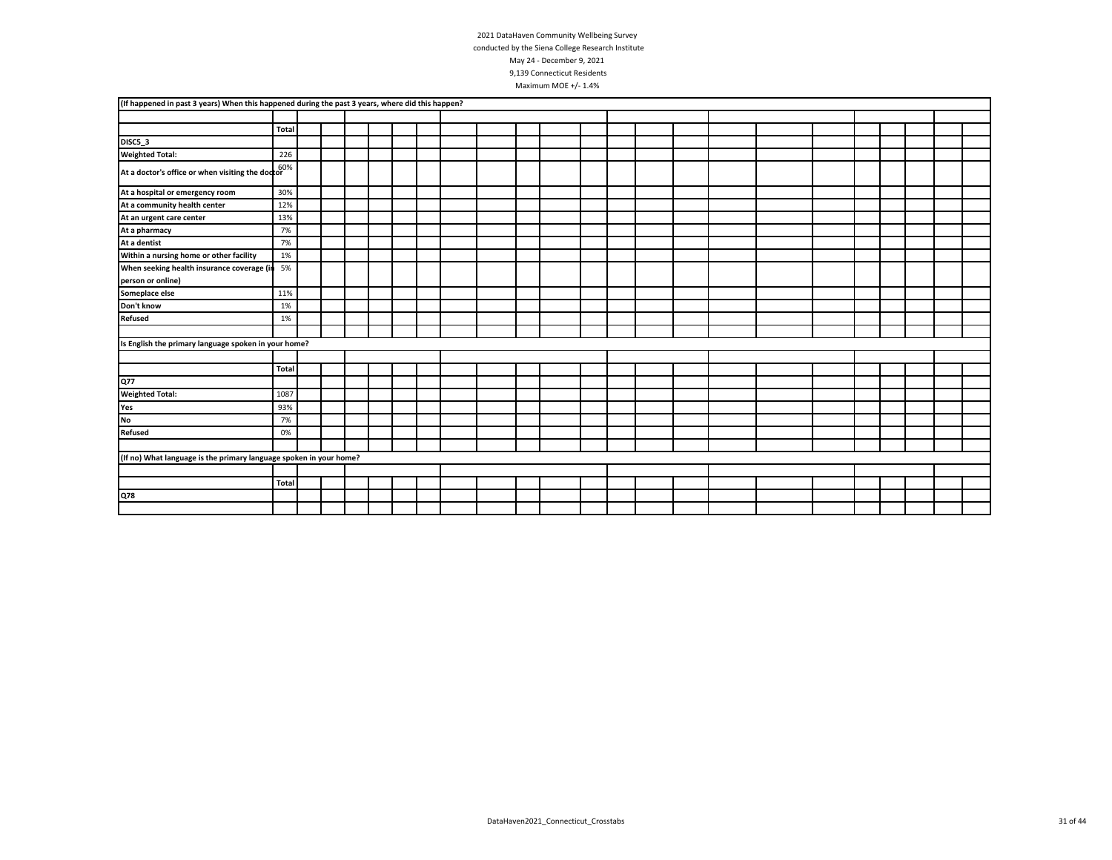| (If happened in past 3 years) When this happened during the past 3 years, where did this happen? |              |  |  |  |  |  |  |  |  |  |  |  |
|--------------------------------------------------------------------------------------------------|--------------|--|--|--|--|--|--|--|--|--|--|--|
|                                                                                                  |              |  |  |  |  |  |  |  |  |  |  |  |
|                                                                                                  | Total        |  |  |  |  |  |  |  |  |  |  |  |
| DISC5_3                                                                                          |              |  |  |  |  |  |  |  |  |  |  |  |
| <b>Weighted Total:</b>                                                                           | 226          |  |  |  |  |  |  |  |  |  |  |  |
| At a doctor's office or when visiting the doctor <sup>60%</sup>                                  |              |  |  |  |  |  |  |  |  |  |  |  |
| At a hospital or emergency room                                                                  | 30%          |  |  |  |  |  |  |  |  |  |  |  |
| At a community health center                                                                     | 12%          |  |  |  |  |  |  |  |  |  |  |  |
| At an urgent care center                                                                         | 13%          |  |  |  |  |  |  |  |  |  |  |  |
| At a pharmacy                                                                                    | 7%           |  |  |  |  |  |  |  |  |  |  |  |
| At a dentist                                                                                     | 7%           |  |  |  |  |  |  |  |  |  |  |  |
| Within a nursing home or other facility                                                          | 1%           |  |  |  |  |  |  |  |  |  |  |  |
| When seeking health insurance coverage (in                                                       | 5%           |  |  |  |  |  |  |  |  |  |  |  |
| person or online)                                                                                |              |  |  |  |  |  |  |  |  |  |  |  |
| Someplace else                                                                                   | 11%          |  |  |  |  |  |  |  |  |  |  |  |
| Don't know                                                                                       | 1%           |  |  |  |  |  |  |  |  |  |  |  |
| <b>Refused</b>                                                                                   | 1%           |  |  |  |  |  |  |  |  |  |  |  |
|                                                                                                  |              |  |  |  |  |  |  |  |  |  |  |  |
| Is English the primary language spoken in your home?                                             |              |  |  |  |  |  |  |  |  |  |  |  |
|                                                                                                  |              |  |  |  |  |  |  |  |  |  |  |  |
|                                                                                                  | <b>Total</b> |  |  |  |  |  |  |  |  |  |  |  |
| Q77                                                                                              |              |  |  |  |  |  |  |  |  |  |  |  |
| <b>Weighted Total:</b>                                                                           | 1087         |  |  |  |  |  |  |  |  |  |  |  |
| Yes                                                                                              | 93%          |  |  |  |  |  |  |  |  |  |  |  |
| No                                                                                               | 7%           |  |  |  |  |  |  |  |  |  |  |  |
| <b>Refused</b>                                                                                   | 0%           |  |  |  |  |  |  |  |  |  |  |  |
|                                                                                                  |              |  |  |  |  |  |  |  |  |  |  |  |
| (If no) What language is the primary language spoken in your home?                               |              |  |  |  |  |  |  |  |  |  |  |  |
|                                                                                                  |              |  |  |  |  |  |  |  |  |  |  |  |
|                                                                                                  | <b>Total</b> |  |  |  |  |  |  |  |  |  |  |  |
| Q78                                                                                              |              |  |  |  |  |  |  |  |  |  |  |  |
|                                                                                                  |              |  |  |  |  |  |  |  |  |  |  |  |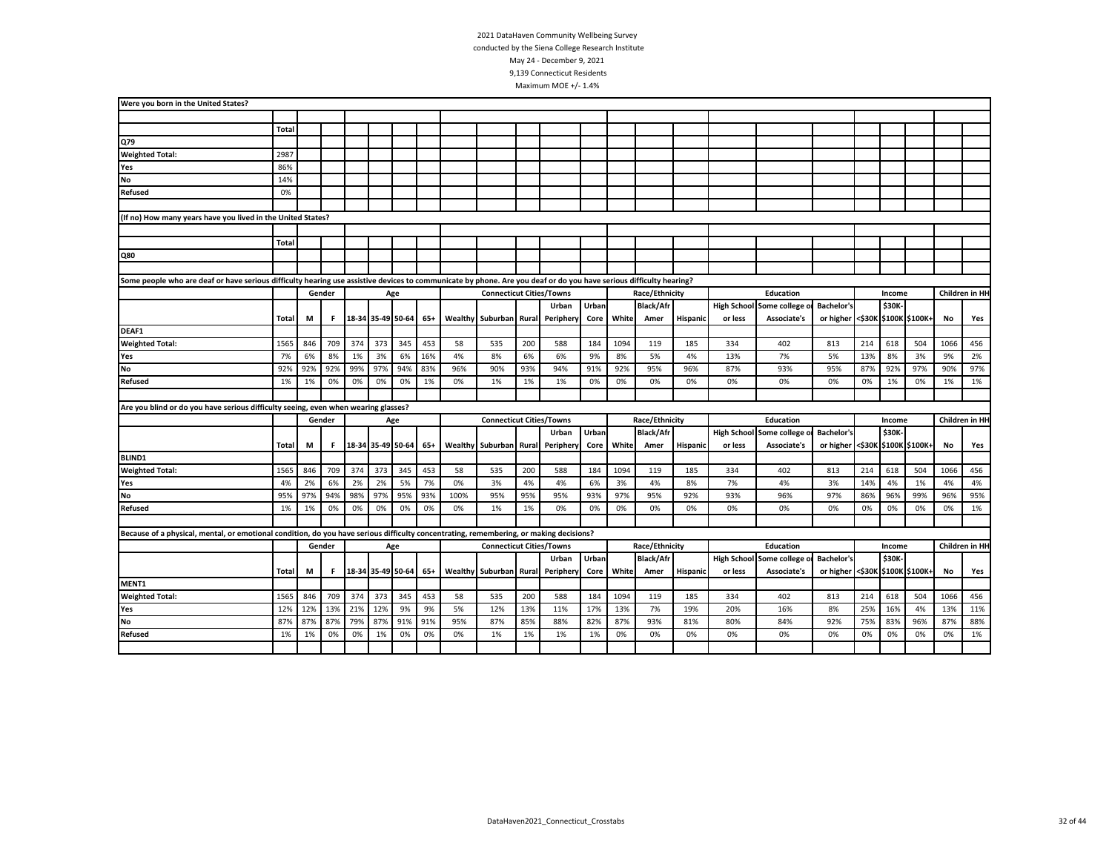| Were you born in the United States?                                                                                                                                |              |     |        |     |                       |     |     |      |                                 |     |                 |       |       |                  |          |         |                            |                                 |     |        |     |      |                |
|--------------------------------------------------------------------------------------------------------------------------------------------------------------------|--------------|-----|--------|-----|-----------------------|-----|-----|------|---------------------------------|-----|-----------------|-------|-------|------------------|----------|---------|----------------------------|---------------------------------|-----|--------|-----|------|----------------|
|                                                                                                                                                                    |              |     |        |     |                       |     |     |      |                                 |     |                 |       |       |                  |          |         |                            |                                 |     |        |     |      |                |
|                                                                                                                                                                    | <b>Total</b> |     |        |     |                       |     |     |      |                                 |     |                 |       |       |                  |          |         |                            |                                 |     |        |     |      |                |
| Q79                                                                                                                                                                |              |     |        |     |                       |     |     |      |                                 |     |                 |       |       |                  |          |         |                            |                                 |     |        |     |      |                |
| <b>Weighted Total:</b>                                                                                                                                             | 2987         |     |        |     |                       |     |     |      |                                 |     |                 |       |       |                  |          |         |                            |                                 |     |        |     |      |                |
| Yes                                                                                                                                                                | 86%          |     |        |     |                       |     |     |      |                                 |     |                 |       |       |                  |          |         |                            |                                 |     |        |     |      |                |
| <b>No</b>                                                                                                                                                          | 14%          |     |        |     |                       |     |     |      |                                 |     |                 |       |       |                  |          |         |                            |                                 |     |        |     |      |                |
| Refused                                                                                                                                                            | 0%           |     |        |     |                       |     |     |      |                                 |     |                 |       |       |                  |          |         |                            |                                 |     |        |     |      |                |
|                                                                                                                                                                    |              |     |        |     |                       |     |     |      |                                 |     |                 |       |       |                  |          |         |                            |                                 |     |        |     |      |                |
| (If no) How many years have you lived in the United States?                                                                                                        |              |     |        |     |                       |     |     |      |                                 |     |                 |       |       |                  |          |         |                            |                                 |     |        |     |      |                |
|                                                                                                                                                                    |              |     |        |     |                       |     |     |      |                                 |     |                 |       |       |                  |          |         |                            |                                 |     |        |     |      |                |
|                                                                                                                                                                    | Total        |     |        |     |                       |     |     |      |                                 |     |                 |       |       |                  |          |         |                            |                                 |     |        |     |      |                |
| Q80                                                                                                                                                                |              |     |        |     |                       |     |     |      |                                 |     |                 |       |       |                  |          |         |                            |                                 |     |        |     |      |                |
|                                                                                                                                                                    |              |     |        |     |                       |     |     |      |                                 |     |                 |       |       |                  |          |         |                            |                                 |     |        |     |      |                |
| Some people who are deaf or have serious difficulty hearing use assistive devices to communicate by phone. Are you deaf or do you have serious difficulty hearing? |              |     |        |     |                       |     |     |      |                                 |     |                 |       |       |                  |          |         |                            |                                 |     |        |     |      |                |
|                                                                                                                                                                    |              |     | Gender |     |                       | Age |     |      | <b>Connecticut Cities/Towns</b> |     |                 |       |       | Race/Ethnicity   |          |         | Education                  |                                 |     | Income |     |      | Children in HH |
|                                                                                                                                                                    |              |     |        |     |                       |     |     |      |                                 |     | Urban           | Urban |       | <b>Black/Afr</b> |          |         | High School Some college o | <b>Bachelor's</b>               |     | \$30K  |     |      |                |
|                                                                                                                                                                    | Total        | M   | F.     |     | 18-34 35-49 50-64 65+ |     |     |      | Wealthy Suburban                |     | Rural Periphery | Core  | White | Amer             | Hispanic | or less | Associate's                | or higher <\$30K \$100K \$100K+ |     |        |     | No   | Yes            |
| DEAF1                                                                                                                                                              |              |     |        |     |                       |     |     |      |                                 |     |                 |       |       |                  |          |         |                            |                                 |     |        |     |      |                |
| <b>Weighted Total:</b>                                                                                                                                             | 1565         | 846 | 709    | 374 | 373                   | 345 | 453 | 58   | 535                             | 200 | 588             | 184   | 1094  | 119              | 185      | 334     | 402                        | 813                             | 214 | 618    | 504 | 1066 | 456            |
| Yes                                                                                                                                                                | 7%           | 6%  | 8%     | 1%  | 3%                    | 6%  | 16% | 4%   | 8%                              | 6%  | 6%              | 9%    | 8%    | 5%               | 4%       | 13%     | 7%                         | 5%                              | 13% | 8%     | 3%  | 9%   | 2%             |
| <b>No</b>                                                                                                                                                          | 92%          | 92% | 92%    | 99% | 97%                   | 94% | 83% | 96%  | 90%                             | 93% | 94%             | 91%   | 92%   | 95%              | 96%      | 87%     | 93%                        | 95%                             | 87% | 92%    | 97% | 90%  | 97%            |
| Refused                                                                                                                                                            | 1%           | 1%  | 0%     | 0%  | 0%                    | 0%  | 1%  | 0%   | 1%                              | 1%  | 1%              | 0%    | 0%    | 0%               | 0%       | 0%      | 0%                         | 0%                              | 0%  | 1%     | 0%  | 1%   | 1%             |
|                                                                                                                                                                    |              |     |        |     |                       |     |     |      |                                 |     |                 |       |       |                  |          |         |                            |                                 |     |        |     |      |                |
| Are you blind or do you have serious difficulty seeing, even when wearing glasses?                                                                                 |              |     |        |     |                       |     |     |      |                                 |     |                 |       |       |                  |          |         |                            |                                 |     |        |     |      |                |
|                                                                                                                                                                    |              |     | Gender |     |                       | Age |     |      | <b>Connecticut Cities/Towns</b> |     |                 |       |       | Race/Ethnicity   |          |         | <b>Education</b>           |                                 |     | Income |     |      | Children in HH |
|                                                                                                                                                                    |              |     |        |     |                       |     |     |      |                                 |     | Urban           | Urban |       | <b>Black/Afr</b> |          |         | High School Some college o | <b>Bachelor's</b>               |     | \$30K  |     |      |                |
|                                                                                                                                                                    | Total        | M   | F.     |     | 18-34 35-49 50-64     |     | 65+ |      | <b>Wealthy Suburban</b>         |     | Rural Periphery | Core  | White | Amer             | Hispanic | or less | Associate's                | or higher <\$30K \$100K \$100K+ |     |        |     | No   | Yes            |
| <b>BLIND1</b>                                                                                                                                                      |              |     |        |     |                       |     |     |      |                                 |     |                 |       |       |                  |          |         |                            |                                 |     |        |     |      |                |
| <b>Weighted Total:</b>                                                                                                                                             | 1565         | 846 | 709    | 374 | 373                   | 345 | 453 | 58   | 535                             | 200 | 588             | 184   | 1094  | 119              | 185      | 334     | 402                        | 813                             | 214 | 618    | 504 | 1066 | 456            |
| Yes                                                                                                                                                                | 4%           | 2%  | 6%     | 2%  | 2%                    | 5%  | 7%  | 0%   | 3%                              | 4%  | 4%              | 6%    | 3%    | 4%               | 8%       | 7%      | 4%                         | 3%                              | 14% | 4%     | 1%  | 4%   | 4%             |
| No                                                                                                                                                                 | 95%          | 97% | 94%    | 98% | 97%                   | 95% | 93% | 100% | 95%                             | 95% | 95%             | 93%   | 97%   | 95%              | 92%      | 93%     | 96%                        | 97%                             | 86% | 96%    | 99% | 96%  | 95%            |
| <b>Refused</b>                                                                                                                                                     | 1%           | 1%  | 0%     | 0%  | 0%                    | 0%  | 0%  | 0%   | 1%                              | 1%  | 0%              | 0%    | 0%    | 0%               | 0%       | 0%      | 0%                         | 0%                              | 0%  | 0%     | 0%  | 0%   | 1%             |
|                                                                                                                                                                    |              |     |        |     |                       |     |     |      |                                 |     |                 |       |       |                  |          |         |                            |                                 |     |        |     |      |                |
| Because of a physical, mental, or emotional condition, do you have serious difficulty concentrating, remembering, or making decisions?                             |              |     |        |     |                       |     |     |      |                                 |     |                 |       |       |                  |          |         |                            |                                 |     |        |     |      |                |
|                                                                                                                                                                    |              |     | Gender |     |                       | Age |     |      | <b>Connecticut Cities/Towns</b> |     |                 |       |       | Race/Ethnicity   |          |         | Education                  |                                 |     | Income |     |      | Children in HH |
|                                                                                                                                                                    |              |     |        |     |                       |     |     |      |                                 |     | Urban           | Urban |       | <b>Black/Afr</b> |          |         | High School Some college o | <b>Bachelor's</b>               |     | \$30K  |     |      |                |
|                                                                                                                                                                    | Total        | М   | F.     |     | 18-34 35-49 50-64 65+ |     |     |      | Wealthy Suburban                |     | Rural Periphery | Core  | White | Amer             | Hispanic | or less | Associate's                | or higher <\$30K \$100K \$100K+ |     |        |     | No   | Yes            |
| MENT1                                                                                                                                                              |              |     |        |     |                       |     |     |      |                                 |     |                 |       |       |                  |          |         |                            |                                 |     |        |     |      |                |
| <b>Weighted Total:</b>                                                                                                                                             | 1565         | 846 | 709    | 374 | 373                   | 345 | 453 | 58   | 535                             | 200 | 588             | 184   | 1094  | 119              | 185      | 334     | 402                        | 813                             | 214 | 618    | 504 | 1066 | 456            |
| Yes                                                                                                                                                                | 12%          | 12% | 13%    | 21% | 12%                   | 9%  | 9%  | 5%   | 12%                             | 13% | 11%             | 17%   | 13%   | 7%               | 19%      | 20%     | 16%                        | 8%                              | 25% | 16%    | 4%  | 13%  | 11%            |
| No                                                                                                                                                                 | 87%          | 87% | 87%    | 79% | 87%                   | 91% | 91% | 95%  | 87%                             | 85% | 88%             | 82%   | 87%   | 93%              | 81%      | 80%     | 84%                        | 92%                             | 75% | 83%    | 96% | 87%  | 88%            |
| Refused                                                                                                                                                            | 1%           | 1%  | 0%     | 0%  | 1%                    | 0%  | 0%  | 0%   | 1%                              | 1%  | 1%              | 1%    | 0%    | 0%               | 0%       | 0%      | 0%                         | 0%                              | 0%  | 0%     | 0%  | 0%   | 1%             |
|                                                                                                                                                                    |              |     |        |     |                       |     |     |      |                                 |     |                 |       |       |                  |          |         |                            |                                 |     |        |     |      |                |
|                                                                                                                                                                    |              |     |        |     |                       |     |     |      |                                 |     |                 |       |       |                  |          |         |                            |                                 |     |        |     |      |                |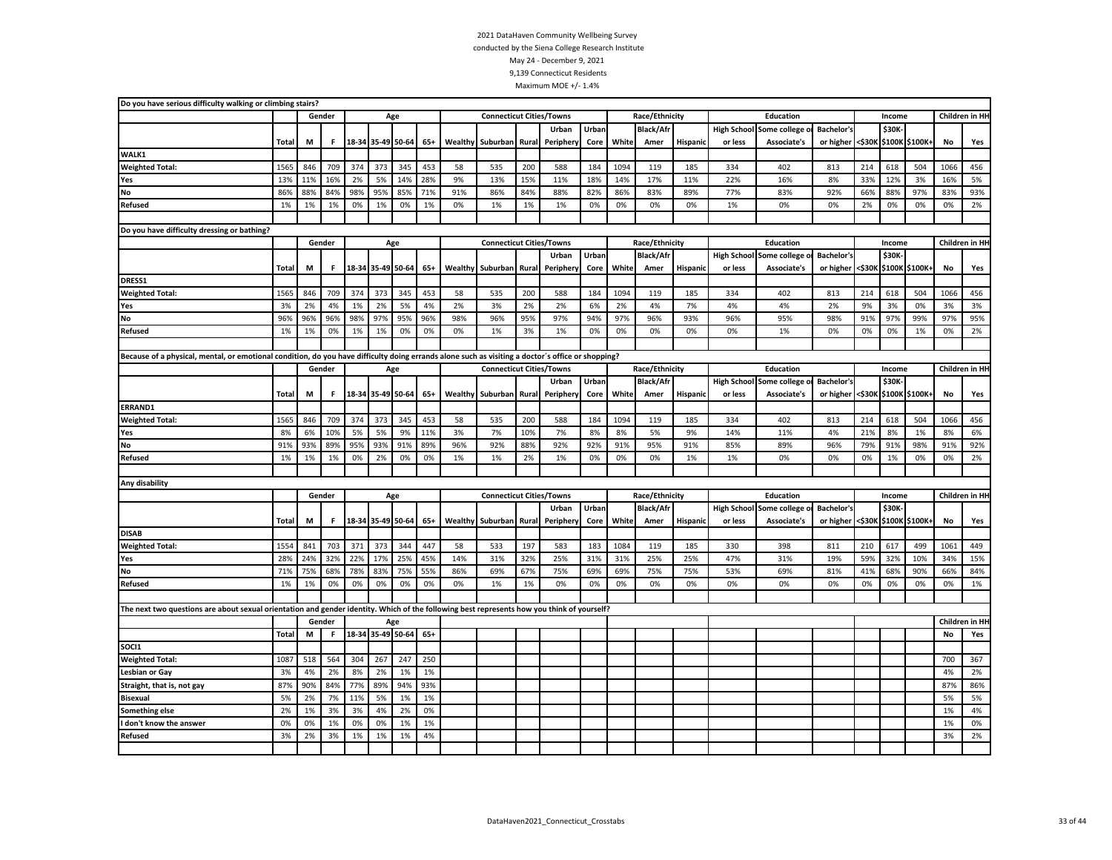| Do you have serious difficulty walking or climbing stairs?                                                                                        |              |     |        |     |                   |                   |       |         |                                 |       |           |       |       |                  |                 |                    |                                 |                   |        |        |                       |      |                |
|---------------------------------------------------------------------------------------------------------------------------------------------------|--------------|-----|--------|-----|-------------------|-------------------|-------|---------|---------------------------------|-------|-----------|-------|-------|------------------|-----------------|--------------------|---------------------------------|-------------------|--------|--------|-----------------------|------|----------------|
|                                                                                                                                                   |              |     | Gender |     | Age               |                   |       |         | <b>Connecticut Cities/Towns</b> |       |           |       |       | Race/Ethnicity   |                 |                    | Education                       |                   |        | Income |                       |      | Children in HH |
|                                                                                                                                                   |              |     |        |     |                   |                   |       |         |                                 |       | Urban     | Urban |       | <b>Black/Afr</b> |                 |                    | High School Some college        | <b>Bachelor's</b> |        | \$30K  |                       |      |                |
|                                                                                                                                                   | Total        | М   | F.     |     | 18-34 35-49 50-64 |                   | $65+$ |         | Wealthy Suburban                | Rural | Periphery | Core  | White | Amer             | Hispanic        | or less            | Associate's                     | or higher         | <\$30K |        | \$100K \$100K+        | No   | Yes            |
| WALK1                                                                                                                                             |              |     |        |     |                   |                   |       |         |                                 |       |           |       |       |                  |                 |                    |                                 |                   |        |        |                       |      |                |
| <b>Weighted Total:</b>                                                                                                                            | 1565         | 846 | 709    | 374 | 373               | 345               | 453   | 58      | 535                             | 200   | 588       | 184   | 1094  | 119              | 185             | 334                | 402                             | 813               | 214    | 618    | 504                   | 1066 | 456            |
| Yes                                                                                                                                               | 13%          | 11% | 16%    | 2%  | 5%                | 14%               | 28%   | 9%      | 13%                             | 15%   | 11%       | 18%   | 14%   | 17%              | 11%             | 22%                | 16%                             | 8%                | 33%    | 12%    | 3%                    | 16%  | 5%             |
| No                                                                                                                                                | 86%          | 88% | 84%    | 98% | 95%               | 85%               | 71%   | 91%     | 86%                             | 84%   | 88%       | 82%   | 86%   | 83%              | 89%             | 77%                | 83%                             | 92%               | 66%    | 88%    | 97%                   | 83%  | 93%            |
| Refused                                                                                                                                           | 1%           | 1%  | 1%     | 0%  | 1%                | 0%                | 1%    | 0%      | 1%                              | 1%    | 1%        | 0%    | 0%    | 0%               | 0%              | 1%                 | 0%                              | 0%                | 2%     | 0%     | 0%                    | 0%   | 2%             |
|                                                                                                                                                   |              |     |        |     |                   |                   |       |         |                                 |       |           |       |       |                  |                 |                    |                                 |                   |        |        |                       |      |                |
| Do you have difficulty dressing or bathing?                                                                                                       |              |     |        |     |                   |                   |       |         |                                 |       |           |       |       |                  |                 |                    |                                 |                   |        |        |                       |      |                |
|                                                                                                                                                   |              |     | Gender |     |                   | Age               |       |         | <b>Connecticut Cities/Towns</b> |       |           |       |       | Race/Ethnicity   |                 |                    | <b>Education</b>                |                   |        | Income |                       |      | Children in HH |
|                                                                                                                                                   |              |     |        |     |                   |                   |       |         |                                 |       | Urban     | Urban |       | <b>Black/Afr</b> |                 | <b>High School</b> | Some college o                  | <b>Bachelor's</b> |        | \$30K  |                       |      |                |
|                                                                                                                                                   | Total        | М   | F.     |     | 18-34 35-49 50-64 |                   | $65+$ | Wealthy | Suburban                        | Rural | Peripher  | Core  | White | Amer             | <b>Hispanic</b> | or less            | Associate's                     | or higher <\$30K  |        |        | \$100K \$100K+        | No   | Yes            |
| DRESS1                                                                                                                                            |              |     |        |     |                   |                   |       |         |                                 |       |           |       |       |                  |                 |                    |                                 |                   |        |        |                       |      |                |
| <b>Weighted Total:</b>                                                                                                                            | 1565         | 846 | 709    | 374 | 373               | 345               | 453   | 58      | 535                             | 200   | 588       | 184   | 1094  | 119              | 185             | 334                | 402                             | 813               | 214    | 618    | 504                   | 1066 | 456            |
| Yes                                                                                                                                               | 3%           | 2%  | 4%     | 1%  | 2%                | 5%                | 4%    | 2%      | 3%                              | 2%    | 2%        | 6%    | 2%    | 4%               | 7%              | 4%                 | 4%                              | 2%                | 9%     | 3%     | 0%                    | 3%   | 3%             |
| No                                                                                                                                                | 96%          | 96% | 96%    | 98% | 97%               | 95%               | 96%   | 98%     | 96%                             | 95%   | 97%       | 94%   | 97%   | 96%              | 93%             | 96%                | 95%                             | 98%               | 91%    | 97%    | 99%                   | 97%  | 95%            |
| Refused                                                                                                                                           | 1%           | 1%  | 0%     | 1%  | 1%                | 0%                | 0%    | 0%      | 1%                              | 3%    | 1%        | 0%    | 0%    | 0%               | 0%              | 0%                 | 1%                              | 0%                | 0%     | 0%     | 1%                    | 0%   | 2%             |
|                                                                                                                                                   |              |     |        |     |                   |                   |       |         |                                 |       |           |       |       |                  |                 |                    |                                 |                   |        |        |                       |      |                |
| Because of a physical, mental, or emotional condition, do you have difficulty doing errands alone such as visiting a doctor's office or shopping? |              |     |        |     |                   |                   |       |         |                                 |       |           |       |       |                  |                 |                    |                                 |                   |        |        |                       |      |                |
|                                                                                                                                                   |              |     | Gender |     | Age               |                   |       |         | <b>Connecticut Cities/Towns</b> |       |           |       |       | Race/Ethnicity   |                 |                    | Education                       |                   |        | Income |                       |      | Children in HH |
|                                                                                                                                                   |              |     |        |     |                   |                   |       |         |                                 |       | Urban     | Urban |       | <b>Black/Afr</b> |                 |                    | <b>High School Some college</b> | <b>Bachelor's</b> |        | \$30K  |                       |      |                |
|                                                                                                                                                   | Total        | М   | F      |     |                   | $65+$             |       |         | Wealthy Suburban                | Rural | Periphery | Core  | White | Amer             | <b>Hispanic</b> | or less            | Associate's                     | or higher         | <\$30К |        | \$100K \$100K+        | No   | Yes            |
| ERRAND1                                                                                                                                           |              |     |        |     |                   | 18-34 35-49 50-64 |       |         |                                 |       |           |       |       |                  |                 |                    |                                 |                   |        |        |                       |      |                |
| <b>Weighted Total:</b>                                                                                                                            | 1565         | 846 | 709    | 374 | 373               | 345               | 453   | 58      | 535                             | 200   | 588       | 184   | 1094  | 119              | 185             | 334                | 402                             | 813               | 214    | 618    | 504                   | 1066 | 456            |
| Yes                                                                                                                                               | 8%           | 6%  | 10%    | 5%  | 5%                | 9%                | 11%   | 3%      | 7%                              | 10%   | 7%        | 8%    | 8%    | 5%               | 9%              | 14%                | 11%                             | 4%                | 21%    | 8%     | 1%                    | 8%   | 6%             |
| No                                                                                                                                                | 91%          | 93% | 89%    | 95% | 93%               | 91%               | 89%   | 96%     | 92%                             | 88%   | 92%       | 92%   | 91%   | 95%              | 91%             | 85%                | 89%                             | 96%               | 79%    | 91%    | 98%                   | 91%  | 92%            |
| <b>Refused</b>                                                                                                                                    | 1%           | 1%  | 1%     | 0%  | 2%                | 0%                | 0%    | 1%      | 1%                              | 2%    | 1%        | 0%    | 0%    | 0%               | 1%              | 1%                 | 0%                              | 0%                | 0%     | 1%     | 0%                    | 0%   | 2%             |
|                                                                                                                                                   |              |     |        |     |                   |                   |       |         |                                 |       |           |       |       |                  |                 |                    |                                 |                   |        |        |                       |      |                |
| Any disability                                                                                                                                    |              |     |        |     |                   |                   |       |         |                                 |       |           |       |       |                  |                 |                    |                                 |                   |        |        |                       |      |                |
|                                                                                                                                                   |              |     | Gender |     |                   | Age               |       |         | <b>Connecticut Cities/Towns</b> |       |           |       |       | Race/Ethnicity   |                 |                    | <b>Education</b>                |                   |        | Income |                       |      | Children in HH |
|                                                                                                                                                   |              |     |        |     |                   |                   |       |         |                                 |       | Urban     | Urban |       | <b>Black/Afr</b> |                 |                    | High School Some college o      | <b>Bachelor's</b> |        | \$30K  |                       |      |                |
|                                                                                                                                                   | <b>Total</b> | M   | F.     |     | 18-34 35-49 50-64 |                   | $65+$ | Wealthy | Suburban                        | Rural | Peripher  | Core  | White | Amer             | <b>Hispanic</b> | or less            | Associate's                     | or higher         |        |        | <\$30K \$100K \$100K+ | No   | Yes            |
| <b>DISAB</b>                                                                                                                                      |              |     |        |     |                   |                   |       |         |                                 |       |           |       |       |                  |                 |                    |                                 |                   |        |        |                       |      |                |
| <b>Weighted Total:</b>                                                                                                                            | 1554         | 841 | 703    | 371 | 373               | 344               | 447   | 58      | 533                             | 197   | 583       | 183   | 1084  | 119              | 185             | 330                | 398                             | 811               | 210    | 617    | 499                   | 1061 | 449            |
| Yes                                                                                                                                               | 28%          | 24% | 32%    | 22% | 17%               | 25%               | 45%   | 14%     | 31%                             | 32%   | 25%       | 31%   | 31%   | 25%              | 25%             | 47%                | 31%                             | 19%               | 59%    | 32%    | 10%                   | 34%  | 15%            |
| No                                                                                                                                                | 71%          | 75% | 68%    | 78% | 83%               | 75%               | 55%   | 86%     | 69%                             | 67%   | 75%       | 69%   | 69%   | 75%              | 75%             | 53%                | 69%                             | 81%               | 41%    | 68%    | 90%                   | 66%  | 84%            |
| Refused                                                                                                                                           | 1%           | 1%  | 0%     | 0%  | 0%                | 0%                | 0%    | 0%      | 1%                              | 1%    | 0%        | 0%    | 0%    | 0%               | 0%              | 0%                 | 0%                              | 0%                | 0%     | 0%     | 0%                    | 0%   | 1%             |
|                                                                                                                                                   |              |     |        |     |                   |                   |       |         |                                 |       |           |       |       |                  |                 |                    |                                 |                   |        |        |                       |      |                |
| The next two questions are about sexual orientation and gender identity. Which of the following best represents how you think of yourself?        |              |     |        |     |                   |                   |       |         |                                 |       |           |       |       |                  |                 |                    |                                 |                   |        |        |                       |      |                |
|                                                                                                                                                   |              |     | Gender |     | Age               |                   |       |         |                                 |       |           |       |       |                  |                 |                    |                                 |                   |        |        |                       |      | Children in HH |
|                                                                                                                                                   | Total        | M   | F      |     | 18-34 35-49 50-64 |                   | $65+$ |         |                                 |       |           |       |       |                  |                 |                    |                                 |                   |        |        |                       | No   | Yes            |
| SOCI1                                                                                                                                             |              |     |        |     |                   |                   |       |         |                                 |       |           |       |       |                  |                 |                    |                                 |                   |        |        |                       |      |                |
| <b>Weighted Total:</b>                                                                                                                            | 1087         | 518 | 564    | 304 | 267               | 247               | 250   |         |                                 |       |           |       |       |                  |                 |                    |                                 |                   |        |        |                       | 700  | 367            |
| Lesbian or Gay                                                                                                                                    | 3%           | 4%  | 2%     | 8%  | 2%                | 1%                | 1%    |         |                                 |       |           |       |       |                  |                 |                    |                                 |                   |        |        |                       | 4%   | 2%             |
| Straight, that is, not gay                                                                                                                        | 87%          | 90% | 84%    | 77% | 89%               | 94%               | 93%   |         |                                 |       |           |       |       |                  |                 |                    |                                 |                   |        |        |                       | 87%  | 86%            |
| <b>Bisexual</b>                                                                                                                                   | 5%           | 2%  | 7%     | 11% | 5%                | 1%                | 1%    |         |                                 |       |           |       |       |                  |                 |                    |                                 |                   |        |        |                       | 5%   | 5%             |
| Something else                                                                                                                                    | 2%           | 1%  | 3%     | 3%  | 4%                | 2%                | 0%    |         |                                 |       |           |       |       |                  |                 |                    |                                 |                   |        |        |                       | 1%   | 4%             |
| I don't know the answer                                                                                                                           | 0%           | 0%  | 1%     | 0%  | 0%                | 1%                | 1%    |         |                                 |       |           |       |       |                  |                 |                    |                                 |                   |        |        |                       | 1%   | 0%             |
| Refused                                                                                                                                           | 3%           | 2%  | 3%     | 1%  | 1%                | 1%                | 4%    |         |                                 |       |           |       |       |                  |                 |                    |                                 |                   |        |        |                       | 3%   | 2%             |
|                                                                                                                                                   |              |     |        |     |                   |                   |       |         |                                 |       |           |       |       |                  |                 |                    |                                 |                   |        |        |                       |      |                |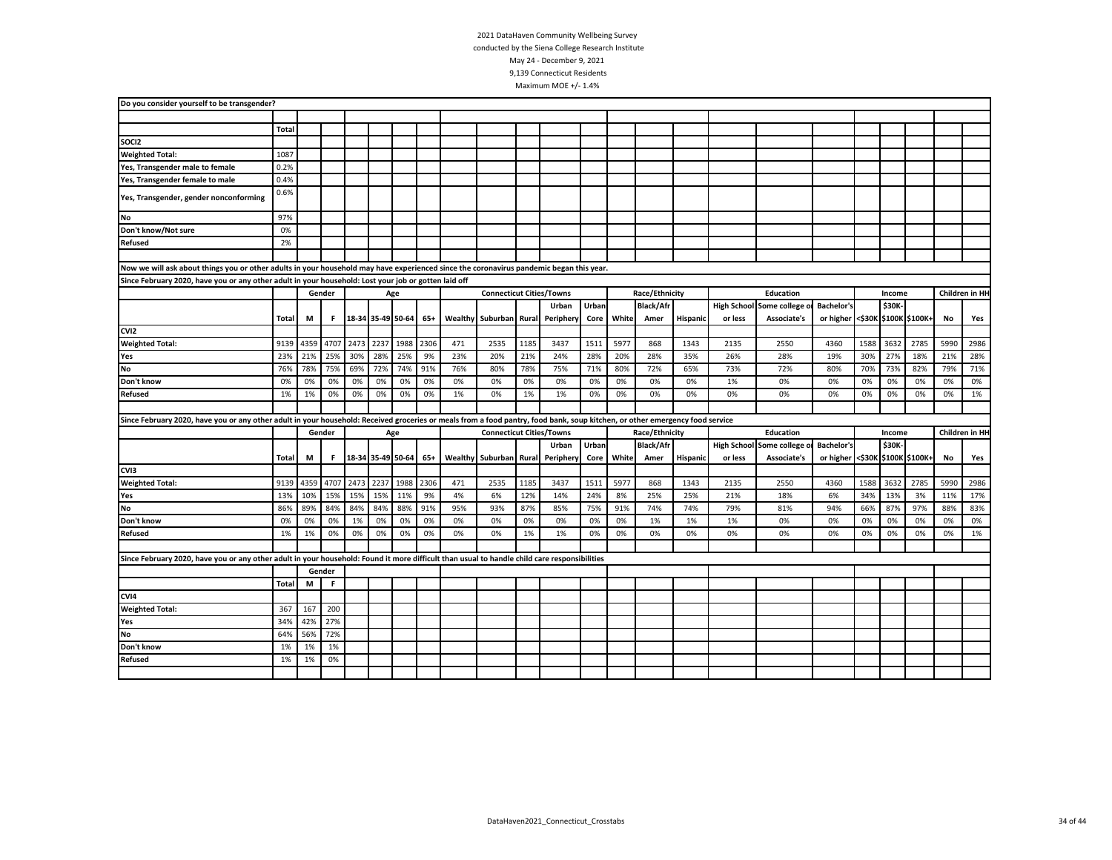| Do you consider yourself to be transgender?                                                                                                                                  |       |      |        |      |                       |      |      |     |                                 |       |           |       |       |                  |          |         |                            |                                 |      |        |      |           |                |
|------------------------------------------------------------------------------------------------------------------------------------------------------------------------------|-------|------|--------|------|-----------------------|------|------|-----|---------------------------------|-------|-----------|-------|-------|------------------|----------|---------|----------------------------|---------------------------------|------|--------|------|-----------|----------------|
|                                                                                                                                                                              |       |      |        |      |                       |      |      |     |                                 |       |           |       |       |                  |          |         |                            |                                 |      |        |      |           |                |
|                                                                                                                                                                              | Total |      |        |      |                       |      |      |     |                                 |       |           |       |       |                  |          |         |                            |                                 |      |        |      |           |                |
| SOCI2                                                                                                                                                                        |       |      |        |      |                       |      |      |     |                                 |       |           |       |       |                  |          |         |                            |                                 |      |        |      |           |                |
| <b>Weighted Total:</b>                                                                                                                                                       | 1087  |      |        |      |                       |      |      |     |                                 |       |           |       |       |                  |          |         |                            |                                 |      |        |      |           |                |
| Yes, Transgender male to female                                                                                                                                              | 0.2%  |      |        |      |                       |      |      |     |                                 |       |           |       |       |                  |          |         |                            |                                 |      |        |      |           |                |
| Yes, Transgender female to male                                                                                                                                              | 0.4%  |      |        |      |                       |      |      |     |                                 |       |           |       |       |                  |          |         |                            |                                 |      |        |      |           |                |
| Yes, Transgender, gender nonconforming                                                                                                                                       | 0.6%  |      |        |      |                       |      |      |     |                                 |       |           |       |       |                  |          |         |                            |                                 |      |        |      |           |                |
| <b>No</b>                                                                                                                                                                    | 97%   |      |        |      |                       |      |      |     |                                 |       |           |       |       |                  |          |         |                            |                                 |      |        |      |           |                |
| Don't know/Not sure                                                                                                                                                          | 0%    |      |        |      |                       |      |      |     |                                 |       |           |       |       |                  |          |         |                            |                                 |      |        |      |           |                |
| <b>Refused</b>                                                                                                                                                               | 2%    |      |        |      |                       |      |      |     |                                 |       |           |       |       |                  |          |         |                            |                                 |      |        |      |           |                |
|                                                                                                                                                                              |       |      |        |      |                       |      |      |     |                                 |       |           |       |       |                  |          |         |                            |                                 |      |        |      |           |                |
| Now we will ask about things you or other adults in your household may have experienced since the coronavirus pandemic began this year.                                      |       |      |        |      |                       |      |      |     |                                 |       |           |       |       |                  |          |         |                            |                                 |      |        |      |           |                |
| Since February 2020, have you or any other adult in your household: Lost your job or gotten laid off                                                                         |       |      |        |      |                       |      |      |     |                                 |       |           |       |       |                  |          |         |                            |                                 |      |        |      |           |                |
|                                                                                                                                                                              |       |      | Gender |      |                       | Age  |      |     | <b>Connecticut Cities/Towns</b> |       |           |       |       | Race/Ethnicity   |          |         | Education                  |                                 |      | Income |      |           | Children in HH |
|                                                                                                                                                                              |       |      |        |      |                       |      |      |     |                                 |       | Urban     | Urban |       | <b>Black/Afr</b> |          |         | High School Some college o | <b>Bachelor's</b>               |      | \$30K- |      |           |                |
|                                                                                                                                                                              | Total | M    | F.     |      | 18-34 35-49 50-64 65+ |      |      |     | Wealthy Suburban                | Rural | Periphery | Core  | White | Amer             | Hispanic | or less | Associate's                | or higher <\$30K \$100K \$100K+ |      |        |      | <b>No</b> | Yes            |
| CVI <sub>2</sub>                                                                                                                                                             |       |      |        |      |                       |      |      |     |                                 |       |           |       |       |                  |          |         |                            |                                 |      |        |      |           |                |
| <b>Weighted Total:</b>                                                                                                                                                       | 9139  | 4359 | 4707   | 2473 | 2237                  | 1988 | 2306 | 471 | 2535                            | 1185  | 3437      | 1511  | 5977  | 868              | 1343     | 2135    | 2550                       | 4360                            | 1588 | 3632   | 2785 | 5990      | 2986           |
| Yes                                                                                                                                                                          | 23%   | 21%  | 25%    | 30%  | 28%                   | 25%  | 9%   | 23% | 20%                             | 21%   | 24%       | 28%   | 20%   | 28%              | 35%      | 26%     | 28%                        | 19%                             | 30%  | 27%    | 18%  | 21%       | 28%            |
| <b>No</b>                                                                                                                                                                    | 76%   | 78%  | 75%    | 69%  | 72%                   | 74%  | 91%  | 76% | 80%                             | 78%   | 75%       | 71%   | 80%   | 72%              | 65%      | 73%     | 72%                        | 80%                             | 70%  | 73%    | 82%  | 79%       | 71%            |
| Don't know                                                                                                                                                                   | 0%    | 0%   | 0%     | 0%   | 0%                    | 0%   | 0%   | 0%  | 0%                              | 0%    | 0%        | 0%    | 0%    | 0%               | 0%       | 1%      | 0%                         | 0%                              | 0%   | 0%     | 0%   | 0%        | 0%             |
| <b>Refused</b>                                                                                                                                                               | 1%    | 1%   | 0%     | 0%   | 0%                    | 0%   | 0%   | 1%  | 0%                              | 1%    | 1%        | 0%    | 0%    | 0%               | 0%       | 0%      | 0%                         | 0%                              | 0%   | 0%     | 0%   | 0%        | 1%             |
|                                                                                                                                                                              |       |      |        |      |                       |      |      |     |                                 |       |           |       |       |                  |          |         |                            |                                 |      |        |      |           |                |
| Since February 2020, have you or any other adult in your household: Received groceries or meals from a food pantry, food bank, soup kitchen, or other emergency food service |       |      |        |      |                       |      |      |     |                                 |       |           |       |       |                  |          |         |                            |                                 |      |        |      |           |                |
|                                                                                                                                                                              |       |      | Gender |      |                       | Age  |      |     | <b>Connecticut Cities/Towns</b> |       |           |       |       | Race/Ethnicity   |          |         | Education                  |                                 |      | Income |      |           | Children in HH |
|                                                                                                                                                                              |       |      |        |      |                       |      |      |     |                                 |       | Urban     | Urban |       | <b>Black/Afr</b> |          |         | High School Some college o | <b>Bachelor's</b>               |      | \$30K- |      |           |                |
|                                                                                                                                                                              | Total | M    | F      |      | 18-34 35-49 50-64     |      | 65+  |     | Wealthy Suburban                | Rural | Periphery | Core  | White | Amer             | Hispanic | or less | Associate's                | or higher <\$30K \$100K \$100K+ |      |        |      | No        | Yes            |
| CVI3                                                                                                                                                                         |       |      |        |      |                       |      |      |     |                                 |       |           |       |       |                  |          |         |                            |                                 |      |        |      |           |                |
| <b>Weighted Total:</b>                                                                                                                                                       | 9139  | 4359 | 4707   | 2473 | 2237                  | 1988 | 2306 | 471 | 2535                            | 1185  | 3437      | 1511  | 5977  | 868              | 1343     | 2135    | 2550                       | 4360                            | 1588 | 3632   | 2785 | 5990      | 2986           |
| Yes                                                                                                                                                                          | 13%   | 10%  | 15%    | 15%  | 15%                   | 11%  | 9%   | 4%  | 6%                              | 12%   | 14%       | 24%   | 8%    | 25%              | 25%      | 21%     | 18%                        | 6%                              | 34%  | 13%    | 3%   | 11%       | 17%            |
| <b>No</b>                                                                                                                                                                    | 86%   | 89%  | 84%    | 84%  | 84%                   | 88%  | 91%  | 95% | 93%                             | 87%   | 85%       | 75%   | 91%   | 74%              | 74%      | 79%     | 81%                        | 94%                             | 66%  | 87%    | 97%  | 88%       | 83%            |
| Don't know                                                                                                                                                                   | 0%    | 0%   | 0%     | 1%   | 0%                    | 0%   | 0%   | 0%  | 0%                              | 0%    | 0%        | 0%    | 0%    | 1%               | 1%       | 1%      | 0%                         | 0%                              | 0%   | 0%     | 0%   | 0%        | 0%             |
| <b>Refused</b>                                                                                                                                                               | 1%    | 1%   | 0%     | 0%   | 0%                    | 0%   | 0%   | 0%  | 0%                              | 1%    | 1%        | 0%    | 0%    | 0%               | 0%       | 0%      | 0%                         | 0%                              | 0%   | 0%     | 0%   | 0%        | 1%             |
|                                                                                                                                                                              |       |      |        |      |                       |      |      |     |                                 |       |           |       |       |                  |          |         |                            |                                 |      |        |      |           |                |
| Since February 2020, have you or any other adult in your household: Found it more difficult than usual to handle child care responsibilities                                 |       |      |        |      |                       |      |      |     |                                 |       |           |       |       |                  |          |         |                            |                                 |      |        |      |           |                |
|                                                                                                                                                                              |       |      | Gender |      |                       |      |      |     |                                 |       |           |       |       |                  |          |         |                            |                                 |      |        |      |           |                |
|                                                                                                                                                                              | Total | М    | F.     |      |                       |      |      |     |                                 |       |           |       |       |                  |          |         |                            |                                 |      |        |      |           |                |
| CVI4                                                                                                                                                                         |       |      |        |      |                       |      |      |     |                                 |       |           |       |       |                  |          |         |                            |                                 |      |        |      |           |                |
| <b>Weighted Total:</b>                                                                                                                                                       | 367   | 167  | 200    |      |                       |      |      |     |                                 |       |           |       |       |                  |          |         |                            |                                 |      |        |      |           |                |
| Yes                                                                                                                                                                          | 34%   | 42%  | 27%    |      |                       |      |      |     |                                 |       |           |       |       |                  |          |         |                            |                                 |      |        |      |           |                |
| No                                                                                                                                                                           | 64%   | 56%  | 72%    |      |                       |      |      |     |                                 |       |           |       |       |                  |          |         |                            |                                 |      |        |      |           |                |
| Don't know                                                                                                                                                                   | 1%    | 1%   | 1%     |      |                       |      |      |     |                                 |       |           |       |       |                  |          |         |                            |                                 |      |        |      |           |                |
| Refused                                                                                                                                                                      | 1%    | 1%   | 0%     |      |                       |      |      |     |                                 |       |           |       |       |                  |          |         |                            |                                 |      |        |      |           |                |
|                                                                                                                                                                              |       |      |        |      |                       |      |      |     |                                 |       |           |       |       |                  |          |         |                            |                                 |      |        |      |           |                |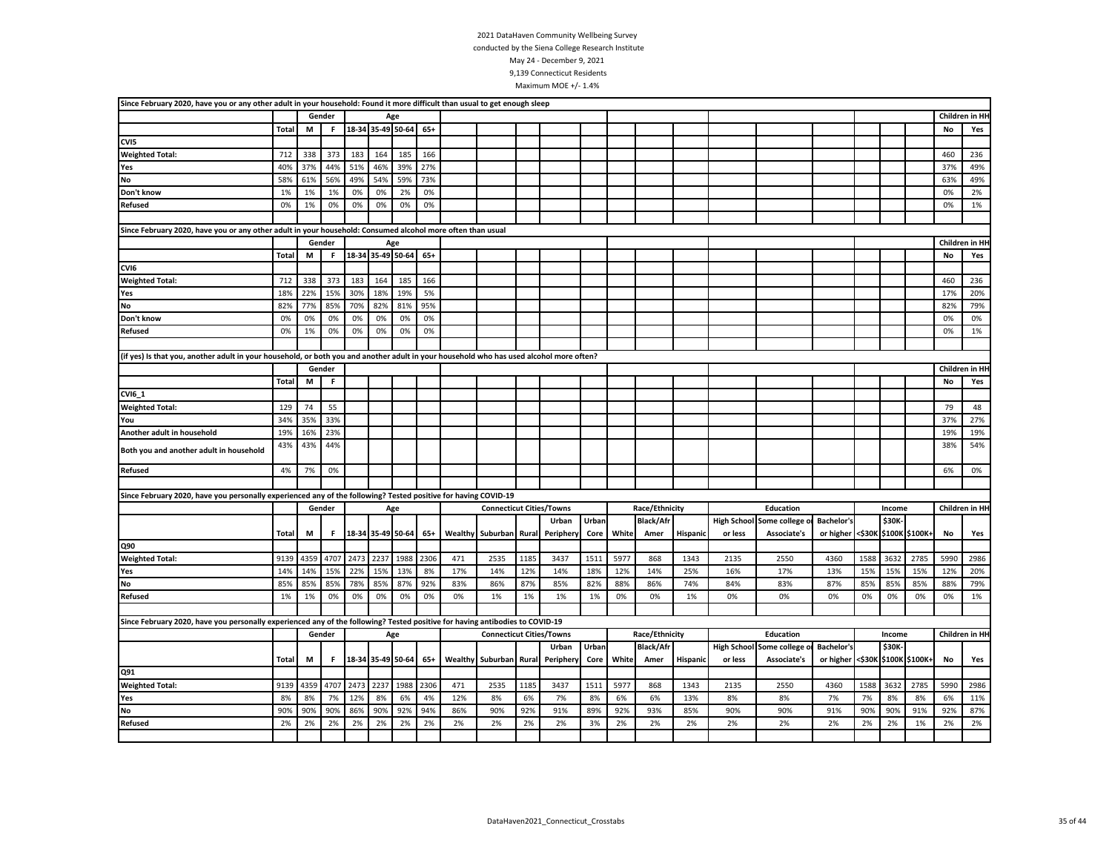| Since February 2020, have you or any other adult in your household: Found it more difficult than usual to get enough sleep              |              |      |        |      |                       |      |       |     |                                 |       |                        |       |       |                  |          |         |                             |                                 |      |        |      |      |                 |
|-----------------------------------------------------------------------------------------------------------------------------------------|--------------|------|--------|------|-----------------------|------|-------|-----|---------------------------------|-------|------------------------|-------|-------|------------------|----------|---------|-----------------------------|---------------------------------|------|--------|------|------|-----------------|
|                                                                                                                                         |              |      | Gender |      |                       | Age  |       |     |                                 |       |                        |       |       |                  |          |         |                             |                                 |      |        |      |      | Children in HH  |
|                                                                                                                                         | <b>Total</b> | М    | F.     |      | 18-34 35-49 50-64     |      | $65+$ |     |                                 |       |                        |       |       |                  |          |         |                             |                                 |      |        |      | No   | Yes             |
| CVI5                                                                                                                                    |              |      |        |      |                       |      |       |     |                                 |       |                        |       |       |                  |          |         |                             |                                 |      |        |      |      |                 |
| <b>Weighted Total:</b>                                                                                                                  | 712          | 338  | 373    | 183  | 164                   | 185  | 166   |     |                                 |       |                        |       |       |                  |          |         |                             |                                 |      |        |      | 460  | 236             |
| Yes                                                                                                                                     | 40%          | 37%  | 44%    | 51%  | 46%                   | 39%  | 27%   |     |                                 |       |                        |       |       |                  |          |         |                             |                                 |      |        |      | 37%  | 49%             |
| <b>No</b>                                                                                                                               | 58%          | 61%  | 56%    | 49%  | 54%                   | 59%  | 73%   |     |                                 |       |                        |       |       |                  |          |         |                             |                                 |      |        |      | 63%  | 49%             |
| Don't know                                                                                                                              | 1%           | 1%   | 1%     | 0%   | 0%                    | 2%   | 0%    |     |                                 |       |                        |       |       |                  |          |         |                             |                                 |      |        |      | 0%   | 2%              |
| <b>Refused</b>                                                                                                                          | 0%           | 1%   | 0%     | 0%   | 0%                    | 0%   | 0%    |     |                                 |       |                        |       |       |                  |          |         |                             |                                 |      |        |      | 0%   | 1%              |
|                                                                                                                                         |              |      |        |      |                       |      |       |     |                                 |       |                        |       |       |                  |          |         |                             |                                 |      |        |      |      |                 |
| Since February 2020, have you or any other adult in your household: Consumed alcohol more often than usual                              |              |      |        |      |                       |      |       |     |                                 |       |                        |       |       |                  |          |         |                             |                                 |      |        |      |      |                 |
|                                                                                                                                         |              |      | Gender |      |                       | Age  |       |     |                                 |       |                        |       |       |                  |          |         |                             |                                 |      |        |      |      | Children in HI  |
|                                                                                                                                         | <b>Total</b> | M    | F.     |      | 18-34 35-49 50-64 65+ |      |       |     |                                 |       |                        |       |       |                  |          |         |                             |                                 |      |        |      | No   | Yes             |
| CVI <sub>6</sub>                                                                                                                        |              |      |        |      |                       |      |       |     |                                 |       |                        |       |       |                  |          |         |                             |                                 |      |        |      |      |                 |
| <b>Weighted Total:</b>                                                                                                                  | 712          | 338  | 373    | 183  | 164                   | 185  | 166   |     |                                 |       |                        |       |       |                  |          |         |                             |                                 |      |        |      | 460  | 236             |
| Yes                                                                                                                                     | 18%          | 22%  | 15%    | 30%  | 18%                   | 19%  | 5%    |     |                                 |       |                        |       |       |                  |          |         |                             |                                 |      |        |      | 17%  | 20%             |
| <b>No</b>                                                                                                                               | 82%          | 77%  | 85%    | 70%  | 82%                   | 81%  | 95%   |     |                                 |       |                        |       |       |                  |          |         |                             |                                 |      |        |      | 82%  | 79%             |
| Don't know                                                                                                                              | 0%           | 0%   | 0%     | 0%   | 0%                    | 0%   | 0%    |     |                                 |       |                        |       |       |                  |          |         |                             |                                 |      |        |      | 0%   | 0%              |
| <b>Refused</b>                                                                                                                          | 0%           | 1%   | 0%     | 0%   | 0%                    | 0%   | 0%    |     |                                 |       |                        |       |       |                  |          |         |                             |                                 |      |        |      | 0%   | 1%              |
|                                                                                                                                         |              |      |        |      |                       |      |       |     |                                 |       |                        |       |       |                  |          |         |                             |                                 |      |        |      |      |                 |
| (if yes) Is that you, another adult in your household, or both you and another adult in your household who has used alcohol more often? |              |      |        |      |                       |      |       |     |                                 |       |                        |       |       |                  |          |         |                             |                                 |      |        |      |      |                 |
|                                                                                                                                         |              |      | Gender |      |                       |      |       |     |                                 |       |                        |       |       |                  |          |         |                             |                                 |      |        |      |      | Children in HI- |
|                                                                                                                                         | <b>Total</b> | М    | F      |      |                       |      |       |     |                                 |       |                        |       |       |                  |          |         |                             |                                 |      |        |      | No   | Yes             |
| CVI6_1                                                                                                                                  |              |      |        |      |                       |      |       |     |                                 |       |                        |       |       |                  |          |         |                             |                                 |      |        |      |      |                 |
| <b>Weighted Total:</b>                                                                                                                  | 129          | 74   | 55     |      |                       |      |       |     |                                 |       |                        |       |       |                  |          |         |                             |                                 |      |        |      | 79   | 48              |
| You                                                                                                                                     | 34%          | 35%  | 33%    |      |                       |      |       |     |                                 |       |                        |       |       |                  |          |         |                             |                                 |      |        |      | 37%  | 27%             |
| Another adult in household                                                                                                              | 19%          | 16%  | 23%    |      |                       |      |       |     |                                 |       |                        |       |       |                  |          |         |                             |                                 |      |        |      | 19%  | 19%             |
|                                                                                                                                         |              |      | 44%    |      |                       |      |       |     |                                 |       |                        |       |       |                  |          |         |                             |                                 |      |        |      |      |                 |
| Both you and another adult in household                                                                                                 | 43%          | 43%  |        |      |                       |      |       |     |                                 |       |                        |       |       |                  |          |         |                             |                                 |      |        |      | 38%  | 54%             |
| <b>Refused</b>                                                                                                                          | 4%           | 7%   | 0%     |      |                       |      |       |     |                                 |       |                        |       |       |                  |          |         |                             |                                 |      |        |      | 6%   | 0%              |
|                                                                                                                                         |              |      |        |      |                       |      |       |     |                                 |       |                        |       |       |                  |          |         |                             |                                 |      |        |      |      |                 |
| Since February 2020, have you personally experienced any of the following? Tested positive for having COVID-19                          |              |      |        |      |                       |      |       |     |                                 |       |                        |       |       |                  |          |         |                             |                                 |      |        |      |      |                 |
|                                                                                                                                         |              |      | Gender |      |                       | Age  |       |     | <b>Connecticut Cities/Towns</b> |       |                        |       |       | Race/Ethnicity   |          |         | Education                   |                                 |      | Income |      |      | Children in HH  |
|                                                                                                                                         |              |      |        |      |                       |      |       |     |                                 |       | Urban                  | Urban |       | <b>Black/Afr</b> |          |         | High School Some college of | <b>Bachelor's</b>               |      | \$30K- |      |      |                 |
|                                                                                                                                         | Total        | M    | F      |      | 18-34 35-49 50-64     |      | 65+   |     | <b>Wealthy Suburban</b>         |       | <b>Rural Periphery</b> | Core  | White | Amer             | Hispanic | or less | Associate's                 | or higher <\$30K \$100K \$100K+ |      |        |      | No   | Yes             |
| Q90                                                                                                                                     |              |      |        |      |                       |      |       |     |                                 |       |                        |       |       |                  |          |         |                             |                                 |      |        |      |      |                 |
| <b>Weighted Total:</b>                                                                                                                  | 9139         | 4359 | 4707   | 2473 | 2237                  | 1988 | 2306  | 471 | 2535                            | 1185  | 3437                   | 1511  | 5977  | 868              | 1343     | 2135    | 2550                        | 4360                            | 1588 | 3632   | 2785 | 5990 | 2986            |
| Yes                                                                                                                                     | 14%          | 14%  | 15%    | 22%  | 15%                   | 13%  | 8%    | 17% | 14%                             | 12%   | 14%                    | 18%   | 12%   | 14%              | 25%      | 16%     | 17%                         | 13%                             | 15%  | 15%    | 15%  | 12%  | 20%             |
| <b>No</b>                                                                                                                               | 85%          | 85%  | 85%    | 78%  | 85%                   | 87%  | 92%   | 83% | 86%                             | 87%   | 85%                    | 82%   | 88%   | 86%              | 74%      | 84%     | 83%                         | 87%                             | 85%  | 85%    | 85%  | 88%  | 79%             |
| Refused                                                                                                                                 | 1%           | 1%   | 0%     | 0%   | 0%                    | 0%   | 0%    | 0%  | 1%                              | 1%    | 1%                     | 1%    | 0%    | 0%               | 1%       | 0%      | 0%                          | 0%                              | 0%   | 0%     | 0%   | 0%   | 1%              |
|                                                                                                                                         |              |      |        |      |                       |      |       |     |                                 |       |                        |       |       |                  |          |         |                             |                                 |      |        |      |      |                 |
| Since February 2020, have you personally experienced any of the following? Tested positive for having antibodies to COVID-19            |              |      |        |      |                       |      |       |     |                                 |       |                        |       |       |                  |          |         |                             |                                 |      |        |      |      |                 |
|                                                                                                                                         |              |      | Gender |      |                       | Age  |       |     | <b>Connecticut Cities/Towns</b> |       |                        |       |       | Race/Ethnicity   |          |         | Education                   |                                 |      | Income |      |      | Children in HH  |
|                                                                                                                                         |              |      |        |      |                       |      |       |     |                                 |       | Urban                  | Urban |       | <b>Black/Afr</b> |          |         | High School Some college o  | <b>Bachelor's</b>               |      | \$30K- |      |      |                 |
|                                                                                                                                         | Total        | М    | F.     |      | 18-34 35-49 50-64     |      | 65+   |     | <b>Wealthy Suburban</b>         | Rural | Periphery              | Core  | White | Amer             | Hispanic | or less | Associate's                 | or higher <\$30K \$100K \$100K+ |      |        |      | No   | Yes             |
| Q91                                                                                                                                     |              |      |        |      |                       |      |       |     |                                 |       |                        |       |       |                  |          |         |                             |                                 |      |        |      |      |                 |
| <b>Weighted Total:</b>                                                                                                                  | 9139         | 4359 | 4707   |      | 2473 2237             | 1988 | 2306  | 471 | 2535                            | 1185  | 3437                   | 1511  | 5977  | 868              | 1343     | 2135    | 2550                        | 4360                            | 1588 | 3632   | 2785 | 5990 | 2986            |
| Yes                                                                                                                                     | 8%           | 8%   | 7%     | 12%  | 8%                    | 6%   | 4%    | 12% | 8%                              | 6%    | 7%                     | 8%    | 6%    | 6%               | 13%      | 8%      | 8%                          | 7%                              | 7%   | 8%     | 8%   | 6%   | 11%             |
| No                                                                                                                                      | 90%          | 90%  | 90%    | 86%  | 90%                   | 92%  | 94%   | 86% | 90%                             | 92%   | 91%                    | 89%   | 92%   | 93%              | 85%      | 90%     | 90%                         | 91%                             | 90%  | 90%    | 91%  | 92%  | 87%             |
| Refused                                                                                                                                 | 2%           | 2%   | 2%     | 2%   | 2%                    | 2%   | 2%    | 2%  | 2%                              | 2%    | 2%                     | 3%    | 2%    | 2%               | 2%       | 2%      | 2%                          | 2%                              | 2%   | 2%     | 1%   | 2%   | 2%              |
|                                                                                                                                         |              |      |        |      |                       |      |       |     |                                 |       |                        |       |       |                  |          |         |                             |                                 |      |        |      |      |                 |
|                                                                                                                                         |              |      |        |      |                       |      |       |     |                                 |       |                        |       |       |                  |          |         |                             |                                 |      |        |      |      |                 |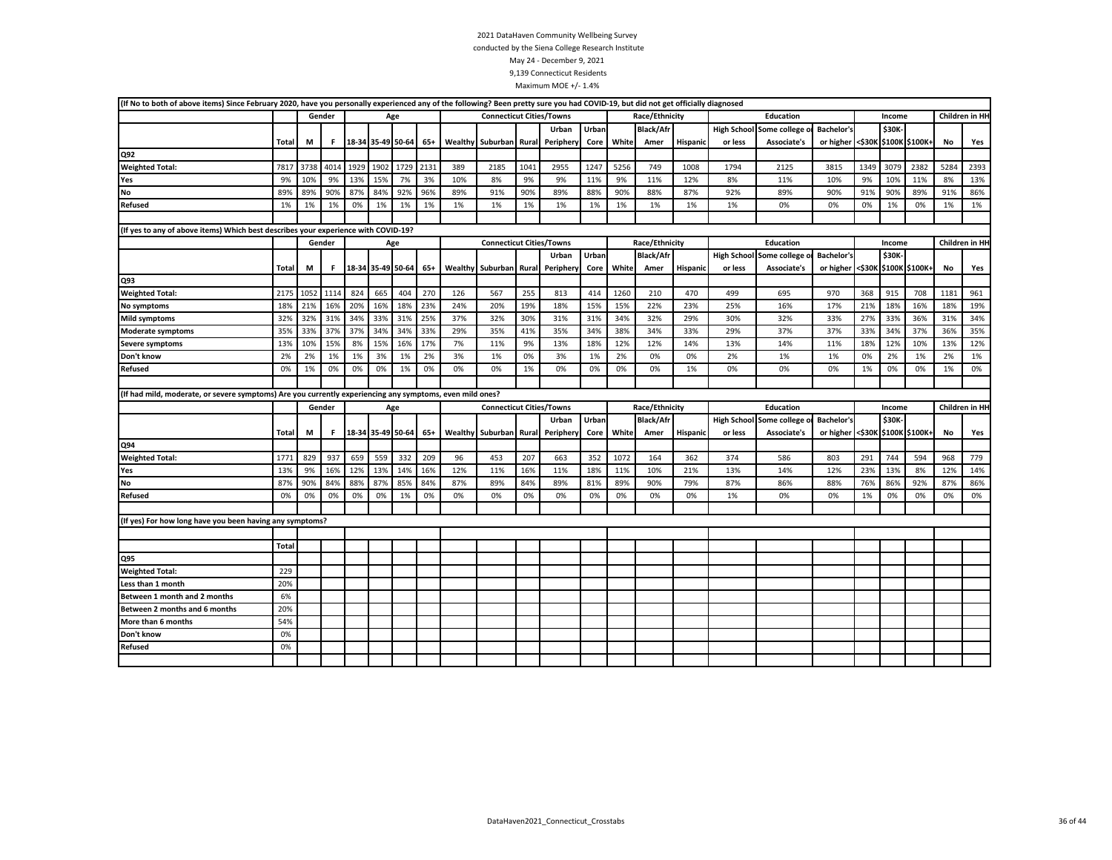| (If No to both of above items) Since February 2020, have you personally experienced any of the following? Been pretty sure you had COVID-19, but did not get officially diagnosed |              |      |        |      |      |                       |       |     |                                 |       |                 |       |       |                  |                 |                    |                |                                 |      |        |                       |      |                |
|-----------------------------------------------------------------------------------------------------------------------------------------------------------------------------------|--------------|------|--------|------|------|-----------------------|-------|-----|---------------------------------|-------|-----------------|-------|-------|------------------|-----------------|--------------------|----------------|---------------------------------|------|--------|-----------------------|------|----------------|
|                                                                                                                                                                                   |              |      | Gender |      |      | Age                   |       |     | <b>Connecticut Cities/Towns</b> |       |                 |       |       | Race/Ethnicity   |                 |                    | Education      |                                 |      | Income |                       |      | Children in HH |
|                                                                                                                                                                                   |              |      |        |      |      |                       |       |     |                                 |       | Urban           | Urban |       | <b>Black/Afr</b> |                 | <b>High School</b> | Some college o | <b>Bachelor's</b>               |      | \$30K  |                       |      |                |
|                                                                                                                                                                                   | Total        | M    | F      |      |      | 18-34 35-49 50-64 65+ |       |     | Wealthy Suburban                |       | Rural Periphery | Core  | White | Amer             | <b>Hispanic</b> | or less            | Associate's    | or higher                       |      |        | <\$30K \$100K \$100K+ | No   | Yes            |
| Q92                                                                                                                                                                               |              |      |        |      |      |                       |       |     |                                 |       |                 |       |       |                  |                 |                    |                |                                 |      |        |                       |      |                |
| <b>Weighted Total:</b>                                                                                                                                                            | 7817         | 3738 | 4014   | 1929 | 1902 | 1729                  | 2131  | 389 | 2185                            | 1041  | 2955            | 1247  | 5256  | 749              | 1008            | 1794               | 2125           | 3815                            | 1349 | 3079   | 2382                  | 5284 | 2393           |
| Yes                                                                                                                                                                               | 9%           | 10%  | 9%     | 13%  | 15%  | 7%                    | 3%    | 10% | 8%                              | 9%    | 9%              | 11%   | 9%    | 11%              | 12%             | 8%                 | 11%            | 10%                             | 9%   | 10%    | 11%                   | 8%   | 13%            |
| No                                                                                                                                                                                | 89%          | 89%  | 90%    | 87%  | 84%  | 92%                   | 96%   | 89% | 91%                             | 90%   | 89%             | 88%   | 90%   | 88%              | 87%             | 92%                | 89%            | 90%                             | 91%  | 90%    | 89%                   | 91%  | 86%            |
| Refused                                                                                                                                                                           | 1%           | 1%   | 1%     | 0%   | 1%   | 1%                    | 1%    | 1%  | 1%                              | 1%    | 1%              | 1%    | 1%    | 1%               | 1%              | 1%                 | 0%             | 0%                              | 0%   | 1%     | 0%                    | 1%   | 1%             |
|                                                                                                                                                                                   |              |      |        |      |      |                       |       |     |                                 |       |                 |       |       |                  |                 |                    |                |                                 |      |        |                       |      |                |
| (If yes to any of above items) Which best describes your experience with COVID-19?                                                                                                |              |      |        |      |      |                       |       |     |                                 |       |                 |       |       |                  |                 |                    |                |                                 |      |        |                       |      |                |
|                                                                                                                                                                                   |              |      | Gender |      |      | Age                   |       |     | <b>Connecticut Cities/Towns</b> |       |                 |       |       | Race/Ethnicity   |                 |                    | Education      |                                 |      | Income |                       |      | Children in HH |
|                                                                                                                                                                                   |              |      |        |      |      |                       |       |     |                                 |       | Urban           | Urban |       | <b>Black/Afr</b> |                 | <b>High School</b> | Some college   | <b>Bachelor's</b>               |      | \$30K  |                       |      |                |
|                                                                                                                                                                                   | Total        | M    | F      |      |      | 18-34 35-49 50-64 65+ |       |     | Wealthy Suburban                | Rural | Periphery       | Core  | White | Amer             | Hispanic        | or less            | Associate's    | or higher <\$30K \$100K \$100K+ |      |        |                       | No   | Yes            |
| Q93                                                                                                                                                                               |              |      |        |      |      |                       |       |     |                                 |       |                 |       |       |                  |                 |                    |                |                                 |      |        |                       |      |                |
| <b>Weighted Total:</b>                                                                                                                                                            | 2175         | 1052 | 1114   | 824  | 665  | 404                   | 270   | 126 | 567                             | 255   | 813             | 414   | 1260  | 210              | 470             | 499                | 695            | 970                             | 368  | 915    | 708                   | 1181 | 961            |
| No symptoms                                                                                                                                                                       | 18%          | 21%  | 16%    | 20%  | 16%  | 18%                   | 23%   | 24% | 20%                             | 19%   | 18%             | 15%   | 15%   | 22%              | 23%             | 25%                | 16%            | 17%                             | 21%  | 18%    | 16%                   | 18%  | 19%            |
| Mild symptoms                                                                                                                                                                     | 32%          | 32%  | 31%    | 34%  | 33%  | 31%                   | 25%   | 37% | 32%                             | 30%   | 31%             | 31%   | 34%   | 32%              | 29%             | 30%                | 32%            | 33%                             | 27%  | 33%    | 36%                   | 31%  | 34%            |
| <b>Moderate symptoms</b>                                                                                                                                                          | 35%          | 33%  | 37%    | 37%  | 34%  | 34%                   | 33%   | 29% | 35%                             | 41%   | 35%             | 34%   | 38%   | 34%              | 33%             | 29%                | 37%            | 37%                             | 33%  | 34%    | 37%                   | 36%  | 35%            |
| Severe symptoms                                                                                                                                                                   | 13%          | 10%  | 15%    | 8%   | 15%  | 16%                   | 17%   | 7%  | 11%                             | 9%    | 13%             | 18%   | 12%   | 12%              | 14%             | 13%                | 14%            | 11%                             | 18%  | 12%    | 10%                   | 13%  | 12%            |
| Don't know                                                                                                                                                                        | 2%           | 2%   | 1%     | 1%   | 3%   | 1%                    | 2%    | 3%  | 1%                              | 0%    | 3%              | 1%    | 2%    | 0%               | 0%              | 2%                 | 1%             | 1%                              | 0%   | 2%     | 1%                    | 2%   | 1%             |
| <b>Refused</b>                                                                                                                                                                    | 0%           | 1%   | 0%     | 0%   | 0%   | 1%                    | 0%    | 0%  | 0%                              | 1%    | 0%              | 0%    | 0%    | 0%               | 1%              | 0%                 | 0%             | 0%                              | 1%   | 0%     | 0%                    | 1%   | 0%             |
|                                                                                                                                                                                   |              |      |        |      |      |                       |       |     |                                 |       |                 |       |       |                  |                 |                    |                |                                 |      |        |                       |      |                |
| (If had mild, moderate, or severe symptoms) Are you currently experiencing any symptoms, even mild ones?                                                                          |              |      |        |      |      |                       |       |     |                                 |       |                 |       |       |                  |                 |                    |                |                                 |      |        |                       |      |                |
|                                                                                                                                                                                   |              |      | Gender |      |      | Age                   |       |     | <b>Connecticut Cities/Towns</b> |       |                 |       |       | Race/Ethnicity   |                 |                    | Education      |                                 |      | Income |                       |      | Children in HH |
|                                                                                                                                                                                   |              |      |        |      |      |                       |       |     |                                 |       |                 |       |       |                  |                 |                    |                |                                 |      |        |                       |      |                |
|                                                                                                                                                                                   |              |      |        |      |      |                       |       |     |                                 |       | Urban           | Urban |       | <b>Black/Afr</b> |                 | <b>High School</b> | Some college   | <b>Bachelor's</b>               |      | \$30K  |                       |      |                |
|                                                                                                                                                                                   | Total        | M    | F.     |      |      | 18-34 35-49 50-64     | $65+$ |     | Wealthy Suburban                | Rural | Periphery       | Core  | White | Amer             | Hispanic        | or less            | Associate's    | or higher <\$30K                |      |        | \$100K \$100K+        | No   | Yes            |
| Q94                                                                                                                                                                               |              |      |        |      |      |                       |       |     |                                 |       |                 |       |       |                  |                 |                    |                |                                 |      |        |                       |      |                |
| <b>Weighted Total:</b>                                                                                                                                                            | 1771         | 829  | 937    | 659  | 559  | 332                   | 209   | 96  | 453                             | 207   | 663             | 352   | 1072  | 164              | 362             | 374                | 586            | 803                             | 291  | 744    | 594                   | 968  | 779            |
| Yes                                                                                                                                                                               | 13%          | 9%   | 16%    | 12%  | 13%  | 14%                   | 16%   | 12% | 11%                             | 16%   | 11%             | 18%   | 11%   | 10%              | 21%             | 13%                | 14%            | 12%                             | 23%  | 13%    | 8%                    | 12%  | 14%            |
| No                                                                                                                                                                                | 87%          | 90%  | 84%    | 88%  | 87%  | 85%                   | 84%   | 87% | 89%                             | 84%   | 89%             | 81%   | 89%   | 90%              | 79%             | 87%                | 86%            | 88%                             | 76%  | 86%    | 92%                   | 87%  | 86%            |
| Refused                                                                                                                                                                           | 0%           | 0%   | 0%     | 0%   | 0%   | 1%                    | 0%    | 0%  | 0%                              | 0%    | 0%              | 0%    | 0%    | 0%               | 0%              | 1%                 | 0%             | 0%                              | 1%   | 0%     | 0%                    | 0%   | 0%             |
|                                                                                                                                                                                   |              |      |        |      |      |                       |       |     |                                 |       |                 |       |       |                  |                 |                    |                |                                 |      |        |                       |      |                |
| (If yes) For how long have you been having any symptoms?                                                                                                                          |              |      |        |      |      |                       |       |     |                                 |       |                 |       |       |                  |                 |                    |                |                                 |      |        |                       |      |                |
|                                                                                                                                                                                   |              |      |        |      |      |                       |       |     |                                 |       |                 |       |       |                  |                 |                    |                |                                 |      |        |                       |      |                |
|                                                                                                                                                                                   | <b>Total</b> |      |        |      |      |                       |       |     |                                 |       |                 |       |       |                  |                 |                    |                |                                 |      |        |                       |      |                |
| Q95                                                                                                                                                                               |              |      |        |      |      |                       |       |     |                                 |       |                 |       |       |                  |                 |                    |                |                                 |      |        |                       |      |                |
| <b>Weighted Total:</b>                                                                                                                                                            | 229          |      |        |      |      |                       |       |     |                                 |       |                 |       |       |                  |                 |                    |                |                                 |      |        |                       |      |                |
| Less than 1 month                                                                                                                                                                 | 20%          |      |        |      |      |                       |       |     |                                 |       |                 |       |       |                  |                 |                    |                |                                 |      |        |                       |      |                |
| Between 1 month and 2 months                                                                                                                                                      | 6%           |      |        |      |      |                       |       |     |                                 |       |                 |       |       |                  |                 |                    |                |                                 |      |        |                       |      |                |
| Between 2 months and 6 months                                                                                                                                                     | 20%          |      |        |      |      |                       |       |     |                                 |       |                 |       |       |                  |                 |                    |                |                                 |      |        |                       |      |                |
| More than 6 months                                                                                                                                                                | 54%          |      |        |      |      |                       |       |     |                                 |       |                 |       |       |                  |                 |                    |                |                                 |      |        |                       |      |                |
| Don't know                                                                                                                                                                        | 0%           |      |        |      |      |                       |       |     |                                 |       |                 |       |       |                  |                 |                    |                |                                 |      |        |                       |      |                |
| Refused                                                                                                                                                                           | 0%           |      |        |      |      |                       |       |     |                                 |       |                 |       |       |                  |                 |                    |                |                                 |      |        |                       |      |                |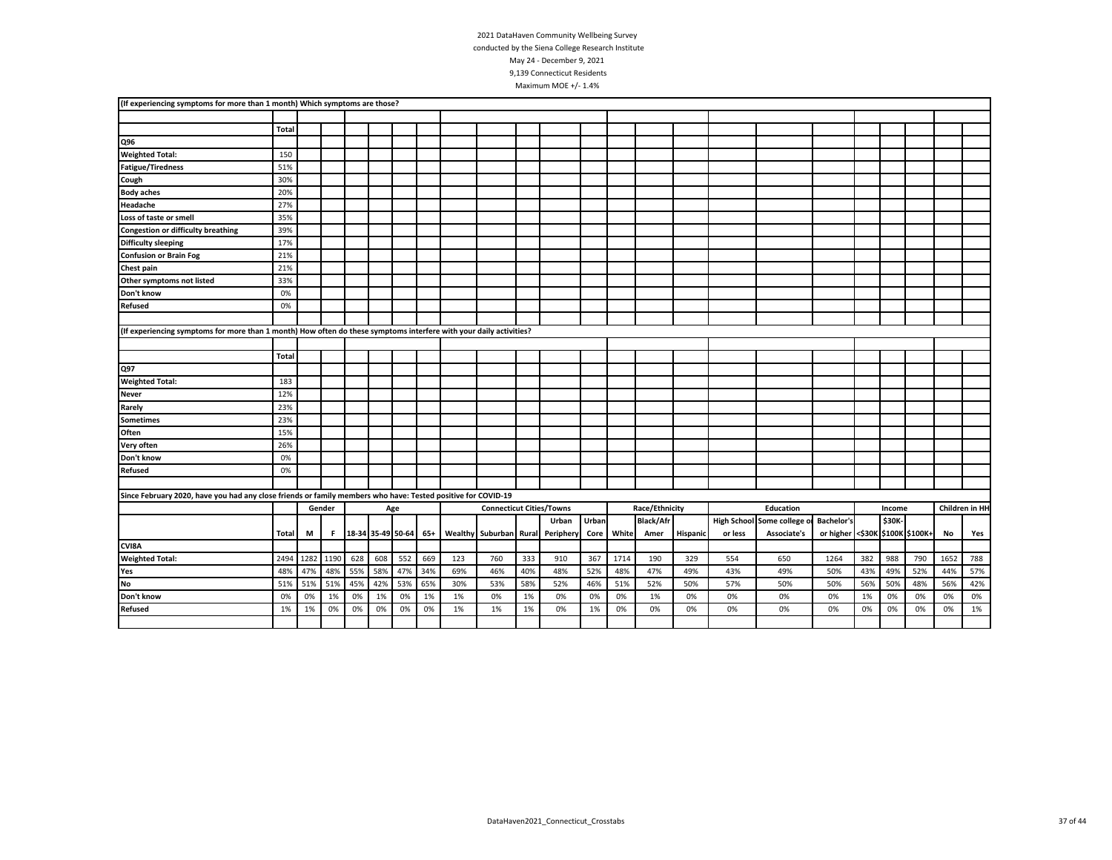|                                                                                                                    | (If experiencing symptoms for more than 1 month) Which symptoms are those? |      |        |                         |     |     |     |     |                                 |     |                                  |       |            |                  |          |         |                            |                                 |     |        |     |      |                |
|--------------------------------------------------------------------------------------------------------------------|----------------------------------------------------------------------------|------|--------|-------------------------|-----|-----|-----|-----|---------------------------------|-----|----------------------------------|-------|------------|------------------|----------|---------|----------------------------|---------------------------------|-----|--------|-----|------|----------------|
|                                                                                                                    |                                                                            |      |        |                         |     |     |     |     |                                 |     |                                  |       |            |                  |          |         |                            |                                 |     |        |     |      |                |
|                                                                                                                    | Total                                                                      |      |        |                         |     |     |     |     |                                 |     |                                  |       |            |                  |          |         |                            |                                 |     |        |     |      |                |
| Q96                                                                                                                |                                                                            |      |        |                         |     |     |     |     |                                 |     |                                  |       |            |                  |          |         |                            |                                 |     |        |     |      |                |
| <b>Weighted Total:</b>                                                                                             | 150                                                                        |      |        |                         |     |     |     |     |                                 |     |                                  |       |            |                  |          |         |                            |                                 |     |        |     |      |                |
| <b>Fatigue/Tiredness</b>                                                                                           | 51%                                                                        |      |        |                         |     |     |     |     |                                 |     |                                  |       |            |                  |          |         |                            |                                 |     |        |     |      |                |
| Cough                                                                                                              | 30%                                                                        |      |        |                         |     |     |     |     |                                 |     |                                  |       |            |                  |          |         |                            |                                 |     |        |     |      |                |
| <b>Body aches</b>                                                                                                  | 20%                                                                        |      |        |                         |     |     |     |     |                                 |     |                                  |       |            |                  |          |         |                            |                                 |     |        |     |      |                |
| Headache                                                                                                           | 27%                                                                        |      |        |                         |     |     |     |     |                                 |     |                                  |       |            |                  |          |         |                            |                                 |     |        |     |      |                |
| Loss of taste or smell                                                                                             | 35%                                                                        |      |        |                         |     |     |     |     |                                 |     |                                  |       |            |                  |          |         |                            |                                 |     |        |     |      |                |
| <b>Congestion or difficulty breathing</b>                                                                          | 39%                                                                        |      |        |                         |     |     |     |     |                                 |     |                                  |       |            |                  |          |         |                            |                                 |     |        |     |      |                |
| <b>Difficulty sleeping</b>                                                                                         | 17%                                                                        |      |        |                         |     |     |     |     |                                 |     |                                  |       |            |                  |          |         |                            |                                 |     |        |     |      |                |
| <b>Confusion or Brain Fog</b>                                                                                      | 21%                                                                        |      |        |                         |     |     |     |     |                                 |     |                                  |       |            |                  |          |         |                            |                                 |     |        |     |      |                |
| Chest pain                                                                                                         | 21%                                                                        |      |        |                         |     |     |     |     |                                 |     |                                  |       |            |                  |          |         |                            |                                 |     |        |     |      |                |
| Other symptoms not listed                                                                                          | 33%                                                                        |      |        |                         |     |     |     |     |                                 |     |                                  |       |            |                  |          |         |                            |                                 |     |        |     |      |                |
| Don't know                                                                                                         | 0%                                                                         |      |        |                         |     |     |     |     |                                 |     |                                  |       |            |                  |          |         |                            |                                 |     |        |     |      |                |
| Refused                                                                                                            | 0%                                                                         |      |        |                         |     |     |     |     |                                 |     |                                  |       |            |                  |          |         |                            |                                 |     |        |     |      |                |
|                                                                                                                    |                                                                            |      |        |                         |     |     |     |     |                                 |     |                                  |       |            |                  |          |         |                            |                                 |     |        |     |      |                |
| (If experiencing symptoms for more than 1 month) How often do these symptoms interfere with your daily activities? |                                                                            |      |        |                         |     |     |     |     |                                 |     |                                  |       |            |                  |          |         |                            |                                 |     |        |     |      |                |
|                                                                                                                    |                                                                            |      |        |                         |     |     |     |     |                                 |     |                                  |       |            |                  |          |         |                            |                                 |     |        |     |      |                |
|                                                                                                                    | Total                                                                      |      |        |                         |     |     |     |     |                                 |     |                                  |       |            |                  |          |         |                            |                                 |     |        |     |      |                |
| Q97                                                                                                                |                                                                            |      |        |                         |     |     |     |     |                                 |     |                                  |       |            |                  |          |         |                            |                                 |     |        |     |      |                |
| <b>Weighted Total:</b>                                                                                             | 183                                                                        |      |        |                         |     |     |     |     |                                 |     |                                  |       |            |                  |          |         |                            |                                 |     |        |     |      |                |
| <b>Never</b>                                                                                                       | 12%                                                                        |      |        |                         |     |     |     |     |                                 |     |                                  |       |            |                  |          |         |                            |                                 |     |        |     |      |                |
| Rarely                                                                                                             | 23%                                                                        |      |        |                         |     |     |     |     |                                 |     |                                  |       |            |                  |          |         |                            |                                 |     |        |     |      |                |
| <b>Sometimes</b>                                                                                                   | 23%                                                                        |      |        |                         |     |     |     |     |                                 |     |                                  |       |            |                  |          |         |                            |                                 |     |        |     |      |                |
| Often                                                                                                              | 15%                                                                        |      |        |                         |     |     |     |     |                                 |     |                                  |       |            |                  |          |         |                            |                                 |     |        |     |      |                |
| Very often                                                                                                         | 26%                                                                        |      |        |                         |     |     |     |     |                                 |     |                                  |       |            |                  |          |         |                            |                                 |     |        |     |      |                |
| Don't know                                                                                                         | 0%                                                                         |      |        |                         |     |     |     |     |                                 |     |                                  |       |            |                  |          |         |                            |                                 |     |        |     |      |                |
| <b>Refused</b>                                                                                                     | 0%                                                                         |      |        |                         |     |     |     |     |                                 |     |                                  |       |            |                  |          |         |                            |                                 |     |        |     |      |                |
|                                                                                                                    |                                                                            |      |        |                         |     |     |     |     |                                 |     |                                  |       |            |                  |          |         |                            |                                 |     |        |     |      |                |
| Since February 2020, have you had any close friends or family members who have: Tested positive for COVID-19       |                                                                            |      |        |                         |     |     |     |     |                                 |     |                                  |       |            |                  |          |         |                            |                                 |     |        |     |      |                |
|                                                                                                                    |                                                                            |      | Gender |                         |     | Age |     |     | <b>Connecticut Cities/Towns</b> |     |                                  |       |            | Race/Ethnicity   |          |         | Education                  |                                 |     | Income |     |      | Children in HH |
|                                                                                                                    |                                                                            |      |        |                         |     |     |     |     |                                 |     | Urban                            | Urban |            | <b>Black/Afr</b> |          |         | High School Some college o | <b>Bachelor's</b>               |     | \$30K- |     |      |                |
|                                                                                                                    | Total                                                                      | M    |        | F 38-34 35-49 50-64 65+ |     |     |     |     |                                 |     | Wealthy Suburban Rural Periphery |       | Core White | Amer             | Hispanic | or less | Associate's                | or higher <\$30K \$100K \$100K+ |     |        |     | No   | Yes            |
| CVI8A                                                                                                              |                                                                            |      |        |                         |     |     |     |     |                                 |     |                                  |       |            |                  |          |         |                            |                                 |     |        |     |      |                |
| <b>Weighted Total:</b>                                                                                             | 2494                                                                       | 1282 | 1190   | 628                     | 608 | 552 | 669 | 123 | 760                             | 333 | 910                              | 367   | 1714       | 190              | 329      | 554     | 650                        | 1264                            | 382 | 988    | 790 | 1652 | 788            |
| Yes                                                                                                                | 48%                                                                        | 47%  | 48%    | 55%                     | 58% | 47% | 34% | 69% | 46%                             | 40% | 48%                              | 52%   | 48%        | 47%              | 49%      | 43%     | 49%                        | 50%                             | 43% | 49%    | 52% | 44%  | 57%            |
| No                                                                                                                 | 51%                                                                        | 51%  | 51%    | 45%                     | 42% | 53% | 65% | 30% | 53%                             | 58% | 52%                              | 46%   | 51%        | 52%              | 50%      | 57%     | 50%                        | 50%                             | 56% | 50%    | 48% | 56%  | 42%            |
| Don't know                                                                                                         | 0%                                                                         | 0%   | 1%     | 0%                      | 1%  | 0%  | 1%  | 1%  | 0%                              | 1%  | 0%                               | 0%    | 0%         | 1%               | 0%       | 0%      | 0%                         | 0%                              | 1%  | 0%     | 0%  | 0%   | 0%             |
| <b>Refused</b>                                                                                                     | 1%                                                                         | 1%   | 0%     | 0%                      | 0%  | 0%  | 0%  | 1%  | 1%                              | 1%  | 0%                               | 1%    | 0%         | 0%               | 0%       | 0%      | 0%                         | 0%                              | 0%  | 0%     | 0%  | 0%   | 1%             |
|                                                                                                                    |                                                                            |      |        |                         |     |     |     |     |                                 |     |                                  |       |            |                  |          |         |                            |                                 |     |        |     |      |                |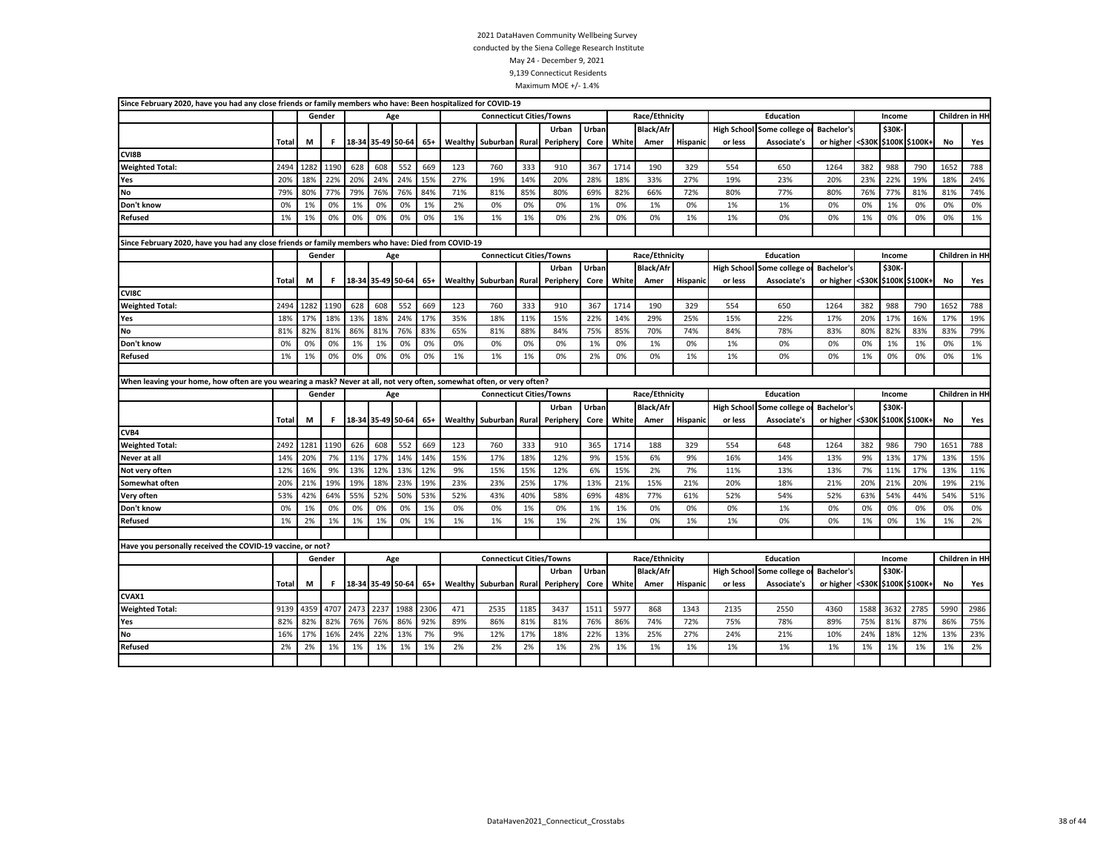|                                                                                                                        | Since February 2020, have you had any close friends or family members who have: Been hospitalized for COVID-19<br>Gender<br><b>Connecticut Cities/Towns</b> |                                       |        |      |                       |      |       |     |                                 |       |           |       |       |                  |          |                    |                |                                 |      |              |                       |                |                |
|------------------------------------------------------------------------------------------------------------------------|-------------------------------------------------------------------------------------------------------------------------------------------------------------|---------------------------------------|--------|------|-----------------------|------|-------|-----|---------------------------------|-------|-----------|-------|-------|------------------|----------|--------------------|----------------|---------------------------------|------|--------------|-----------------------|----------------|----------------|
|                                                                                                                        |                                                                                                                                                             |                                       |        |      | Age                   |      |       |     |                                 |       |           |       |       | Race/Ethnicity   |          |                    | Education      |                                 |      | Income       |                       |                | Children in HH |
|                                                                                                                        |                                                                                                                                                             |                                       |        |      |                       |      |       |     |                                 |       | Urban     | Urban |       | <b>Black/Afr</b> |          | <b>High School</b> | Some college o | <b>Bachelor's</b>               |      | \$30K        |                       |                |                |
|                                                                                                                        | Total<br>M<br>18-34 35-49 50-64 65+<br>F                                                                                                                    |                                       |        |      |                       |      |       |     | Wealthy Suburban                | Rural | Periphery | Core  | White | Amer             | Hispanic | or less            | Associate's    | or higher                       |      |              | <\$30K \$100K \$100K+ | No             | Yes            |
| CVI8B                                                                                                                  |                                                                                                                                                             |                                       |        |      |                       |      |       |     |                                 |       |           |       |       |                  |          |                    |                |                                 |      |              |                       |                |                |
| <b>Weighted Total:</b>                                                                                                 | 2494                                                                                                                                                        | 1282                                  | 1190   | 628  | 608                   | 552  | 669   | 123 | 760                             | 333   | 910       | 367   | 1714  | 190              | 329      | 554                | 650            | 1264                            | 382  | 988          | 790                   | 1652           | 788            |
| Yes                                                                                                                    | 20%                                                                                                                                                         | 18%                                   | 22%    | 20%  | 24%                   | 24%  | 15%   | 27% | 19%                             | 14%   | 20%       | 28%   | 18%   | 33%              | 27%      | 19%                | 23%            | 20%                             | 23%  | 22%          | 19%                   | 18%            | 24%            |
| No                                                                                                                     | 79%                                                                                                                                                         | 80%                                   | 77%    | 79%  | 76%                   | 76%  | 84%   | 71% | 81%                             | 85%   | 80%       | 69%   | 82%   | 66%              | 72%      | 80%                | 77%            | 80%                             | 76%  | 77%          | 81%                   | 81%            | 74%            |
| Don't know                                                                                                             | 0%                                                                                                                                                          | 1%                                    | 0%     | 1%   | 0%                    | 0%   | 1%    | 2%  | 0%                              | 0%    | 0%        | 1%    | 0%    | 1%               | 0%       | 1%                 | 1%             | 0%                              | 0%   | 1%           | 0%                    | 0%             | 0%             |
| <b>Refused</b>                                                                                                         | 1%                                                                                                                                                          | 1%                                    | 0%     | 0%   | 0%                    | 0%   | 0%    | 1%  | 1%                              | 1%    | 0%        | 2%    | 0%    | 0%               | 1%       | 1%                 | 0%             | 0%                              | 1%   | 0%           | 0%                    | 0%             | 1%             |
|                                                                                                                        |                                                                                                                                                             |                                       |        |      |                       |      |       |     |                                 |       |           |       |       |                  |          |                    |                |                                 |      |              |                       |                |                |
| Since February 2020, have you had any close friends or family members who have: Died from COVID-19                     |                                                                                                                                                             |                                       |        |      |                       |      |       |     |                                 |       |           |       |       |                  |          |                    |                |                                 |      |              |                       |                |                |
|                                                                                                                        |                                                                                                                                                             |                                       | Gender |      | Age                   |      |       |     | <b>Connecticut Cities/Towns</b> |       |           |       |       | Race/Ethnicity   |          |                    | Education      |                                 |      | Income       |                       | Children in HI |                |
|                                                                                                                        |                                                                                                                                                             |                                       |        |      |                       |      |       |     |                                 |       | Urban     | Urban |       | <b>Black/Afr</b> |          | <b>High School</b> | Some college   | <b>Bachelor's</b>               |      | <b>\$30K</b> |                       |                |                |
|                                                                                                                        | Total                                                                                                                                                       | M<br>F.<br>18-34 35-49 50-64<br>$65+$ |        |      |                       |      |       |     | <b>Wealthy Suburban</b>         | Rural | Periphery | Core  | White | Amer             | Hispanic | or less            | Associate's    | or higher <\$30K \$100K \$100K+ |      |              |                       | No             | Yes            |
| CVI8C                                                                                                                  |                                                                                                                                                             |                                       |        |      |                       |      |       |     |                                 |       |           |       |       |                  |          |                    |                |                                 |      |              |                       |                |                |
| <b>Weighted Total:</b>                                                                                                 | 2494                                                                                                                                                        | 1282                                  | 1190   | 628  | 608                   | 552  | 669   | 123 | 760                             | 333   | 910       | 367   | 1714  | 190              | 329      | 554                | 650            | 1264                            | 382  | 988          | 790                   | 1652           | 788            |
| Yes                                                                                                                    | 18%                                                                                                                                                         | 17%                                   | 18%    | 13%  | 18%                   | 24%  | 17%   | 35% | 18%                             | 11%   | 15%       | 22%   | 14%   | 29%              | 25%      | 15%                | 22%            | 17%                             | 20%  | 17%          | 16%                   | 17%            | 19%            |
| No                                                                                                                     | 81%                                                                                                                                                         | 82%                                   | 81%    | 86%  | 81%                   | 76%  | 83%   | 65% | 81%                             | 88%   | 84%       | 75%   | 85%   | 70%              | 74%      | 84%                | 78%            | 83%                             | 80%  | 82%          | 83%                   | 83%            | 79%            |
| Don't know                                                                                                             | 0%                                                                                                                                                          | 0%                                    | 0%     | 1%   | 1%                    | 0%   | 0%    | 0%  | 0%                              | 0%    | 0%        | 1%    | 0%    | 1%               | 0%       | 1%                 | 0%             | 0%                              | 0%   | 1%           | 1%                    | 0%             | 1%             |
| Refused                                                                                                                | 1%                                                                                                                                                          | 1%                                    | 0%     | 0%   | 0%                    | 0%   | 0%    | 1%  | 1%                              | 1%    | 0%        | 2%    | 0%    | 0%               | 1%       | 1%                 | 0%             | 0%                              | 1%   | 0%           | 0%                    | 0%             | 1%             |
|                                                                                                                        |                                                                                                                                                             |                                       |        |      |                       |      |       |     |                                 |       |           |       |       |                  |          |                    |                |                                 |      |              |                       |                |                |
| When leaving your home, how often are you wearing a mask? Never at all, not very often, somewhat often, or very often? |                                                                                                                                                             |                                       |        |      |                       |      |       |     |                                 |       |           |       |       |                  |          |                    |                |                                 |      |              |                       |                |                |
|                                                                                                                        |                                                                                                                                                             |                                       | Gender |      |                       |      |       |     | <b>Connecticut Cities/Towns</b> |       |           |       |       | Race/Ethnicity   |          |                    |                |                                 |      |              |                       |                |                |
|                                                                                                                        |                                                                                                                                                             |                                       |        |      | Age                   |      |       |     |                                 |       |           |       |       |                  |          |                    | Education      |                                 |      | Income       |                       | Children in HH |                |
|                                                                                                                        |                                                                                                                                                             |                                       |        |      |                       |      |       |     |                                 |       | Urban     | Urban |       | <b>Black/Afr</b> |          | <b>High School</b> | Some college   | <b>Bachelor's</b>               |      | \$30K        |                       |                |                |
|                                                                                                                        | Total                                                                                                                                                       | M                                     | F      |      | 18-34 35-49 50-64     |      | $65+$ |     | Wealthy Suburban                | Rural | Peripher  | Core  | White | Amer             | Hispanio | or less            | Associate's    | or higher <\$30K                |      |              | \$100K \$100K+        | No             | Yes            |
| CVB4                                                                                                                   |                                                                                                                                                             |                                       |        |      |                       |      |       |     |                                 |       |           |       |       |                  |          |                    |                |                                 |      |              |                       |                |                |
| <b>Weighted Total:</b>                                                                                                 | 2492                                                                                                                                                        | 1281                                  | 1190   | 626  | 608                   | 552  | 669   | 123 | 760                             | 333   | 910       | 365   | 1714  | 188              | 329      | 554                | 648            | 1264                            | 382  | 986          | 790                   | 1651           | 788            |
| Never at all                                                                                                           | 14%                                                                                                                                                         | 20%                                   | 7%     | 11%  | 17%                   | 14%  | 14%   | 15% | 17%                             | 18%   | 12%       | 9%    | 15%   | 6%               | 9%       | 16%                | 14%            | 13%                             | 9%   | 13%          | 17%                   | 13%            | 15%            |
| Not very often                                                                                                         | 12%                                                                                                                                                         | 16%                                   | 9%     | 13%  | 12%                   | 13%  | 12%   | 9%  | 15%                             | 15%   | 12%       | 6%    | 15%   | 2%               | 7%       | 11%                | 13%            | 13%                             | 7%   | 11%          | 17%                   | 13%            | 11%            |
| Somewhat often                                                                                                         | 20%                                                                                                                                                         | 21%                                   | 19%    | 19%  | 18%                   | 23%  | 19%   | 23% | 23%                             | 25%   | 17%       | 13%   | 21%   | 15%              | 21%      | 20%                | 18%            | 21%                             | 20%  | 21%          | 20%                   | 19%            | 21%            |
| Very often                                                                                                             | 53%                                                                                                                                                         | 42%                                   | 64%    | 55%  | 52%                   | 50%  | 53%   | 52% | 43%                             | 40%   | 58%       | 69%   | 48%   | 77%              | 61%      | 52%                | 54%            | 52%                             | 63%  | 54%          | 44%                   | 54%            | 51%            |
| Don't know                                                                                                             | 0%                                                                                                                                                          | 1%                                    | 0%     | 0%   | 0%                    | 0%   | 1%    | 0%  | 0%                              | 1%    | 0%        | 1%    | 1%    | 0%               | 0%       | 0%                 | 1%             | 0%                              | 0%   | 0%           | 0%                    | 0%             | 0%             |
| Refused                                                                                                                | 1%                                                                                                                                                          | 2%                                    | 1%     | 1%   | 1%                    | 0%   | 1%    | 1%  | 1%                              | 1%    | 1%        | 2%    | 1%    | 0%               | 1%       | 1%                 | 0%             | 0%                              | 1%   | 0%           | 1%                    | 1%             | 2%             |
|                                                                                                                        |                                                                                                                                                             |                                       |        |      |                       |      |       |     |                                 |       |           |       |       |                  |          |                    |                |                                 |      |              |                       |                |                |
| Have you personally received the COVID-19 vaccine, or not?                                                             |                                                                                                                                                             |                                       |        |      |                       |      |       |     |                                 |       |           |       |       |                  |          |                    |                |                                 |      |              |                       |                |                |
|                                                                                                                        |                                                                                                                                                             |                                       | Gender |      |                       | Age  |       |     | <b>Connecticut Cities/Towns</b> |       |           |       |       | Race/Ethnicity   |          |                    | Education      |                                 |      | Income       |                       |                | Children in HH |
|                                                                                                                        |                                                                                                                                                             |                                       |        |      |                       |      |       |     |                                 |       | Urban     | Urban |       | <b>Black/Afr</b> |          | <b>High School</b> | Some college o | <b>Bachelor's</b>               |      | \$30K        |                       |                |                |
|                                                                                                                        | Total                                                                                                                                                       | M                                     | F      |      | 18-34 35-49 50-64 65+ |      |       |     | Wealthy Suburban                | Rural | Periphery | Core  | White | Amer             | Hispanic | or less            | Associate's    | or higher <\$30K \$100K \$100K+ |      |              |                       | No             | Yes            |
| CVAX1                                                                                                                  |                                                                                                                                                             |                                       |        |      |                       |      |       |     |                                 |       |           |       |       |                  |          |                    |                |                                 |      |              |                       |                |                |
| <b>Weighted Total:</b>                                                                                                 | 9139                                                                                                                                                        | 4359                                  | 4707   | 2473 | 2237                  | 1988 | 2306  | 471 | 2535                            | 1185  | 3437      | 1511  | 5977  | 868              | 1343     | 2135               | 2550           | 4360                            | 1588 | 3632         | 2785                  | 5990           | 2986           |
| Yes                                                                                                                    | 82%                                                                                                                                                         | 82%                                   | 82%    | 76%  | 76%                   | 86%  | 92%   | 89% | 86%                             | 81%   | 81%       | 76%   | 86%   | 74%              | 72%      | 75%                | 78%            | 89%                             | 75%  | 81%          | 87%                   | 86%            | 75%            |
| No                                                                                                                     | 16%                                                                                                                                                         | 17%                                   | 16%    | 24%  | 22%                   | 13%  | 7%    | 9%  | 12%                             | 17%   | 18%       | 22%   | 13%   | 25%              | 27%      | 24%                | 21%            | 10%                             | 24%  | 18%          | 12%                   | 13%            | 23%            |
| <b>Refused</b>                                                                                                         | 2%                                                                                                                                                          | 2%                                    | 1%     | 1%   | 1%                    | 1%   | 1%    | 2%  | 2%                              | 2%    | 1%        | 2%    | 1%    | 1%               | 1%       | 1%                 | 1%             | 1%                              | 1%   | 1%           | 1%                    | 1%             | 2%             |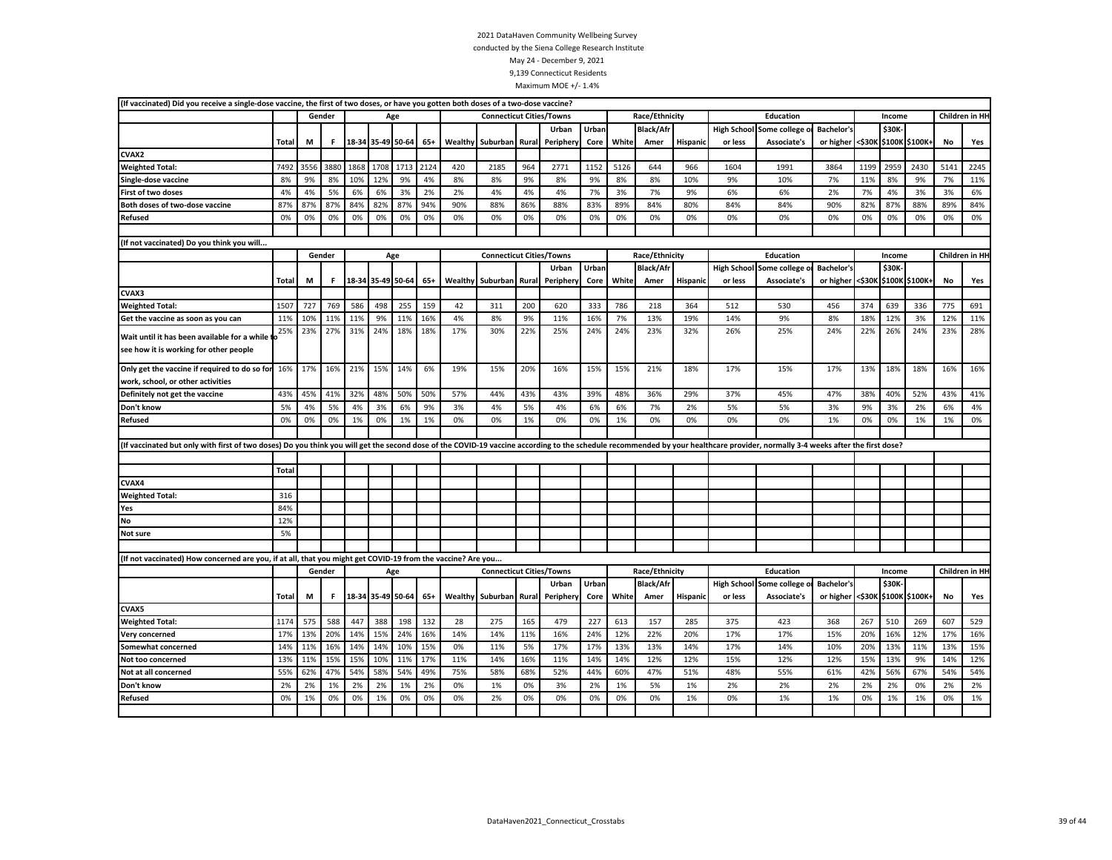|                                                                                                                                                                                                                                | (If vaccinated) Did you receive a single-dose vaccine, the first of two doses, or have you gotten both doses of a two-dose vaccine?<br>Gender<br><b>Connecticut Cities/Towns</b><br>Race/Ethnicity<br>Education<br>Age<br>Income |      |        |                                                                              |      |      |      |         |                                 |       |           |       |       |                  |                |         |                                 |                                 |                |        |                |      |                |
|--------------------------------------------------------------------------------------------------------------------------------------------------------------------------------------------------------------------------------|----------------------------------------------------------------------------------------------------------------------------------------------------------------------------------------------------------------------------------|------|--------|------------------------------------------------------------------------------|------|------|------|---------|---------------------------------|-------|-----------|-------|-------|------------------|----------------|---------|---------------------------------|---------------------------------|----------------|--------|----------------|------|----------------|
|                                                                                                                                                                                                                                |                                                                                                                                                                                                                                  |      |        |                                                                              |      |      |      |         |                                 |       |           |       |       |                  | Children in HH |         |                                 |                                 |                |        |                |      |                |
|                                                                                                                                                                                                                                |                                                                                                                                                                                                                                  |      |        |                                                                              |      |      |      |         |                                 |       | Urban     | Urban |       | <b>Black/Afr</b> |                |         | <b>High School Some college</b> | <b>Bachelor's</b>               |                | \$30K- |                |      |                |
|                                                                                                                                                                                                                                | <b>Total</b>                                                                                                                                                                                                                     | M    | F      | 18-34 35-49 50-64                                                            |      |      | 65+  | Wealthy | Suburban                        | Rural | Peripher  | Core  | White | Amer             | Hispanic       | or less | Associate's                     | or higher <\$30K                |                |        | \$100K \$100K+ | No   | Yes            |
| CVAX2                                                                                                                                                                                                                          |                                                                                                                                                                                                                                  |      |        |                                                                              |      |      |      |         |                                 |       |           |       |       |                  |                |         |                                 |                                 |                |        |                |      |                |
| <b>Weighted Total:</b>                                                                                                                                                                                                         | 7492                                                                                                                                                                                                                             | 3556 | 3880   | 1868                                                                         | 1708 | 1713 | 2124 | 420     | 2185                            | 964   | 2771      | 1152  | 5126  | 644              | 966            | 1604    | 1991                            | 3864                            | 1199           | 2959   | 2430           | 5141 | 2245           |
| Single-dose vaccine                                                                                                                                                                                                            | 8%                                                                                                                                                                                                                               | 9%   | 8%     | 10%                                                                          | 12%  | 9%   | 4%   | 8%      | 8%                              | 9%    | 8%        | 9%    | 8%    | 8%               | 10%            | 9%      | 10%                             | 7%                              | 11%            | 8%     | 9%             | 7%   | 11%            |
| <b>First of two doses</b>                                                                                                                                                                                                      | 4%                                                                                                                                                                                                                               | 4%   | 5%     | 6%                                                                           | 6%   | 3%   | 2%   | 2%      | 4%                              | 4%    | 4%        | 7%    | 3%    | 7%               | 9%             | 6%      | 6%                              | 2%                              | 7%             | 4%     | 3%             | 3%   | 6%             |
| Both doses of two-dose vaccine                                                                                                                                                                                                 | 87%                                                                                                                                                                                                                              | 87%  | 87%    | 84%                                                                          | 82%  | 87%  | 94%  | 90%     | 88%                             | 86%   | 88%       | 83%   | 89%   | 84%              | 80%            | 84%     | 84%                             | 90%                             | 82%            | 87%    | 88%            | 89%  | 84%            |
| Refused                                                                                                                                                                                                                        | 0%                                                                                                                                                                                                                               | 0%   | 0%     | 0%                                                                           | 0%   | 0%   | 0%   | 0%      | 0%                              | 0%    | 0%        | 0%    | 0%    | 0%               | 0%             | 0%      | 0%                              | 0%                              | 0%             | 0%     | 0%             | 0%   | 0%             |
|                                                                                                                                                                                                                                |                                                                                                                                                                                                                                  |      |        |                                                                              |      |      |      |         |                                 |       |           |       |       |                  |                |         |                                 |                                 |                |        |                |      |                |
| If not vaccinated) Do you think you will                                                                                                                                                                                       |                                                                                                                                                                                                                                  |      |        |                                                                              |      |      |      |         |                                 |       |           |       |       |                  |                |         |                                 |                                 |                |        |                |      |                |
|                                                                                                                                                                                                                                |                                                                                                                                                                                                                                  |      | Gender | Age<br><b>Connecticut Cities/Towns</b><br>Race/Ethnicity<br><b>Education</b> |      |      |      |         |                                 |       |           |       |       |                  |                | Income  |                                 |                                 | Children in HH |        |                |      |                |
|                                                                                                                                                                                                                                |                                                                                                                                                                                                                                  |      |        |                                                                              |      |      |      |         |                                 |       | Urban     | Urban |       | <b>Black/Afr</b> |                |         | <b>High School Some college</b> | <b>Bachelor's</b>               |                | \$30K  |                |      |                |
|                                                                                                                                                                                                                                | Total                                                                                                                                                                                                                            | M    | F.     | 18-34 35-49 50-64                                                            |      |      | 65+  |         | Wealthy Suburban                | Rural | Periphery | Core  | White | Amer             | Hispanio       | or less | Associate's                     | or higher <\$30K                |                |        | \$100K \$100K+ | No   | Yes            |
| CVAX3                                                                                                                                                                                                                          |                                                                                                                                                                                                                                  |      |        |                                                                              |      |      |      |         |                                 |       |           |       |       |                  |                |         |                                 |                                 |                |        |                |      |                |
| <b>Weighted Total:</b>                                                                                                                                                                                                         | 1507                                                                                                                                                                                                                             | 727  | 769    | 586                                                                          | 498  | 255  | 159  | 42      | 311                             | 200   | 620       | 333   | 786   | 218              | 364            | 512     | 530                             | 456                             | 374            | 639    | 336            | 775  | 691            |
| Get the vaccine as soon as you can                                                                                                                                                                                             | 11%                                                                                                                                                                                                                              | 10%  | 11%    | 11%                                                                          | 9%   | 11%  | 16%  | 4%      | 8%                              | 9%    | 11%       | 16%   | 7%    | 13%              | 19%            | 14%     | 9%                              | 8%                              | 18%            | 12%    | 3%             | 12%  | 11%            |
| Wait until it has been available for a while t                                                                                                                                                                                 | 25%                                                                                                                                                                                                                              | 23%  | 27%    | 31%                                                                          | 24%  | 18%  | 18%  | 17%     | 30%                             | 22%   | 25%       | 24%   | 24%   | 23%              | 32%            | 26%     | 25%                             | 24%                             | 22%            | 26%    | 24%            | 23%  | 28%            |
| see how it is working for other people                                                                                                                                                                                         |                                                                                                                                                                                                                                  |      |        |                                                                              |      |      |      |         |                                 |       |           |       |       |                  |                |         |                                 |                                 |                |        |                |      |                |
|                                                                                                                                                                                                                                |                                                                                                                                                                                                                                  |      |        |                                                                              |      |      |      |         |                                 |       |           |       |       |                  |                |         |                                 |                                 |                |        |                |      |                |
| Only get the vaccine if required to do so for                                                                                                                                                                                  | 16%                                                                                                                                                                                                                              | 17%  | 16%    | 21%                                                                          | 15%  | 14%  | 6%   | 19%     | 15%                             | 20%   | 16%       | 15%   | 15%   | 21%              | 18%            | 17%     | 15%                             | 17%                             | 13%            | 18%    | 18%            | 16%  | 16%            |
| work, school, or other activities                                                                                                                                                                                              |                                                                                                                                                                                                                                  |      |        |                                                                              |      |      |      |         |                                 |       |           |       |       |                  |                |         |                                 |                                 |                |        |                |      |                |
| Definitely not get the vaccine                                                                                                                                                                                                 | 43%                                                                                                                                                                                                                              | 45%  | 41%    | 32%                                                                          | 48%  | 50%  | 50%  | 57%     | 44%                             | 43%   | 43%       | 39%   | 48%   | 36%              | 29%            | 37%     | 45%                             | 47%                             | 38%            | 40%    | 52%            | 43%  | 41%            |
| Don't know                                                                                                                                                                                                                     | 5%                                                                                                                                                                                                                               | 4%   | 5%     | 4%                                                                           | 3%   | 6%   | 9%   | 3%      | 4%                              | 5%    | 4%        | 6%    | 6%    | 7%               | 2%             | 5%      | 5%                              | 3%                              | 9%             | 3%     | 2%             | 6%   | 4%             |
| Refused                                                                                                                                                                                                                        | 0%                                                                                                                                                                                                                               | 0%   | 0%     | 1%                                                                           | 0%   | 1%   | 1%   | 0%      | 0%                              | 1%    | 0%        | 0%    | 1%    | 0%               | 0%             | 0%      | 0%                              | 1%                              | 0%             | 0%     | 1%             | 1%   | 0%             |
|                                                                                                                                                                                                                                |                                                                                                                                                                                                                                  |      |        |                                                                              |      |      |      |         |                                 |       |           |       |       |                  |                |         |                                 |                                 |                |        |                |      |                |
| (If vaccinated but only with first of two doses) Do you think you will get the second dose of the COVID-19 vaccine according to the schedule recommended by your healthcare provider, normally 3-4 weeks after the first dose? |                                                                                                                                                                                                                                  |      |        |                                                                              |      |      |      |         |                                 |       |           |       |       |                  |                |         |                                 |                                 |                |        |                |      |                |
|                                                                                                                                                                                                                                |                                                                                                                                                                                                                                  |      |        |                                                                              |      |      |      |         |                                 |       |           |       |       |                  |                |         |                                 |                                 |                |        |                |      |                |
|                                                                                                                                                                                                                                | <b>Total</b>                                                                                                                                                                                                                     |      |        |                                                                              |      |      |      |         |                                 |       |           |       |       |                  |                |         |                                 |                                 |                |        |                |      |                |
| CVAX4                                                                                                                                                                                                                          |                                                                                                                                                                                                                                  |      |        |                                                                              |      |      |      |         |                                 |       |           |       |       |                  |                |         |                                 |                                 |                |        |                |      |                |
| <b>Weighted Total:</b>                                                                                                                                                                                                         | 316                                                                                                                                                                                                                              |      |        |                                                                              |      |      |      |         |                                 |       |           |       |       |                  |                |         |                                 |                                 |                |        |                |      |                |
| Yes                                                                                                                                                                                                                            | 84%                                                                                                                                                                                                                              |      |        |                                                                              |      |      |      |         |                                 |       |           |       |       |                  |                |         |                                 |                                 |                |        |                |      |                |
| No                                                                                                                                                                                                                             | 12%                                                                                                                                                                                                                              |      |        |                                                                              |      |      |      |         |                                 |       |           |       |       |                  |                |         |                                 |                                 |                |        |                |      |                |
| Not sure                                                                                                                                                                                                                       | 5%                                                                                                                                                                                                                               |      |        |                                                                              |      |      |      |         |                                 |       |           |       |       |                  |                |         |                                 |                                 |                |        |                |      |                |
|                                                                                                                                                                                                                                |                                                                                                                                                                                                                                  |      |        |                                                                              |      |      |      |         |                                 |       |           |       |       |                  |                |         |                                 |                                 |                |        |                |      |                |
| (If not vaccinated) How concerned are you, if at all, that you might get COVID-19 from the vaccine? Are you                                                                                                                    |                                                                                                                                                                                                                                  |      |        |                                                                              |      |      |      |         |                                 |       |           |       |       |                  |                |         |                                 |                                 |                |        |                |      |                |
|                                                                                                                                                                                                                                |                                                                                                                                                                                                                                  |      | Gender |                                                                              | Age  |      |      |         | <b>Connecticut Cities/Towns</b> |       |           |       |       | Race/Ethnicity   |                |         | Education                       |                                 |                | Income |                |      | Children in HH |
|                                                                                                                                                                                                                                |                                                                                                                                                                                                                                  |      |        |                                                                              |      |      |      |         |                                 |       | Urban     | Urban |       | <b>Black/Afr</b> |                |         | <b>High School Some college</b> | <b>Bachelor's</b>               |                | \$30K  |                |      |                |
|                                                                                                                                                                                                                                | Total                                                                                                                                                                                                                            | М    | F.     | 18-34 35-49 50-64                                                            |      |      | 65+  |         | Wealthy Suburban                | Rural | Periphery | Core  | White | Amer             | Hispanic       | or less | Associate's                     | or higher <\$30K \$100K \$100K+ |                |        |                | No   | Yes            |
| CVAX5                                                                                                                                                                                                                          |                                                                                                                                                                                                                                  |      |        |                                                                              |      |      |      |         |                                 |       |           |       |       |                  |                |         |                                 |                                 |                |        |                |      |                |
| <b>Weighted Total:</b>                                                                                                                                                                                                         | 1174                                                                                                                                                                                                                             | 575  | 588    | 447                                                                          | 388  | 198  | 132  | 28      | 275                             | 165   | 479       | 227   | 613   | 157              | 285            | 375     | 423                             | 368                             | 267            | 510    | 269            | 607  | 529            |
| Very concerned                                                                                                                                                                                                                 | 17%                                                                                                                                                                                                                              | 13%  | 20%    | 14%                                                                          | 15%  | 24%  | 16%  | 14%     | 14%                             | 11%   | 16%       | 24%   | 12%   | 22%              | 20%            | 17%     | 17%                             | 15%                             | 20%            | 16%    | 12%            | 17%  | 16%            |
| Somewhat concerned                                                                                                                                                                                                             | 14%                                                                                                                                                                                                                              | 11%  | 16%    | 14%                                                                          | 14%  | 10%  | 15%  | 0%      | 11%                             | 5%    | 17%       | 17%   | 13%   | 13%              | 14%            | 17%     | 14%                             | 10%                             | 20%            | 13%    | 11%            | 13%  | 15%            |
| Not too concerned                                                                                                                                                                                                              | 13%                                                                                                                                                                                                                              | 11%  | 15%    | 15%                                                                          | 10%  | 11%  | 17%  | 11%     | 14%                             | 16%   | 11%       | 14%   | 14%   | 12%              | 12%            | 15%     | 12%                             | 12%                             | 15%            | 13%    | 9%             | 14%  | 12%            |
| Not at all concerned                                                                                                                                                                                                           | 55%                                                                                                                                                                                                                              | 62%  | 47%    | 54%                                                                          | 58%  | 54%  | 49%  | 75%     | 58%                             | 68%   | 52%       | 44%   | 60%   | 47%              | 51%            | 48%     | 55%                             | 61%                             | 42%            | 56%    | 67%            | 54%  | 54%            |
| Don't know                                                                                                                                                                                                                     | 2%                                                                                                                                                                                                                               | 2%   | 1%     | 2%                                                                           | 2%   | 1%   | 2%   | 0%      | 1%                              | 0%    | 3%        | 2%    | 1%    | 5%               | 1%             | 2%      | 2%                              | 2%                              | 2%             | 2%     | 0%             | 2%   | 2%             |
| Refused                                                                                                                                                                                                                        | 0%                                                                                                                                                                                                                               | 1%   | 0%     | 0%                                                                           | 1%   | 0%   | 0%   | 0%      | 2%                              | 0%    | 0%        | 0%    | 0%    | 0%               | 1%             | 0%      | 1%                              | 1%                              | 0%             | 1%     | 1%             | 0%   | 1%             |
|                                                                                                                                                                                                                                |                                                                                                                                                                                                                                  |      |        |                                                                              |      |      |      |         |                                 |       |           |       |       |                  |                |         |                                 |                                 |                |        |                |      |                |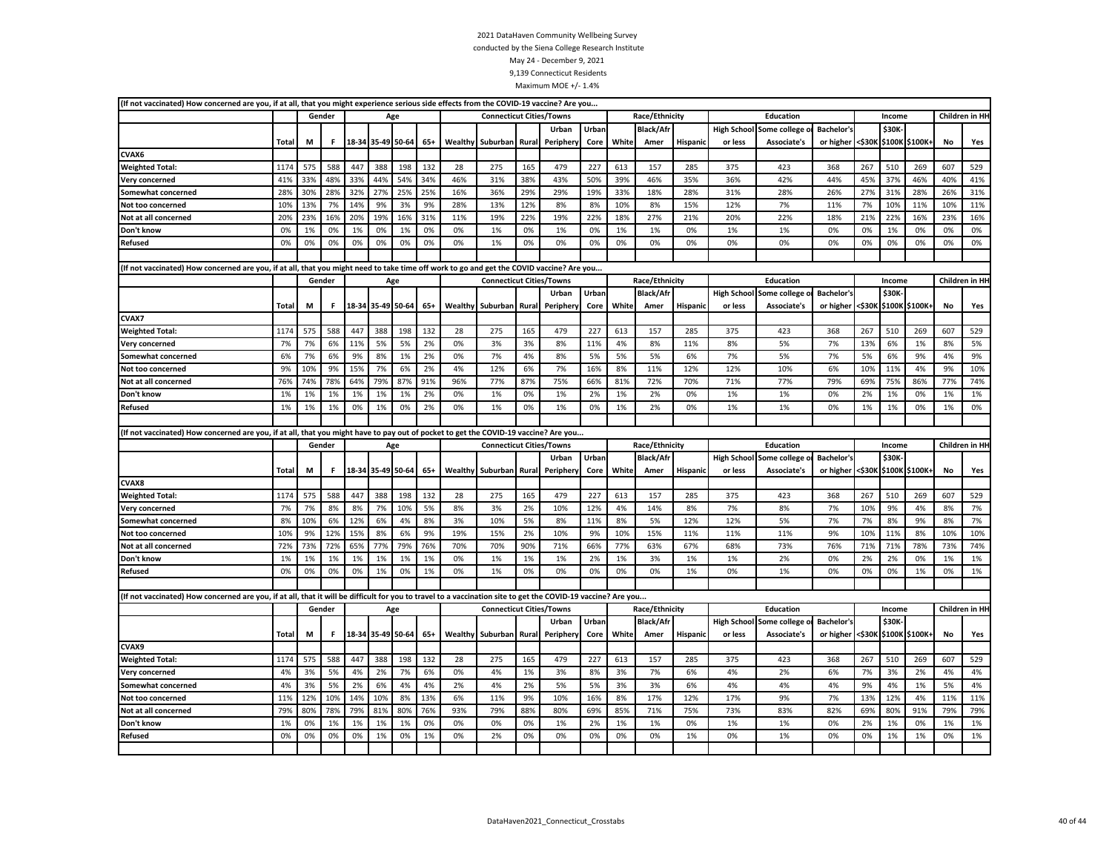| (If not vaccinated) How concerned are you, if at all, that you might experience serious side effects from the COVID-19 vaccine? Are you                      |              |     |        |     |                   |       |       |         |                                 |       |           |       |       |                  |                 |         |                                 |                   |        |              |                       |           |                |
|--------------------------------------------------------------------------------------------------------------------------------------------------------------|--------------|-----|--------|-----|-------------------|-------|-------|---------|---------------------------------|-------|-----------|-------|-------|------------------|-----------------|---------|---------------------------------|-------------------|--------|--------------|-----------------------|-----------|----------------|
|                                                                                                                                                              |              |     | Gender |     |                   | Age   |       |         | <b>Connecticut Cities/Towns</b> |       |           |       |       | Race/Ethnicity   |                 |         | Education                       |                   |        | Income       |                       |           | Children in HI |
|                                                                                                                                                              |              |     |        |     |                   |       |       |         |                                 |       | Urban     | Urban |       | <b>Black/Afr</b> |                 |         | High School Some college        | Bachelor's        |        | <b>\$30K</b> |                       |           |                |
|                                                                                                                                                              | Total        | М   | F      |     | 18-34 35-49       | 50-64 | $65+$ | Wealthy | Suburban Rural                  |       | Periphery | Core  | White | Amer             | <b>Hispanic</b> | or less | <b>Associate's</b>              | or higher         | <\$30к | \$100K       | \$100K+               | No        | Yes            |
| CVAX6                                                                                                                                                        |              |     |        |     |                   |       |       |         |                                 |       |           |       |       |                  |                 |         |                                 |                   |        |              |                       |           |                |
| <b>Weighted Total:</b>                                                                                                                                       | 1174         | 575 | 588    | 447 | 388               | 198   | 132   | 28      | 275                             | 165   | 479       | 227   | 613   | 157              | 285             | 375     | 423                             | 368               | 267    | 510          | 269                   | 607       | 529            |
| Very concerned                                                                                                                                               | 41%          | 33% | 48%    | 33% | 44%               | 54%   | 34%   | 46%     | 31%                             | 38%   | 43%       | 50%   | 39%   | 46%              | 35%             | 36%     | 42%                             | 44%               | 45%    | 37%          | 46%                   | 40%       | 41%            |
| Somewhat concerned                                                                                                                                           | 28%          | 30% | 28%    | 32% | 27%               | 25%   | 25%   | 16%     | 36%                             | 29%   | 29%       | 19%   | 33%   | 18%              | 28%             | 31%     | 28%                             | 26%               | 27%    | 31%          | 28%                   | 26%       | 31%            |
| Not too concerned                                                                                                                                            | 10%          | 13% | 7%     | 14% | 9%                | 3%    | 9%    | 28%     | 13%                             | 12%   | 8%        | 8%    | 10%   | 8%               | 15%             | 12%     | 7%                              | 11%               | 7%     | 10%          | 11%                   | 10%       | 11%            |
| Not at all concerned                                                                                                                                         | 20%          | 23% | 16%    | 20% | 19%               | 16%   | 31%   | 11%     | 19%                             | 22%   | 19%       | 22%   | 18%   | 27%              | 21%             | 20%     | 22%                             | 18%               | 21%    | 22%          | 16%                   | 23%       | 16%            |
| Don't know                                                                                                                                                   | 0%           | 1%  | 0%     | 1%  | 0%                | 1%    | 0%    | 0%      | 1%                              | 0%    | 1%        | 0%    | 1%    | 1%               | 0%              | 1%      | 1%                              | 0%                | 0%     | 1%           | 0%                    | 0%        | 0%             |
| Refused                                                                                                                                                      | 0%           | 0%  | 0%     | 0%  | 0%                | 0%    | 0%    | 0%      | 1%                              | 0%    | 0%        | 0%    | 0%    | 0%               | 0%              | 0%      | 0%                              | 0%                | 0%     | 0%           | 0%                    | 0%        | 0%             |
|                                                                                                                                                              |              |     |        |     |                   |       |       |         |                                 |       |           |       |       |                  |                 |         |                                 |                   |        |              |                       |           |                |
| (If not vaccinated) How concerned are you, if at all, that you might need to take time off work to go and get the COVID vaccine? Are you                     |              |     |        |     |                   |       |       |         |                                 |       |           |       |       |                  |                 |         |                                 |                   |        |              |                       |           |                |
|                                                                                                                                                              |              |     | Gender |     |                   | Age   |       |         | <b>Connecticut Cities/Towns</b> |       |           |       |       | Race/Ethnicity   |                 |         | Education                       |                   |        | Income       |                       |           | Children in HI |
|                                                                                                                                                              |              |     |        |     |                   |       |       |         |                                 |       | Urban     | Urban |       | <b>Black/Afr</b> |                 |         | High School Some college o      | <b>Bachelor's</b> |        | \$30K        |                       |           |                |
|                                                                                                                                                              | Total<br>M   |     |        |     | 18-34 35-49 50-64 |       | $65+$ |         | Wealthy Suburban                | Rural | Periphery | Core  | White | Amer             | <b>Hispanic</b> | or less | Associate's                     | or higher         |        |              | <\$30K \$100K \$100K+ | No        | Yes            |
| CVAX7                                                                                                                                                        |              |     |        |     |                   |       |       |         |                                 |       |           |       |       |                  |                 |         |                                 |                   |        |              |                       |           |                |
| <b>Weighted Total:</b>                                                                                                                                       | 1174         | 575 | 588    | 447 | 388               | 198   | 132   | 28      | 275                             | 165   | 479       | 227   | 613   | 157              | 285             | 375     | 423                             | 368               | 267    | 510          | 269                   | 607       | 529            |
| Very concerned                                                                                                                                               | 7%           | 7%  | 6%     | 11% | 5%                | 5%    | 2%    | 0%      | 3%                              | 3%    | 8%        | 11%   | 4%    | 8%               | 11%             | 8%      | 5%                              | 7%                | 13%    | 6%           | 1%                    | 8%        | 5%             |
| Somewhat concerned                                                                                                                                           | 6%           | 7%  | 6%     | 9%  | 8%                | 1%    | 2%    | 0%      | 7%                              | 4%    | 8%        | 5%    | 5%    | 5%               | 6%              | 7%      | 5%                              | 7%                | 5%     | 6%           | 9%                    | 4%        | 9%             |
| Not too concerned                                                                                                                                            | 9%           | 10% | 9%     | 15% | 7%                | 6%    | 2%    | 4%      | 12%                             | 6%    | 7%        | 16%   | 8%    | 11%              | 12%             | 12%     | 10%                             | 6%                | 10%    | 11%          | 4%                    | 9%        | 10%            |
| Not at all concerned                                                                                                                                         | 76%          | 74% | 78%    | 64% | 79%               | 87%   | 91%   | 96%     | 77%                             | 87%   | 75%       | 66%   | 81%   | 72%              | 70%             | 71%     | 77%                             | 79%               | 69%    | 75%          | 86%                   | 77%       | 74%            |
| Don't know                                                                                                                                                   | 1%           | 1%  | 1%     | 1%  | 1%                | 1%    | 2%    | 0%      | 1%                              | 0%    | 1%        | 2%    | 1%    | 2%               | 0%              | 1%      | 1%                              | 0%                | 2%     | 1%           | 0%                    | 1%        | 1%             |
| Refused                                                                                                                                                      | 1%           | 1%  | 1%     | 0%  | 1%                | 0%    | 2%    | 0%      | 1%                              | 0%    | 1%        | 0%    | 1%    | 2%               | 0%              | 1%      | 1%                              | 0%                | 1%     | 1%           | 0%                    | 1%        | 0%             |
|                                                                                                                                                              |              |     |        |     |                   |       |       |         |                                 |       |           |       |       |                  |                 |         |                                 |                   |        |              |                       |           |                |
|                                                                                                                                                              |              |     |        |     |                   |       |       |         |                                 |       |           |       |       |                  |                 |         |                                 |                   |        |              |                       |           |                |
| (If not vaccinated) How concerned are you, if at all, that you might have to pay out of pocket to get the COVID-19 vaccine? Are you                          |              |     |        |     |                   |       |       |         |                                 |       |           |       |       |                  |                 |         |                                 |                   |        |              |                       |           |                |
|                                                                                                                                                              |              |     | Gender |     |                   | Age   |       |         | <b>Connecticut Cities/Towns</b> |       |           |       |       | Race/Ethnicity   |                 |         | Education                       |                   |        | Income       |                       |           | Children in HI |
|                                                                                                                                                              |              |     |        |     |                   |       |       |         |                                 |       | Urban     | Urban |       | <b>Black/Afr</b> |                 |         | High School Some college o      | <b>Bachelor's</b> |        | \$30K        |                       |           |                |
|                                                                                                                                                              | <b>Total</b> | M   | F.     |     | 18-34 35-49 50-64 |       | $65+$ | Wealthy | Suburban                        | Rural | Peripher  | Core  | White | Amer             | Hispanio        | or less | Associate's                     | or higher         | <\$30K |              | \$100K \$100K+        | No        | Yes            |
| CVAX8                                                                                                                                                        |              |     |        |     |                   |       |       |         |                                 |       |           |       |       |                  |                 |         |                                 |                   |        |              |                       |           |                |
| <b>Weighted Total:</b>                                                                                                                                       | 1174         | 575 | 588    | 447 | 388               | 198   | 132   | 28      | 275                             | 165   | 479       | 227   | 613   | 157              | 285             | 375     | 423                             | 368               | 267    | 510          | 269                   | 607       | 529            |
| Very concerned                                                                                                                                               | 7%           | 7%  | 8%     | 8%  | 7%                | 10%   | 5%    | 8%      | 3%                              | 2%    | 10%       | 12%   | 4%    | 14%              | 8%              | 7%      | 8%                              | 7%                | 10%    | 9%           | 4%                    | 8%        | 7%             |
| Somewhat concerned                                                                                                                                           | 8%           | 10% | 6%     | 12% | 6%                | 4%    | 8%    | 3%      | 10%                             | 5%    | 8%        | 11%   | 8%    | 5%               | 12%             | 12%     | 5%                              | 7%                | 7%     | 8%           | 9%                    | 8%        | 7%             |
| Not too concerned                                                                                                                                            | 10%          | 9%  | 12%    | 15% | 8%                | 6%    | 9%    | 19%     | 15%                             | 2%    | 10%       | 9%    | 10%   | 15%              | 11%             | 11%     | 11%                             | 9%                | 10%    | 11%          | 8%                    | 10%       | 10%            |
| Not at all concerned                                                                                                                                         | 72%          | 73% | 72%    | 65% | 77%               | 79%   | 76%   | 70%     | 70%                             | 90%   | 71%       | 66%   | 77%   | 63%              | 67%             | 68%     | 73%                             | 76%               | 71%    | 71%          | 78%                   | 73%       | 74%            |
| Don't know                                                                                                                                                   | 1%           | 1%  | 1%     | 1%  | 1%                | 1%    | 1%    | 0%      | 1%                              | 1%    | 1%        | 2%    | 1%    | 3%               | 1%              | 1%      | 2%                              | 0%                | 2%     | 2%           | 0%                    | 1%        | 1%             |
| Refused                                                                                                                                                      | 0%           | 0%  | 0%     | 0%  | 1%                | 0%    | 1%    | 0%      | 1%                              | 0%    | 0%        | 0%    | 0%    | 0%               | 1%              | 0%      | 1%                              | 0%                | 0%     | 0%           | 1%                    | 0%        | 1%             |
|                                                                                                                                                              |              |     |        |     |                   |       |       |         |                                 |       |           |       |       |                  |                 |         |                                 |                   |        |              |                       |           |                |
| (If not vaccinated) How concerned are you, if at all, that it will be difficult for you to travel to a vaccination site to get the COVID-19 vaccine? Are you |              |     |        |     |                   |       |       |         |                                 |       |           |       |       |                  |                 |         |                                 |                   |        |              |                       |           |                |
|                                                                                                                                                              |              |     | Gender |     |                   | Age   |       |         | <b>Connecticut Cities/Towns</b> |       |           |       |       | Race/Ethnicity   |                 |         | Education                       |                   |        | Income       |                       |           | Children in HH |
|                                                                                                                                                              |              |     |        |     |                   |       |       |         |                                 |       | Urban     | Urban |       | <b>Black/Afr</b> |                 |         | <b>High School Some college</b> | <b>Bachelor's</b> |        | \$30K        |                       |           |                |
|                                                                                                                                                              | Total        | M   | F.     |     | 18-34 35-49 50-64 |       | $65+$ |         | Wealthy Suburban Rural          |       | Periphery | Core  | White | Amer             | Hispanic        | or less | Associate's                     | or higher         |        |              | <\$30K \$100K \$100K+ | <b>No</b> | Yes            |
| CVAX9                                                                                                                                                        |              |     |        |     |                   |       |       |         |                                 |       |           |       |       |                  |                 |         |                                 |                   |        |              |                       |           |                |
| <b>Weighted Total:</b>                                                                                                                                       | 1174         | 575 | 588    | 447 | 388               | 198   | 132   | 28      | 275                             | 165   | 479       | 227   | 613   | 157              | 285             | 375     | 423                             | 368               | 267    | 510          | 269                   | 607       | 529            |
| Very concerned                                                                                                                                               | 4%           | 3%  | 5%     | 4%  | 2%                | 7%    | 6%    | 0%      | 4%                              | 1%    | 3%        | 8%    | 3%    | 7%               | 6%              | 4%      | 2%                              | 6%                | 7%     | 3%           | 2%                    | 4%        | 4%             |
| Somewhat concerned                                                                                                                                           | 4%           | 3%  | 5%     | 2%  | 6%                | 4%    | 4%    | 2%      | 4%                              | 2%    | 5%        | 5%    | 3%    | 3%               | 6%              | 4%      | 4%                              | 4%                | 9%     | 4%           | 1%                    | 5%        | 4%             |
| Not too concerned                                                                                                                                            | 11%          | 12% | 10%    | 14% | 10%               | 8%    | 13%   | 6%      | 11%                             | 9%    | 10%       | 16%   | 8%    | 17%              | 12%             | 17%     | 9%                              | 7%                | 13%    | 12%          | 4%                    | 11%       | 11%            |
| Not at all concerned                                                                                                                                         | 79%          | 80% | 78%    | 79% | 81%               | 80%   | 76%   | 93%     | 79%                             | 88%   | 80%       | 69%   | 85%   | 71%              | 75%             | 73%     | 83%                             | 82%               | 69%    | 80%          | 91%                   | 79%       | 79%            |
| Don't know                                                                                                                                                   | 1%           | 0%  | 1%     | 1%  | 1%                | 1%    | 0%    | 0%      | 0%                              | 0%    | 1%        | 2%    | 1%    | 1%               | 0%              | 1%      | 1%                              | 0%                | 2%     | 1%           | 0%                    | 1%        | 1%             |
| Refused                                                                                                                                                      | 0%           | 0%  | 0%     | 0%  | 1%                | 0%    | 1%    | 0%      | 2%                              | 0%    | 0%        | 0%    | 0%    | 0%               | 1%              | 0%      | 1%                              | 0%                | 0%     | 1%           | 1%                    | 0%        | 1%             |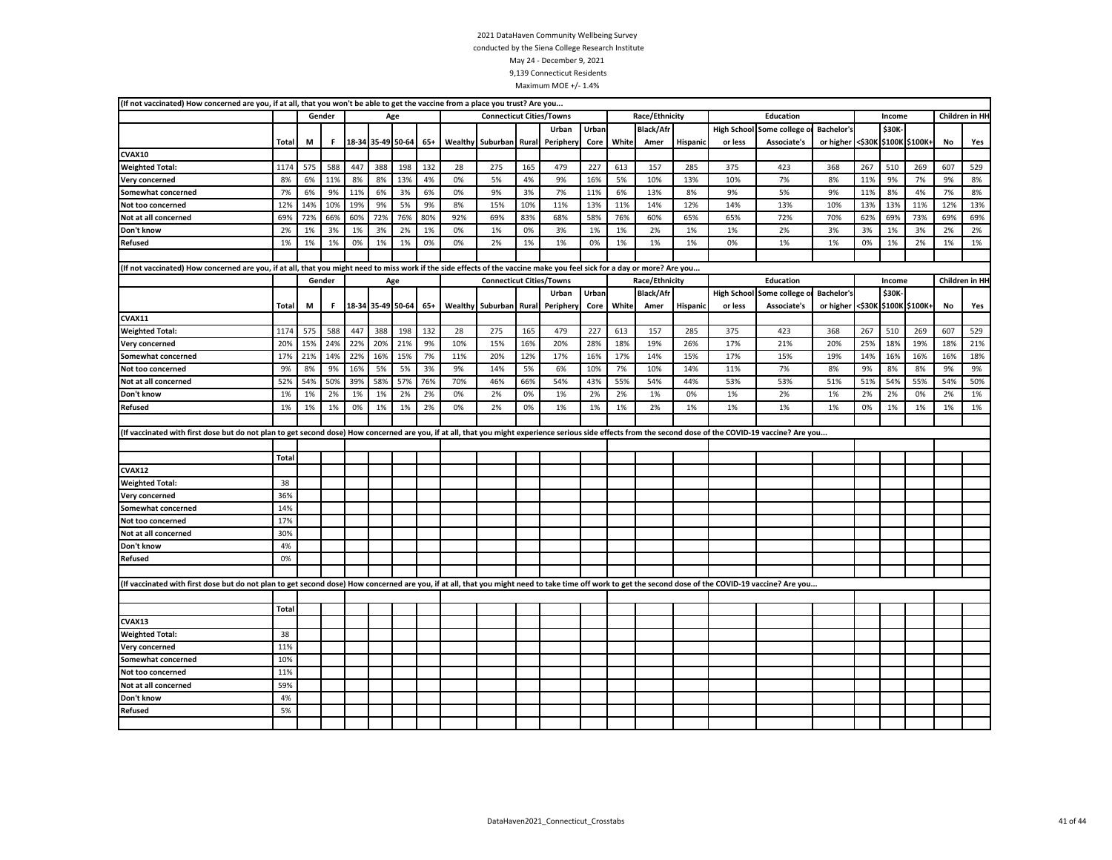| (If not vaccinated) How concerned are you, if at all, that you won't be able to get the vaccine from a place you trust? Are you                                                                           |              |     |        |     |                   |     |       |     |                                 |       |           |       |       |                  |          |         |                            |                   |        |        |                |     |                |
|-----------------------------------------------------------------------------------------------------------------------------------------------------------------------------------------------------------|--------------|-----|--------|-----|-------------------|-----|-------|-----|---------------------------------|-------|-----------|-------|-------|------------------|----------|---------|----------------------------|-------------------|--------|--------|----------------|-----|----------------|
|                                                                                                                                                                                                           | Gender       |     |        |     |                   |     |       |     | <b>Connecticut Cities/Towns</b> |       |           |       |       | Race/Ethnicity   |          |         | <b>Education</b>           |                   |        | Income |                |     | Children in HH |
|                                                                                                                                                                                                           |              |     |        |     |                   |     |       |     |                                 |       | Urban     | Urban |       | <b>Black/Afr</b> |          |         | High School Some college o | <b>Bachelor's</b> |        | \$30K- |                |     |                |
|                                                                                                                                                                                                           | Total        | М   | F.     |     | 18-34 35-49 50-64 |     | $65+$ |     | <b>Wealthy Suburban</b>         | Rural | Periphery | Core  | White | Amer             | Hispanio | or less | Associate's                | or higher         | <\$30K |        | \$100K \$100K+ | No  | Yes            |
| CVAX10                                                                                                                                                                                                    |              |     |        |     |                   |     |       |     |                                 |       |           |       |       |                  |          |         |                            |                   |        |        |                |     |                |
| <b>Weighted Total:</b>                                                                                                                                                                                    | 1174         | 575 | 588    | 447 | 388               | 198 | 132   | 28  | 275                             | 165   | 479       | 227   | 613   | 157              | 285      | 375     | 423                        | 368               | 267    | 510    | 269            | 607 | 529            |
| Very concerned                                                                                                                                                                                            | 8%           | 6%  | 11%    | 8%  | 8%                | 13% | 4%    | 0%  | 5%                              | 4%    | 9%        | 16%   | 5%    | 10%              | 13%      | 10%     | 7%                         | 8%                | 11%    | 9%     | 7%             | 9%  | 8%             |
| Somewhat concerned                                                                                                                                                                                        | 7%           | 6%  | 9%     | 11% | 6%                | 3%  | 6%    | 0%  | 9%                              | 3%    | 7%        | 11%   | 6%    | 13%              | 8%       | 9%      | 5%                         | 9%                | 11%    | 8%     | 4%             | 7%  | 8%             |
| Not too concerned                                                                                                                                                                                         | 12%          | 14% | 10%    | 19% | 9%                | 5%  | 9%    | 8%  | 15%                             | 10%   | 11%       | 13%   | 11%   | 14%              | 12%      | 14%     | 13%                        | 10%               | 13%    | 13%    | 11%            | 12% | 13%            |
| Not at all concerned                                                                                                                                                                                      | 69%          | 72% | 66%    | 60% | 72%               | 76% | 80%   | 92% | 69%                             | 83%   | 68%       | 58%   | 76%   | 60%              | 65%      | 65%     | 72%                        | 70%               | 62%    | 69%    | 73%            | 69% | 69%            |
| Don't know                                                                                                                                                                                                | 2%           | 1%  | 3%     | 1%  | 3%                | 2%  | 1%    | 0%  | 1%                              | 0%    | 3%        | 1%    | 1%    | 2%               | 1%       | 1%      | 2%                         | 3%                | 3%     | 1%     | 3%             | 2%  | 2%             |
| Refused                                                                                                                                                                                                   | 1%           | 1%  | 1%     | 0%  | 1%                | 1%  | 0%    | 0%  | 2%                              | 1%    | 1%        | 0%    | 1%    | 1%               | 1%       | 0%      | 1%                         | 1%                | 0%     | 1%     | 2%             | 1%  | 1%             |
|                                                                                                                                                                                                           |              |     |        |     |                   |     |       |     |                                 |       |           |       |       |                  |          |         |                            |                   |        |        |                |     |                |
| (If not vaccinated) How concerned are you, if at all, that you might need to miss work if the side effects of the vaccine make you feel sick for a day or more? Are you                                   |              |     |        |     |                   |     |       |     |                                 |       |           |       |       |                  |          |         |                            |                   |        |        |                |     |                |
|                                                                                                                                                                                                           |              |     | Gender |     |                   | Age |       |     | <b>Connecticut Cities/Towns</b> |       |           |       |       | Race/Ethnicity   |          |         | Education                  |                   |        | Income |                |     | Children in HH |
|                                                                                                                                                                                                           |              |     |        |     |                   |     |       |     |                                 |       | Urban     | Urban |       | <b>Black/Afr</b> |          |         | High School Some college o | <b>Bachelor's</b> |        | \$30K- |                |     |                |
|                                                                                                                                                                                                           | Total        | M   | F      |     | 18-34 35-49 50-64 |     | $65+$ |     | Wealthy Suburban                | Rural | Periphery | Core  | White | Amer             | Hispanic | or less | Associate's                | or higher         | <\$30K |        | \$100K \$100K+ | No  | Yes            |
| CVAX11                                                                                                                                                                                                    |              |     |        |     |                   |     |       |     |                                 |       |           |       |       |                  |          |         |                            |                   |        |        |                |     |                |
| <b>Weighted Total:</b>                                                                                                                                                                                    | 1174         | 575 | 588    | 447 | 388               | 198 | 132   | 28  | 275                             | 165   | 479       | 227   | 613   | 157              | 285      | 375     | 423                        | 368               | 267    | 510    | 269            | 607 | 529            |
| Very concerned                                                                                                                                                                                            | 20%          | 15% | 24%    | 22% | 20%               | 21% | 9%    | 10% | 15%                             | 16%   | 20%       | 28%   | 18%   | 19%              | 26%      | 17%     | 21%                        | 20%               | 25%    | 18%    | 19%            | 18% | 21%            |
| Somewhat concerned                                                                                                                                                                                        | 17%          | 21% | 14%    | 22% | 16%               | 15% | 7%    | 11% | 20%                             | 12%   | 17%       | 16%   | 17%   | 14%              | 15%      | 17%     | 15%                        | 19%               | 14%    | 16%    | 16%            | 16% | 18%            |
| Not too concerned                                                                                                                                                                                         | 9%           | 8%  | 9%     | 16% | 5%                | 5%  | 3%    | 9%  | 14%                             | 5%    | 6%        | 10%   | 7%    | 10%              | 14%      | 11%     | 7%                         | 8%                | 9%     | 8%     | 8%             | 9%  | 9%             |
| Not at all concerned                                                                                                                                                                                      | 52%          | 54% | 50%    | 39% | 58%               | 57% | 76%   | 70% | 46%                             | 66%   | 54%       | 43%   | 55%   | 54%              | 44%      | 53%     | 53%                        | 51%               | 51%    | 54%    | 55%            | 54% | 50%            |
| Don't know                                                                                                                                                                                                | 1%           | 1%  | 2%     | 1%  | 1%                | 2%  | 2%    | 0%  | 2%                              | 0%    | 1%        | 2%    | 2%    | 1%               | 0%       | 1%      | 2%                         | 1%                | 2%     | 2%     | 0%             | 2%  | 1%             |
| Refused                                                                                                                                                                                                   | 1%           | 1%  | 1%     | 0%  | 1%                | 1%  | 2%    | 0%  | 2%                              | 0%    | 1%        | 1%    | 1%    | 2%               | 1%       | 1%      | 1%                         | 1%                | 0%     | 1%     | 1%             | 1%  | 1%             |
|                                                                                                                                                                                                           |              |     |        |     |                   |     |       |     |                                 |       |           |       |       |                  |          |         |                            |                   |        |        |                |     |                |
| (If vaccinated with first dose but do not plan to get second dose) How concerned are you, if at all, that you might experience serious side effects from the second dose of the COVID-19 vaccine? Are you |              |     |        |     |                   |     |       |     |                                 |       |           |       |       |                  |          |         |                            |                   |        |        |                |     |                |
|                                                                                                                                                                                                           |              |     |        |     |                   |     |       |     |                                 |       |           |       |       |                  |          |         |                            |                   |        |        |                |     |                |
|                                                                                                                                                                                                           | <b>Total</b> |     |        |     |                   |     |       |     |                                 |       |           |       |       |                  |          |         |                            |                   |        |        |                |     |                |
| CVAX12                                                                                                                                                                                                    |              |     |        |     |                   |     |       |     |                                 |       |           |       |       |                  |          |         |                            |                   |        |        |                |     |                |
| <b>Weighted Total:</b>                                                                                                                                                                                    | 38           |     |        |     |                   |     |       |     |                                 |       |           |       |       |                  |          |         |                            |                   |        |        |                |     |                |
| Very concerned                                                                                                                                                                                            | 36%          |     |        |     |                   |     |       |     |                                 |       |           |       |       |                  |          |         |                            |                   |        |        |                |     |                |
| <b>Somewhat concerned</b>                                                                                                                                                                                 | 14%          |     |        |     |                   |     |       |     |                                 |       |           |       |       |                  |          |         |                            |                   |        |        |                |     |                |
| Not too concerned                                                                                                                                                                                         | 17%          |     |        |     |                   |     |       |     |                                 |       |           |       |       |                  |          |         |                            |                   |        |        |                |     |                |
| Not at all concerned                                                                                                                                                                                      | 30%          |     |        |     |                   |     |       |     |                                 |       |           |       |       |                  |          |         |                            |                   |        |        |                |     |                |
| Don't know                                                                                                                                                                                                | 4%           |     |        |     |                   |     |       |     |                                 |       |           |       |       |                  |          |         |                            |                   |        |        |                |     |                |
| <b>Refused</b>                                                                                                                                                                                            | 0%           |     |        |     |                   |     |       |     |                                 |       |           |       |       |                  |          |         |                            |                   |        |        |                |     |                |
|                                                                                                                                                                                                           |              |     |        |     |                   |     |       |     |                                 |       |           |       |       |                  |          |         |                            |                   |        |        |                |     |                |
|                                                                                                                                                                                                           |              |     |        |     |                   |     |       |     |                                 |       |           |       |       |                  |          |         |                            |                   |        |        |                |     |                |
| (If vaccinated with first dose but do not plan to get second dose) How concerned are you, if at all, that you might need to take time off work to get the second dose of the COVID-19 vaccine? Are you    |              |     |        |     |                   |     |       |     |                                 |       |           |       |       |                  |          |         |                            |                   |        |        |                |     |                |
|                                                                                                                                                                                                           |              |     |        |     |                   |     |       |     |                                 |       |           |       |       |                  |          |         |                            |                   |        |        |                |     |                |
|                                                                                                                                                                                                           | Total        |     |        |     |                   |     |       |     |                                 |       |           |       |       |                  |          |         |                            |                   |        |        |                |     |                |
| CVAX13                                                                                                                                                                                                    |              |     |        |     |                   |     |       |     |                                 |       |           |       |       |                  |          |         |                            |                   |        |        |                |     |                |
| <b>Weighted Total:</b>                                                                                                                                                                                    | 38           |     |        |     |                   |     |       |     |                                 |       |           |       |       |                  |          |         |                            |                   |        |        |                |     |                |
| Very concerned                                                                                                                                                                                            | 11%          |     |        |     |                   |     |       |     |                                 |       |           |       |       |                  |          |         |                            |                   |        |        |                |     |                |
| Somewhat concerned                                                                                                                                                                                        | 10%          |     |        |     |                   |     |       |     |                                 |       |           |       |       |                  |          |         |                            |                   |        |        |                |     |                |
| Not too concerned                                                                                                                                                                                         | 11%          |     |        |     |                   |     |       |     |                                 |       |           |       |       |                  |          |         |                            |                   |        |        |                |     |                |
| Not at all concerned                                                                                                                                                                                      | 59%          |     |        |     |                   |     |       |     |                                 |       |           |       |       |                  |          |         |                            |                   |        |        |                |     |                |
| Don't know                                                                                                                                                                                                | 4%           |     |        |     |                   |     |       |     |                                 |       |           |       |       |                  |          |         |                            |                   |        |        |                |     |                |
| Refused                                                                                                                                                                                                   | 5%           |     |        |     |                   |     |       |     |                                 |       |           |       |       |                  |          |         |                            |                   |        |        |                |     |                |
|                                                                                                                                                                                                           |              |     |        |     |                   |     |       |     |                                 |       |           |       |       |                  |          |         |                            |                   |        |        |                |     |                |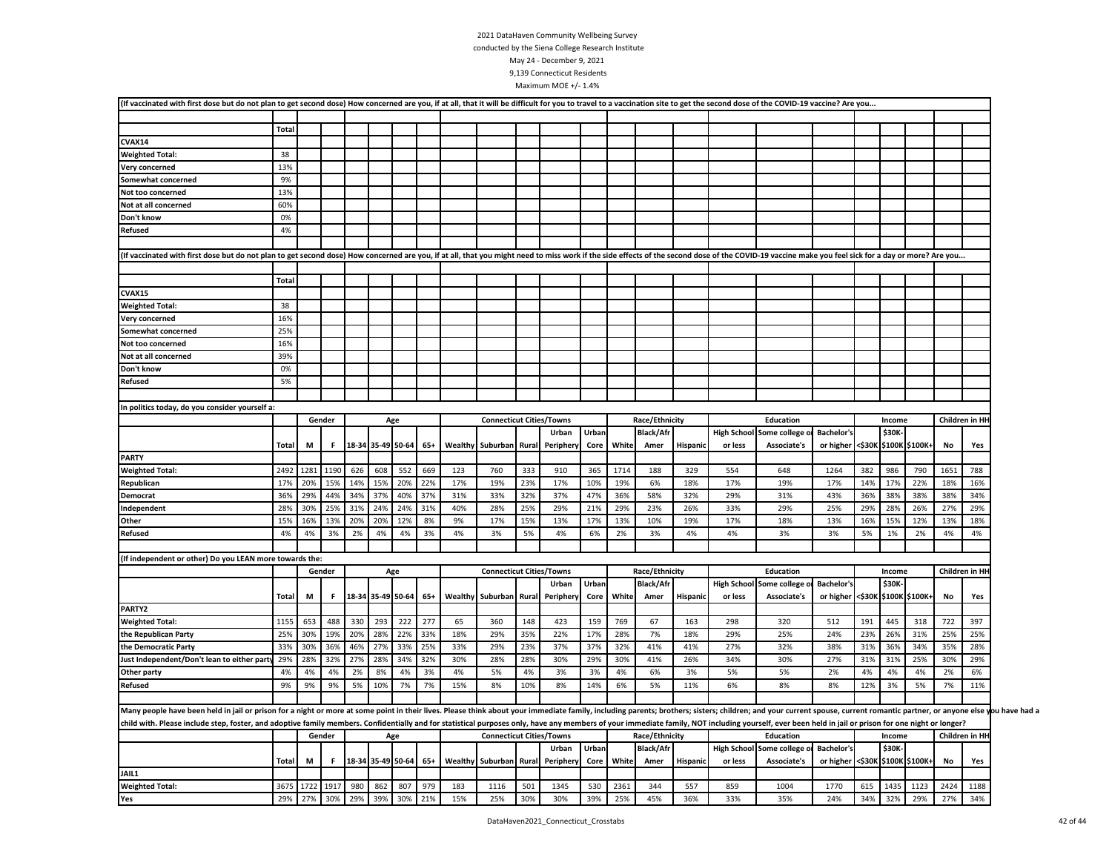| (If vaccinated with first dose but do not plan to get second dose) How concerned are you, if at all, that it will be difficult for you to travel to a vaccination site to get the second dose of the COVID-19 vaccine? Are you |              |      |        |     |     |                   |       |         |                                  |     |           |       |       |                  |          |                    |                            |                                 |     |        |                       |      |                |
|--------------------------------------------------------------------------------------------------------------------------------------------------------------------------------------------------------------------------------|--------------|------|--------|-----|-----|-------------------|-------|---------|----------------------------------|-----|-----------|-------|-------|------------------|----------|--------------------|----------------------------|---------------------------------|-----|--------|-----------------------|------|----------------|
|                                                                                                                                                                                                                                |              |      |        |     |     |                   |       |         |                                  |     |           |       |       |                  |          |                    |                            |                                 |     |        |                       |      |                |
|                                                                                                                                                                                                                                | <b>Total</b> |      |        |     |     |                   |       |         |                                  |     |           |       |       |                  |          |                    |                            |                                 |     |        |                       |      |                |
| CVAX14                                                                                                                                                                                                                         |              |      |        |     |     |                   |       |         |                                  |     |           |       |       |                  |          |                    |                            |                                 |     |        |                       |      |                |
| <b>Weighted Total:</b>                                                                                                                                                                                                         | 38           |      |        |     |     |                   |       |         |                                  |     |           |       |       |                  |          |                    |                            |                                 |     |        |                       |      |                |
| Very concerned                                                                                                                                                                                                                 | 13%          |      |        |     |     |                   |       |         |                                  |     |           |       |       |                  |          |                    |                            |                                 |     |        |                       |      |                |
| Somewhat concerned                                                                                                                                                                                                             | 9%           |      |        |     |     |                   |       |         |                                  |     |           |       |       |                  |          |                    |                            |                                 |     |        |                       |      |                |
| Not too concerned                                                                                                                                                                                                              | 13%          |      |        |     |     |                   |       |         |                                  |     |           |       |       |                  |          |                    |                            |                                 |     |        |                       |      |                |
| Not at all concerned                                                                                                                                                                                                           | 60%          |      |        |     |     |                   |       |         |                                  |     |           |       |       |                  |          |                    |                            |                                 |     |        |                       |      |                |
| Don't know                                                                                                                                                                                                                     | 0%           |      |        |     |     |                   |       |         |                                  |     |           |       |       |                  |          |                    |                            |                                 |     |        |                       |      |                |
| <b>Refused</b>                                                                                                                                                                                                                 | 4%           |      |        |     |     |                   |       |         |                                  |     |           |       |       |                  |          |                    |                            |                                 |     |        |                       |      |                |
|                                                                                                                                                                                                                                |              |      |        |     |     |                   |       |         |                                  |     |           |       |       |                  |          |                    |                            |                                 |     |        |                       |      |                |
| (If vaccinated with first dose but do not plan to get second dose) How concerned are you, if at all, that you might need to miss work if the side effects of the second dose of the COVID-19 vaccine make you feel sick for a  |              |      |        |     |     |                   |       |         |                                  |     |           |       |       |                  |          |                    |                            |                                 |     |        |                       |      |                |
|                                                                                                                                                                                                                                |              |      |        |     |     |                   |       |         |                                  |     |           |       |       |                  |          |                    |                            |                                 |     |        |                       |      |                |
|                                                                                                                                                                                                                                | Total        |      |        |     |     |                   |       |         |                                  |     |           |       |       |                  |          |                    |                            |                                 |     |        |                       |      |                |
| CVAX15                                                                                                                                                                                                                         |              |      |        |     |     |                   |       |         |                                  |     |           |       |       |                  |          |                    |                            |                                 |     |        |                       |      |                |
| <b>Weighted Total:</b>                                                                                                                                                                                                         | 38           |      |        |     |     |                   |       |         |                                  |     |           |       |       |                  |          |                    |                            |                                 |     |        |                       |      |                |
| Very concerned                                                                                                                                                                                                                 | 16%          |      |        |     |     |                   |       |         |                                  |     |           |       |       |                  |          |                    |                            |                                 |     |        |                       |      |                |
| Somewhat concerned                                                                                                                                                                                                             | 25%          |      |        |     |     |                   |       |         |                                  |     |           |       |       |                  |          |                    |                            |                                 |     |        |                       |      |                |
| Not too concerned                                                                                                                                                                                                              | 16%          |      |        |     |     |                   |       |         |                                  |     |           |       |       |                  |          |                    |                            |                                 |     |        |                       |      |                |
| Not at all concerned                                                                                                                                                                                                           | 39%          |      |        |     |     |                   |       |         |                                  |     |           |       |       |                  |          |                    |                            |                                 |     |        |                       |      |                |
| Don't know                                                                                                                                                                                                                     | 0%           |      |        |     |     |                   |       |         |                                  |     |           |       |       |                  |          |                    |                            |                                 |     |        |                       |      |                |
| <b>Refused</b>                                                                                                                                                                                                                 | 5%           |      |        |     |     |                   |       |         |                                  |     |           |       |       |                  |          |                    |                            |                                 |     |        |                       |      |                |
|                                                                                                                                                                                                                                |              |      |        |     |     |                   |       |         |                                  |     |           |       |       |                  |          |                    |                            |                                 |     |        |                       |      |                |
| In politics today, do you consider yourself a:                                                                                                                                                                                 |              |      |        |     |     |                   |       |         |                                  |     |           |       |       |                  |          |                    |                            |                                 |     |        |                       |      |                |
|                                                                                                                                                                                                                                |              |      | Gender |     |     | Age               |       |         | <b>Connecticut Cities/Towns</b>  |     |           |       |       | Race/Ethnicity   |          |                    | Education                  |                                 |     | Income |                       |      | Children in HH |
|                                                                                                                                                                                                                                |              |      |        |     |     |                   |       |         |                                  |     | Urban     | Urban |       | <b>Black/Afr</b> |          | <b>High School</b> | Some college               | Bachelor's                      |     | \$30K  |                       |      |                |
|                                                                                                                                                                                                                                | Total        | M    | F.     |     |     | 18-34 35-49 50-64 | $65+$ |         | Wealthy Suburban Rural Periphery |     |           | Core  | White | Amer             | Hispanic | or less            | Associate's                | or higher <\$30K \$100K \$100K+ |     |        |                       | No   | Yes            |
| <b>PARTY</b>                                                                                                                                                                                                                   |              |      |        |     |     |                   |       |         |                                  |     |           |       |       |                  |          |                    |                            |                                 |     |        |                       |      |                |
| <b>Weighted Total:</b>                                                                                                                                                                                                         | 2492         | 1281 | 1190   | 626 | 608 | 552               | 669   | 123     | 760                              | 333 | 910       | 365   | 1714  | 188              | 329      | 554                | 648                        | 1264                            | 382 | 986    | 790                   | 1651 | 788            |
| Republican                                                                                                                                                                                                                     | 17%          | 20%  | 15%    | 14% | 15% | 20%               | 22%   | 17%     | 19%                              | 23% | 17%       | 10%   | 19%   | 6%               | 18%      | 17%                | 19%                        | 17%                             | 14% | 17%    | 22%                   | 18%  | 16%            |
| Democrat                                                                                                                                                                                                                       | 36%          | 29%  | 44%    | 34% | 37% | 40%               | 37%   | 31%     | 33%                              | 32% | 37%       | 47%   | 36%   | 58%              | 32%      | 29%                | 31%                        | 43%                             | 36% | 38%    | 38%                   | 38%  | 34%            |
| Independent                                                                                                                                                                                                                    | 28%          | 30%  | 25%    | 31% | 24% | 24%               | 31%   | 40%     | 28%                              | 25% | 29%       | 21%   | 29%   | 23%              | 26%      | 33%                | 29%                        | 25%                             | 29% | 28%    | 26%                   | 27%  | 29%            |
| Other                                                                                                                                                                                                                          | 15%          | 16%  | 13%    | 20% | 20% | 12%               | 8%    | 9%      | 17%                              | 15% | 13%       | 17%   | 13%   | 10%              | 19%      | 17%                | 18%                        | 13%                             | 16% | 15%    | 12%                   | 13%  | 18%            |
| <b>Refused</b>                                                                                                                                                                                                                 | 4%           | 4%   | 3%     | 2%  | 4%  | 4%                | 3%    | 4%      | 3%                               | 5%  | 4%        | 6%    | 2%    | 3%               | 4%       | 4%                 | 3%                         | 3%                              | 5%  | 1%     | 2%                    | 4%   | 4%             |
|                                                                                                                                                                                                                                |              |      |        |     |     |                   |       |         |                                  |     |           |       |       |                  |          |                    |                            |                                 |     |        |                       |      |                |
| (If independent or other) Do you LEAN more towards the:                                                                                                                                                                        |              |      |        |     |     |                   |       |         |                                  |     |           |       |       |                  |          |                    |                            |                                 |     |        |                       |      |                |
|                                                                                                                                                                                                                                |              |      | Gender |     |     | Age               |       |         | <b>Connecticut Cities/Towns</b>  |     |           |       |       | Race/Ethnicity   |          |                    | Education                  |                                 |     | Income |                       |      | Children in HH |
|                                                                                                                                                                                                                                |              |      |        |     |     |                   |       |         |                                  |     | Urban     | Urban |       | <b>Black/Afr</b> |          |                    | High School Some college   | <b>Bachelor's</b>               |     | \$30K  |                       |      |                |
|                                                                                                                                                                                                                                | Total        | M    | F.     |     |     | 18-34 35-49 50-64 | $65+$ |         | Wealthy Suburban Rural           |     | Periphery | Core  | White | Amer             | Hispanic | or less            | Associate's                | or higher                       |     |        | <\$30K \$100K \$100K+ | No   | Yes            |
| PARTY2                                                                                                                                                                                                                         |              |      |        |     |     |                   |       |         |                                  |     |           |       |       |                  |          |                    |                            |                                 |     |        |                       |      |                |
| <b>Weighted Total:</b>                                                                                                                                                                                                         | 1155         | 653  | 488    | 330 | 293 | 222               | 277   | 65      | 360                              | 148 | 423       | 159   | 769   | 67               | 163      | 298                | 320                        | 512                             | 191 | 445    | 318                   | 722  | 397            |
| the Republican Party                                                                                                                                                                                                           | 25%          | 30%  | 19%    | 20% | 28% | 22%               | 33%   | 18%     | 29%                              | 35% | 22%       | 17%   | 28%   | 7%               | 18%      | 29%                | 25%                        | 24%                             | 23% | 26%    | 31%                   | 25%  | 25%            |
| the Democratic Party                                                                                                                                                                                                           | 33%          | 30%  | 36%    | 46% | 27% | 33%               | 25%   | 33%     | 29%                              | 23% | 37%       | 37%   | 32%   | 41%              | 41%      | 27%                | 32%                        | 38%                             | 31% | 36%    | 34%                   | 35%  | 28%            |
| Just Independent/Don't lean to either part                                                                                                                                                                                     | 29%          | 28%  | 32%    | 27% | 28% | 34%               | 32%   | 30%     | 28%                              | 28% | 30%       | 29%   | 30%   | 41%              | 26%      | 34%                | 30%                        | 27%                             | 31% | 31%    | 25%                   | 30%  | 29%            |
| Other party                                                                                                                                                                                                                    | 4%           | 4%   | 4%     | 2%  | 8%  | 4%                | 3%    | 4%      | 5%                               | 4%  | 3%        | 3%    | 4%    | 6%               | 3%       | 5%                 | 5%                         | 2%                              | 4%  | 4%     | 4%                    | 2%   | 6%             |
| <b>Refused</b>                                                                                                                                                                                                                 | 9%           | 9%   | 9%     | 5%  | 10% | 7%                | 7%    | 15%     | 8%                               | 10% | 8%        | 14%   | 6%    | 5%               | 11%      | 6%                 | 8%                         | 8%                              | 12% | 3%     | 5%                    | 7%   | 11%            |
|                                                                                                                                                                                                                                |              |      |        |     |     |                   |       |         |                                  |     |           |       |       |                  |          |                    |                            |                                 |     |        |                       |      |                |
| Many people have been held in jail or prison for a night or more at some point in their lives. Please think about your immediate family, including parents; brothers; sisters; children; and your current spouse, current roma |              |      |        |     |     |                   |       |         |                                  |     |           |       |       |                  |          |                    |                            |                                 |     |        |                       |      |                |
| child with. Please include step, foster, and adoptive family members. Confidentially and for statistical purposes only, have any members of your immediate family, NOT including yourself, ever been held in jail or prison fo |              |      |        |     |     |                   |       |         |                                  |     |           |       |       |                  |          |                    |                            |                                 |     |        |                       |      |                |
|                                                                                                                                                                                                                                |              |      | Gender |     |     | Age               |       |         | <b>Connecticut Cities/Towns</b>  |     |           |       |       | Race/Ethnicity   |          |                    | Education                  |                                 |     | Income |                       |      | Children in HH |
|                                                                                                                                                                                                                                |              |      |        |     |     |                   |       |         |                                  |     | Urban     | Urban |       | <b>Black/Afr</b> |          |                    | High School Some college o | <b>Bachelor's</b>               |     | \$30K  |                       |      |                |
|                                                                                                                                                                                                                                |              |      |        |     |     |                   |       |         |                                  |     |           |       |       |                  |          |                    |                            |                                 |     |        |                       |      |                |
|                                                                                                                                                                                                                                | <b>Total</b> | M    | F.     |     |     | 18-34 35-49 50-64 | $65+$ | Wealthy | Suburban Rural                   |     | Periphery | Core  | White | Amer             | Hispanic | or less            | Associate's                | or higher                       |     |        | <\$30K \$100K \$100K+ | No   | Yes            |
| JAIL1                                                                                                                                                                                                                          |              |      |        |     |     |                   |       |         |                                  |     |           |       |       |                  |          |                    |                            |                                 |     |        |                       |      |                |
| <b>Weighted Total:</b>                                                                                                                                                                                                         | 3675         | 1722 | 1917   | 980 | 862 | 807               | 979   | 183     | 1116                             | 501 | 1345      | 530   | 2361  | 344              | 557      | 859                | 1004                       | 1770                            | 615 | 1435   | 1123                  | 2424 | 1188           |
| Yes                                                                                                                                                                                                                            | 29%          | 27%  | 30%    | 29% | 39% | 30%               | 21%   | 15%     | 25%                              | 30% | 30%       | 39%   | 25%   | 45%              | 36%      | 33%                | 35%                        | 24%                             | 34% | 32%    | 29%                   | 27%  | 34%            |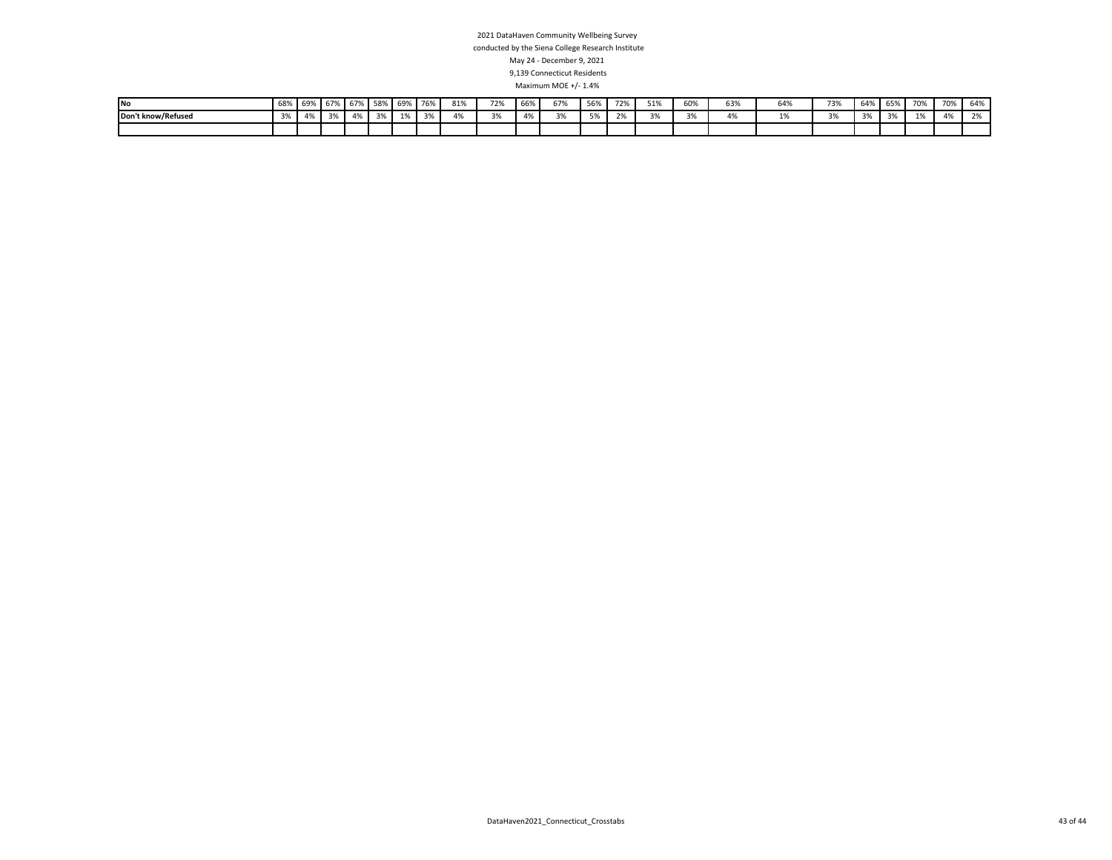| <b>No</b>          | 68%                   | 69%                  | 670/<br>IU//0   | 1 67%          | 58%             | 69%            | 7C <sub>0</sub> | 0.401<br>81%         | 72%                  | 66% | 67%                 | 56%          | 72% | 51%                 | 60%    | 63%                  | 64% | 73%    | 64% | 65%                    | 70%        | 70%           | 0.01<br>64%   |
|--------------------|-----------------------|----------------------|-----------------|----------------|-----------------|----------------|-----------------|----------------------|----------------------|-----|---------------------|--------------|-----|---------------------|--------|----------------------|-----|--------|-----|------------------------|------------|---------------|---------------|
| Don't know/Refused | 20 <sup>1</sup><br>5% | 0 <sup>0</sup><br>4% | 20 <sup>1</sup> | 0 <sup>0</sup> | 20 <sup>2</sup> | 0 <sup>4</sup> | $\sim$          | 0 <sup>0</sup><br>4% | $\sim$ $\sim$<br>370 | 470 | $\sim$ $\sim$<br>5% | $F^{\alpha}$ | 70/ | $\sim$ $\sim$<br>5% | $\sim$ | $\overline{a}$<br>4% |     | $\sim$ | 3%  | 20 <sup>1</sup><br>37e | $A \Omega$ | $\sim$<br>470 | $\sim$ $\sim$ |
|                    |                       |                      |                 |                |                 |                |                 |                      |                      |     |                     |              |     |                     |        |                      |     |        |     |                        |            |               |               |